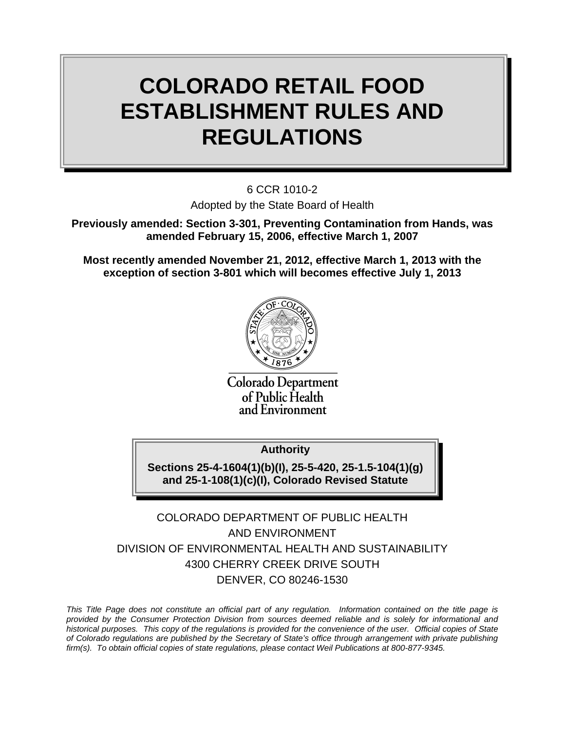# **COLORADO RETAIL FOOD ESTABLISHMENT RULES AND REGULATIONS**

6 CCR 1010-2 Adopted by the State Board of Health

**Previously amended: Section 3-301, Preventing Contamination from Hands, was amended February 15, 2006, effective March 1, 2007** 

**Most recently amended November 21, 2012, effective March 1, 2013 with the exception of section 3-801 which will becomes effective July 1, 2013** 



Colorado Department of Public Health and Environment

**Authority** 

**Sections 25-4-1604(1)(b)(I), 25-5-420, 25-1.5-104(1)(g) and 25-1-108(1)(c)(I), Colorado Revised Statute** 

## COLORADO DEPARTMENT OF PUBLIC HEALTH AND ENVIRONMENT DIVISION OF ENVIRONMENTAL HEALTH AND SUSTAINABILITY 4300 CHERRY CREEK DRIVE SOUTH DENVER, CO 80246-1530

*This Title Page does not constitute an official part of any regulation. Information contained on the title page is provided by the Consumer Protection Division from sources deemed reliable and is solely for informational and historical purposes. This copy of the regulations is provided for the convenience of the user. Official copies of State of Colorado regulations are published by the Secretary of State's office through arrangement with private publishing firm(s). To obtain official copies of state regulations, please contact Weil Publications at 800-877-9345.*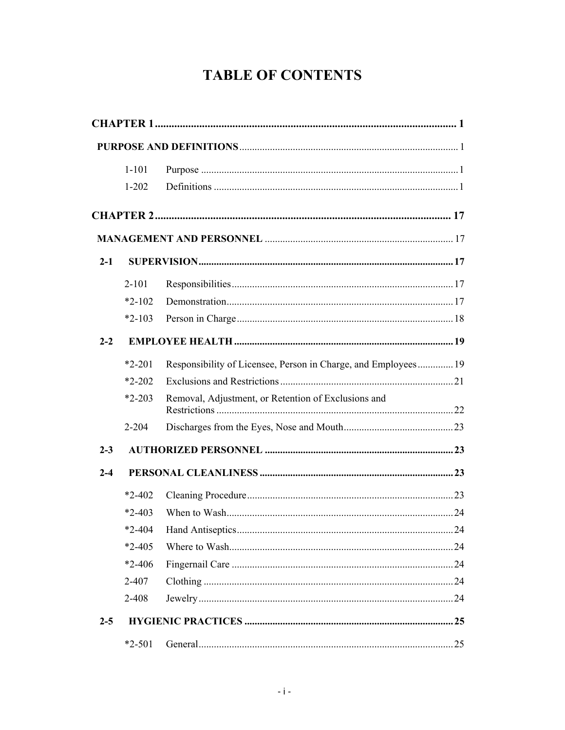## **TABLE OF CONTENTS**

|         | $1 - 101$  |                                                                |  |
|---------|------------|----------------------------------------------------------------|--|
|         | $1 - 202$  |                                                                |  |
|         |            |                                                                |  |
|         |            |                                                                |  |
| $2-1$   |            |                                                                |  |
|         | $2 - 101$  |                                                                |  |
|         | $*2-102$   |                                                                |  |
|         | $*2-103$   |                                                                |  |
| $2 - 2$ |            |                                                                |  |
|         | $*2-201$   | Responsibility of Licensee, Person in Charge, and Employees 19 |  |
|         | $*2-202$   |                                                                |  |
|         | $*2-203$   | Removal, Adjustment, or Retention of Exclusions and            |  |
|         | $2 - 204$  |                                                                |  |
| $2 - 3$ |            |                                                                |  |
| $2 - 4$ |            |                                                                |  |
|         | $*2 - 402$ |                                                                |  |
|         | $*2-403$   |                                                                |  |
|         |            |                                                                |  |
|         | $*2 - 405$ |                                                                |  |
|         | $*2 - 406$ |                                                                |  |
|         | 2-407      |                                                                |  |
|         | 2-408      |                                                                |  |
| $2 - 5$ |            |                                                                |  |
|         | $*2-501$   |                                                                |  |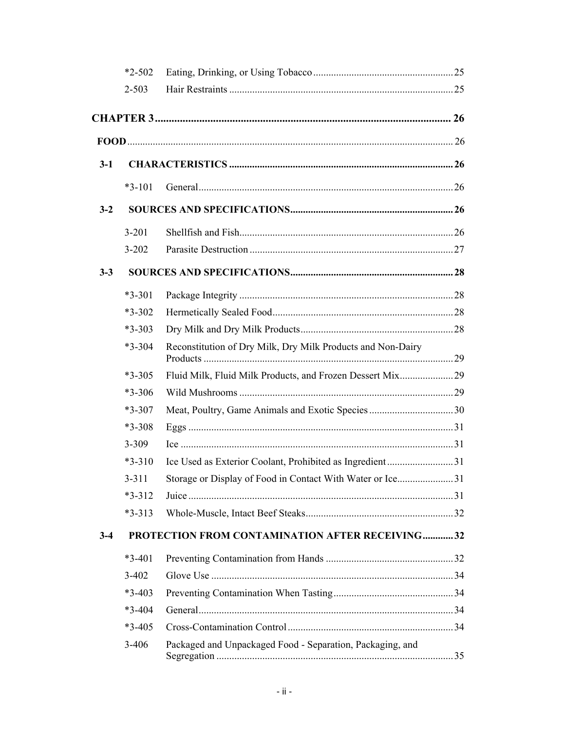|         | $*2 - 502$ |                                                             |  |
|---------|------------|-------------------------------------------------------------|--|
|         | $2 - 503$  |                                                             |  |
|         |            |                                                             |  |
|         |            |                                                             |  |
| $3-1$   |            |                                                             |  |
|         | $*3-101$   |                                                             |  |
| $3 - 2$ |            |                                                             |  |
|         | $3 - 201$  |                                                             |  |
|         | $3 - 202$  |                                                             |  |
| $3 - 3$ |            |                                                             |  |
|         | $*3-301$   |                                                             |  |
|         | $*3-302$   |                                                             |  |
|         | $*3 - 303$ |                                                             |  |
|         | $*3-304$   | Reconstitution of Dry Milk, Dry Milk Products and Non-Dairy |  |
|         | $*3 - 305$ | Fluid Milk, Fluid Milk Products, and Frozen Dessert Mix29   |  |
|         | $*3-306$   |                                                             |  |
|         | $*3-307$   |                                                             |  |
|         | $*3 - 308$ |                                                             |  |
|         | $3 - 309$  |                                                             |  |
|         | $*3 - 310$ |                                                             |  |
|         | $3 - 311$  |                                                             |  |
|         | $*3 - 312$ |                                                             |  |
|         | $*3 - 313$ |                                                             |  |
| $3-4$   |            | PROTECTION FROM CONTAMINATION AFTER RECEIVING32             |  |
|         | $*3-401$   |                                                             |  |
|         | $3-402$    |                                                             |  |
|         | $*3-403$   |                                                             |  |
|         | $*3-404$   |                                                             |  |
|         | $*3-405$   |                                                             |  |
|         | $3 - 406$  | Packaged and Unpackaged Food - Separation, Packaging, and   |  |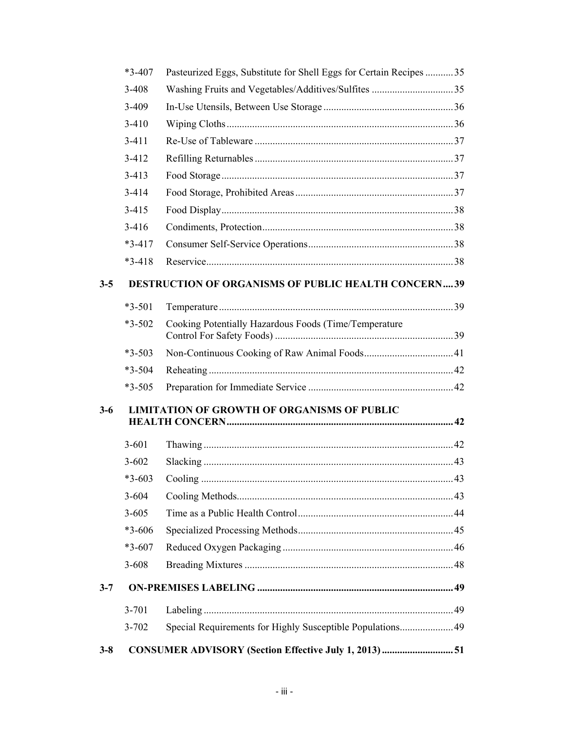|         | $*3-407$   | Pasteurized Eggs, Substitute for Shell Eggs for Certain Recipes 35 |  |
|---------|------------|--------------------------------------------------------------------|--|
|         | $3 - 408$  |                                                                    |  |
|         | 3-409      |                                                                    |  |
|         | $3 - 410$  |                                                                    |  |
|         | $3 - 411$  |                                                                    |  |
|         | $3 - 412$  |                                                                    |  |
|         | $3 - 413$  |                                                                    |  |
|         | $3 - 414$  |                                                                    |  |
|         | $3 - 415$  |                                                                    |  |
|         | $3 - 416$  |                                                                    |  |
|         | $*3-417$   |                                                                    |  |
|         | $*3-418$   |                                                                    |  |
| $3 - 5$ |            | <b>DESTRUCTION OF ORGANISMS OF PUBLIC HEALTH CONCERN39</b>         |  |
|         | $*3-501$   |                                                                    |  |
|         | $*3 - 502$ | Cooking Potentially Hazardous Foods (Time/Temperature              |  |
|         | $*3 - 503$ |                                                                    |  |
|         | $*3 - 504$ |                                                                    |  |
|         | $*3 - 505$ |                                                                    |  |
| $3 - 6$ |            | <b>LIMITATION OF GROWTH OF ORGANISMS OF PUBLIC</b>                 |  |
|         | $3 - 601$  |                                                                    |  |
|         | $3 - 602$  |                                                                    |  |
|         |            |                                                                    |  |
|         | $3 - 604$  |                                                                    |  |
|         | $3 - 605$  |                                                                    |  |
|         | $*3 - 606$ |                                                                    |  |
|         | $*3-607$   |                                                                    |  |
|         | $3 - 608$  |                                                                    |  |
| $3 - 7$ |            |                                                                    |  |
|         | $3 - 701$  |                                                                    |  |
|         | $3 - 702$  | Special Requirements for Highly Susceptible Populations 49         |  |
| $3 - 8$ |            | CONSUMER ADVISORY (Section Effective July 1, 2013) 51              |  |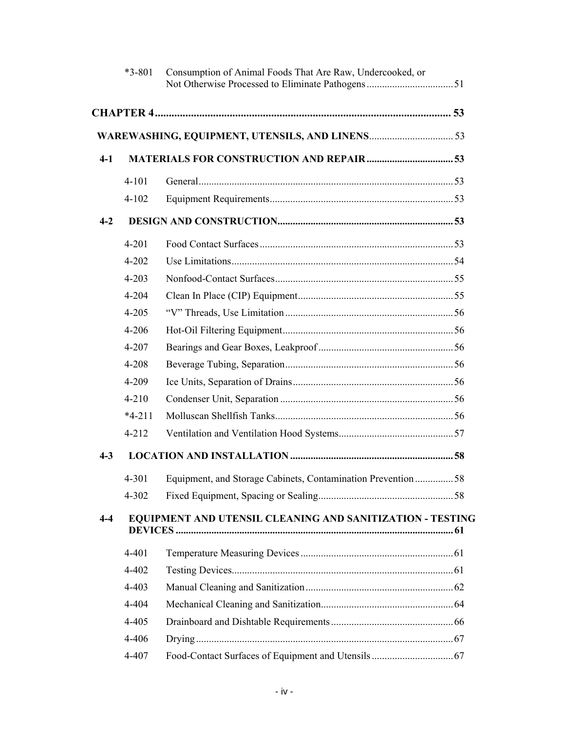|         | $*3 - 801$ | Consumption of Animal Foods That Are Raw, Undercooked, or   |  |
|---------|------------|-------------------------------------------------------------|--|
|         |            |                                                             |  |
|         |            |                                                             |  |
| $4-1$   |            |                                                             |  |
|         |            |                                                             |  |
|         | $4 - 101$  |                                                             |  |
|         | $4 - 102$  |                                                             |  |
| $4 - 2$ |            |                                                             |  |
|         | $4 - 201$  |                                                             |  |
|         | $4 - 202$  |                                                             |  |
|         | $4 - 203$  |                                                             |  |
|         | $4 - 204$  |                                                             |  |
|         | $4 - 205$  |                                                             |  |
|         | 4-206      |                                                             |  |
|         | 4-207      |                                                             |  |
|         | 4-208      |                                                             |  |
|         | 4-209      |                                                             |  |
|         | $4 - 210$  |                                                             |  |
|         | $*4-211$   |                                                             |  |
|         | $4 - 212$  |                                                             |  |
| $4 - 3$ |            |                                                             |  |
|         | 4-301      | Equipment, and Storage Cabinets, Contamination Prevention58 |  |
|         | 4-302      |                                                             |  |
| $4 - 4$ |            | EQUIPMENT AND UTENSIL CLEANING AND SANITIZATION - TESTING   |  |
|         | 4-401      |                                                             |  |
|         | 4-402      |                                                             |  |
|         | 4-403      |                                                             |  |
|         | 4-404      |                                                             |  |
|         | 4-405      |                                                             |  |
|         | 4-406      |                                                             |  |
|         | 4-407      |                                                             |  |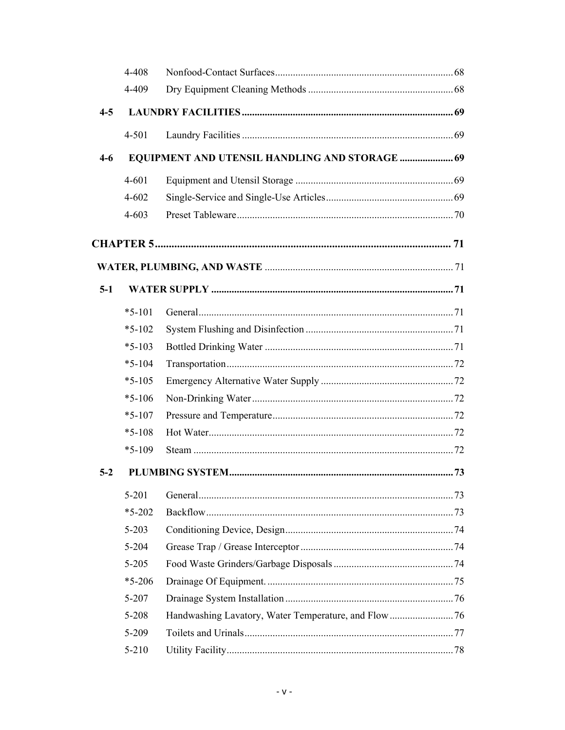|         | 4-408     |                                                      |  |
|---------|-----------|------------------------------------------------------|--|
|         | 4-409     |                                                      |  |
| $4 - 5$ |           |                                                      |  |
|         | 4-501     |                                                      |  |
| $4-6$   |           | EQUIPMENT AND UTENSIL HANDLING AND STORAGE  69       |  |
|         | $4 - 601$ |                                                      |  |
|         | $4 - 602$ |                                                      |  |
|         | $4 - 603$ |                                                      |  |
|         |           |                                                      |  |
|         |           |                                                      |  |
| $5-1$   |           |                                                      |  |
|         | $*5-101$  |                                                      |  |
|         | $*5-102$  |                                                      |  |
|         | $*5-103$  |                                                      |  |
|         | $*5-104$  |                                                      |  |
|         | $*5-105$  |                                                      |  |
|         | $*5-106$  |                                                      |  |
|         | $*5-107$  |                                                      |  |
|         | $*5-108$  |                                                      |  |
|         | $*5-109$  |                                                      |  |
| $5 - 2$ |           |                                                      |  |
|         | $5 - 201$ |                                                      |  |
|         | $*5-202$  |                                                      |  |
|         | $5 - 203$ |                                                      |  |
|         | $5 - 204$ |                                                      |  |
|         | $5 - 205$ |                                                      |  |
|         | $*5-206$  |                                                      |  |
|         | 5-207     |                                                      |  |
|         | 5-208     | Handwashing Lavatory, Water Temperature, and Flow 76 |  |
|         | 5-209     |                                                      |  |
|         | $5 - 210$ |                                                      |  |
|         |           |                                                      |  |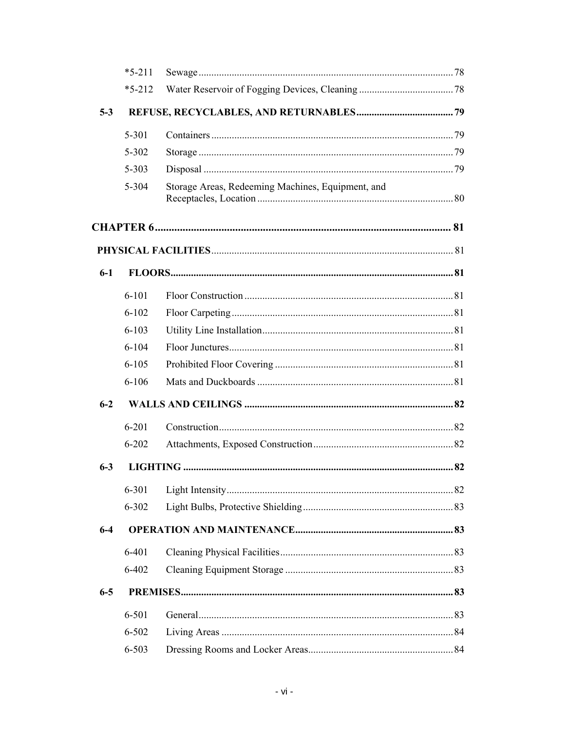|         | $*5-211$   |                                                   |  |
|---------|------------|---------------------------------------------------|--|
|         | $*5 - 212$ |                                                   |  |
| $5 - 3$ |            |                                                   |  |
|         | 5-301      |                                                   |  |
|         | 5-302      |                                                   |  |
|         | 5-303      |                                                   |  |
|         | 5-304      | Storage Areas, Redeeming Machines, Equipment, and |  |
|         |            |                                                   |  |
|         |            |                                                   |  |
| $6-1$   |            |                                                   |  |
|         | $6 - 101$  |                                                   |  |
|         | $6 - 102$  |                                                   |  |
|         | $6 - 103$  |                                                   |  |
|         | $6 - 104$  |                                                   |  |
|         | $6 - 105$  |                                                   |  |
|         | $6 - 106$  |                                                   |  |
| $6 - 2$ |            |                                                   |  |
|         | $6 - 201$  |                                                   |  |
|         | $6 - 202$  |                                                   |  |
| $6 - 3$ |            |                                                   |  |
|         | 6-301      |                                                   |  |
|         | $6 - 302$  |                                                   |  |
| $6-4$   |            |                                                   |  |
|         | $6 - 401$  |                                                   |  |
|         | 6-402      |                                                   |  |
| $6-5$   |            |                                                   |  |
|         | 6-501      |                                                   |  |
|         | $6 - 502$  |                                                   |  |
|         | $6 - 503$  |                                                   |  |
|         |            |                                                   |  |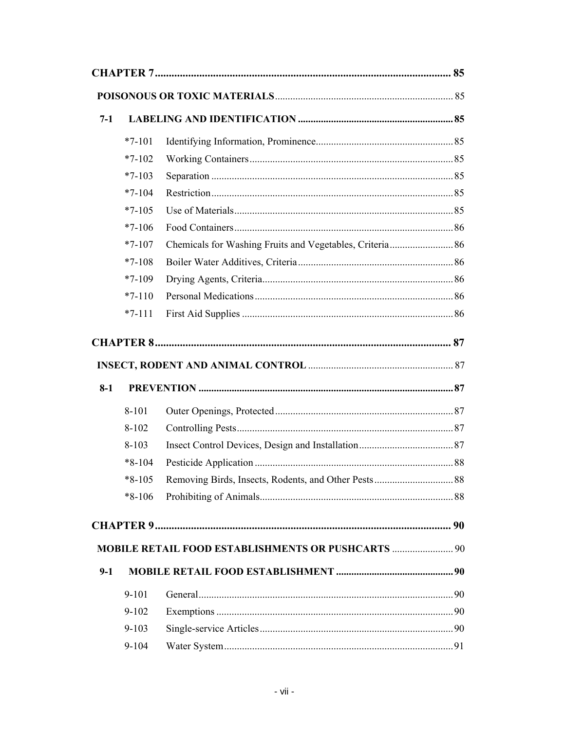| $7-1$ |            |                                                           |  |
|-------|------------|-----------------------------------------------------------|--|
|       | $*7-101$   |                                                           |  |
|       | $*7-102$   |                                                           |  |
|       | $*7-103$   |                                                           |  |
|       | $*7-104$   |                                                           |  |
|       | $*7 - 105$ |                                                           |  |
|       | $*7-106$   |                                                           |  |
|       | $*7-107$   |                                                           |  |
|       | $*7-108$   |                                                           |  |
|       | $*7-109$   |                                                           |  |
|       | $*7-110$   |                                                           |  |
|       | $*7-111$   |                                                           |  |
|       |            |                                                           |  |
|       |            |                                                           |  |
| $8-1$ |            |                                                           |  |
|       | 8-101      |                                                           |  |
|       | $8 - 102$  |                                                           |  |
|       | $8 - 103$  |                                                           |  |
|       | $*8-104$   |                                                           |  |
|       | $*8-105$   |                                                           |  |
|       | $*8-106$   |                                                           |  |
|       |            |                                                           |  |
|       |            | <b>MOBILE RETAIL FOOD ESTABLISHMENTS OR PUSHCARTS  90</b> |  |
| $9-1$ |            |                                                           |  |
|       | 9-101      |                                                           |  |
|       | $9 - 102$  |                                                           |  |
|       | $9 - 103$  |                                                           |  |
|       | $9 - 104$  |                                                           |  |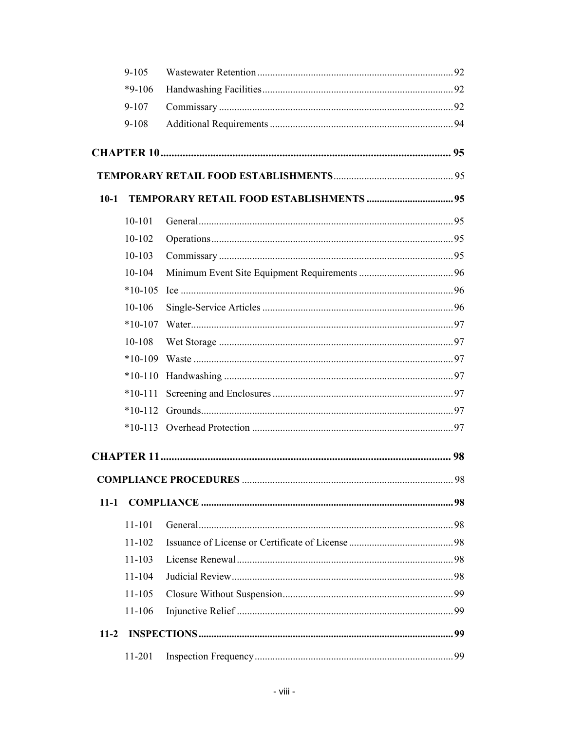|          | $9 - 105$  |  |
|----------|------------|--|
|          | $*9-106$   |  |
|          | $9 - 107$  |  |
|          | $9 - 108$  |  |
|          |            |  |
|          |            |  |
| $10-1$   |            |  |
|          | $10 - 101$ |  |
|          | $10 - 102$ |  |
|          | $10-103$   |  |
|          | 10-104     |  |
|          | $*10-105$  |  |
|          | 10-106     |  |
|          | $*10-107$  |  |
|          | 10-108     |  |
|          | $*10-109$  |  |
|          | $*10-110$  |  |
|          | $*10-111$  |  |
|          |            |  |
|          |            |  |
|          |            |  |
|          |            |  |
| $11 - 1$ |            |  |
|          | 11-101     |  |
|          | 11-102     |  |
|          | $11 - 103$ |  |
|          | 11-104     |  |
|          | $11 - 105$ |  |
|          | 11-106     |  |
| $11-2$   |            |  |
|          | 11-201     |  |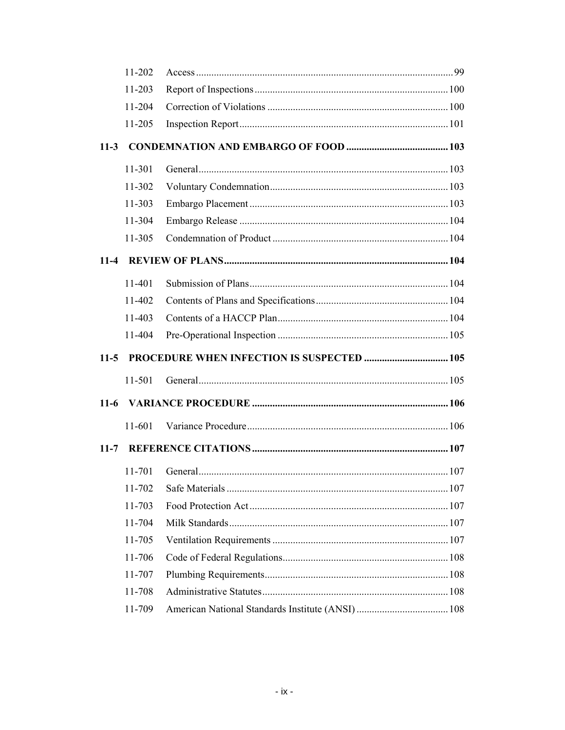|          | 11-202 |  |
|----------|--------|--|
|          | 11-203 |  |
|          | 11-204 |  |
|          | 11-205 |  |
| $11-3$   |        |  |
|          | 11-301 |  |
|          | 11-302 |  |
|          | 11-303 |  |
|          | 11-304 |  |
|          | 11-305 |  |
| $11 - 4$ |        |  |
|          | 11-401 |  |
|          | 11-402 |  |
|          | 11-403 |  |
|          | 11-404 |  |
|          |        |  |
| $11-5$   |        |  |
|          | 11-501 |  |
| $11-6$   |        |  |
|          | 11-601 |  |
| $11 - 7$ |        |  |
|          | 11-701 |  |
|          | 11-702 |  |
|          | 11-703 |  |
|          | 11-704 |  |
|          | 11-705 |  |
|          | 11-706 |  |
|          | 11-707 |  |
|          | 11-708 |  |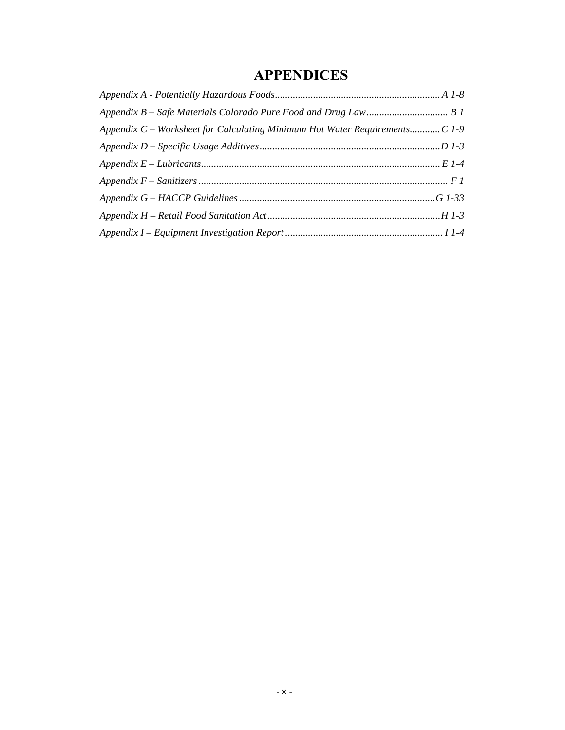## **APPENDICES**

| Appendix C – Worksheet for Calculating Minimum Hot Water Requirements C 1-9 |  |
|-----------------------------------------------------------------------------|--|
|                                                                             |  |
|                                                                             |  |
|                                                                             |  |
|                                                                             |  |
|                                                                             |  |
|                                                                             |  |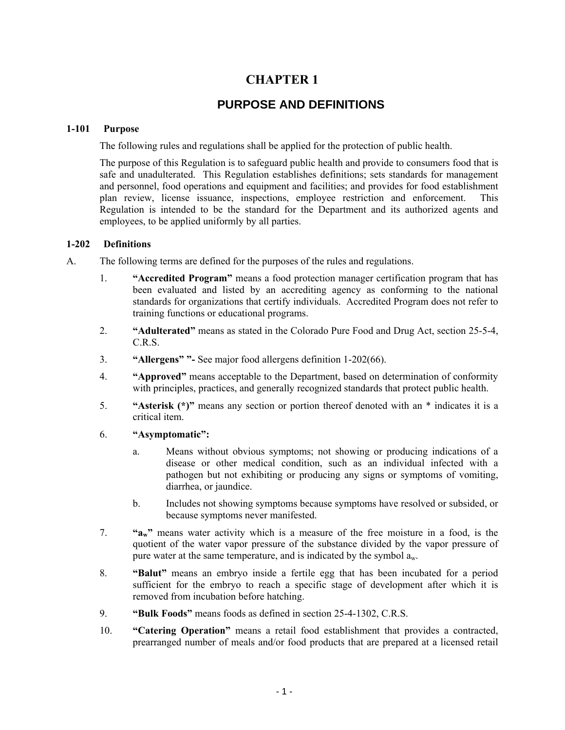## **CHAPTER 1**

## **PURPOSE AND DEFINITIONS**

#### **1-101 Purpose**

The following rules and regulations shall be applied for the protection of public health.

The purpose of this Regulation is to safeguard public health and provide to consumers food that is safe and unadulterated. This Regulation establishes definitions; sets standards for management and personnel, food operations and equipment and facilities; and provides for food establishment plan review, license issuance, inspections, employee restriction and enforcement. This Regulation is intended to be the standard for the Department and its authorized agents and employees, to be applied uniformly by all parties.

#### **1-202 Definitions**

- A. The following terms are defined for the purposes of the rules and regulations.
	- 1. **"Accredited Program"** means a food protection manager certification program that has been evaluated and listed by an accrediting agency as conforming to the national standards for organizations that certify individuals. Accredited Program does not refer to training functions or educational programs.
	- 2. **"Adulterated"** means as stated in the Colorado Pure Food and Drug Act, section 25-5-4, C.R.S.
	- 3. **"Allergens" "-** See major food allergens definition 1-202(66).
	- 4. **"Approved"** means acceptable to the Department, based on determination of conformity with principles, practices, and generally recognized standards that protect public health.
	- 5. **"Asterisk (\*)"** means any section or portion thereof denoted with an \* indicates it is a critical item.
	- 6. **"Asymptomatic":** 
		- a. Means without obvious symptoms; not showing or producing indications of a disease or other medical condition, such as an individual infected with a pathogen but not exhibiting or producing any signs or symptoms of vomiting, diarrhea, or jaundice.
		- b. Includes not showing symptoms because symptoms have resolved or subsided, or because symptoms never manifested.
	- 7. **"aw"** means water activity which is a measure of the free moisture in a food, is the quotient of the water vapor pressure of the substance divided by the vapor pressure of pure water at the same temperature, and is indicated by the symbol  $a_w$ .
	- 8. **"Balut"** means an embryo inside a fertile egg that has been incubated for a period sufficient for the embryo to reach a specific stage of development after which it is removed from incubation before hatching.
	- 9. **"Bulk Foods"** means foods as defined in section 25-4-1302, C.R.S.
	- 10. **"Catering Operation"** means a retail food establishment that provides a contracted, prearranged number of meals and/or food products that are prepared at a licensed retail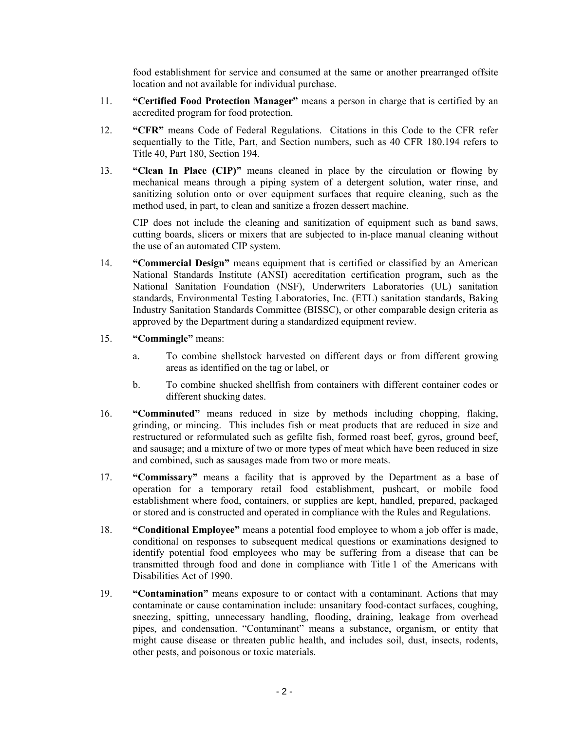food establishment for service and consumed at the same or another prearranged offsite location and not available for individual purchase.

- 11. **"Certified Food Protection Manager"** means a person in charge that is certified by an accredited program for food protection.
- 12. **"CFR"** means Code of Federal Regulations. Citations in this Code to the CFR refer sequentially to the Title, Part, and Section numbers, such as 40 CFR 180.194 refers to Title 40, Part 180, Section 194.
- 13. **"Clean In Place (CIP)"** means cleaned in place by the circulation or flowing by mechanical means through a piping system of a detergent solution, water rinse, and sanitizing solution onto or over equipment surfaces that require cleaning, such as the method used, in part, to clean and sanitize a frozen dessert machine.

 CIP does not include the cleaning and sanitization of equipment such as band saws, cutting boards, slicers or mixers that are subjected to in-place manual cleaning without the use of an automated CIP system.

- 14. **"Commercial Design"** means equipment that is certified or classified by an American National Standards Institute (ANSI) accreditation certification program, such as the National Sanitation Foundation (NSF), Underwriters Laboratories (UL) sanitation standards, Environmental Testing Laboratories, Inc. (ETL) sanitation standards, Baking Industry Sanitation Standards Committee (BISSC), or other comparable design criteria as approved by the Department during a standardized equipment review.
- 15. **"Commingle"** means:
	- a. To combine shellstock harvested on different days or from different growing areas as identified on the tag or label, or
	- b. To combine shucked shellfish from containers with different container codes or different shucking dates.
- 16. **"Comminuted"** means reduced in size by methods including chopping, flaking, grinding, or mincing. This includes fish or meat products that are reduced in size and restructured or reformulated such as gefilte fish, formed roast beef, gyros, ground beef, and sausage; and a mixture of two or more types of meat which have been reduced in size and combined, such as sausages made from two or more meats.
- 17. **"Commissary"** means a facility that is approved by the Department as a base of operation for a temporary retail food establishment, pushcart, or mobile food establishment where food, containers, or supplies are kept, handled, prepared, packaged or stored and is constructed and operated in compliance with the Rules and Regulations.
- 18. **"Conditional Employee"** means a potential food employee to whom a job offer is made, conditional on responses to subsequent medical questions or examinations designed to identify potential food employees who may be suffering from a disease that can be transmitted through food and done in compliance with Title 1 of the Americans with Disabilities Act of 1990.
- 19. **"Contamination"** means exposure to or contact with a contaminant. Actions that may contaminate or cause contamination include: unsanitary food-contact surfaces, coughing, sneezing, spitting, unnecessary handling, flooding, draining, leakage from overhead pipes, and condensation. "Contaminant" means a substance, organism, or entity that might cause disease or threaten public health, and includes soil, dust, insects, rodents, other pests, and poisonous or toxic materials.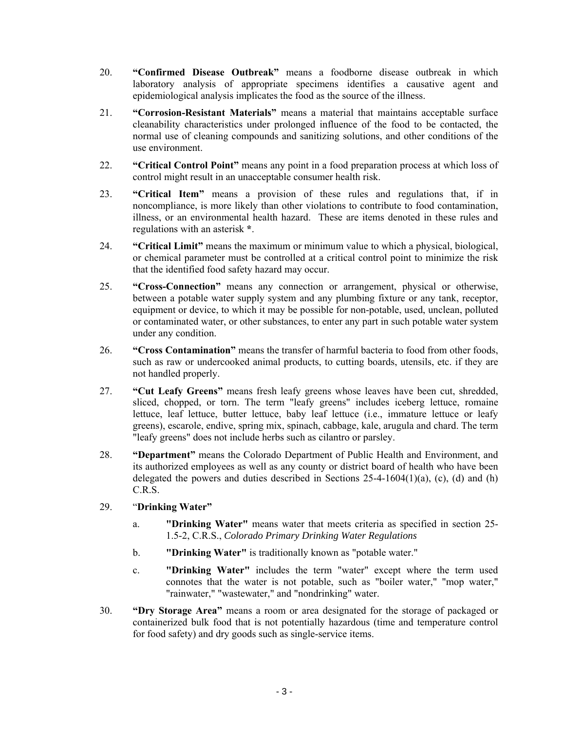- 20. **"Confirmed Disease Outbreak"** means a foodborne disease outbreak in which laboratory analysis of appropriate specimens identifies a causative agent and epidemiological analysis implicates the food as the source of the illness.
- 21. **"Corrosion-Resistant Materials"** means a material that maintains acceptable surface cleanability characteristics under prolonged influence of the food to be contacted, the normal use of cleaning compounds and sanitizing solutions, and other conditions of the use environment.
- 22. **"Critical Control Point"** means any point in a food preparation process at which loss of control might result in an unacceptable consumer health risk.
- 23. **"Critical Item"** means a provision of these rules and regulations that, if in noncompliance, is more likely than other violations to contribute to food contamination, illness, or an environmental health hazard. These are items denoted in these rules and regulations with an asterisk **\***.
- 24. **"Critical Limit"** means the maximum or minimum value to which a physical, biological, or chemical parameter must be controlled at a critical control point to minimize the risk that the identified food safety hazard may occur.
- 25. **"Cross-Connection"** means any connection or arrangement, physical or otherwise, between a potable water supply system and any plumbing fixture or any tank, receptor, equipment or device, to which it may be possible for non-potable, used, unclean, polluted or contaminated water, or other substances, to enter any part in such potable water system under any condition.
- 26. **"Cross Contamination"** means the transfer of harmful bacteria to food from other foods, such as raw or undercooked animal products, to cutting boards, utensils, etc. if they are not handled properly.
- 27. **"Cut Leafy Greens"** means fresh leafy greens whose leaves have been cut, shredded, sliced, chopped, or torn. The term "leafy greens" includes iceberg lettuce, romaine lettuce, leaf lettuce, butter lettuce, baby leaf lettuce (i.e., immature lettuce or leafy greens), escarole, endive, spring mix, spinach, cabbage, kale, arugula and chard. The term "leafy greens" does not include herbs such as cilantro or parsley.
- 28. **"Department"** means the Colorado Department of Public Health and Environment, and its authorized employees as well as any county or district board of health who have been delegated the powers and duties described in Sections  $25-4-1604(1)(a)$ , (c), (d) and (h) C.R.S.
- 29. "**Drinking Water"** 
	- a. **"Drinking Water"** means water that meets criteria as specified in section 25- 1.5-2, C.R.S., *Colorado Primary Drinking Water Regulations*
	- b. **"Drinking Water"** is traditionally known as "potable water."
	- c. **"Drinking Water"** includes the term "water" except where the term used connotes that the water is not potable, such as "boiler water," "mop water," "rainwater," "wastewater," and "nondrinking" water.
- 30. **"Dry Storage Area"** means a room or area designated for the storage of packaged or containerized bulk food that is not potentially hazardous (time and temperature control for food safety) and dry goods such as single-service items.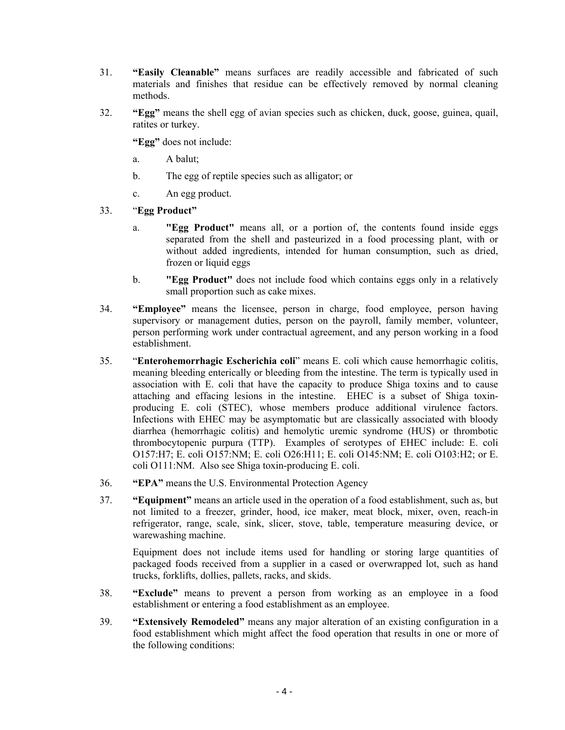- 31. **"Easily Cleanable"** means surfaces are readily accessible and fabricated of such materials and finishes that residue can be effectively removed by normal cleaning methods.
- 32. **"Egg"** means the shell egg of avian species such as chicken, duck, goose, guinea, quail, ratites or turkey.

 **"Egg"** does not include:

- a. A balut;
- b. The egg of reptile species such as alligator; or
- c. An egg product.
- 33. "**Egg Product"** 
	- a. **"Egg Product"** means all, or a portion of, the contents found inside eggs separated from the shell and pasteurized in a food processing plant, with or without added ingredients, intended for human consumption, such as dried, frozen or liquid eggs
	- b. **"Egg Product"** does not include food which contains eggs only in a relatively small proportion such as cake mixes.
- 34. **"Employee"** means the licensee, person in charge, food employee, person having supervisory or management duties, person on the payroll, family member, volunteer, person performing work under contractual agreement, and any person working in a food establishment.
- 35. "**Enterohemorrhagic Escherichia coli**" means E. coli which cause hemorrhagic colitis, meaning bleeding enterically or bleeding from the intestine. The term is typically used in association with E. coli that have the capacity to produce Shiga toxins and to cause attaching and effacing lesions in the intestine. EHEC is a subset of Shiga toxinproducing E. coli (STEC), whose members produce additional virulence factors. Infections with EHEC may be asymptomatic but are classically associated with bloody diarrhea (hemorrhagic colitis) and hemolytic uremic syndrome (HUS) or thrombotic thrombocytopenic purpura (TTP). Examples of serotypes of EHEC include: E. coli O157:H7; E. coli O157:NM; E. coli O26:H11; E. coli O145:NM; E. coli O103:H2; or E. coli O111:NM. Also see Shiga toxin-producing E. coli.
- 36. **"EPA"** means the U.S. Environmental Protection Agency
- 37. **"Equipment"** means an article used in the operation of a food establishment, such as, but not limited to a freezer, grinder, hood, ice maker, meat block, mixer, oven, reach-in refrigerator, range, scale, sink, slicer, stove, table, temperature measuring device, or warewashing machine.

 Equipment does not include items used for handling or storing large quantities of packaged foods received from a supplier in a cased or overwrapped lot, such as hand trucks, forklifts, dollies, pallets, racks, and skids.

- 38. **"Exclude"** means to prevent a person from working as an employee in a food establishment or entering a food establishment as an employee.
- 39. **"Extensively Remodeled"** means any major alteration of an existing configuration in a food establishment which might affect the food operation that results in one or more of the following conditions: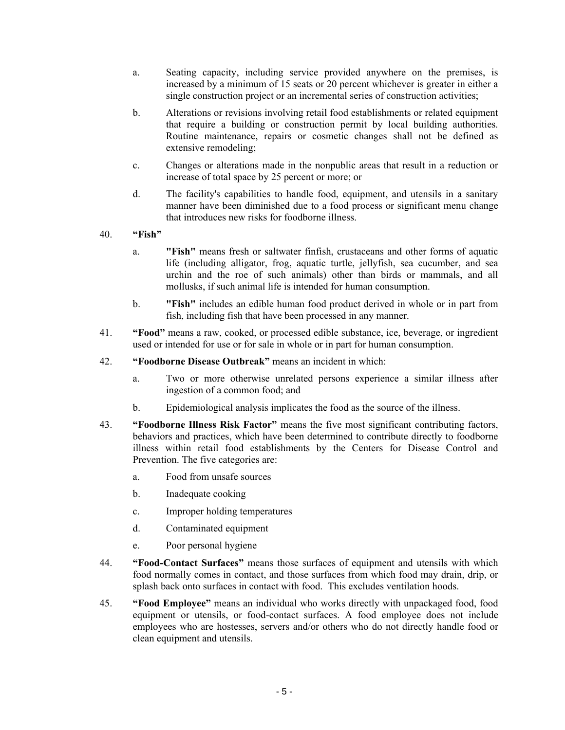- a. Seating capacity, including service provided anywhere on the premises, is increased by a minimum of 15 seats or 20 percent whichever is greater in either a single construction project or an incremental series of construction activities;
- b. Alterations or revisions involving retail food establishments or related equipment that require a building or construction permit by local building authorities. Routine maintenance, repairs or cosmetic changes shall not be defined as extensive remodeling;
- c. Changes or alterations made in the nonpublic areas that result in a reduction or increase of total space by 25 percent or more; or
- d. The facility's capabilities to handle food, equipment, and utensils in a sanitary manner have been diminished due to a food process or significant menu change that introduces new risks for foodborne illness.
- 40. **"Fish"**
	- a. **"Fish"** means fresh or saltwater finfish, crustaceans and other forms of aquatic life (including alligator, frog, aquatic turtle, jellyfish, sea cucumber, and sea urchin and the roe of such animals) other than birds or mammals, and all mollusks, if such animal life is intended for human consumption.
	- b. **"Fish"** includes an edible human food product derived in whole or in part from fish, including fish that have been processed in any manner.
- 41. **"Food"** means a raw, cooked, or processed edible substance, ice, beverage, or ingredient used or intended for use or for sale in whole or in part for human consumption.
- 42. **"Foodborne Disease Outbreak"** means an incident in which:
	- a. Two or more otherwise unrelated persons experience a similar illness after ingestion of a common food; and
	- b. Epidemiological analysis implicates the food as the source of the illness.
- 43. **"Foodborne Illness Risk Factor"** means the five most significant contributing factors, behaviors and practices, which have been determined to contribute directly to foodborne illness within retail food establishments by the Centers for Disease Control and Prevention. The five categories are:
	- a. Food from unsafe sources
	- b. Inadequate cooking
	- c. Improper holding temperatures
	- d. Contaminated equipment
	- e. Poor personal hygiene
- 44. **"Food-Contact Surfaces"** means those surfaces of equipment and utensils with which food normally comes in contact, and those surfaces from which food may drain, drip, or splash back onto surfaces in contact with food. This excludes ventilation hoods.
- 45. **"Food Employee"** means an individual who works directly with unpackaged food, food equipment or utensils, or food-contact surfaces. A food employee does not include employees who are hostesses, servers and/or others who do not directly handle food or clean equipment and utensils.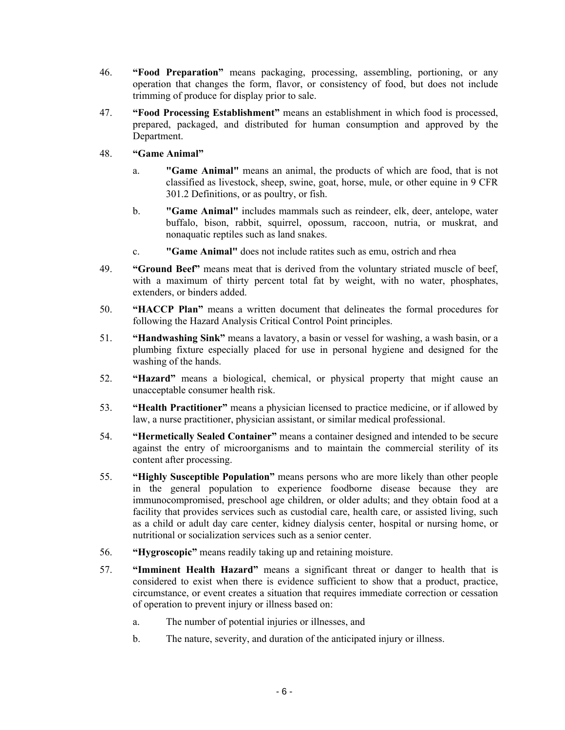- 46. **"Food Preparation"** means packaging, processing, assembling, portioning, or any operation that changes the form, flavor, or consistency of food, but does not include trimming of produce for display prior to sale.
- 47. **"Food Processing Establishment"** means an establishment in which food is processed, prepared, packaged, and distributed for human consumption and approved by the Department.
- 48. **"Game Animal"** 
	- a. **"Game Animal"** means an animal, the products of which are food, that is not classified as livestock, sheep, swine, goat, horse, mule, or other equine in 9 CFR 301.2 Definitions, or as poultry, or fish.
	- b. **"Game Animal"** includes mammals such as reindeer, elk, deer, antelope, water buffalo, bison, rabbit, squirrel, opossum, raccoon, nutria, or muskrat, and nonaquatic reptiles such as land snakes.
	- c. **"Game Animal"** does not include ratites such as emu, ostrich and rhea
- 49. **"Ground Beef"** means meat that is derived from the voluntary striated muscle of beef, with a maximum of thirty percent total fat by weight, with no water, phosphates, extenders, or binders added.
- 50. **"HACCP Plan"** means a written document that delineates the formal procedures for following the Hazard Analysis Critical Control Point principles.
- 51. **"Handwashing Sink"** means a lavatory, a basin or vessel for washing, a wash basin, or a plumbing fixture especially placed for use in personal hygiene and designed for the washing of the hands.
- 52. **"Hazard"** means a biological, chemical, or physical property that might cause an unacceptable consumer health risk.
- 53. **"Health Practitioner"** means a physician licensed to practice medicine, or if allowed by law, a nurse practitioner, physician assistant, or similar medical professional.
- 54. **"Hermetically Sealed Container"** means a container designed and intended to be secure against the entry of microorganisms and to maintain the commercial sterility of its content after processing.
- 55. **"Highly Susceptible Population"** means persons who are more likely than other people in the general population to experience foodborne disease because they are immunocompromised, preschool age children, or older adults; and they obtain food at a facility that provides services such as custodial care, health care, or assisted living, such as a child or adult day care center, kidney dialysis center, hospital or nursing home, or nutritional or socialization services such as a senior center.
- 56. **"Hygroscopic"** means readily taking up and retaining moisture.
- 57. **"Imminent Health Hazard"** means a significant threat or danger to health that is considered to exist when there is evidence sufficient to show that a product, practice, circumstance, or event creates a situation that requires immediate correction or cessation of operation to prevent injury or illness based on:
	- a. The number of potential injuries or illnesses, and
	- b. The nature, severity, and duration of the anticipated injury or illness.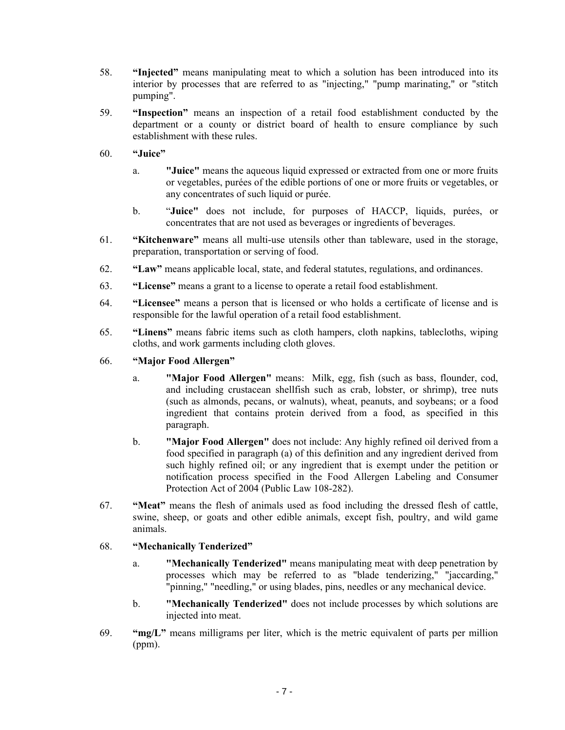- 58. **"Injected"** means manipulating meat to which a solution has been introduced into its interior by processes that are referred to as "injecting," "pump marinating," or "stitch pumping".
- 59. **"Inspection"** means an inspection of a retail food establishment conducted by the department or a county or district board of health to ensure compliance by such establishment with these rules.
- 60. **"Juice"**
	- a. **"Juice"** means the aqueous liquid expressed or extracted from one or more fruits or vegetables, purées of the edible portions of one or more fruits or vegetables, or any concentrates of such liquid or purée.
	- b. "**Juice"** does not include, for purposes of HACCP, liquids, purées, or concentrates that are not used as beverages or ingredients of beverages.
- 61. **"Kitchenware"** means all multi-use utensils other than tableware, used in the storage, preparation, transportation or serving of food.
- 62. **"Law"** means applicable local, state, and federal statutes, regulations, and ordinances.
- 63. **"License"** means a grant to a license to operate a retail food establishment.
- 64. **"Licensee"** means a person that is licensed or who holds a certificate of license and is responsible for the lawful operation of a retail food establishment.
- 65. **"Linens"** means fabric items such as cloth hampers, cloth napkins, tablecloths, wiping cloths, and work garments including cloth gloves.
- 66. **"Major Food Allergen"**
	- a. **"Major Food Allergen"** means: Milk, egg, fish (such as bass, flounder, cod, and including crustacean shellfish such as crab, lobster, or shrimp), tree nuts (such as almonds, pecans, or walnuts), wheat, peanuts, and soybeans; or a food ingredient that contains protein derived from a food, as specified in this paragraph.
	- b. **"Major Food Allergen"** does not include: Any highly refined oil derived from a food specified in paragraph (a) of this definition and any ingredient derived from such highly refined oil; or any ingredient that is exempt under the petition or notification process specified in the Food Allergen Labeling and Consumer Protection Act of 2004 (Public Law 108-282).
- 67. **"Meat"** means the flesh of animals used as food including the dressed flesh of cattle, swine, sheep, or goats and other edible animals, except fish, poultry, and wild game animals.

#### 68. **"Mechanically Tenderized"**

- a. **"Mechanically Tenderized"** means manipulating meat with deep penetration by processes which may be referred to as "blade tenderizing," "jaccarding," "pinning," "needling," or using blades, pins, needles or any mechanical device.
- b. **"Mechanically Tenderized"** does not include processes by which solutions are injected into meat.
- 69. **"mg/L"** means milligrams per liter, which is the metric equivalent of parts per million (ppm).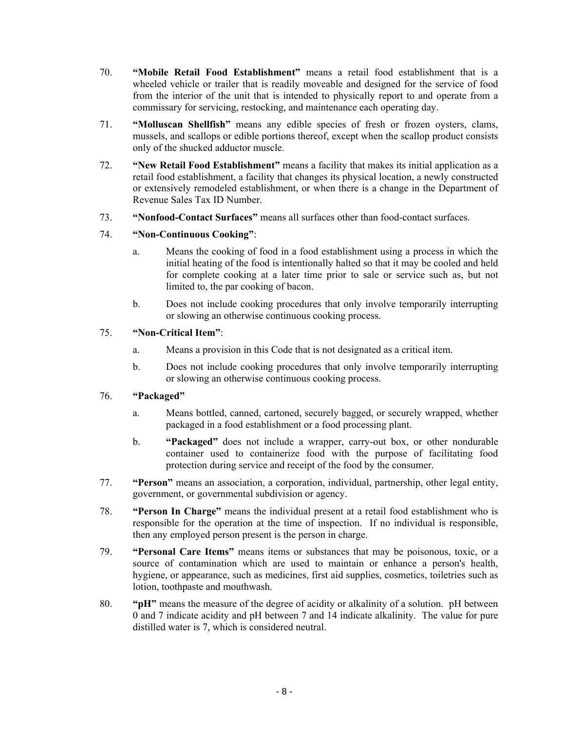- 70. **"Mobile Retail Food Establishment"** means a retail food establishment that is a wheeled vehicle or trailer that is readily moveable and designed for the service of food from the interior of the unit that is intended to physically report to and operate from a commissary for servicing, restocking, and maintenance each operating day.
- 71. **"Molluscan Shellfish"** means any edible species of fresh or frozen oysters, clams, mussels, and scallops or edible portions thereof, except when the scallop product consists only of the shucked adductor muscle.
- 72. **"New Retail Food Establishment"** means a facility that makes its initial application as a retail food establishment, a facility that changes its physical location, a newly constructed or extensively remodeled establishment, or when there is a change in the Department of Revenue Sales Tax ID Number.
- 73. **"Nonfood-Contact Surfaces"** means all surfaces other than food-contact surfaces.

#### 74. **"Non-Continuous Cooking"**:

- a. Means the cooking of food in a food establishment using a process in which the initial heating of the food is intentionally halted so that it may be cooled and held for complete cooking at a later time prior to sale or service such as, but not limited to, the par cooking of bacon.
- b. Does not include cooking procedures that only involve temporarily interrupting or slowing an otherwise continuous cooking process.

#### 75. **"Non-Critical Item"**:

- a. Means a provision in this Code that is not designated as a critical item.
- b. Does not include cooking procedures that only involve temporarily interrupting or slowing an otherwise continuous cooking process.

#### 76. **"Packaged"**

- a. Means bottled, canned, cartoned, securely bagged, or securely wrapped, whether packaged in a food establishment or a food processing plant.
- b. **"Packaged"** does not include a wrapper, carry-out box, or other nondurable container used to containerize food with the purpose of facilitating food protection during service and receipt of the food by the consumer.
- 77. **"Person"** means an association, a corporation, individual, partnership, other legal entity, government, or governmental subdivision or agency.
- 78. **"Person In Charge"** means the individual present at a retail food establishment who is responsible for the operation at the time of inspection. If no individual is responsible, then any employed person present is the person in charge.
- 79. **"Personal Care Items"** means items or substances that may be poisonous, toxic, or a source of contamination which are used to maintain or enhance a person's health, hygiene, or appearance, such as medicines, first aid supplies, cosmetics, toiletries such as lotion, toothpaste and mouthwash.
- 80. **"pH"** means the measure of the degree of acidity or alkalinity of a solution. pH between 0 and 7 indicate acidity and pH between 7 and 14 indicate alkalinity. The value for pure distilled water is 7, which is considered neutral.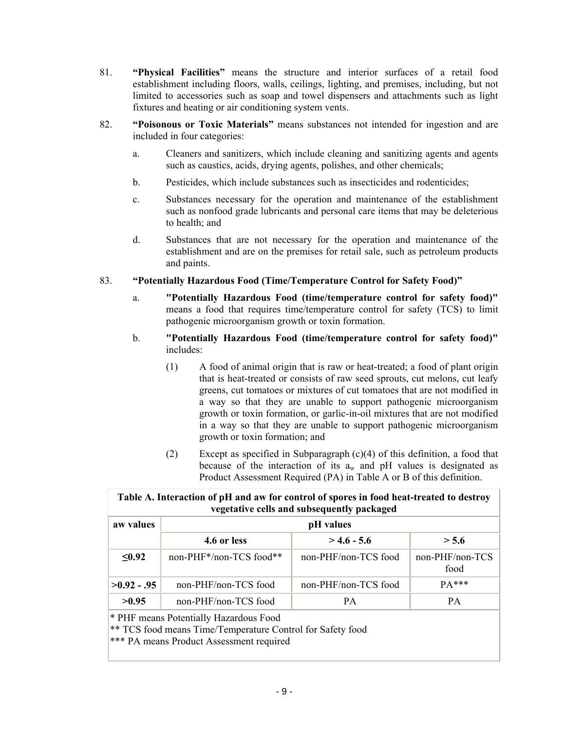- 81. **"Physical Facilities"** means the structure and interior surfaces of a retail food establishment including floors, walls, ceilings, lighting, and premises, including, but not limited to accessories such as soap and towel dispensers and attachments such as light fixtures and heating or air conditioning system vents.
- 82. **"Poisonous or Toxic Materials"** means substances not intended for ingestion and are included in four categories:
	- a. Cleaners and sanitizers, which include cleaning and sanitizing agents and agents such as caustics, acids, drying agents, polishes, and other chemicals;
	- b. Pesticides, which include substances such as insecticides and rodenticides;
	- c. Substances necessary for the operation and maintenance of the establishment such as nonfood grade lubricants and personal care items that may be deleterious to health; and
	- d. Substances that are not necessary for the operation and maintenance of the establishment and are on the premises for retail sale, such as petroleum products and paints.

#### 83. **"Potentially Hazardous Food (Time/Temperature Control for Safety Food)"**

- a. **"Potentially Hazardous Food (time/temperature control for safety food)"** means a food that requires time/temperature control for safety (TCS) to limit pathogenic microorganism growth or toxin formation.
- b. **"Potentially Hazardous Food (time/temperature control for safety food)"** includes:
	- (1) A food of animal origin that is raw or heat-treated; a food of plant origin that is heat-treated or consists of raw seed sprouts, cut melons, cut leafy greens, cut tomatoes or mixtures of cut tomatoes that are not modified in a way so that they are unable to support pathogenic microorganism growth or toxin formation, or garlic-in-oil mixtures that are not modified in a way so that they are unable to support pathogenic microorganism growth or toxin formation; and
	- (2) Except as specified in Subparagraph (c)(4) of this definition, a food that because of the interaction of its  $a_w$  and pH values is designated as Product Assessment Required (PA) in Table A or B of this definition.

| Table A. Interaction of pH and aw for control of spores in food heat-treated to destroy<br>vegetative cells and subsequently packaged            |                                                  |                      |                         |  |  |  |
|--------------------------------------------------------------------------------------------------------------------------------------------------|--------------------------------------------------|----------------------|-------------------------|--|--|--|
| aw values                                                                                                                                        | pH values                                        |                      |                         |  |  |  |
|                                                                                                                                                  | 4.6 or less                                      | $>4.6 - 5.6$         | > 5.6                   |  |  |  |
| $\leq 0.92$                                                                                                                                      | non-PHF <sup>*</sup> /non-TCS food <sup>**</sup> | non-PHF/non-TCS food | non-PHF/non-TCS<br>food |  |  |  |
| $>0.92 - .95$                                                                                                                                    | non-PHF/non-TCS food                             | non-PHF/non-TCS food | $PA***$                 |  |  |  |
| >0.95                                                                                                                                            | non-PHF/non-TCS food                             | <b>PA</b>            | <b>PA</b>               |  |  |  |
| * PHF means Potentially Hazardous Food<br>** TCS food means Time/Temperature Control for Safety food<br>*** PA means Product Assessment required |                                                  |                      |                         |  |  |  |

 $-9-$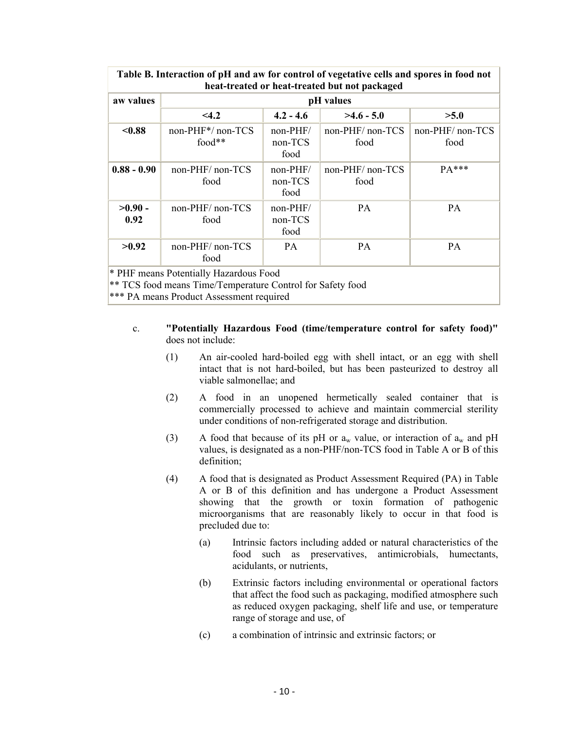| Table B. Interaction of pH and aw for control of vegetative cells and spores in food not<br>heat-treated or heat-treated but not packaged |                             |                               |                          |                         |  |
|-------------------------------------------------------------------------------------------------------------------------------------------|-----------------------------|-------------------------------|--------------------------|-------------------------|--|
| aw values                                                                                                                                 | pH values                   |                               |                          |                         |  |
|                                                                                                                                           | $<$ 4.2                     | $4.2 - 4.6$                   | $>4.6 - 5.0$             | >5.0                    |  |
| $0.88$                                                                                                                                    | non-PHF*/ non-TCS<br>food** | $non-PHF/$<br>non-TCS<br>food | non-PHF/ non-TCS<br>food | non-PHF/non-TCS<br>food |  |
| $0.88 - 0.90$                                                                                                                             | non-PHF/non-TCS<br>food     | $non-PHF/$<br>non-TCS<br>food | non-PHF/ non-TCS<br>food | $PA***$                 |  |
| $>0.90-$<br>0.92                                                                                                                          | non-PHF/ non-TCS<br>food    | $non-PHF/$<br>non-TCS<br>food | PA                       | PA                      |  |
| >0.92                                                                                                                                     | non-PHF/ non-TCS<br>food    | PA                            | PA                       | PA                      |  |
| * PHF means Potentially Hazardous Food<br>** TCS food means Time/Temperature Control for Safety food                                      |                             |                               |                          |                         |  |

\*\*\* PA means Product Assessment required

#### c. **"Potentially Hazardous Food (time/temperature control for safety food)"**  does not include:

- (1) An air-cooled hard-boiled egg with shell intact, or an egg with shell intact that is not hard-boiled, but has been pasteurized to destroy all viable salmonellae; and
- (2) A food in an unopened hermetically sealed container that is commercially processed to achieve and maintain commercial sterility under conditions of non-refrigerated storage and distribution.
- (3) A food that because of its pH or  $a_w$  value, or interaction of  $a_w$  and pH values, is designated as a non-PHF/non-TCS food in Table A or B of this definition;
- (4) A food that is designated as Product Assessment Required (PA) in Table A or B of this definition and has undergone a Product Assessment showing that the growth or toxin formation of pathogenic microorganisms that are reasonably likely to occur in that food is precluded due to:
	- (a) Intrinsic factors including added or natural characteristics of the food such as preservatives, antimicrobials, humectants, acidulants, or nutrients,
	- (b) Extrinsic factors including environmental or operational factors that affect the food such as packaging, modified atmosphere such as reduced oxygen packaging, shelf life and use, or temperature range of storage and use, of
	- (c) a combination of intrinsic and extrinsic factors; or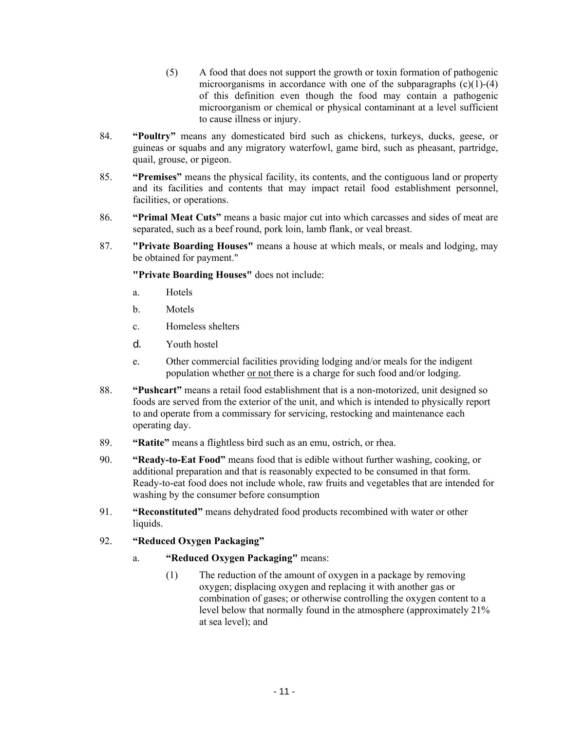- (5) A food that does not support the growth or toxin formation of pathogenic microorganisms in accordance with one of the subparagraphs  $(c)(1)-(4)$ of this definition even though the food may contain a pathogenic microorganism or chemical or physical contaminant at a level sufficient to cause illness or injury.
- 84. **"Poultry"** means any domesticated bird such as chickens, turkeys, ducks, geese, or guineas or squabs and any migratory waterfowl, game bird, such as pheasant, partridge, quail, grouse, or pigeon.
- 85. **"Premises"** means the physical facility, its contents, and the contiguous land or property and its facilities and contents that may impact retail food establishment personnel, facilities, or operations.
- 86. **"Primal Meat Cuts"** means a basic major cut into which carcasses and sides of meat are separated, such as a beef round, pork loin, lamb flank, or veal breast.
- 87. **"Private Boarding Houses"** means a house at which meals, or meals and lodging, may be obtained for payment."

**"Private Boarding Houses"** does not include:

- a. Hotels
- b. Motels
- c. Homeless shelters
- d. Youth hostel
- e. Other commercial facilities providing lodging and/or meals for the indigent population whether or not there is a charge for such food and/or lodging.
- 88. **"Pushcart"** means a retail food establishment that is a non-motorized, unit designed so foods are served from the exterior of the unit, and which is intended to physically report to and operate from a commissary for servicing, restocking and maintenance each operating day.
- 89. **"Ratite"** means a flightless bird such as an emu, ostrich, or rhea.
- 90. **"Ready-to-Eat Food"** means food that is edible without further washing, cooking, or additional preparation and that is reasonably expected to be consumed in that form. Ready-to-eat food does not include whole, raw fruits and vegetables that are intended for washing by the consumer before consumption
- 91. **"Reconstituted"** means dehydrated food products recombined with water or other liquids.

#### 92. **"Reduced Oxygen Packaging"**

- a. **"Reduced Oxygen Packaging"** means:
	- (1) The reduction of the amount of oxygen in a package by removing oxygen; displacing oxygen and replacing it with another gas or combination of gases; or otherwise controlling the oxygen content to a level below that normally found in the atmosphere (approximately 21% at sea level); and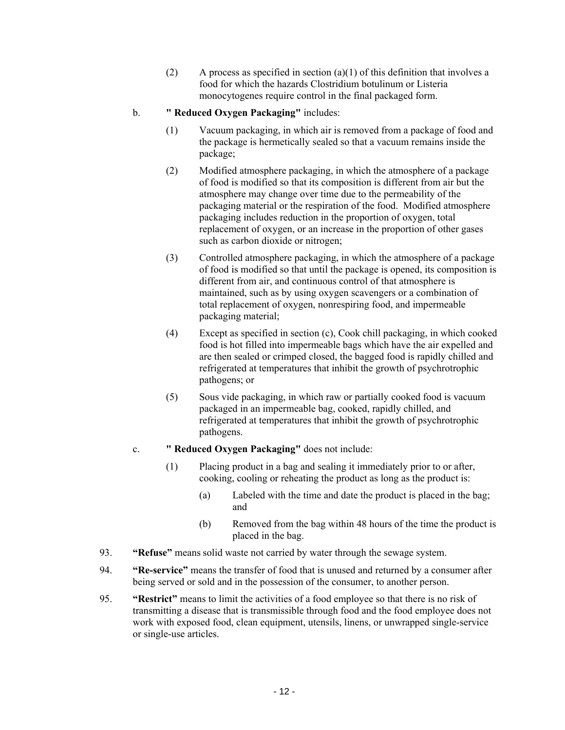(2) A process as specified in section (a)(1) of this definition that involves a food for which the hazards Clostridium botulinum or Listeria monocytogenes require control in the final packaged form.

#### b. **" Reduced Oxygen Packaging"** includes:

- (1) Vacuum packaging, in which air is removed from a package of food and the package is hermetically sealed so that a vacuum remains inside the package;
- (2) Modified atmosphere packaging, in which the atmosphere of a package of food is modified so that its composition is different from air but the atmosphere may change over time due to the permeability of the packaging material or the respiration of the food. Modified atmosphere packaging includes reduction in the proportion of oxygen, total replacement of oxygen, or an increase in the proportion of other gases such as carbon dioxide or nitrogen:
- (3) Controlled atmosphere packaging, in which the atmosphere of a package of food is modified so that until the package is opened, its composition is different from air, and continuous control of that atmosphere is maintained, such as by using oxygen scavengers or a combination of total replacement of oxygen, nonrespiring food, and impermeable packaging material;
- (4) Except as specified in section (c), Cook chill packaging, in which cooked food is hot filled into impermeable bags which have the air expelled and are then sealed or crimped closed, the bagged food is rapidly chilled and refrigerated at temperatures that inhibit the growth of psychrotrophic pathogens; or
- (5) Sous vide packaging, in which raw or partially cooked food is vacuum packaged in an impermeable bag, cooked, rapidly chilled, and refrigerated at temperatures that inhibit the growth of psychrotrophic pathogens.

#### c. **" Reduced Oxygen Packaging"** does not include:

- (1) Placing product in a bag and sealing it immediately prior to or after, cooking, cooling or reheating the product as long as the product is:
	- (a) Labeled with the time and date the product is placed in the bag; and
	- (b) Removed from the bag within 48 hours of the time the product is placed in the bag.
- 93. **"Refuse"** means solid waste not carried by water through the sewage system.
- 94. **"Re-service"** means the transfer of food that is unused and returned by a consumer after being served or sold and in the possession of the consumer, to another person.
- 95. **"Restrict"** means to limit the activities of a food employee so that there is no risk of transmitting a disease that is transmissible through food and the food employee does not work with exposed food, clean equipment, utensils, linens, or unwrapped single-service or single-use articles.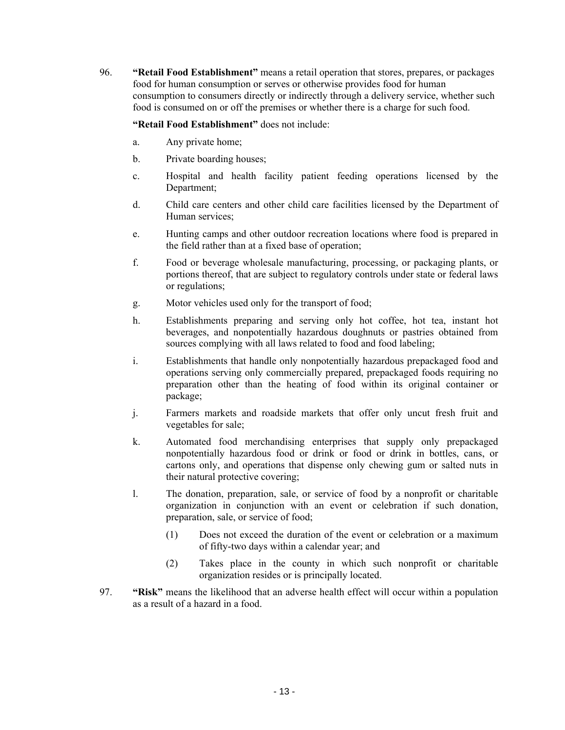96. **"Retail Food Establishment"** means a retail operation that stores, prepares, or packages food for human consumption or serves or otherwise provides food for human consumption to consumers directly or indirectly through a delivery service, whether such food is consumed on or off the premises or whether there is a charge for such food.

**"Retail Food Establishment"** does not include:

- a. Any private home;
- b. Private boarding houses;
- c. Hospital and health facility patient feeding operations licensed by the Department;
- d. Child care centers and other child care facilities licensed by the Department of Human services;
- e. Hunting camps and other outdoor recreation locations where food is prepared in the field rather than at a fixed base of operation;
- f. Food or beverage wholesale manufacturing, processing, or packaging plants, or portions thereof, that are subject to regulatory controls under state or federal laws or regulations;
- g. Motor vehicles used only for the transport of food;
- h. Establishments preparing and serving only hot coffee, hot tea, instant hot beverages, and nonpotentially hazardous doughnuts or pastries obtained from sources complying with all laws related to food and food labeling;
- i. Establishments that handle only nonpotentially hazardous prepackaged food and operations serving only commercially prepared, prepackaged foods requiring no preparation other than the heating of food within its original container or package;
- j. Farmers markets and roadside markets that offer only uncut fresh fruit and vegetables for sale;
- k. Automated food merchandising enterprises that supply only prepackaged nonpotentially hazardous food or drink or food or drink in bottles, cans, or cartons only, and operations that dispense only chewing gum or salted nuts in their natural protective covering;
- l. The donation, preparation, sale, or service of food by a nonprofit or charitable organization in conjunction with an event or celebration if such donation, preparation, sale, or service of food;
	- (1) Does not exceed the duration of the event or celebration or a maximum of fifty-two days within a calendar year; and
	- (2) Takes place in the county in which such nonprofit or charitable organization resides or is principally located.
- 97. **"Risk"** means the likelihood that an adverse health effect will occur within a population as a result of a hazard in a food.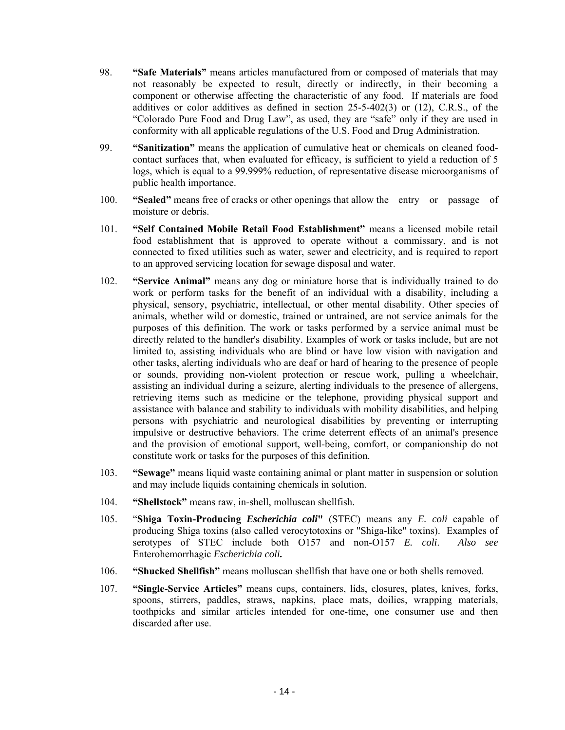- 98. **"Safe Materials"** means articles manufactured from or composed of materials that may not reasonably be expected to result, directly or indirectly, in their becoming a component or otherwise affecting the characteristic of any food. If materials are food additives or color additives as defined in section  $25-5-402(3)$  or  $(12)$ , C.R.S., of the "Colorado Pure Food and Drug Law", as used, they are "safe" only if they are used in conformity with all applicable regulations of the U.S. Food and Drug Administration.
- 99. **"Sanitization"** means the application of cumulative heat or chemicals on cleaned foodcontact surfaces that, when evaluated for efficacy, is sufficient to yield a reduction of 5 logs, which is equal to a 99.999% reduction, of representative disease microorganisms of public health importance.
- 100. **"Sealed"** means free of cracks or other openings that allow the entry or passage of moisture or debris.
- 101. **"Self Contained Mobile Retail Food Establishment"** means a licensed mobile retail food establishment that is approved to operate without a commissary, and is not connected to fixed utilities such as water, sewer and electricity, and is required to report to an approved servicing location for sewage disposal and water.
- 102. **"Service Animal"** means any dog or miniature horse that is individually trained to do work or perform tasks for the benefit of an individual with a disability, including a physical, sensory, psychiatric, intellectual, or other mental disability. Other species of animals, whether wild or domestic, trained or untrained, are not service animals for the purposes of this definition. The work or tasks performed by a service animal must be directly related to the handler's disability. Examples of work or tasks include, but are not limited to, assisting individuals who are blind or have low vision with navigation and other tasks, alerting individuals who are deaf or hard of hearing to the presence of people or sounds, providing non-violent protection or rescue work, pulling a wheelchair, assisting an individual during a seizure, alerting individuals to the presence of allergens, retrieving items such as medicine or the telephone, providing physical support and assistance with balance and stability to individuals with mobility disabilities, and helping persons with psychiatric and neurological disabilities by preventing or interrupting impulsive or destructive behaviors. The crime deterrent effects of an animal's presence and the provision of emotional support, well-being, comfort, or companionship do not constitute work or tasks for the purposes of this definition.
- 103. **"Sewage"** means liquid waste containing animal or plant matter in suspension or solution and may include liquids containing chemicals in solution.
- 104. **"Shellstock"** means raw, in-shell, molluscan shellfish.
- 105. "**Shiga Toxin-Producing** *Escherichia coli***"** (STEC) means any *E. coli* capable of producing Shiga toxins (also called verocytotoxins or "Shiga-like" toxins). Examples of serotypes of STEC include both O157 and non-O157 *E. coli*. *Also see*  Enterohemorrhagic *Escherichia coli.*
- 106. **"Shucked Shellfish"** means molluscan shellfish that have one or both shells removed.
- 107. **"Single-Service Articles"** means cups, containers, lids, closures, plates, knives, forks, spoons, stirrers, paddles, straws, napkins, place mats, doilies, wrapping materials, toothpicks and similar articles intended for one-time, one consumer use and then discarded after use.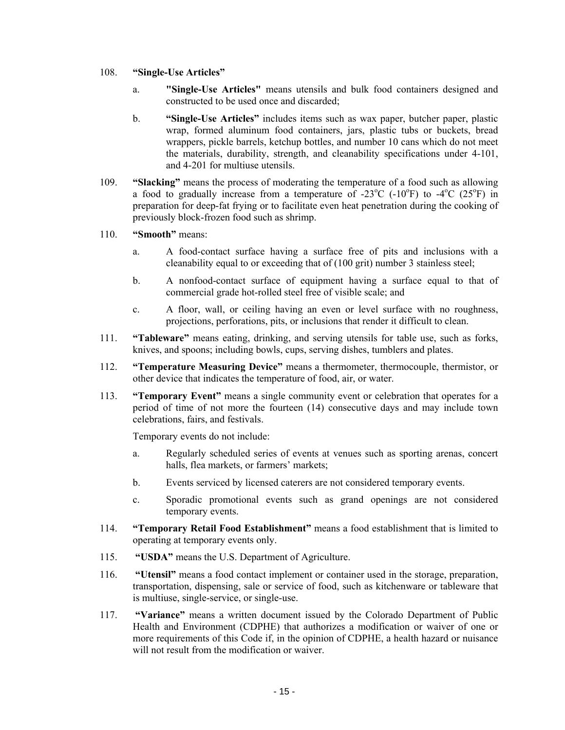- 108. **"Single-Use Articles"**
	- a. **"Single-Use Articles"** means utensils and bulk food containers designed and constructed to be used once and discarded;
	- b. **"Single-Use Articles"** includes items such as wax paper, butcher paper, plastic wrap, formed aluminum food containers, jars, plastic tubs or buckets, bread wrappers, pickle barrels, ketchup bottles, and number 10 cans which do not meet the materials, durability, strength, and cleanability specifications under 4-101, and 4-201 for multiuse utensils.
- 109. **"Slacking"** means the process of moderating the temperature of a food such as allowing a food to gradually increase from a temperature of -23 $^{\circ}$ C (-10 $^{\circ}$ F) to -4 $^{\circ}$ C (25 $^{\circ}$ F) in preparation for deep-fat frying or to facilitate even heat penetration during the cooking of previously block-frozen food such as shrimp.
- 110. **"Smooth"** means:
	- a. A food-contact surface having a surface free of pits and inclusions with a cleanability equal to or exceeding that of (100 grit) number 3 stainless steel;
	- b. A nonfood-contact surface of equipment having a surface equal to that of commercial grade hot-rolled steel free of visible scale; and
	- c. A floor, wall, or ceiling having an even or level surface with no roughness, projections, perforations, pits, or inclusions that render it difficult to clean.
- 111. **"Tableware"** means eating, drinking, and serving utensils for table use, such as forks, knives, and spoons; including bowls, cups, serving dishes, tumblers and plates.
- 112. **"Temperature Measuring Device"** means a thermometer, thermocouple, thermistor, or other device that indicates the temperature of food, air, or water.
- 113. **"Temporary Event"** means a single community event or celebration that operates for a period of time of not more the fourteen (14) consecutive days and may include town celebrations, fairs, and festivals.

Temporary events do not include:

- a. Regularly scheduled series of events at venues such as sporting arenas, concert halls, flea markets, or farmers' markets;
- b. Events serviced by licensed caterers are not considered temporary events.
- c. Sporadic promotional events such as grand openings are not considered temporary events.
- 114. **"Temporary Retail Food Establishment"** means a food establishment that is limited to operating at temporary events only.
- 115. **"USDA"** means the U.S. Department of Agriculture.
- 116. **"Utensil"** means a food contact implement or container used in the storage, preparation, transportation, dispensing, sale or service of food, such as kitchenware or tableware that is multiuse, single-service, or single-use.
- 117. **"Variance"** means a written document issued by the Colorado Department of Public Health and Environment (CDPHE) that authorizes a modification or waiver of one or more requirements of this Code if, in the opinion of CDPHE, a health hazard or nuisance will not result from the modification or waiver.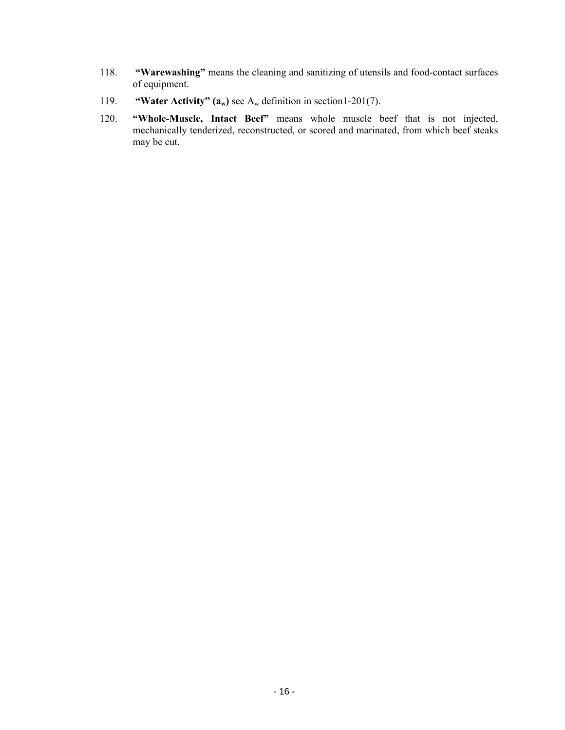- 118. **"Warewashing"** means the cleaning and sanitizing of utensils and food-contact surfaces of equipment.
- 119. **"Water Activity"** (a<sub>w</sub>) see A<sub>w</sub> definition in section1-201(7).
- 120. **"Whole-Muscle, Intact Beef"** means whole muscle beef that is not injected, mechanically tenderized, reconstructed, or scored and marinated, from which beef steaks may be cut.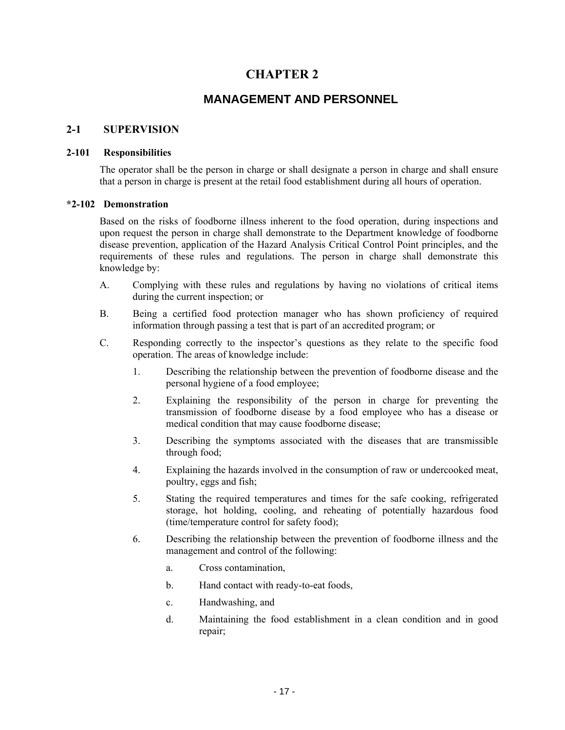### **CHAPTER 2**

### **MANAGEMENT AND PERSONNEL**

#### **2-1 SUPERVISION**

#### **2-101 Responsibilities**

The operator shall be the person in charge or shall designate a person in charge and shall ensure that a person in charge is present at the retail food establishment during all hours of operation.

#### **\*2-102 Demonstration**

Based on the risks of foodborne illness inherent to the food operation, during inspections and upon request the person in charge shall demonstrate to the Department knowledge of foodborne disease prevention, application of the Hazard Analysis Critical Control Point principles, and the requirements of these rules and regulations. The person in charge shall demonstrate this knowledge by:

- A. Complying with these rules and regulations by having no violations of critical items during the current inspection; or
- B. Being a certified food protection manager who has shown proficiency of required information through passing a test that is part of an accredited program; or
- C. Responding correctly to the inspector's questions as they relate to the specific food operation. The areas of knowledge include:
	- 1. Describing the relationship between the prevention of foodborne disease and the personal hygiene of a food employee;
	- 2. Explaining the responsibility of the person in charge for preventing the transmission of foodborne disease by a food employee who has a disease or medical condition that may cause foodborne disease;
	- 3. Describing the symptoms associated with the diseases that are transmissible through food;
	- 4. Explaining the hazards involved in the consumption of raw or undercooked meat, poultry, eggs and fish;
	- 5. Stating the required temperatures and times for the safe cooking, refrigerated storage, hot holding, cooling, and reheating of potentially hazardous food (time/temperature control for safety food);
	- 6. Describing the relationship between the prevention of foodborne illness and the management and control of the following:
		- a. Cross contamination,
		- b. Hand contact with ready-to-eat foods,
		- c. Handwashing, and
		- d. Maintaining the food establishment in a clean condition and in good repair;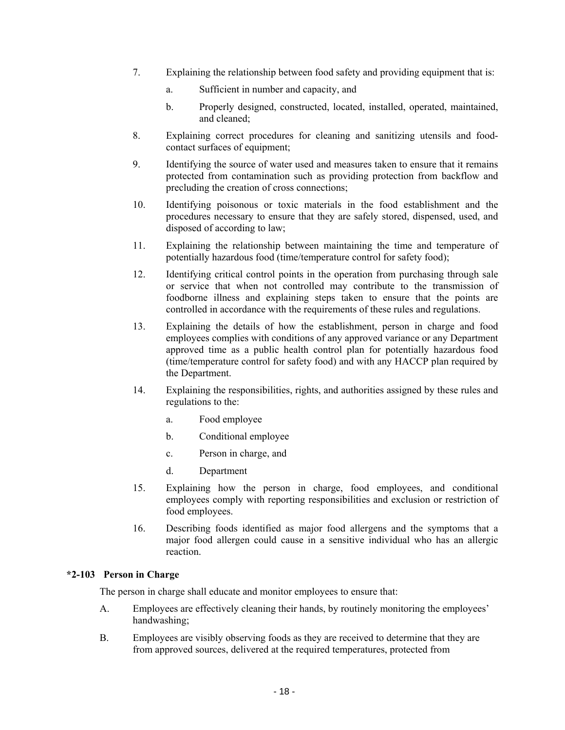- 7. Explaining the relationship between food safety and providing equipment that is:
	- a. Sufficient in number and capacity, and
	- b. Properly designed, constructed, located, installed, operated, maintained, and cleaned;
- 8. Explaining correct procedures for cleaning and sanitizing utensils and foodcontact surfaces of equipment;
- 9. Identifying the source of water used and measures taken to ensure that it remains protected from contamination such as providing protection from backflow and precluding the creation of cross connections;
- 10. Identifying poisonous or toxic materials in the food establishment and the procedures necessary to ensure that they are safely stored, dispensed, used, and disposed of according to law;
- 11. Explaining the relationship between maintaining the time and temperature of potentially hazardous food (time/temperature control for safety food);
- 12. Identifying critical control points in the operation from purchasing through sale or service that when not controlled may contribute to the transmission of foodborne illness and explaining steps taken to ensure that the points are controlled in accordance with the requirements of these rules and regulations.
- 13. Explaining the details of how the establishment, person in charge and food employees complies with conditions of any approved variance or any Department approved time as a public health control plan for potentially hazardous food (time/temperature control for safety food) and with any HACCP plan required by the Department.
- 14. Explaining the responsibilities, rights, and authorities assigned by these rules and regulations to the:
	- a. Food employee
	- b. Conditional employee
	- c. Person in charge, and
	- d. Department
- 15. Explaining how the person in charge, food employees, and conditional employees comply with reporting responsibilities and exclusion or restriction of food employees.
- 16. Describing foods identified as major food allergens and the symptoms that a major food allergen could cause in a sensitive individual who has an allergic reaction.

#### **\*2-103 Person in Charge**

The person in charge shall educate and monitor employees to ensure that:

- A. Employees are effectively cleaning their hands, by routinely monitoring the employees' handwashing;
- B. Employees are visibly observing foods as they are received to determine that they are from approved sources, delivered at the required temperatures, protected from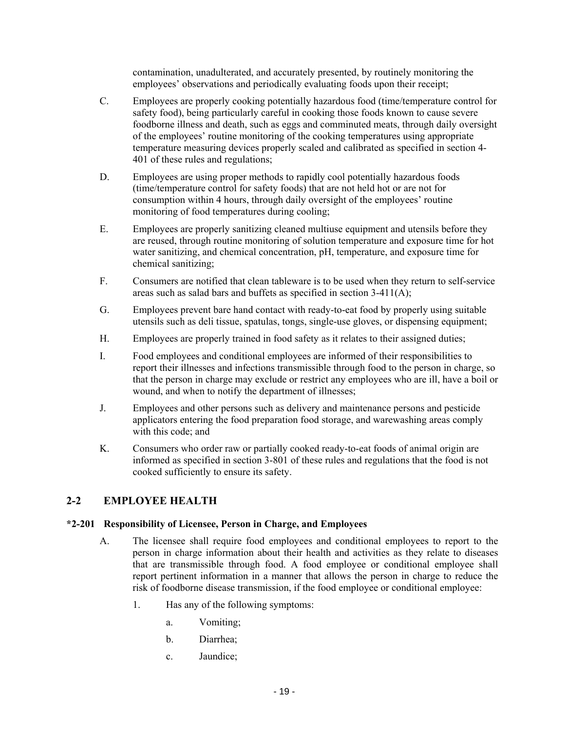contamination, unadulterated, and accurately presented, by routinely monitoring the employees' observations and periodically evaluating foods upon their receipt;

- C. Employees are properly cooking potentially hazardous food (time/temperature control for safety food), being particularly careful in cooking those foods known to cause severe foodborne illness and death, such as eggs and comminuted meats, through daily oversight of the employees' routine monitoring of the cooking temperatures using appropriate temperature measuring devices properly scaled and calibrated as specified in section 4- 401 of these rules and regulations;
- D. Employees are using proper methods to rapidly cool potentially hazardous foods (time/temperature control for safety foods) that are not held hot or are not for consumption within 4 hours, through daily oversight of the employees' routine monitoring of food temperatures during cooling;
- E. Employees are properly sanitizing cleaned multiuse equipment and utensils before they are reused, through routine monitoring of solution temperature and exposure time for hot water sanitizing, and chemical concentration, pH, temperature, and exposure time for chemical sanitizing;
- F. Consumers are notified that clean tableware is to be used when they return to self-service areas such as salad bars and buffets as specified in section 3-411(A);
- G. Employees prevent bare hand contact with ready-to-eat food by properly using suitable utensils such as deli tissue, spatulas, tongs, single-use gloves, or dispensing equipment;
- H. Employees are properly trained in food safety as it relates to their assigned duties;
- I. Food employees and conditional employees are informed of their responsibilities to report their illnesses and infections transmissible through food to the person in charge, so that the person in charge may exclude or restrict any employees who are ill, have a boil or wound, and when to notify the department of illnesses;
- J. Employees and other persons such as delivery and maintenance persons and pesticide applicators entering the food preparation food storage, and warewashing areas comply with this code; and
- K. Consumers who order raw or partially cooked ready-to-eat foods of animal origin are informed as specified in section 3-801 of these rules and regulations that the food is not cooked sufficiently to ensure its safety.

#### **2-2 EMPLOYEE HEALTH**

#### **\*2-201 Responsibility of Licensee, Person in Charge, and Employees**

- A. The licensee shall require food employees and conditional employees to report to the person in charge information about their health and activities as they relate to diseases that are transmissible through food. A food employee or conditional employee shall report pertinent information in a manner that allows the person in charge to reduce the risk of foodborne disease transmission, if the food employee or conditional employee:
	- 1. Has any of the following symptoms:
		- a. Vomiting;
		- b. Diarrhea;
		- c. Jaundice;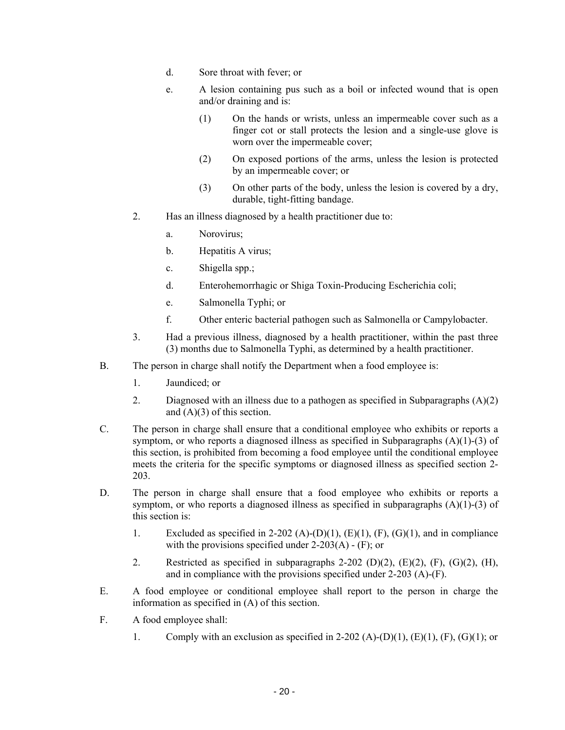- d. Sore throat with fever; or
- e. A lesion containing pus such as a boil or infected wound that is open and/or draining and is:
	- (1) On the hands or wrists, unless an impermeable cover such as a finger cot or stall protects the lesion and a single-use glove is worn over the impermeable cover;
	- (2) On exposed portions of the arms, unless the lesion is protected by an impermeable cover; or
	- (3) On other parts of the body, unless the lesion is covered by a dry, durable, tight-fitting bandage.
- 2. Has an illness diagnosed by a health practitioner due to:
	- a. Norovirus;
	- b. Hepatitis A virus;
	- c. Shigella spp.;
	- d. Enterohemorrhagic or Shiga Toxin-Producing Escherichia coli;
	- e. Salmonella Typhi; or
	- f. Other enteric bacterial pathogen such as Salmonella or Campylobacter.
- 3. Had a previous illness, diagnosed by a health practitioner, within the past three (3) months due to Salmonella Typhi, as determined by a health practitioner.
- B. The person in charge shall notify the Department when a food employee is:
	- 1. Jaundiced; or
	- 2. Diagnosed with an illness due to a pathogen as specified in Subparagraphs (A)(2) and  $(A)(3)$  of this section.
- C. The person in charge shall ensure that a conditional employee who exhibits or reports a symptom, or who reports a diagnosed illness as specified in Subparagraphs  $(A)(1)-(3)$  of this section, is prohibited from becoming a food employee until the conditional employee meets the criteria for the specific symptoms or diagnosed illness as specified section 2- 203.
- D. The person in charge shall ensure that a food employee who exhibits or reports a symptom, or who reports a diagnosed illness as specified in subparagraphs  $(A)(1)-(3)$  of this section is:
	- 1. Excluded as specified in 2-202 (A)-(D)(1), (E)(1), (F), (G)(1), and in compliance with the provisions specified under  $2\n-203(A) - (F)$ ; or
	- 2. Restricted as specified in subparagraphs 2-202 (D)(2), (E)(2), (F), (G)(2), (H), and in compliance with the provisions specified under 2-203 (A)-(F).
- E. A food employee or conditional employee shall report to the person in charge the information as specified in (A) of this section.
- F. A food employee shall:
	- 1. Comply with an exclusion as specified in 2-202 (A)-(D)(1), (E)(1), (F), (G)(1); or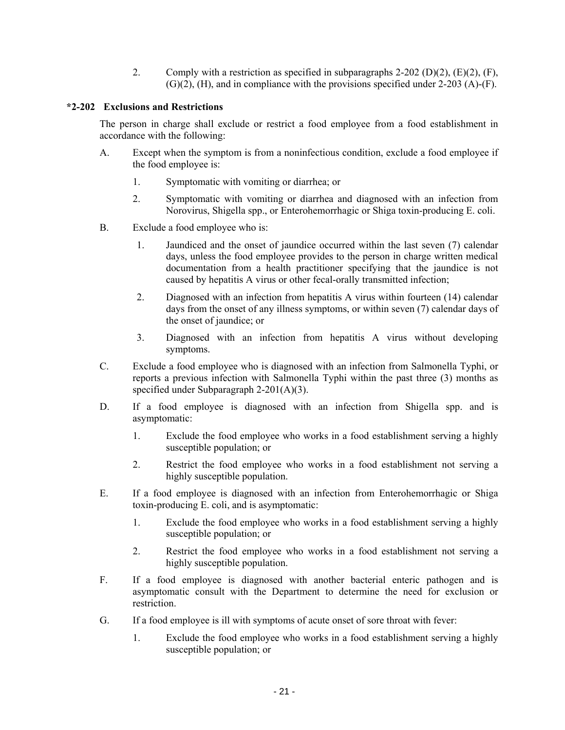2. Comply with a restriction as specified in subparagraphs 2-202 (D)(2), (E)(2), (F), (G)(2), (H), and in compliance with the provisions specified under 2-203 (A)-(F).

#### **\*2-202 Exclusions and Restrictions**

The person in charge shall exclude or restrict a food employee from a food establishment in accordance with the following:

- A. Except when the symptom is from a noninfectious condition, exclude a food employee if the food employee is:
	- 1. Symptomatic with vomiting or diarrhea; or
	- 2. Symptomatic with vomiting or diarrhea and diagnosed with an infection from Norovirus, Shigella spp., or Enterohemorrhagic or Shiga toxin-producing E. coli.
- B. Exclude a food employee who is:
	- 1. Jaundiced and the onset of jaundice occurred within the last seven (7) calendar days, unless the food employee provides to the person in charge written medical documentation from a health practitioner specifying that the jaundice is not caused by hepatitis A virus or other fecal-orally transmitted infection;
	- 2. Diagnosed with an infection from hepatitis A virus within fourteen (14) calendar days from the onset of any illness symptoms, or within seven (7) calendar days of the onset of jaundice; or
	- 3. Diagnosed with an infection from hepatitis A virus without developing symptoms.
- C. Exclude a food employee who is diagnosed with an infection from Salmonella Typhi, or reports a previous infection with Salmonella Typhi within the past three (3) months as specified under Subparagraph 2-201(A)(3).
- D. If a food employee is diagnosed with an infection from Shigella spp. and is asymptomatic:
	- 1. Exclude the food employee who works in a food establishment serving a highly susceptible population; or
	- 2. Restrict the food employee who works in a food establishment not serving a highly susceptible population.
- E. If a food employee is diagnosed with an infection from Enterohemorrhagic or Shiga toxin-producing E. coli, and is asymptomatic:
	- 1. Exclude the food employee who works in a food establishment serving a highly susceptible population; or
	- 2. Restrict the food employee who works in a food establishment not serving a highly susceptible population.
- F. If a food employee is diagnosed with another bacterial enteric pathogen and is asymptomatic consult with the Department to determine the need for exclusion or restriction.
- G. If a food employee is ill with symptoms of acute onset of sore throat with fever:
	- 1. Exclude the food employee who works in a food establishment serving a highly susceptible population; or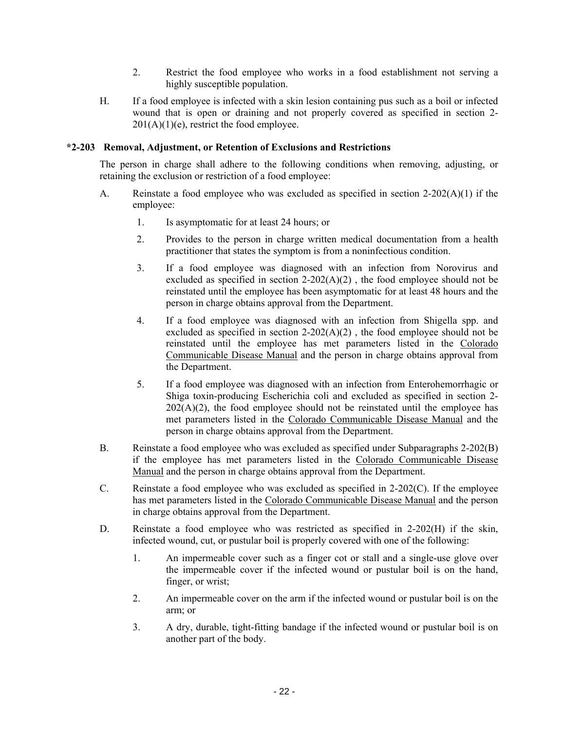- 2. Restrict the food employee who works in a food establishment not serving a highly susceptible population.
- H. If a food employee is infected with a skin lesion containing pus such as a boil or infected wound that is open or draining and not properly covered as specified in section 2-  $201(A)(1)(e)$ , restrict the food employee.

#### **\*2-203 Removal, Adjustment, or Retention of Exclusions and Restrictions**

The person in charge shall adhere to the following conditions when removing, adjusting, or retaining the exclusion or restriction of a food employee:

- A. Reinstate a food employee who was excluded as specified in section  $2-202(A)(1)$  if the employee:
	- 1. Is asymptomatic for at least 24 hours; or
	- 2. Provides to the person in charge written medical documentation from a health practitioner that states the symptom is from a noninfectious condition.
	- 3. If a food employee was diagnosed with an infection from Norovirus and excluded as specified in section 2-202(A)(2) , the food employee should not be reinstated until the employee has been asymptomatic for at least 48 hours and the person in charge obtains approval from the Department.
	- 4. If a food employee was diagnosed with an infection from Shigella spp. and excluded as specified in section  $2-202(A)(2)$ , the food employee should not be reinstated until the employee has met parameters listed in the Colorado Communicable Disease Manual and the person in charge obtains approval from the Department.
	- 5. If a food employee was diagnosed with an infection from Enterohemorrhagic or Shiga toxin-producing Escherichia coli and excluded as specified in section 2-  $202(A)(2)$ , the food employee should not be reinstated until the employee has met parameters listed in the Colorado Communicable Disease Manual and the person in charge obtains approval from the Department.
- B. Reinstate a food employee who was excluded as specified under Subparagraphs 2-202(B) if the employee has met parameters listed in the Colorado Communicable Disease Manual and the person in charge obtains approval from the Department.
- C. Reinstate a food employee who was excluded as specified in  $2\n-202(C)$ . If the employee has met parameters listed in the Colorado Communicable Disease Manual and the person in charge obtains approval from the Department.
- D. Reinstate a food employee who was restricted as specified in 2-202(H) if the skin, infected wound, cut, or pustular boil is properly covered with one of the following:
	- 1. An impermeable cover such as a finger cot or stall and a single-use glove over the impermeable cover if the infected wound or pustular boil is on the hand, finger, or wrist;
	- 2. An impermeable cover on the arm if the infected wound or pustular boil is on the arm; or
	- 3. A dry, durable, tight-fitting bandage if the infected wound or pustular boil is on another part of the body.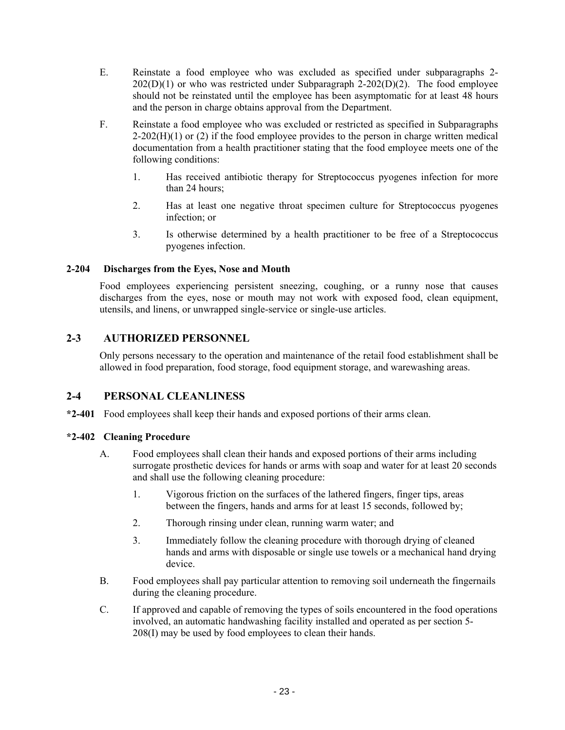- E. Reinstate a food employee who was excluded as specified under subparagraphs 2-  $202(D)(1)$  or who was restricted under Subparagraph 2-202(D)(2). The food employee should not be reinstated until the employee has been asymptomatic for at least 48 hours and the person in charge obtains approval from the Department.
- F. Reinstate a food employee who was excluded or restricted as specified in Subparagraphs  $2-202(H)(1)$  or (2) if the food employee provides to the person in charge written medical documentation from a health practitioner stating that the food employee meets one of the following conditions:
	- 1. Has received antibiotic therapy for Streptococcus pyogenes infection for more than 24 hours;
	- 2. Has at least one negative throat specimen culture for Streptococcus pyogenes infection; or
	- 3. Is otherwise determined by a health practitioner to be free of a Streptococcus pyogenes infection.

#### **2-204 Discharges from the Eyes, Nose and Mouth**

Food employees experiencing persistent sneezing, coughing, or a runny nose that causes discharges from the eyes, nose or mouth may not work with exposed food, clean equipment, utensils, and linens, or unwrapped single-service or single-use articles.

#### **2-3 AUTHORIZED PERSONNEL**

Only persons necessary to the operation and maintenance of the retail food establishment shall be allowed in food preparation, food storage, food equipment storage, and warewashing areas.

#### **2-4 PERSONAL CLEANLINESS**

**\*2-401** Food employees shall keep their hands and exposed portions of their arms clean.

#### **\*2-402 Cleaning Procedure**

- A. Food employees shall clean their hands and exposed portions of their arms including surrogate prosthetic devices for hands or arms with soap and water for at least 20 seconds and shall use the following cleaning procedure:
	- 1. Vigorous friction on the surfaces of the lathered fingers, finger tips, areas between the fingers, hands and arms for at least 15 seconds, followed by;
	- 2. Thorough rinsing under clean, running warm water; and
	- 3. Immediately follow the cleaning procedure with thorough drying of cleaned hands and arms with disposable or single use towels or a mechanical hand drying device.
- B. Food employees shall pay particular attention to removing soil underneath the fingernails during the cleaning procedure.
- C. If approved and capable of removing the types of soils encountered in the food operations involved, an automatic handwashing facility installed and operated as per section 5- 208(I) may be used by food employees to clean their hands.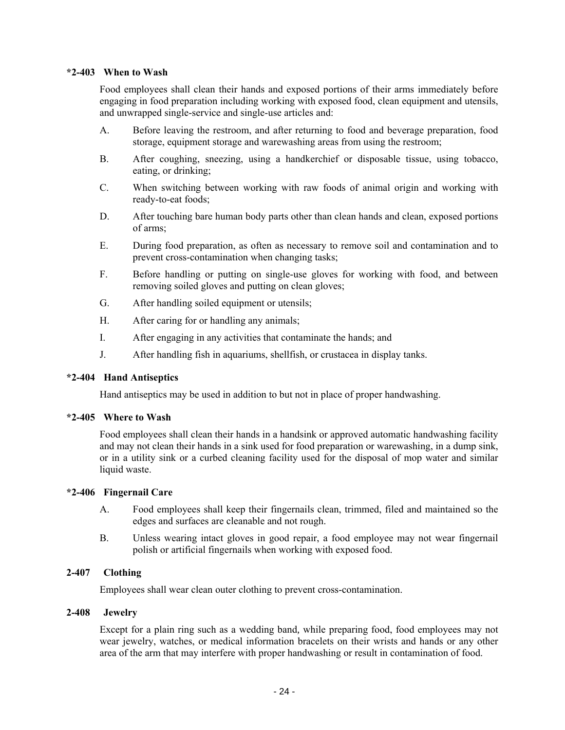#### **\*2-403 When to Wash**

Food employees shall clean their hands and exposed portions of their arms immediately before engaging in food preparation including working with exposed food, clean equipment and utensils, and unwrapped single-service and single-use articles and:

- A. Before leaving the restroom, and after returning to food and beverage preparation, food storage, equipment storage and warewashing areas from using the restroom;
- B. After coughing, sneezing, using a handkerchief or disposable tissue, using tobacco, eating, or drinking;
- C. When switching between working with raw foods of animal origin and working with ready-to-eat foods;
- D. After touching bare human body parts other than clean hands and clean, exposed portions of arms;
- E. During food preparation, as often as necessary to remove soil and contamination and to prevent cross-contamination when changing tasks;
- F. Before handling or putting on single-use gloves for working with food, and between removing soiled gloves and putting on clean gloves;
- G. After handling soiled equipment or utensils;
- H. After caring for or handling any animals;
- I. After engaging in any activities that contaminate the hands; and
- J. After handling fish in aquariums, shellfish, or crustacea in display tanks.

#### **\*2-404 Hand Antiseptics**

Hand antiseptics may be used in addition to but not in place of proper handwashing.

#### **\*2-405 Where to Wash**

Food employees shall clean their hands in a handsink or approved automatic handwashing facility and may not clean their hands in a sink used for food preparation or warewashing, in a dump sink, or in a utility sink or a curbed cleaning facility used for the disposal of mop water and similar liquid waste.

#### **\*2-406 Fingernail Care**

- A. Food employees shall keep their fingernails clean, trimmed, filed and maintained so the edges and surfaces are cleanable and not rough.
- B. Unless wearing intact gloves in good repair, a food employee may not wear fingernail polish or artificial fingernails when working with exposed food.

#### **2-407 Clothing**

Employees shall wear clean outer clothing to prevent cross-contamination.

#### **2-408 Jewelry**

Except for a plain ring such as a wedding band*,* while preparing food, food employees may not wear jewelry, watches, or medical information bracelets on their wrists and hands or any other area of the arm that may interfere with proper handwashing or result in contamination of food.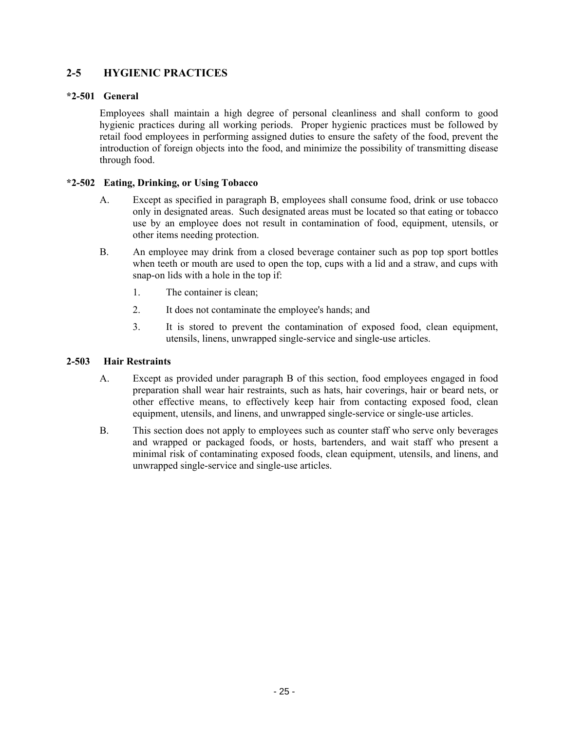#### **2-5 HYGIENIC PRACTICES**

#### **\*2-501 General**

Employees shall maintain a high degree of personal cleanliness and shall conform to good hygienic practices during all working periods. Proper hygienic practices must be followed by retail food employees in performing assigned duties to ensure the safety of the food, prevent the introduction of foreign objects into the food, and minimize the possibility of transmitting disease through food.

#### **\*2-502 Eating, Drinking, or Using Tobacco**

- A. Except as specified in paragraph B, employees shall consume food, drink or use tobacco only in designated areas. Such designated areas must be located so that eating or tobacco use by an employee does not result in contamination of food, equipment, utensils, or other items needing protection.
- B. An employee may drink from a closed beverage container such as pop top sport bottles when teeth or mouth are used to open the top, cups with a lid and a straw, and cups with snap-on lids with a hole in the top if:
	- 1. The container is clean;
	- 2. It does not contaminate the employee's hands; and
	- 3. It is stored to prevent the contamination of exposed food, clean equipment, utensils, linens, unwrapped single-service and single-use articles.

#### **2-503 Hair Restraints**

- A. Except as provided under paragraph B of this section, food employees engaged in food preparation shall wear hair restraints, such as hats, hair coverings, hair or beard nets, or other effective means, to effectively keep hair from contacting exposed food, clean equipment, utensils, and linens, and unwrapped single-service or single-use articles.
- B. This section does not apply to employees such as counter staff who serve only beverages and wrapped or packaged foods, or hosts, bartenders, and wait staff who present a minimal risk of contaminating exposed foods, clean equipment, utensils, and linens, and unwrapped single-service and single-use articles.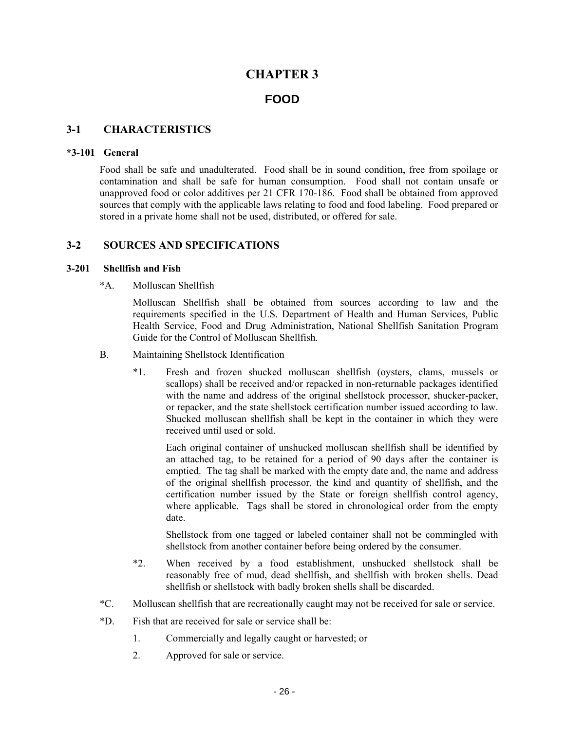# **CHAPTER 3**

# **FOOD**

# **3-1 CHARACTERISTICS**

#### **\*3-101 General**

Food shall be safe and unadulterated. Food shall be in sound condition, free from spoilage or contamination and shall be safe for human consumption. Food shall not contain unsafe or unapproved food or color additives per 21 CFR 170-186. Food shall be obtained from approved sources that comply with the applicable laws relating to food and food labeling. Food prepared or stored in a private home shall not be used, distributed, or offered for sale.

# **3-2 SOURCES AND SPECIFICATIONS**

#### **3-201 Shellfish and Fish**

\*A. Molluscan Shellfish

 Molluscan Shellfish shall be obtained from sources according to law and the requirements specified in the U.S. Department of Health and Human Services, Public Health Service, Food and Drug Administration, National Shellfish Sanitation Program Guide for the Control of Molluscan Shellfish.

- B. Maintaining Shellstock Identification
	- \*1. Fresh and frozen shucked molluscan shellfish (oysters, clams, mussels or scallops) shall be received and/or repacked in non-returnable packages identified with the name and address of the original shellstock processor, shucker-packer, or repacker, and the state shellstock certification number issued according to law. Shucked molluscan shellfish shall be kept in the container in which they were received until used or sold.

 Each original container of unshucked molluscan shellfish shall be identified by an attached tag, to be retained for a period of 90 days after the container is emptied. The tag shall be marked with the empty date and, the name and address of the original shellfish processor, the kind and quantity of shellfish, and the certification number issued by the State or foreign shellfish control agency, where applicable. Tags shall be stored in chronological order from the empty date.

 Shellstock from one tagged or labeled container shall not be commingled with shellstock from another container before being ordered by the consumer.

- \*2. When received by a food establishment, unshucked shellstock shall be reasonably free of mud, dead shellfish, and shellfish with broken shells. Dead shellfish or shellstock with badly broken shells shall be discarded.
- \*C. Molluscan shellfish that are recreationally caught may not be received for sale or service.
- \*D. Fish that are received for sale or service shall be:
	- 1. Commercially and legally caught or harvested; or
	- 2. Approved for sale or service.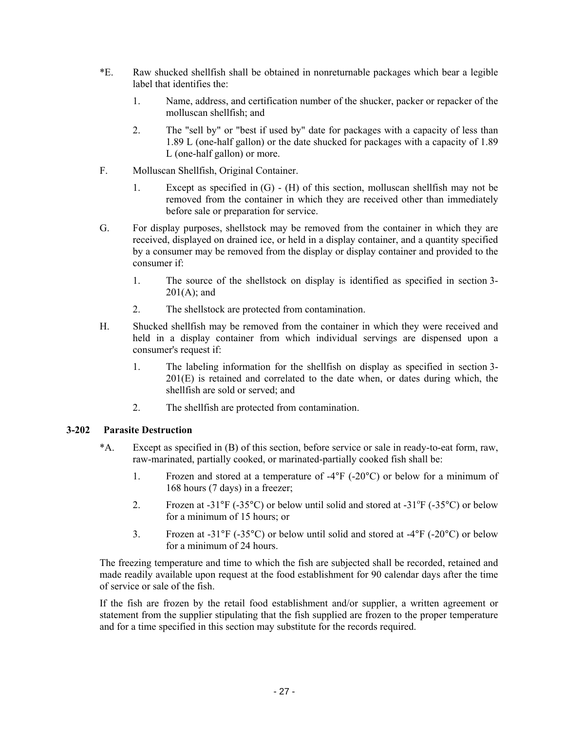- \*E. Raw shucked shellfish shall be obtained in nonreturnable packages which bear a legible label that identifies the:
	- 1. Name, address, and certification number of the shucker, packer or repacker of the molluscan shellfish; and
	- 2. The "sell by" or "best if used by" date for packages with a capacity of less than 1.89 L (one-half gallon) or the date shucked for packages with a capacity of 1.89 L (one-half gallon) or more.
- F. Molluscan Shellfish, Original Container.
	- 1. Except as specified in  $(G)$   $(H)$  of this section, molluscan shellfish may not be removed from the container in which they are received other than immediately before sale or preparation for service.
- G. For display purposes, shellstock may be removed from the container in which they are received, displayed on drained ice, or held in a display container, and a quantity specified by a consumer may be removed from the display or display container and provided to the consumer if:
	- 1. The source of the shellstock on display is identified as specified in section 3-  $201(A)$ ; and
	- 2. The shellstock are protected from contamination.
- H. Shucked shellfish may be removed from the container in which they were received and held in a display container from which individual servings are dispensed upon a consumer's request if:
	- 1. The labeling information for the shellfish on display as specified in section 3- 201(E) is retained and correlated to the date when, or dates during which, the shellfish are sold or served; and
	- 2. The shellfish are protected from contamination.

#### **3-202 Parasite Destruction**

- \*A. Except as specified in (B) of this section, before service or sale in ready-to-eat form, raw, raw-marinated, partially cooked, or marinated-partially cooked fish shall be:
	- 1. Frozen and stored at a temperature of -4°F (-20°C) or below for a minimum of 168 hours (7 days) in a freezer;
	- 2. Frozen at -31 $\textdegree$ F (-35 $\textdegree$ C) or below until solid and stored at -31 $\textdegree$ F (-35 $\textdegree$ C) or below for a minimum of 15 hours; or
	- 3. Frozen at -31 $^{\circ}$ F (-35 $^{\circ}$ C) or below until solid and stored at -4 $^{\circ}$ F (-20 $^{\circ}$ C) or below for a minimum of 24 hours.

The freezing temperature and time to which the fish are subjected shall be recorded, retained and made readily available upon request at the food establishment for 90 calendar days after the time of service or sale of the fish.

If the fish are frozen by the retail food establishment and/or supplier, a written agreement or statement from the supplier stipulating that the fish supplied are frozen to the proper temperature and for a time specified in this section may substitute for the records required.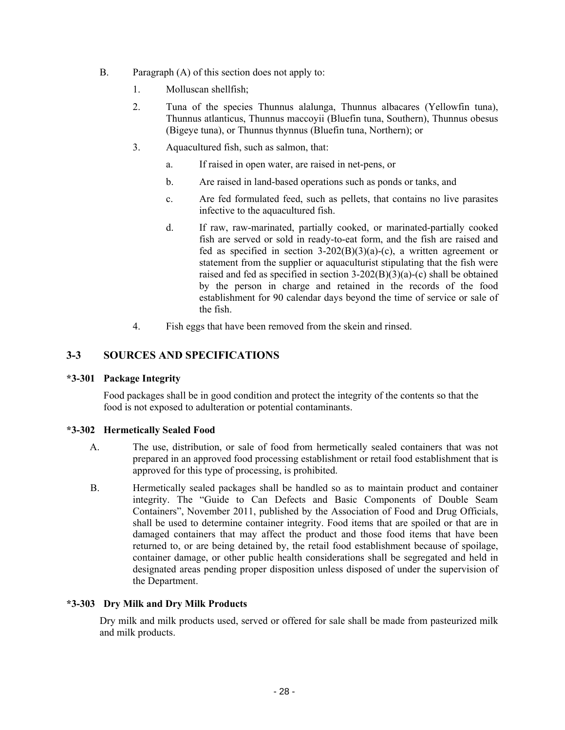- B. Paragraph (A) of this section does not apply to:
	- 1. Molluscan shellfish;
	- 2. Tuna of the species Thunnus alalunga, Thunnus albacares (Yellowfin tuna), Thunnus atlanticus, Thunnus maccoyii (Bluefin tuna, Southern), Thunnus obesus (Bigeye tuna), or Thunnus thynnus (Bluefin tuna, Northern); or
	- 3. Aquacultured fish, such as salmon, that:
		- a. If raised in open water, are raised in net-pens, or
		- b. Are raised in land-based operations such as ponds or tanks, and
		- c. Are fed formulated feed, such as pellets, that contains no live parasites infective to the aquacultured fish.
		- d. If raw, raw-marinated, partially cooked, or marinated-partially cooked fish are served or sold in ready-to-eat form, and the fish are raised and fed as specified in section  $3-202(B)(3)(a)-(c)$ , a written agreement or statement from the supplier or aquaculturist stipulating that the fish were raised and fed as specified in section  $3-202(B)(3)(a)-(c)$  shall be obtained by the person in charge and retained in the records of the food establishment for 90 calendar days beyond the time of service or sale of the fish.
	- 4. Fish eggs that have been removed from the skein and rinsed.

# **3-3 SOURCES AND SPECIFICATIONS**

#### **\*3-301 Package Integrity**

Food packages shall be in good condition and protect the integrity of the contents so that the food is not exposed to adulteration or potential contaminants.

#### **\*3-302 Hermetically Sealed Food**

- A. The use, distribution, or sale of food from hermetically sealed containers that was not prepared in an approved food processing establishment or retail food establishment that is approved for this type of processing, is prohibited.
- B. Hermetically sealed packages shall be handled so as to maintain product and container integrity. The "Guide to Can Defects and Basic Components of Double Seam Containers", November 2011, published by the Association of Food and Drug Officials, shall be used to determine container integrity. Food items that are spoiled or that are in damaged containers that may affect the product and those food items that have been returned to, or are being detained by, the retail food establishment because of spoilage, container damage, or other public health considerations shall be segregated and held in designated areas pending proper disposition unless disposed of under the supervision of the Department.

#### **\*3-303 Dry Milk and Dry Milk Products**

Dry milk and milk products used, served or offered for sale shall be made from pasteurized milk and milk products.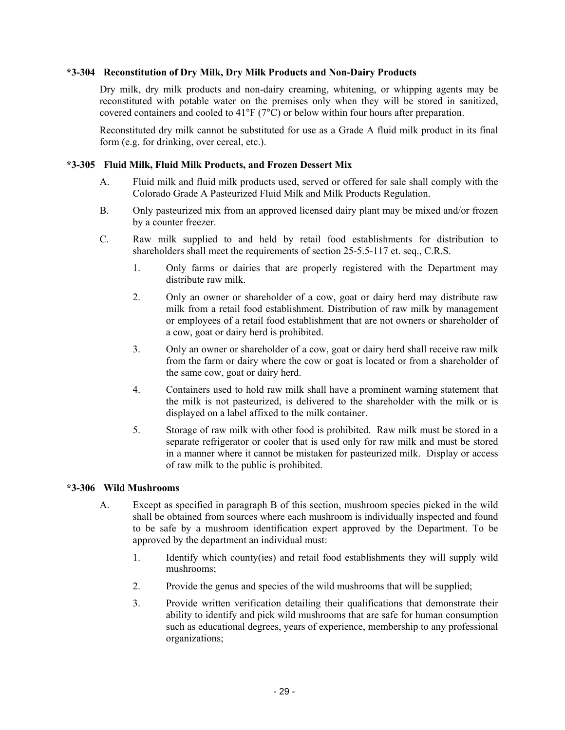#### **\*3-304 Reconstitution of Dry Milk, Dry Milk Products and Non-Dairy Products**

Dry milk, dry milk products and non-dairy creaming, whitening, or whipping agents may be reconstituted with potable water on the premises only when they will be stored in sanitized, covered containers and cooled to 41°F (7°C) or below within four hours after preparation.

Reconstituted dry milk cannot be substituted for use as a Grade A fluid milk product in its final form (e.g. for drinking, over cereal, etc.).

#### **\*3-305 Fluid Milk, Fluid Milk Products, and Frozen Dessert Mix**

- A. Fluid milk and fluid milk products used, served or offered for sale shall comply with the Colorado Grade A Pasteurized Fluid Milk and Milk Products Regulation.
- B. Only pasteurized mix from an approved licensed dairy plant may be mixed and/or frozen by a counter freezer.
- C. Raw milk supplied to and held by retail food establishments for distribution to shareholders shall meet the requirements of section 25-5.5-117 et. seq., C.R.S.
	- 1. Only farms or dairies that are properly registered with the Department may distribute raw milk.
	- 2. Only an owner or shareholder of a cow, goat or dairy herd may distribute raw milk from a retail food establishment. Distribution of raw milk by management or employees of a retail food establishment that are not owners or shareholder of a cow, goat or dairy herd is prohibited.
	- 3. Only an owner or shareholder of a cow, goat or dairy herd shall receive raw milk from the farm or dairy where the cow or goat is located or from a shareholder of the same cow, goat or dairy herd.
	- 4. Containers used to hold raw milk shall have a prominent warning statement that the milk is not pasteurized, is delivered to the shareholder with the milk or is displayed on a label affixed to the milk container.
	- 5. Storage of raw milk with other food is prohibited. Raw milk must be stored in a separate refrigerator or cooler that is used only for raw milk and must be stored in a manner where it cannot be mistaken for pasteurized milk. Display or access of raw milk to the public is prohibited.

#### **\*3-306 Wild Mushrooms**

- A. Except as specified in paragraph B of this section, mushroom species picked in the wild shall be obtained from sources where each mushroom is individually inspected and found to be safe by a mushroom identification expert approved by the Department. To be approved by the department an individual must:
	- 1. Identify which county(ies) and retail food establishments they will supply wild mushrooms;
	- 2. Provide the genus and species of the wild mushrooms that will be supplied;
	- 3. Provide written verification detailing their qualifications that demonstrate their ability to identify and pick wild mushrooms that are safe for human consumption such as educational degrees, years of experience, membership to any professional organizations;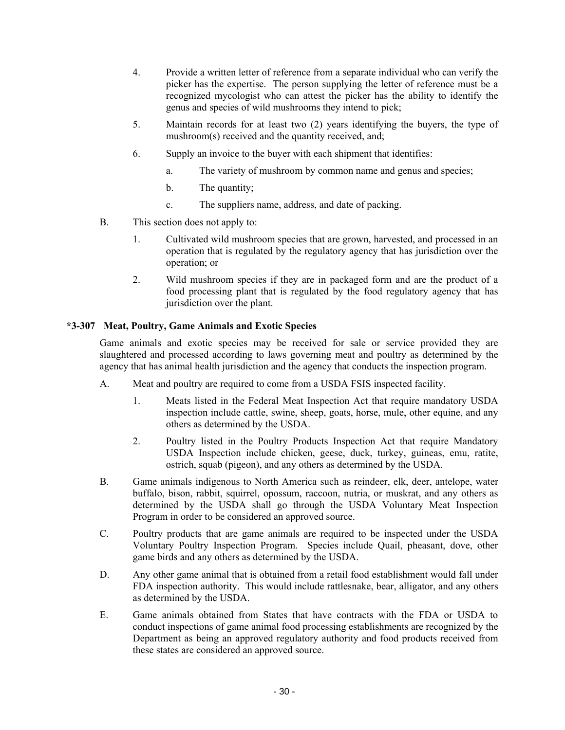- 4. Provide a written letter of reference from a separate individual who can verify the picker has the expertise. The person supplying the letter of reference must be a recognized mycologist who can attest the picker has the ability to identify the genus and species of wild mushrooms they intend to pick;
- 5. Maintain records for at least two (2) years identifying the buyers, the type of mushroom(s) received and the quantity received, and;
- 6. Supply an invoice to the buyer with each shipment that identifies:
	- a. The variety of mushroom by common name and genus and species;
	- b. The quantity;
	- c. The suppliers name, address, and date of packing.
- B. This section does not apply to:
	- 1. Cultivated wild mushroom species that are grown, harvested, and processed in an operation that is regulated by the regulatory agency that has jurisdiction over the operation; or
	- 2. Wild mushroom species if they are in packaged form and are the product of a food processing plant that is regulated by the food regulatory agency that has jurisdiction over the plant.

# **\*3-307 Meat, Poultry, Game Animals and Exotic Species**

Game animals and exotic species may be received for sale or service provided they are slaughtered and processed according to laws governing meat and poultry as determined by the agency that has animal health jurisdiction and the agency that conducts the inspection program.

- A. Meat and poultry are required to come from a USDA FSIS inspected facility.
	- 1. Meats listed in the Federal Meat Inspection Act that require mandatory USDA inspection include cattle, swine, sheep, goats, horse, mule, other equine, and any others as determined by the USDA.
	- 2. Poultry listed in the Poultry Products Inspection Act that require Mandatory USDA Inspection include chicken, geese, duck, turkey, guineas, emu, ratite, ostrich, squab (pigeon), and any others as determined by the USDA.
- B. Game animals indigenous to North America such as reindeer, elk, deer, antelope, water buffalo, bison, rabbit, squirrel, opossum, raccoon, nutria, or muskrat, and any others as determined by the USDA shall go through the USDA Voluntary Meat Inspection Program in order to be considered an approved source.
- C. Poultry products that are game animals are required to be inspected under the USDA Voluntary Poultry Inspection Program. Species include Quail, pheasant, dove, other game birds and any others as determined by the USDA.
- D. Any other game animal that is obtained from a retail food establishment would fall under FDA inspection authority. This would include rattlesnake, bear, alligator, and any others as determined by the USDA.
- E. Game animals obtained from States that have contracts with the FDA or USDA to conduct inspections of game animal food processing establishments are recognized by the Department as being an approved regulatory authority and food products received from these states are considered an approved source.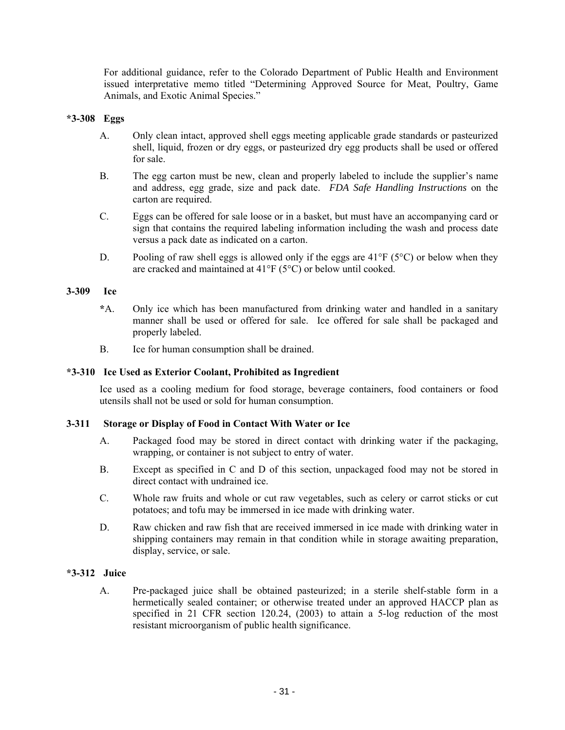For additional guidance, refer to the Colorado Department of Public Health and Environment issued interpretative memo titled "Determining Approved Source for Meat, Poultry, Game Animals, and Exotic Animal Species."

# **\*3-308 Eggs**

- A. Only clean intact, approved shell eggs meeting applicable grade standards or pasteurized shell, liquid, frozen or dry eggs, or pasteurized dry egg products shall be used or offered for sale.
- B. The egg carton must be new, clean and properly labeled to include the supplier's name and address, egg grade, size and pack date. *FDA Safe Handling Instructions* on the carton are required.
- C. Eggs can be offered for sale loose or in a basket, but must have an accompanying card or sign that contains the required labeling information including the wash and process date versus a pack date as indicated on a carton.
- D. Pooling of raw shell eggs is allowed only if the eggs are  $41^{\circ}F$  (5 $^{\circ}C$ ) or below when they are cracked and maintained at 41°F (5°C) or below until cooked.

#### **3-309 Ice**

- **\***A. Only ice which has been manufactured from drinking water and handled in a sanitary manner shall be used or offered for sale. Ice offered for sale shall be packaged and properly labeled.
- B. Ice for human consumption shall be drained.

#### **\*3-310 Ice Used as Exterior Coolant, Prohibited as Ingredient**

Ice used as a cooling medium for food storage, beverage containers, food containers or food utensils shall not be used or sold for human consumption.

#### **3-311 Storage or Display of Food in Contact With Water or Ice**

- A. Packaged food may be stored in direct contact with drinking water if the packaging, wrapping, or container is not subject to entry of water.
- B. Except as specified in C and D of this section, unpackaged food may not be stored in direct contact with undrained ice.
- C. Whole raw fruits and whole or cut raw vegetables, such as celery or carrot sticks or cut potatoes; and tofu may be immersed in ice made with drinking water.
- D. Raw chicken and raw fish that are received immersed in ice made with drinking water in shipping containers may remain in that condition while in storage awaiting preparation, display, service, or sale.

# **\*3-312 Juice**

A. Pre-packaged juice shall be obtained pasteurized; in a sterile shelf-stable form in a hermetically sealed container; or otherwise treated under an approved HACCP plan as specified in 21 CFR section 120.24, (2003) to attain a 5-log reduction of the most resistant microorganism of public health significance.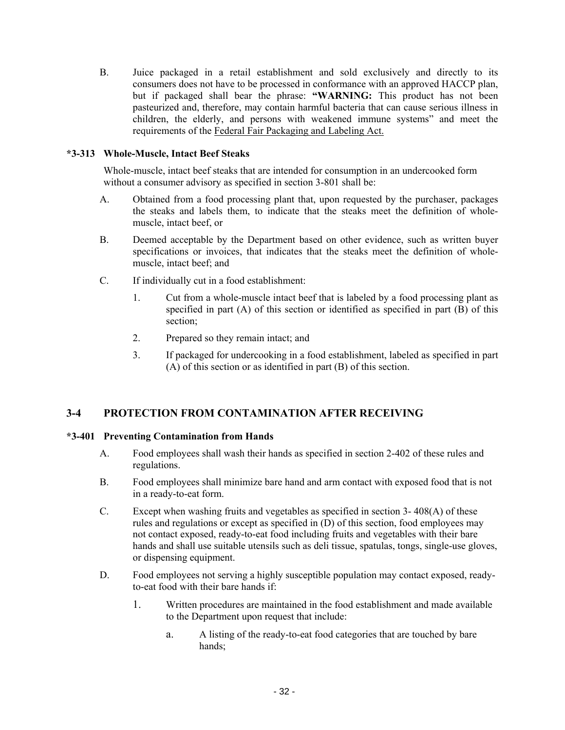B. Juice packaged in a retail establishment and sold exclusively and directly to its consumers does not have to be processed in conformance with an approved HACCP plan, but if packaged shall bear the phrase: **"WARNING:** This product has not been pasteurized and, therefore, may contain harmful bacteria that can cause serious illness in children, the elderly, and persons with weakened immune systems" and meet the requirements of the Federal Fair Packaging and Labeling Act.

# **\*3-313 Whole-Muscle, Intact Beef Steaks**

Whole-muscle, intact beef steaks that are intended for consumption in an undercooked form without a consumer advisory as specified in section 3-801 shall be:

- A. Obtained from a food processing plant that, upon requested by the purchaser, packages the steaks and labels them, to indicate that the steaks meet the definition of wholemuscle, intact beef, or
- B. Deemed acceptable by the Department based on other evidence, such as written buyer specifications or invoices, that indicates that the steaks meet the definition of wholemuscle, intact beef; and
- C. If individually cut in a food establishment:
	- 1. Cut from a whole-muscle intact beef that is labeled by a food processing plant as specified in part (A) of this section or identified as specified in part (B) of this section;
	- 2. Prepared so they remain intact; and
	- 3. If packaged for undercooking in a food establishment, labeled as specified in part (A) of this section or as identified in part (B) of this section.

# **3-4 PROTECTION FROM CONTAMINATION AFTER RECEIVING**

#### **\*3-401 Preventing Contamination from Hands**

- A. Food employees shall wash their hands as specified in section 2-402 of these rules and regulations.
- B. Food employees shall minimize bare hand and arm contact with exposed food that is not in a ready-to-eat form.
- C. Except when washing fruits and vegetables as specified in section 3- 408(A) of these rules and regulations or except as specified in (D) of this section, food employees may not contact exposed, ready-to-eat food including fruits and vegetables with their bare hands and shall use suitable utensils such as deli tissue, spatulas, tongs, single-use gloves, or dispensing equipment.
- D. Food employees not serving a highly susceptible population may contact exposed, readyto-eat food with their bare hands if:
	- 1. Written procedures are maintained in the food establishment and made available to the Department upon request that include:
		- a. A listing of the ready-to-eat food categories that are touched by bare hands;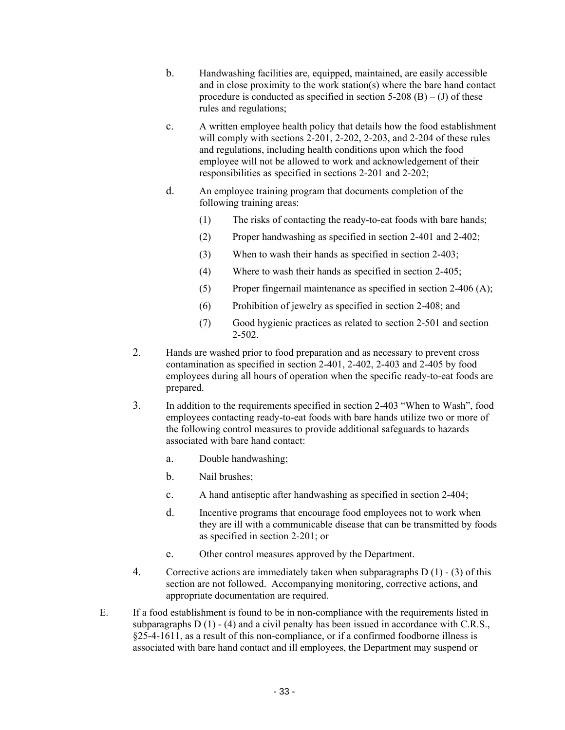- b. Handwashing facilities are, equipped, maintained, are easily accessible and in close proximity to the work station(s) where the bare hand contact procedure is conducted as specified in section  $5-208$  (B) – (J) of these rules and regulations;
- c. A written employee health policy that details how the food establishment will comply with sections 2-201, 2-202, 2-203, and 2-204 of these rules and regulations, including health conditions upon which the food employee will not be allowed to work and acknowledgement of their responsibilities as specified in sections 2-201 and 2-202;
- d. An employee training program that documents completion of the following training areas:
	- (1) The risks of contacting the ready-to-eat foods with bare hands;
	- (2) Proper handwashing as specified in section 2-401 and 2-402;
	- (3) When to wash their hands as specified in section 2-403;
	- (4) Where to wash their hands as specified in section 2-405;
	- (5) Proper fingernail maintenance as specified in section 2-406 (A);
	- (6) Prohibition of jewelry as specified in section 2-408; and
	- (7) Good hygienic practices as related to section 2-501 and section 2-502.
- 2. Hands are washed prior to food preparation and as necessary to prevent cross contamination as specified in section 2-401, 2-402, 2-403 and 2-405 by food employees during all hours of operation when the specific ready-to-eat foods are prepared.
- 3. In addition to the requirements specified in section 2-403 "When to Wash", food employees contacting ready-to-eat foods with bare hands utilize two or more of the following control measures to provide additional safeguards to hazards associated with bare hand contact:
	- a. Double handwashing;
	- b. Nail brushes;
	- c. A hand antiseptic after handwashing as specified in section 2-404;
	- d. Incentive programs that encourage food employees not to work when they are ill with a communicable disease that can be transmitted by foods as specified in section 2-201; or
	- e. Other control measures approved by the Department.
- 4. Corrective actions are immediately taken when subparagraphs D (1) (3) of this section are not followed. Accompanying monitoring, corrective actions, and appropriate documentation are required.
- E. If a food establishment is found to be in non-compliance with the requirements listed in subparagraphs  $D(1)$  - (4) and a civil penalty has been issued in accordance with C.R.S., §25-4-1611, as a result of this non-compliance, or if a confirmed foodborne illness is associated with bare hand contact and ill employees, the Department may suspend or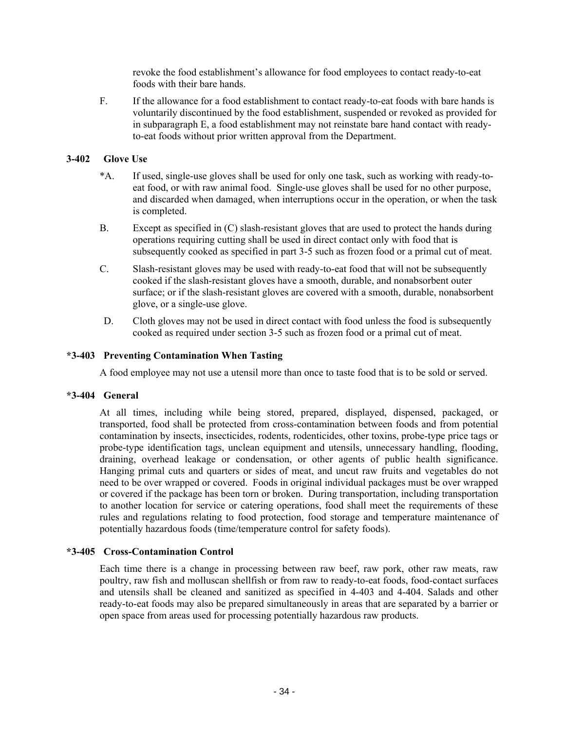revoke the food establishment's allowance for food employees to contact ready-to-eat foods with their bare hands.

F. If the allowance for a food establishment to contact ready-to-eat foods with bare hands is voluntarily discontinued by the food establishment, suspended or revoked as provided for in subparagraph E, a food establishment may not reinstate bare hand contact with readyto-eat foods without prior written approval from the Department.

### **3-402 Glove Use**

- \*A. If used, single-use gloves shall be used for only one task, such as working with ready-toeat food, or with raw animal food. Single-use gloves shall be used for no other purpose, and discarded when damaged, when interruptions occur in the operation, or when the task is completed.
- B. Except as specified in (C) slash-resistant gloves that are used to protect the hands during operations requiring cutting shall be used in direct contact only with food that is subsequently cooked as specified in part 3-5 such as frozen food or a primal cut of meat.
- C. Slash-resistant gloves may be used with ready-to-eat food that will not be subsequently cooked if the slash-resistant gloves have a smooth, durable, and nonabsorbent outer surface; or if the slash-resistant gloves are covered with a smooth, durable, nonabsorbent glove, or a single-use glove.
- D. Cloth gloves may not be used in direct contact with food unless the food is subsequently cooked as required under section 3-5 such as frozen food or a primal cut of meat.

## **\*3-403 Preventing Contamination When Tasting**

A food employee may not use a utensil more than once to taste food that is to be sold or served.

## **\*3-404 General**

At all times, including while being stored, prepared, displayed, dispensed, packaged, or transported, food shall be protected from cross-contamination between foods and from potential contamination by insects, insecticides, rodents, rodenticides, other toxins, probe-type price tags or probe-type identification tags, unclean equipment and utensils, unnecessary handling, flooding, draining, overhead leakage or condensation, or other agents of public health significance. Hanging primal cuts and quarters or sides of meat, and uncut raw fruits and vegetables do not need to be over wrapped or covered. Foods in original individual packages must be over wrapped or covered if the package has been torn or broken. During transportation, including transportation to another location for service or catering operations, food shall meet the requirements of these rules and regulations relating to food protection, food storage and temperature maintenance of potentially hazardous foods (time/temperature control for safety foods).

#### **\*3-405 Cross-Contamination Control**

Each time there is a change in processing between raw beef, raw pork, other raw meats, raw poultry, raw fish and molluscan shellfish or from raw to ready-to-eat foods, food-contact surfaces and utensils shall be cleaned and sanitized as specified in 4-403 and 4-404. Salads and other ready-to-eat foods may also be prepared simultaneously in areas that are separated by a barrier or open space from areas used for processing potentially hazardous raw products.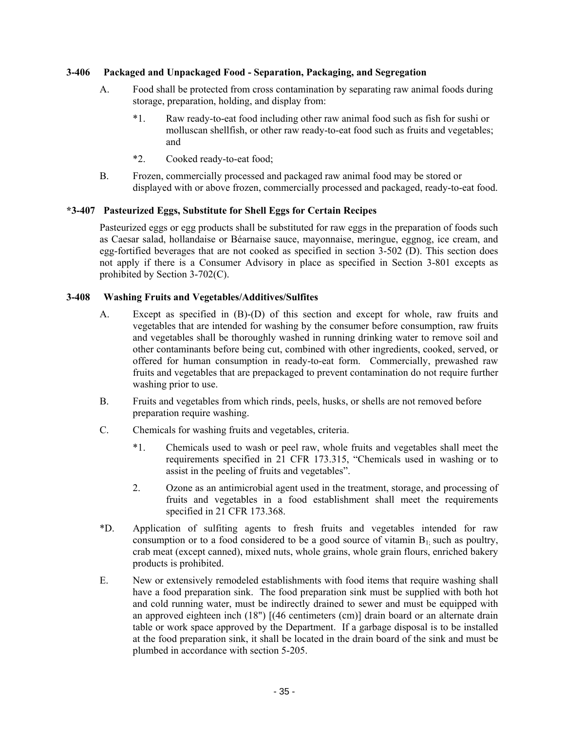### **3-406 Packaged and Unpackaged Food - Separation, Packaging, and Segregation**

- A. Food shall be protected from cross contamination by separating raw animal foods during storage, preparation, holding, and display from:
	- \*1. Raw ready-to-eat food including other raw animal food such as fish for sushi or molluscan shellfish, or other raw ready-to-eat food such as fruits and vegetables; and
	- \*2. Cooked ready-to-eat food;
- B. Frozen, commercially processed and packaged raw animal food may be stored or displayed with or above frozen, commercially processed and packaged, ready-to-eat food.

## **\*3-407 Pasteurized Eggs, Substitute for Shell Eggs for Certain Recipes**

Pasteurized eggs or egg products shall be substituted for raw eggs in the preparation of foods such as Caesar salad, hollandaise or Béarnaise sauce, mayonnaise, meringue, eggnog, ice cream, and egg-fortified beverages that are not cooked as specified in section 3-502 (D). This section does not apply if there is a Consumer Advisory in place as specified in Section 3-801 excepts as prohibited by Section 3-702(C).

## **3-408 Washing Fruits and Vegetables/Additives/Sulfites**

- A. Except as specified in (B)-(D) of this section and except for whole, raw fruits and vegetables that are intended for washing by the consumer before consumption, raw fruits and vegetables shall be thoroughly washed in running drinking water to remove soil and other contaminants before being cut, combined with other ingredients, cooked, served, or offered for human consumption in ready-to-eat form. Commercially, prewashed raw fruits and vegetables that are prepackaged to prevent contamination do not require further washing prior to use.
- B. Fruits and vegetables from which rinds, peels, husks, or shells are not removed before preparation require washing.
- C. Chemicals for washing fruits and vegetables, criteria.
	- \*1. Chemicals used to wash or peel raw, whole fruits and vegetables shall meet the requirements specified in 21 CFR 173.315, "Chemicals used in washing or to assist in the peeling of fruits and vegetables".
	- 2. Ozone as an antimicrobial agent used in the treatment, storage, and processing of fruits and vegetables in a food establishment shall meet the requirements specified in 21 CFR 173.368.
- \*D. Application of sulfiting agents to fresh fruits and vegetables intended for raw consumption or to a food considered to be a good source of vitamin  $B_1$  such as poultry, crab meat (except canned), mixed nuts, whole grains, whole grain flours, enriched bakery products is prohibited.
- E. New or extensively remodeled establishments with food items that require washing shall have a food preparation sink. The food preparation sink must be supplied with both hot and cold running water, must be indirectly drained to sewer and must be equipped with an approved eighteen inch (18") [(46 centimeters (cm)] drain board or an alternate drain table or work space approved by the Department. If a garbage disposal is to be installed at the food preparation sink, it shall be located in the drain board of the sink and must be plumbed in accordance with section 5-205.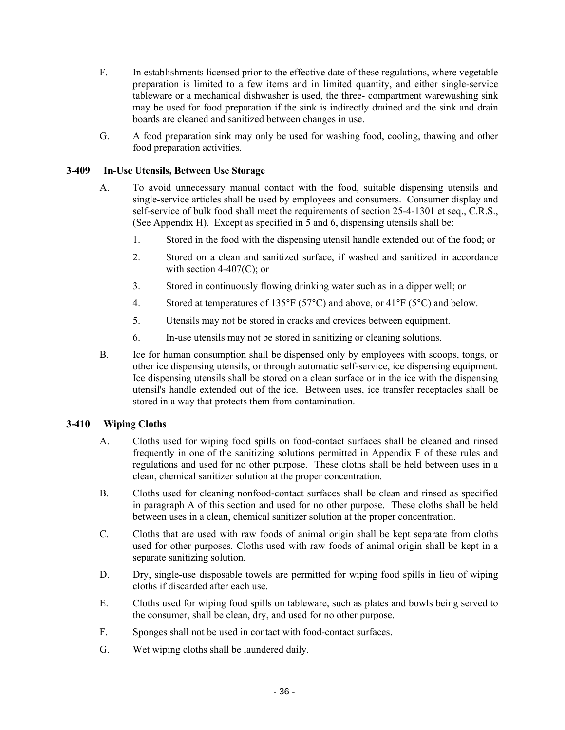- F. In establishments licensed prior to the effective date of these regulations, where vegetable preparation is limited to a few items and in limited quantity, and either single-service tableware or a mechanical dishwasher is used, the three- compartment warewashing sink may be used for food preparation if the sink is indirectly drained and the sink and drain boards are cleaned and sanitized between changes in use.
- G. A food preparation sink may only be used for washing food, cooling, thawing and other food preparation activities.

## **3-409 In-Use Utensils, Between Use Storage**

- A. To avoid unnecessary manual contact with the food, suitable dispensing utensils and single-service articles shall be used by employees and consumers. Consumer display and self-service of bulk food shall meet the requirements of section 25-4-1301 et seq., C.R.S., (See Appendix H). Except as specified in 5 and 6, dispensing utensils shall be:
	- 1. Stored in the food with the dispensing utensil handle extended out of the food; or
	- 2. Stored on a clean and sanitized surface, if washed and sanitized in accordance with section 4-407 $(C)$ ; or
	- 3. Stored in continuously flowing drinking water such as in a dipper well; or
	- 4. Stored at temperatures of 135°F (57°C) and above, or 41°F (5°C) and below.
	- 5. Utensils may not be stored in cracks and crevices between equipment.
	- 6. In-use utensils may not be stored in sanitizing or cleaning solutions.
- B. Ice for human consumption shall be dispensed only by employees with scoops, tongs, or other ice dispensing utensils, or through automatic self-service, ice dispensing equipment. Ice dispensing utensils shall be stored on a clean surface or in the ice with the dispensing utensil's handle extended out of the ice. Between uses, ice transfer receptacles shall be stored in a way that protects them from contamination.

#### **3-410 Wiping Cloths**

- A. Cloths used for wiping food spills on food-contact surfaces shall be cleaned and rinsed frequently in one of the sanitizing solutions permitted in Appendix F of these rules and regulations and used for no other purpose. These cloths shall be held between uses in a clean, chemical sanitizer solution at the proper concentration.
- B. Cloths used for cleaning nonfood-contact surfaces shall be clean and rinsed as specified in paragraph A of this section and used for no other purpose. These cloths shall be held between uses in a clean, chemical sanitizer solution at the proper concentration.
- C. Cloths that are used with raw foods of animal origin shall be kept separate from cloths used for other purposes. Cloths used with raw foods of animal origin shall be kept in a separate sanitizing solution.
- D. Dry, single-use disposable towels are permitted for wiping food spills in lieu of wiping cloths if discarded after each use.
- E. Cloths used for wiping food spills on tableware, such as plates and bowls being served to the consumer, shall be clean, dry, and used for no other purpose.
- F. Sponges shall not be used in contact with food-contact surfaces.
- G. Wet wiping cloths shall be laundered daily.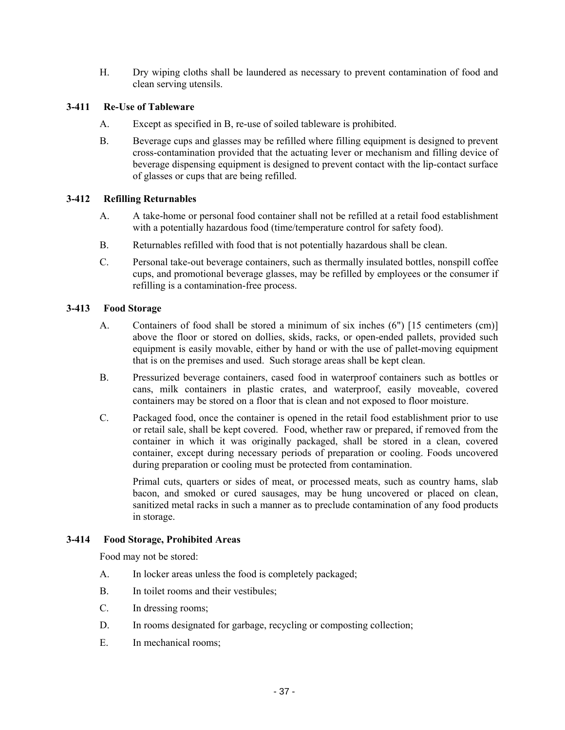H. Dry wiping cloths shall be laundered as necessary to prevent contamination of food and clean serving utensils.

### **3-411 Re-Use of Tableware**

- A. Except as specified in B, re-use of soiled tableware is prohibited.
- B. Beverage cups and glasses may be refilled where filling equipment is designed to prevent cross-contamination provided that the actuating lever or mechanism and filling device of beverage dispensing equipment is designed to prevent contact with the lip-contact surface of glasses or cups that are being refilled.

#### **3-412 Refilling Returnables**

- A. A take-home or personal food container shall not be refilled at a retail food establishment with a potentially hazardous food (time/temperature control for safety food).
- B. Returnables refilled with food that is not potentially hazardous shall be clean.
- C. Personal take-out beverage containers, such as thermally insulated bottles, nonspill coffee cups, and promotional beverage glasses, may be refilled by employees or the consumer if refilling is a contamination-free process.

#### **3-413 Food Storage**

- A. Containers of food shall be stored a minimum of six inches (6") [15 centimeters (cm)] above the floor or stored on dollies, skids, racks, or open-ended pallets, provided such equipment is easily movable, either by hand or with the use of pallet-moving equipment that is on the premises and used. Such storage areas shall be kept clean.
- B. Pressurized beverage containers, cased food in waterproof containers such as bottles or cans, milk containers in plastic crates, and waterproof, easily moveable, covered containers may be stored on a floor that is clean and not exposed to floor moisture.
- C. Packaged food, once the container is opened in the retail food establishment prior to use or retail sale, shall be kept covered. Food, whether raw or prepared, if removed from the container in which it was originally packaged, shall be stored in a clean, covered container, except during necessary periods of preparation or cooling. Foods uncovered during preparation or cooling must be protected from contamination.

Primal cuts, quarters or sides of meat, or processed meats, such as country hams, slab bacon, and smoked or cured sausages, may be hung uncovered or placed on clean, sanitized metal racks in such a manner as to preclude contamination of any food products in storage.

#### **3-414 Food Storage, Prohibited Areas**

Food may not be stored:

- A. In locker areas unless the food is completely packaged;
- B. In toilet rooms and their vestibules;
- C. In dressing rooms;
- D. In rooms designated for garbage, recycling or composting collection;
- E. In mechanical rooms;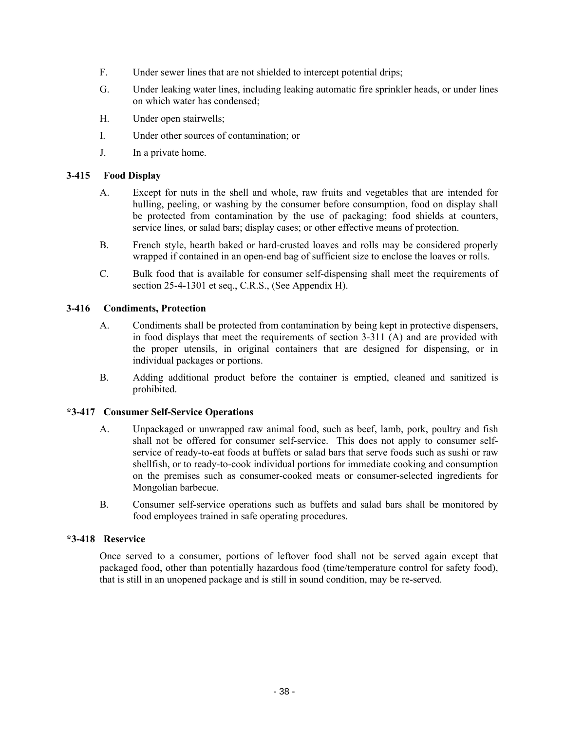- F. Under sewer lines that are not shielded to intercept potential drips;
- G. Under leaking water lines, including leaking automatic fire sprinkler heads, or under lines on which water has condensed;
- H. Under open stairwells;
- I. Under other sources of contamination; or
- J. In a private home.

### **3-415 Food Display**

- A. Except for nuts in the shell and whole, raw fruits and vegetables that are intended for hulling, peeling, or washing by the consumer before consumption, food on display shall be protected from contamination by the use of packaging; food shields at counters, service lines, or salad bars; display cases; or other effective means of protection.
- B. French style, hearth baked or hard-crusted loaves and rolls may be considered properly wrapped if contained in an open-end bag of sufficient size to enclose the loaves or rolls.
- C. Bulk food that is available for consumer self-dispensing shall meet the requirements of section 25-4-1301 et seq., C.R.S., (See Appendix H).

#### **3-416 Condiments, Protection**

- A. Condiments shall be protected from contamination by being kept in protective dispensers, in food displays that meet the requirements of section 3-311 (A) and are provided with the proper utensils, in original containers that are designed for dispensing, or in individual packages or portions.
- B. Adding additional product before the container is emptied, cleaned and sanitized is prohibited.

#### **\*3-417 Consumer Self-Service Operations**

- A. Unpackaged or unwrapped raw animal food, such as beef, lamb, pork, poultry and fish shall not be offered for consumer self-service. This does not apply to consumer selfservice of ready-to-eat foods at buffets or salad bars that serve foods such as sushi or raw shellfish, or to ready-to-cook individual portions for immediate cooking and consumption on the premises such as consumer-cooked meats or consumer-selected ingredients for Mongolian barbecue.
- B. Consumer self-service operations such as buffets and salad bars shall be monitored by food employees trained in safe operating procedures.

# **\*3-418 Reservice**

Once served to a consumer, portions of leftover food shall not be served again except that packaged food, other than potentially hazardous food (time/temperature control for safety food), that is still in an unopened package and is still in sound condition, may be re-served.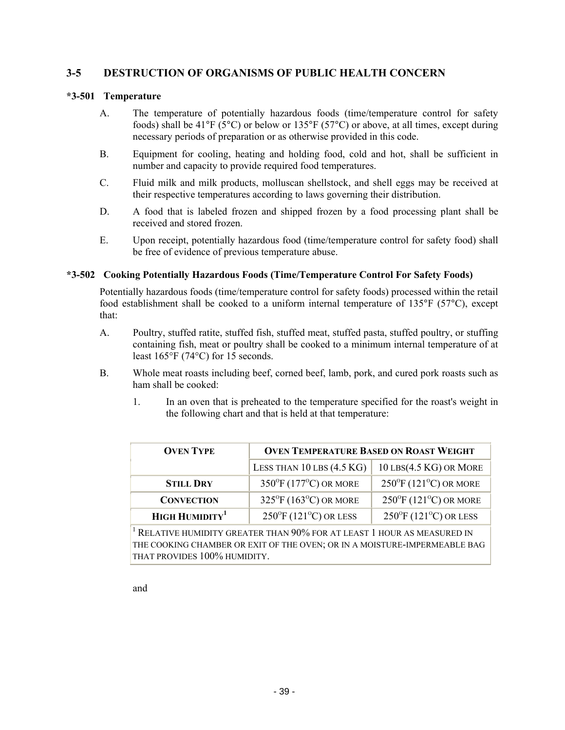# **3-5 DESTRUCTION OF ORGANISMS OF PUBLIC HEALTH CONCERN**

## **\*3-501 Temperature**

- A. The temperature of potentially hazardous foods (time/temperature control for safety foods) shall be  $41^{\circ}F$  (5<sup>o</sup>C) or below or 135<sup>o</sup>F (57<sup>o</sup>C) or above, at all times, except during necessary periods of preparation or as otherwise provided in this code.
- B. Equipment for cooling, heating and holding food, cold and hot, shall be sufficient in number and capacity to provide required food temperatures.
- C. Fluid milk and milk products, molluscan shellstock, and shell eggs may be received at their respective temperatures according to laws governing their distribution.
- D. A food that is labeled frozen and shipped frozen by a food processing plant shall be received and stored frozen.
- E. Upon receipt, potentially hazardous food (time/temperature control for safety food) shall be free of evidence of previous temperature abuse.

#### **\*3-502 Cooking Potentially Hazardous Foods (Time/Temperature Control For Safety Foods)**

Potentially hazardous foods (time/temperature control for safety foods) processed within the retail food establishment shall be cooked to a uniform internal temperature of 135°F (57°C), except that:

- A. Poultry, stuffed ratite, stuffed fish, stuffed meat, stuffed pasta, stuffed poultry, or stuffing containing fish, meat or poultry shall be cooked to a minimum internal temperature of at least 165°F (74°C) for 15 seconds.
- B. Whole meat roasts including beef, corned beef, lamb, pork, and cured pork roasts such as ham shall be cooked:
	- 1. In an oven that is preheated to the temperature specified for the roast's weight in the following chart and that is held at that temperature:

| <b>OVEN TYPE</b>           | <b>OVEN TEMPERATURE BASED ON ROAST WEIGHT</b> |                                              |  |
|----------------------------|-----------------------------------------------|----------------------------------------------|--|
|                            | LESS THAN $10$ LBS $(4.5$ KG)                 | 10 LBS(4.5 KG) OR MORE                       |  |
| <b>STILL DRY</b>           | $350^{\circ}F(177^{\circ}C)$ OR MORE          | $250^{\circ}$ F (121 <sup>°</sup> C) OR MORE |  |
| <b>CONVECTION</b>          | $325^{\circ}F(163^{\circ}C)$ OR MORE          | $250^{\circ}$ F (121 <sup>°</sup> C) OR MORE |  |
| HIGH HUMIDITY <sup>1</sup> | $250^{\circ}$ F (121 <sup>°</sup> C) OR LESS  | $250^{\circ}$ F (121 <sup>°</sup> C) OR LESS |  |

<sup>1</sup> RELATIVE HUMIDITY GREATER THAN 90% FOR AT LEAST 1 HOUR AS MEASURED IN THE COOKING CHAMBER OR EXIT OF THE OVEN; OR IN A MOISTURE-IMPERMEABLE BAG THAT PROVIDES 100% HUMIDITY.

and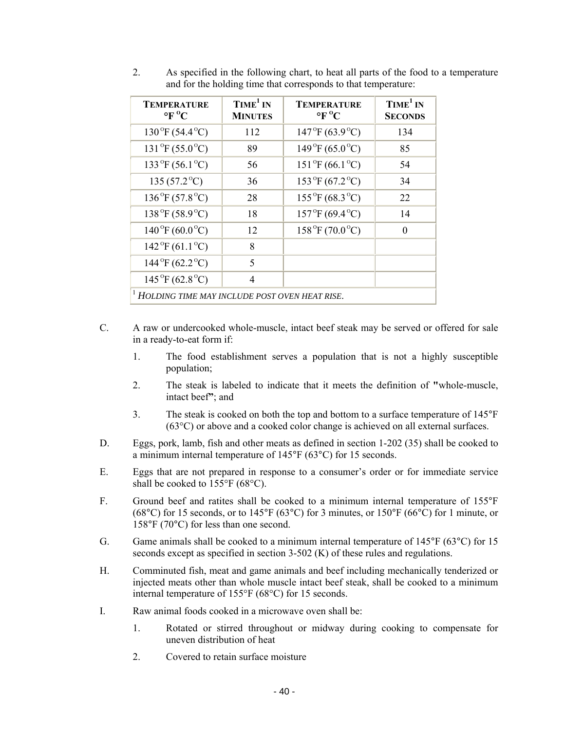| <b>TEMPERATURE</b><br>$\rm ^oF$ <sup>o</sup> C | $\text{TIME}^1$ IN<br><b>MINUTES</b> | <b>TEMPERATURE</b><br>$\rm ^oF$ <sup>o</sup> C | $\text{TIME}^1$ IN<br><b>SECONDS</b> |  |
|------------------------------------------------|--------------------------------------|------------------------------------------------|--------------------------------------|--|
| $130^{\circ}F(54.4^{\circ}C)$                  | 112                                  | $147^{\circ}F(63.9^{\circ}C)$                  | 134                                  |  |
| $131^{\circ}F(55.0^{\circ}C)$                  | 89                                   | $149^{\circ}F(65.0^{\circ}C)$                  | 85                                   |  |
| $133^{\circ}F(56.1^{\circ}C)$                  | 56                                   | $151^{\circ}F(66.1^{\circ}C)$                  | 54                                   |  |
| 135 $(57.2^{\circ}C)$                          | 36                                   | $153^{\circ}F(67.2^{\circ}C)$                  | 34                                   |  |
| $136^{\circ}F(57.8^{\circ}C)$                  | 28                                   | $155^{\circ}F(68.3^{\circ}C)$                  | 22                                   |  |
| $138^{\circ}F(58.9^{\circ}C)$                  | 18                                   | $157^{\circ}F(69.4^{\circ}C)$                  | 14                                   |  |
| $140^{\circ}F(60.0^{\circ}C)$                  | 12                                   | $158^{\circ}F(70.0^{\circ}C)$                  | $\Omega$                             |  |
| $142^{\circ}F(61.1^{\circ}C)$                  | 8                                    |                                                |                                      |  |
| $144^{\circ}F(62.2^{\circ}C)$                  | 5                                    |                                                |                                      |  |
| $145^{\circ}F(62.8^{\circ}C)$                  | 4                                    |                                                |                                      |  |
| HOLDING TIME MAY INCLUDE POST OVEN HEAT RISE.  |                                      |                                                |                                      |  |

2. As specified in the following chart, to heat all parts of the food to a temperature and for the holding time that corresponds to that temperature:

- C. A raw or undercooked whole-muscle, intact beef steak may be served or offered for sale in a ready-to-eat form if:
	- 1. The food establishment serves a population that is not a highly susceptible population;
	- 2. The steak is labeled to indicate that it meets the definition of **"**whole-muscle, intact beef**"**; and
	- 3. The steak is cooked on both the top and bottom to a surface temperature of 145°F (63°C) or above and a cooked color change is achieved on all external surfaces.
- D. Eggs, pork, lamb, fish and other meats as defined in section 1-202 (35) shall be cooked to a minimum internal temperature of 145°F (63°C) for 15 seconds.
- E. Eggs that are not prepared in response to a consumer's order or for immediate service shall be cooked to 155°F (68°C).
- F. Ground beef and ratites shall be cooked to a minimum internal temperature of 155°F (68°C) for 15 seconds, or to 145°F (63°C) for 3 minutes, or 150°F (66°C) for 1 minute, or 158°F (70°C) for less than one second.
- G. Game animals shall be cooked to a minimum internal temperature of 145°F (63°C) for 15 seconds except as specified in section 3-502 (K) of these rules and regulations.
- H. Comminuted fish, meat and game animals and beef including mechanically tenderized or injected meats other than whole muscle intact beef steak, shall be cooked to a minimum internal temperature of 155°F (68°C) for 15 seconds.
- I. Raw animal foods cooked in a microwave oven shall be:
	- 1. Rotated or stirred throughout or midway during cooking to compensate for uneven distribution of heat
	- 2. Covered to retain surface moisture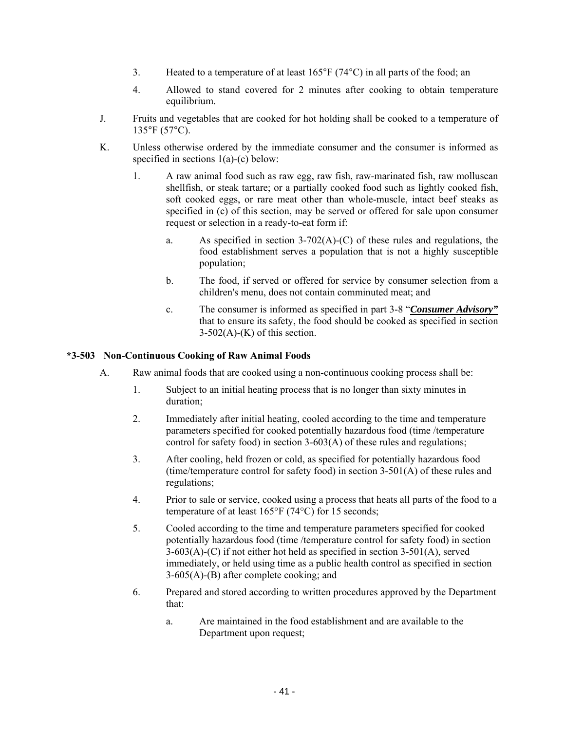- 3. Heated to a temperature of at least 165°F (74°C) in all parts of the food; an
- 4. Allowed to stand covered for 2 minutes after cooking to obtain temperature equilibrium.
- J. Fruits and vegetables that are cooked for hot holding shall be cooked to a temperature of 135°F (57°C).
- K. Unless otherwise ordered by the immediate consumer and the consumer is informed as specified in sections  $1(a)-(c)$  below:
	- 1. A raw animal food such as raw egg, raw fish, raw-marinated fish, raw molluscan shellfish, or steak tartare; or a partially cooked food such as lightly cooked fish, soft cooked eggs, or rare meat other than whole-muscle, intact beef steaks as specified in (c) of this section, may be served or offered for sale upon consumer request or selection in a ready-to-eat form if:
		- a. As specified in section 3-702(A)-(C) of these rules and regulations, the food establishment serves a population that is not a highly susceptible population;
		- b. The food, if served or offered for service by consumer selection from a children's menu, does not contain comminuted meat; and
		- c. The consumer is informed as specified in part 3-8 "*Consumer Advisory"* that to ensure its safety, the food should be cooked as specified in section  $3-502(A)-(K)$  of this section.

## **\*3-503 Non-Continuous Cooking of Raw Animal Foods**

- A. Raw animal foods that are cooked using a non-continuous cooking process shall be:
	- 1. Subject to an initial heating process that is no longer than sixty minutes in duration;
	- 2. Immediately after initial heating, cooled according to the time and temperature parameters specified for cooked potentially hazardous food (time /temperature control for safety food) in section 3-603(A) of these rules and regulations;
	- 3. After cooling, held frozen or cold, as specified for potentially hazardous food (time/temperature control for safety food) in section 3-501(A) of these rules and regulations;
	- 4. Prior to sale or service, cooked using a process that heats all parts of the food to a temperature of at least 165°F (74°C) for 15 seconds;
	- 5. Cooled according to the time and temperature parameters specified for cooked potentially hazardous food (time /temperature control for safety food) in section 3-603(A)-(C) if not either hot held as specified in section 3-501(A), served immediately, or held using time as a public health control as specified in section 3-605(A)-(B) after complete cooking; and
	- 6. Prepared and stored according to written procedures approved by the Department that:
		- a. Are maintained in the food establishment and are available to the Department upon request;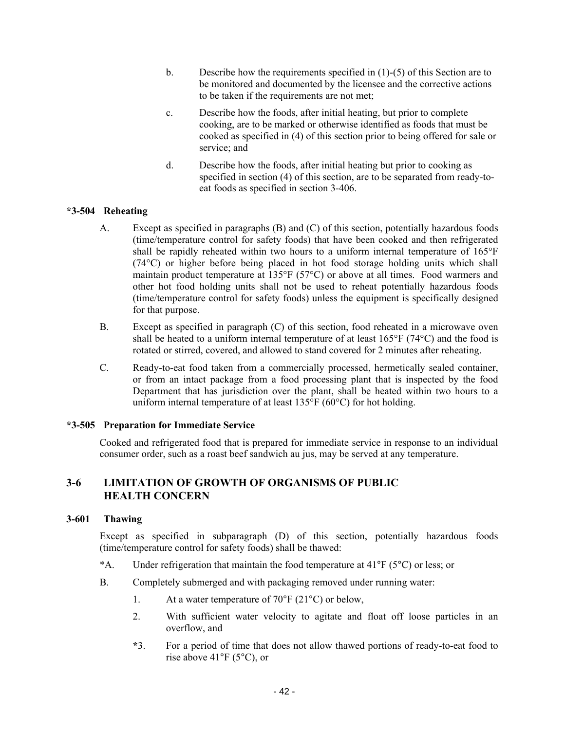- b. Describe how the requirements specified in  $(1)-(5)$  of this Section are to be monitored and documented by the licensee and the corrective actions to be taken if the requirements are not met;
- c. Describe how the foods, after initial heating, but prior to complete cooking, are to be marked or otherwise identified as foods that must be cooked as specified in (4) of this section prior to being offered for sale or service; and
- d. Describe how the foods, after initial heating but prior to cooking as specified in section (4) of this section, are to be separated from ready-toeat foods as specified in section 3-406.

## **\*3-504 Reheating**

- A. Except as specified in paragraphs (B) and (C) of this section, potentially hazardous foods (time/temperature control for safety foods) that have been cooked and then refrigerated shall be rapidly reheated within two hours to a uniform internal temperature of 165°F (74°C) or higher before being placed in hot food storage holding units which shall maintain product temperature at 135°F (57°C) or above at all times. Food warmers and other hot food holding units shall not be used to reheat potentially hazardous foods (time/temperature control for safety foods) unless the equipment is specifically designed for that purpose.
- B. Except as specified in paragraph (C) of this section, food reheated in a microwave oven shall be heated to a uniform internal temperature of at least  $165^{\circ}F (74^{\circ}C)$  and the food is rotated or stirred, covered, and allowed to stand covered for 2 minutes after reheating.
- C. Ready-to-eat food taken from a commercially processed, hermetically sealed container, or from an intact package from a food processing plant that is inspected by the food Department that has jurisdiction over the plant, shall be heated within two hours to a uniform internal temperature of at least 135°F (60°C) for hot holding.

#### **\*3-505 Preparation for Immediate Service**

Cooked and refrigerated food that is prepared for immediate service in response to an individual consumer order, such as a roast beef sandwich au jus, may be served at any temperature.

# **3-6 LIMITATION OF GROWTH OF ORGANISMS OF PUBLIC HEALTH CONCERN**

#### **3-601 Thawing**

Except as specified in subparagraph (D) of this section, potentially hazardous foods (time/temperature control for safety foods) shall be thawed:

- \*A. Under refrigeration that maintain the food temperature at  $41^{\circ}F(5^{\circ}C)$  or less; or
- B. Completely submerged and with packaging removed under running water:
	- 1. At a water temperature of 70°F (21°C) or below,
	- 2. With sufficient water velocity to agitate and float off loose particles in an overflow, and
	- **\***3. For a period of time that does not allow thawed portions of ready-to-eat food to rise above 41°F (5°C), or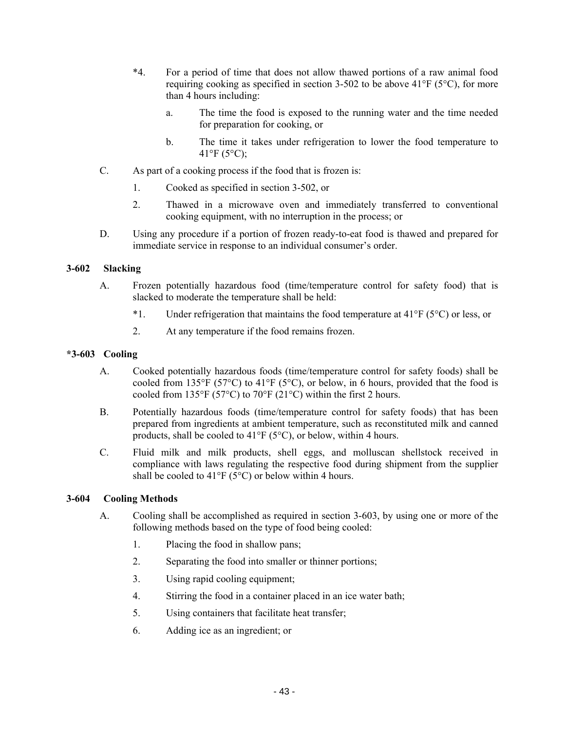- \*4. For a period of time that does not allow thawed portions of a raw animal food requiring cooking as specified in section 3-502 to be above 41°F (5°C), for more than 4 hours including:
	- a. The time the food is exposed to the running water and the time needed for preparation for cooking, or
	- b. The time it takes under refrigeration to lower the food temperature to 41°F (5°C);
- C. As part of a cooking process if the food that is frozen is:
	- 1. Cooked as specified in section 3-502, or
	- 2. Thawed in a microwave oven and immediately transferred to conventional cooking equipment, with no interruption in the process; or
- D. Using any procedure if a portion of frozen ready-to-eat food is thawed and prepared for immediate service in response to an individual consumer's order.

#### **3-602 Slacking**

- A. Frozen potentially hazardous food (time/temperature control for safety food) that is slacked to moderate the temperature shall be held:
	- \*1. Under refrigeration that maintains the food temperature at  $41^{\circ}F(5^{\circ}C)$  or less, or
	- 2. At any temperature if the food remains frozen.

#### **\*3-603 Cooling**

- A. Cooked potentially hazardous foods (time/temperature control for safety foods) shall be cooled from 135°F (57°C) to 41°F (5°C), or below, in 6 hours, provided that the food is cooled from 135°F (57°C) to 70°F (21°C) within the first 2 hours.
- B. Potentially hazardous foods (time/temperature control for safety foods) that has been prepared from ingredients at ambient temperature, such as reconstituted milk and canned products, shall be cooled to 41°F (5°C), or below, within 4 hours.
- C. Fluid milk and milk products, shell eggs, and molluscan shellstock received in compliance with laws regulating the respective food during shipment from the supplier shall be cooled to 41 $\mathrm{P}F$  (5 $\mathrm{C}$ ) or below within 4 hours.

#### **3-604 Cooling Methods**

- A. Cooling shall be accomplished as required in section 3-603, by using one or more of the following methods based on the type of food being cooled:
	- 1. Placing the food in shallow pans;
	- 2. Separating the food into smaller or thinner portions;
	- 3. Using rapid cooling equipment;
	- 4. Stirring the food in a container placed in an ice water bath;
	- 5. Using containers that facilitate heat transfer;
	- 6. Adding ice as an ingredient; or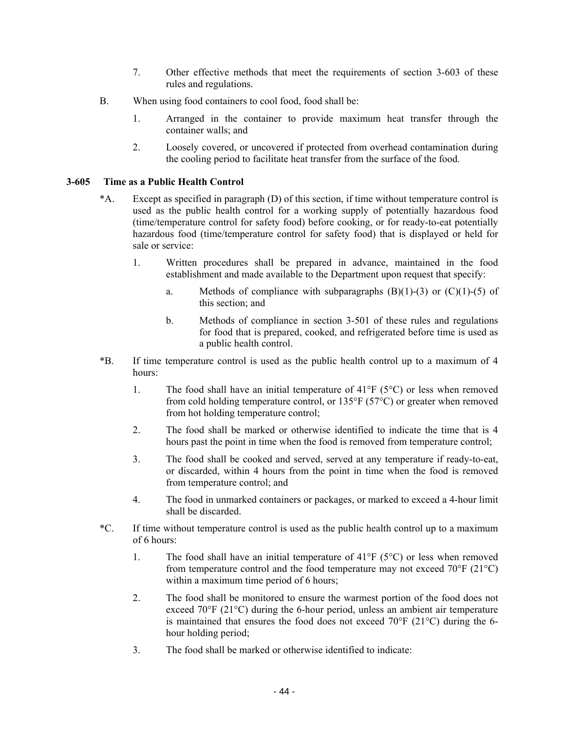- 7. Other effective methods that meet the requirements of section 3-603 of these rules and regulations.
- B. When using food containers to cool food, food shall be:
	- 1. Arranged in the container to provide maximum heat transfer through the container walls; and
	- 2. Loosely covered, or uncovered if protected from overhead contamination during the cooling period to facilitate heat transfer from the surface of the food.

#### **3-605 Time as a Public Health Control**

- \*A. Except as specified in paragraph (D) of this section, if time without temperature control is used as the public health control for a working supply of potentially hazardous food (time/temperature control for safety food) before cooking, or for ready-to-eat potentially hazardous food (time/temperature control for safety food) that is displayed or held for sale or service:
	- 1. Written procedures shall be prepared in advance, maintained in the food establishment and made available to the Department upon request that specify:
		- a. Methods of compliance with subparagraphs  $(B)(1)$ -(3) or  $(C)(1)$ -(5) of this section; and
		- b. Methods of compliance in section 3-501 of these rules and regulations for food that is prepared, cooked, and refrigerated before time is used as a public health control.
- \*B. If time temperature control is used as the public health control up to a maximum of 4 hours:
	- 1. The food shall have an initial temperature of  $41^{\circ}F$  (5 $^{\circ}C$ ) or less when removed from cold holding temperature control, or 135°F (57°C) or greater when removed from hot holding temperature control;
	- 2. The food shall be marked or otherwise identified to indicate the time that is 4 hours past the point in time when the food is removed from temperature control;
	- 3. The food shall be cooked and served, served at any temperature if ready-to-eat, or discarded, within 4 hours from the point in time when the food is removed from temperature control; and
	- 4. The food in unmarked containers or packages, or marked to exceed a 4-hour limit shall be discarded.
- \*C. If time without temperature control is used as the public health control up to a maximum of 6 hours:
	- 1. The food shall have an initial temperature of 41°F (5°C) or less when removed from temperature control and the food temperature may not exceed 70°F (21°C) within a maximum time period of 6 hours;
	- 2. The food shall be monitored to ensure the warmest portion of the food does not exceed 70°F (21°C) during the 6-hour period, unless an ambient air temperature is maintained that ensures the food does not exceed 70°F (21°C) during the 6 hour holding period;
	- 3. The food shall be marked or otherwise identified to indicate: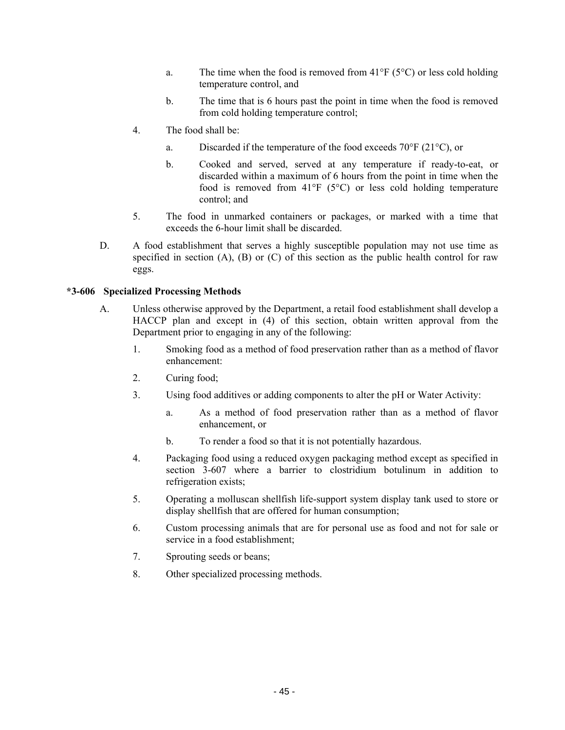- a. The time when the food is removed from  $41^{\circ}F(5^{\circ}C)$  or less cold holding temperature control, and
- b. The time that is 6 hours past the point in time when the food is removed from cold holding temperature control;
- 4. The food shall be:
	- a. Discarded if the temperature of the food exceeds 70°F (21°C), or
	- b. Cooked and served, served at any temperature if ready-to-eat, or discarded within a maximum of 6 hours from the point in time when the food is removed from 41°F (5°C) or less cold holding temperature control; and
- 5. The food in unmarked containers or packages, or marked with a time that exceeds the 6-hour limit shall be discarded.
- D. A food establishment that serves a highly susceptible population may not use time as specified in section  $(A)$ ,  $(B)$  or  $(C)$  of this section as the public health control for raw eggs.

## **\*3-606 Specialized Processing Methods**

- A. Unless otherwise approved by the Department, a retail food establishment shall develop a HACCP plan and except in (4) of this section, obtain written approval from the Department prior to engaging in any of the following:
	- 1. Smoking food as a method of food preservation rather than as a method of flavor enhancement:
	- 2. Curing food;
	- 3. Using food additives or adding components to alter the pH or Water Activity:
		- a. As a method of food preservation rather than as a method of flavor enhancement, or
		- b. To render a food so that it is not potentially hazardous.
	- 4. Packaging food using a reduced oxygen packaging method except as specified in section 3-607 where a barrier to clostridium botulinum in addition to refrigeration exists;
	- 5. Operating a molluscan shellfish life-support system display tank used to store or display shellfish that are offered for human consumption;
	- 6. Custom processing animals that are for personal use as food and not for sale or service in a food establishment;
	- 7. Sprouting seeds or beans;
	- 8. Other specialized processing methods.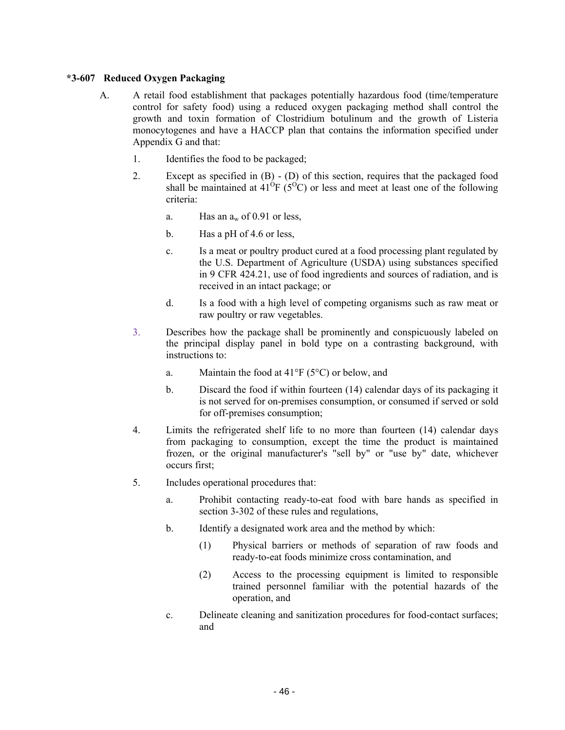## **\*3-607 Reduced Oxygen Packaging**

- A. A retail food establishment that packages potentially hazardous food (time/temperature control for safety food) using a reduced oxygen packaging method shall control the growth and toxin formation of Clostridium botulinum and the growth of Listeria monocytogenes and have a HACCP plan that contains the information specified under Appendix G and that:
	- 1. Identifies the food to be packaged;
	- 2. Except as specified in (B) (D) of this section, requires that the packaged food shall be maintained at  $41^{\circ}F(5^{\circ}C)$  or less and meet at least one of the following criteria:
		- a. Has an  $a_w$  of 0.91 or less,
		- b. Has a pH of 4.6 or less,
		- c. Is a meat or poultry product cured at a food processing plant regulated by the U.S. Department of Agriculture (USDA) using substances specified in 9 CFR 424.21, use of food ingredients and sources of radiation, and is received in an intact package; or
		- d. Is a food with a high level of competing organisms such as raw meat or raw poultry or raw vegetables.
	- 3. Describes how the package shall be prominently and conspicuously labeled on the principal display panel in bold type on a contrasting background, with instructions to:
		- a. Maintain the food at  $41^{\circ}F(5^{\circ}C)$  or below, and
		- b. Discard the food if within fourteen (14) calendar days of its packaging it is not served for on-premises consumption, or consumed if served or sold for off-premises consumption;
	- 4. Limits the refrigerated shelf life to no more than fourteen (14) calendar days from packaging to consumption, except the time the product is maintained frozen, or the original manufacturer's "sell by" or "use by" date, whichever occurs first;
	- 5. Includes operational procedures that:
		- a. Prohibit contacting ready-to-eat food with bare hands as specified in section 3-302 of these rules and regulations,
		- b. Identify a designated work area and the method by which:
			- (1) Physical barriers or methods of separation of raw foods and ready-to-eat foods minimize cross contamination, and
			- (2) Access to the processing equipment is limited to responsible trained personnel familiar with the potential hazards of the operation, and
		- c. Delineate cleaning and sanitization procedures for food-contact surfaces; and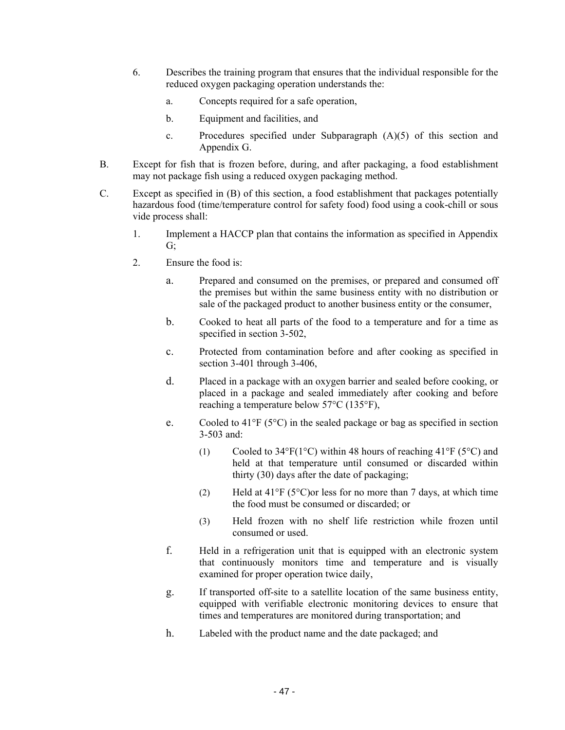- 6. Describes the training program that ensures that the individual responsible for the reduced oxygen packaging operation understands the:
	- a. Concepts required for a safe operation,
	- b. Equipment and facilities, and
	- c. Procedures specified under Subparagraph (A)(5) of this section and Appendix G.
- B. Except for fish that is frozen before, during, and after packaging, a food establishment may not package fish using a reduced oxygen packaging method.
- C. Except as specified in (B) of this section, a food establishment that packages potentially hazardous food (time/temperature control for safety food) food using a cook-chill or sous vide process shall:
	- 1. Implement a HACCP plan that contains the information as specified in Appendix G;
	- 2. Ensure the food is:
		- a. Prepared and consumed on the premises, or prepared and consumed off the premises but within the same business entity with no distribution or sale of the packaged product to another business entity or the consumer,
		- b. Cooked to heat all parts of the food to a temperature and for a time as specified in section 3-502,
		- c. Protected from contamination before and after cooking as specified in section 3-401 through 3-406,
		- d. Placed in a package with an oxygen barrier and sealed before cooking, or placed in a package and sealed immediately after cooking and before reaching a temperature below 57°C (135°F),
		- e. Cooled to 41 $\degree$ F (5 $\degree$ C) in the sealed package or bag as specified in section 3-503 and:
			- (1) Cooled to  $34^{\circ}F(1^{\circ}C)$  within 48 hours of reaching  $41^{\circ}F(5^{\circ}C)$  and held at that temperature until consumed or discarded within thirty (30) days after the date of packaging;
			- (2) Held at  $41^{\circ}F$  (5<sup>o</sup>C) or less for no more than 7 days, at which time the food must be consumed or discarded; or
			- (3) Held frozen with no shelf life restriction while frozen until consumed or used.
		- f. Held in a refrigeration unit that is equipped with an electronic system that continuously monitors time and temperature and is visually examined for proper operation twice daily,
		- g. If transported off-site to a satellite location of the same business entity, equipped with verifiable electronic monitoring devices to ensure that times and temperatures are monitored during transportation; and
		- h. Labeled with the product name and the date packaged; and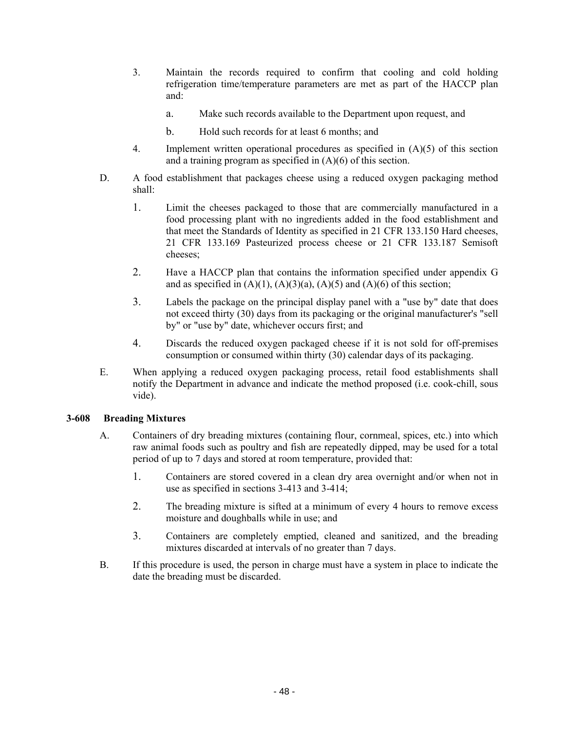- 3. Maintain the records required to confirm that cooling and cold holding refrigeration time/temperature parameters are met as part of the HACCP plan and:
	- a. Make such records available to the Department upon request, and
	- b. Hold such records for at least 6 months; and
- 4. Implement written operational procedures as specified in  $(A)(5)$  of this section and a training program as specified in (A)(6) of this section.
- D. A food establishment that packages cheese using a reduced oxygen packaging method shall:
	- 1. Limit the cheeses packaged to those that are commercially manufactured in a food processing plant with no ingredients added in the food establishment and that meet the Standards of Identity as specified in 21 CFR 133.150 Hard cheeses, 21 CFR 133.169 Pasteurized process cheese or 21 CFR 133.187 Semisoft cheeses;
	- 2. Have a HACCP plan that contains the information specified under appendix G and as specified in  $(A)(1)$ ,  $(A)(3)(a)$ ,  $(A)(5)$  and  $(A)(6)$  of this section;
	- 3. Labels the package on the principal display panel with a "use by" date that does not exceed thirty (30) days from its packaging or the original manufacturer's "sell by" or "use by" date, whichever occurs first; and
	- 4. Discards the reduced oxygen packaged cheese if it is not sold for off-premises consumption or consumed within thirty (30) calendar days of its packaging.
- E. When applying a reduced oxygen packaging process, retail food establishments shall notify the Department in advance and indicate the method proposed (i.e. cook-chill, sous vide).

#### **3-608 Breading Mixtures**

- A. Containers of dry breading mixtures (containing flour, cornmeal, spices, etc.) into which raw animal foods such as poultry and fish are repeatedly dipped, may be used for a total period of up to 7 days and stored at room temperature, provided that:
	- 1. Containers are stored covered in a clean dry area overnight and/or when not in use as specified in sections 3-413 and 3-414;
	- 2. The breading mixture is sifted at a minimum of every 4 hours to remove excess moisture and doughballs while in use; and
	- 3. Containers are completely emptied, cleaned and sanitized, and the breading mixtures discarded at intervals of no greater than 7 days.
- B. If this procedure is used, the person in charge must have a system in place to indicate the date the breading must be discarded.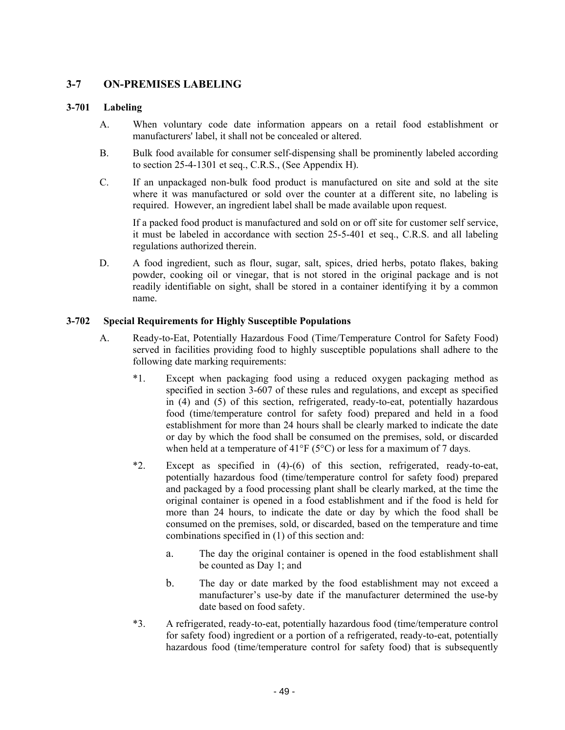# **3-7 ON-PREMISES LABELING**

### **3-701 Labeling**

- A. When voluntary code date information appears on a retail food establishment or manufacturers' label, it shall not be concealed or altered.
- B. Bulk food available for consumer self-dispensing shall be prominently labeled according to section 25-4-1301 et seq., C.R.S., (See Appendix H).
- C. If an unpackaged non-bulk food product is manufactured on site and sold at the site where it was manufactured or sold over the counter at a different site, no labeling is required. However, an ingredient label shall be made available upon request.

 If a packed food product is manufactured and sold on or off site for customer self service, it must be labeled in accordance with section 25-5-401 et seq., C.R.S. and all labeling regulations authorized therein.

D. A food ingredient, such as flour, sugar, salt, spices, dried herbs, potato flakes, baking powder, cooking oil or vinegar, that is not stored in the original package and is not readily identifiable on sight, shall be stored in a container identifying it by a common name.

## **3-702 Special Requirements for Highly Susceptible Populations**

- A. Ready-to-Eat, Potentially Hazardous Food (Time/Temperature Control for Safety Food) served in facilities providing food to highly susceptible populations shall adhere to the following date marking requirements:
	- \*1. Except when packaging food using a reduced oxygen packaging method as specified in section 3-607 of these rules and regulations, and except as specified in (4) and (5) of this section, refrigerated, ready-to-eat, potentially hazardous food (time/temperature control for safety food) prepared and held in a food establishment for more than 24 hours shall be clearly marked to indicate the date or day by which the food shall be consumed on the premises, sold, or discarded when held at a temperature of  $41^{\circ}F$  (5°C) or less for a maximum of 7 days.
	- \*2. Except as specified in (4)-(6) of this section, refrigerated, ready-to-eat, potentially hazardous food (time/temperature control for safety food) prepared and packaged by a food processing plant shall be clearly marked, at the time the original container is opened in a food establishment and if the food is held for more than 24 hours, to indicate the date or day by which the food shall be consumed on the premises, sold, or discarded, based on the temperature and time combinations specified in (1) of this section and:
		- a. The day the original container is opened in the food establishment shall be counted as Day 1; and
		- b. The day or date marked by the food establishment may not exceed a manufacturer's use-by date if the manufacturer determined the use-by date based on food safety.
	- \*3. A refrigerated, ready-to-eat, potentially hazardous food (time/temperature control for safety food) ingredient or a portion of a refrigerated, ready-to-eat, potentially hazardous food (time/temperature control for safety food) that is subsequently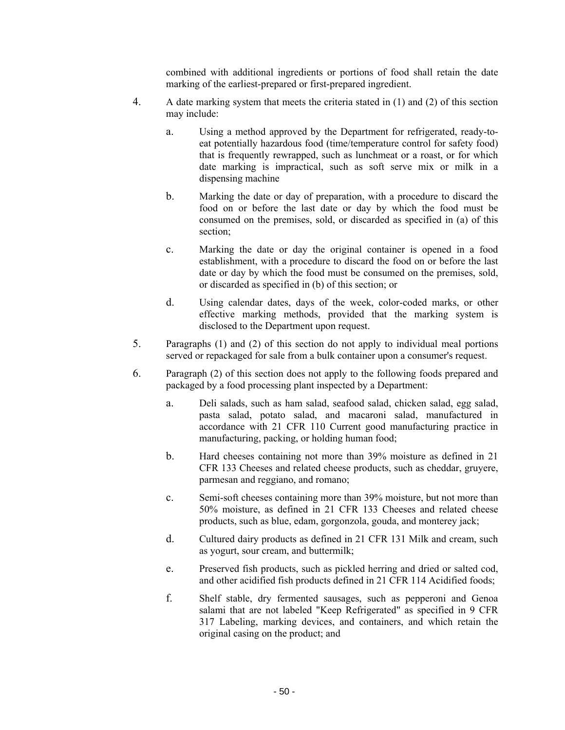combined with additional ingredients or portions of food shall retain the date marking of the earliest-prepared or first-prepared ingredient.

- 4. A date marking system that meets the criteria stated in (1) and (2) of this section may include:
	- a. Using a method approved by the Department for refrigerated, ready-toeat potentially hazardous food (time/temperature control for safety food) that is frequently rewrapped, such as lunchmeat or a roast, or for which date marking is impractical, such as soft serve mix or milk in a dispensing machine
	- b. Marking the date or day of preparation, with a procedure to discard the food on or before the last date or day by which the food must be consumed on the premises, sold, or discarded as specified in (a) of this section;
	- c. Marking the date or day the original container is opened in a food establishment, with a procedure to discard the food on or before the last date or day by which the food must be consumed on the premises, sold, or discarded as specified in (b) of this section; or
	- d. Using calendar dates, days of the week, color-coded marks, or other effective marking methods, provided that the marking system is disclosed to the Department upon request.
- 5. Paragraphs (1) and (2) of this section do not apply to individual meal portions served or repackaged for sale from a bulk container upon a consumer's request.
- 6. Paragraph (2) of this section does not apply to the following foods prepared and packaged by a food processing plant inspected by a Department:
	- a. Deli salads, such as ham salad, seafood salad, chicken salad, egg salad, pasta salad, potato salad, and macaroni salad, manufactured in accordance with 21 CFR 110 Current good manufacturing practice in manufacturing, packing, or holding human food;
	- b. Hard cheeses containing not more than 39% moisture as defined in 21 CFR 133 Cheeses and related cheese products, such as cheddar, gruyere, parmesan and reggiano, and romano;
	- c. Semi-soft cheeses containing more than 39% moisture, but not more than 50% moisture, as defined in 21 CFR 133 Cheeses and related cheese products, such as blue, edam, gorgonzola, gouda, and monterey jack;
	- d. Cultured dairy products as defined in 21 CFR 131 Milk and cream, such as yogurt, sour cream, and buttermilk;
	- e. Preserved fish products, such as pickled herring and dried or salted cod, and other acidified fish products defined in 21 CFR 114 Acidified foods;
	- f. Shelf stable, dry fermented sausages, such as pepperoni and Genoa salami that are not labeled "Keep Refrigerated" as specified in 9 CFR 317 Labeling, marking devices, and containers, and which retain the original casing on the product; and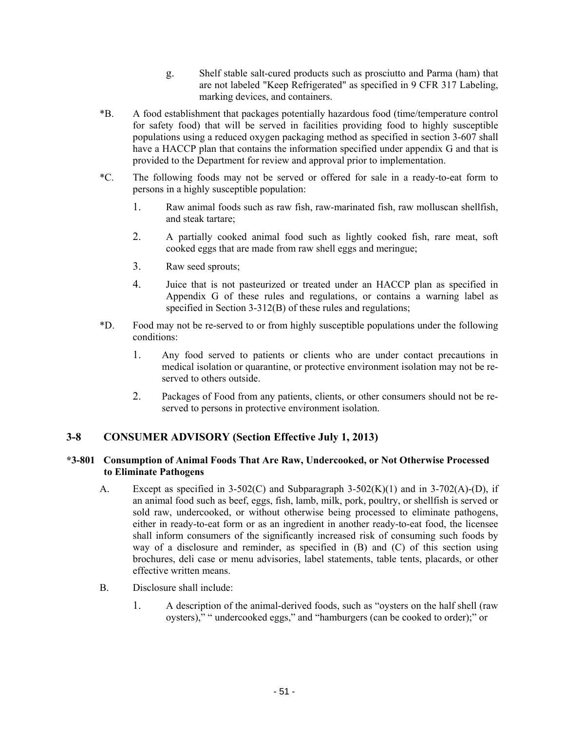- g. Shelf stable salt-cured products such as prosciutto and Parma (ham) that are not labeled "Keep Refrigerated" as specified in 9 CFR 317 Labeling, marking devices, and containers.
- \*B. A food establishment that packages potentially hazardous food (time/temperature control for safety food) that will be served in facilities providing food to highly susceptible populations using a reduced oxygen packaging method as specified in section 3-607 shall have a HACCP plan that contains the information specified under appendix G and that is provided to the Department for review and approval prior to implementation.
- \*C. The following foods may not be served or offered for sale in a ready-to-eat form to persons in a highly susceptible population:
	- 1. Raw animal foods such as raw fish, raw-marinated fish, raw molluscan shellfish, and steak tartare;
	- 2. A partially cooked animal food such as lightly cooked fish, rare meat, soft cooked eggs that are made from raw shell eggs and meringue;
	- 3. Raw seed sprouts;
	- 4. Juice that is not pasteurized or treated under an HACCP plan as specified in Appendix G of these rules and regulations, or contains a warning label as specified in Section 3-312(B) of these rules and regulations;
- \*D. Food may not be re-served to or from highly susceptible populations under the following conditions:
	- 1. Any food served to patients or clients who are under contact precautions in medical isolation or quarantine, or protective environment isolation may not be reserved to others outside.
	- 2. Packages of Food from any patients, clients, or other consumers should not be reserved to persons in protective environment isolation.

# **3-8 CONSUMER ADVISORY (Section Effective July 1, 2013)**

#### **\*3-801 Consumption of Animal Foods That Are Raw, Undercooked, or Not Otherwise Processed to Eliminate Pathogens**

- A. Except as specified in 3-502(C) and Subparagraph 3-502(K)(1) and in 3-702(A)-(D), if an animal food such as beef, eggs, fish, lamb, milk, pork, poultry, or shellfish is served or sold raw, undercooked, or without otherwise being processed to eliminate pathogens, either in ready-to-eat form or as an ingredient in another ready-to-eat food, the licensee shall inform consumers of the significantly increased risk of consuming such foods by way of a disclosure and reminder, as specified in  $(B)$  and  $(C)$  of this section using brochures, deli case or menu advisories, label statements, table tents, placards, or other effective written means.
- B. Disclosure shall include:
	- 1. A description of the animal-derived foods, such as "oysters on the half shell (raw oysters)," " undercooked eggs," and "hamburgers (can be cooked to order);" or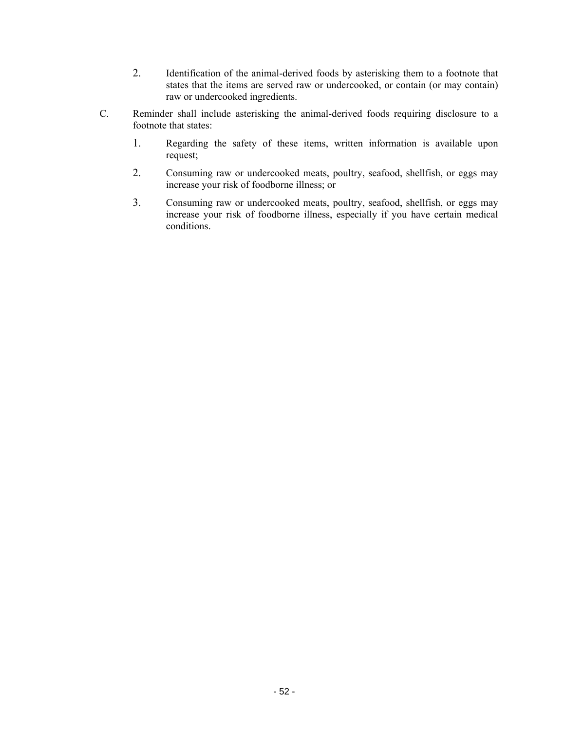- 2. Identification of the animal-derived foods by asterisking them to a footnote that states that the items are served raw or undercooked, or contain (or may contain) raw or undercooked ingredients.
- C. Reminder shall include asterisking the animal-derived foods requiring disclosure to a footnote that states:
	- 1. Regarding the safety of these items, written information is available upon request;
	- 2. Consuming raw or undercooked meats, poultry, seafood, shellfish, or eggs may increase your risk of foodborne illness; or
	- 3. Consuming raw or undercooked meats, poultry, seafood, shellfish, or eggs may increase your risk of foodborne illness, especially if you have certain medical conditions.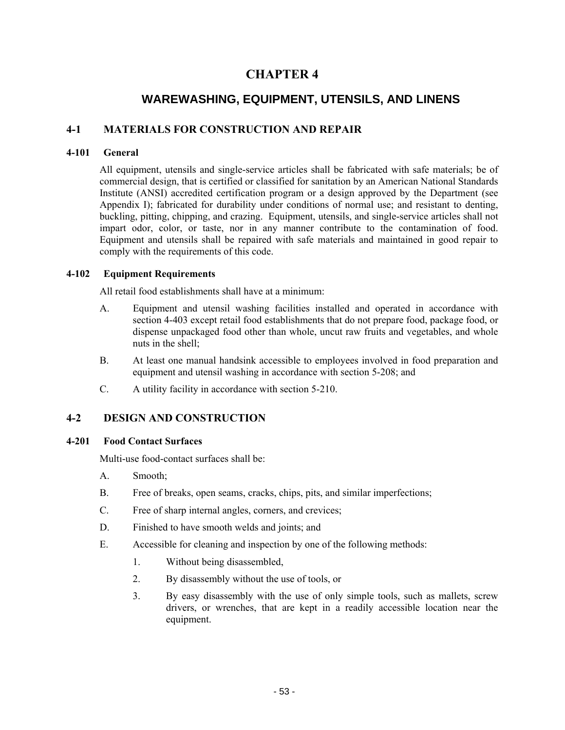# **CHAPTER 4**

# **WAREWASHING, EQUIPMENT, UTENSILS, AND LINENS**

# **4-1 MATERIALS FOR CONSTRUCTION AND REPAIR**

## **4-101 General**

All equipment, utensils and single-service articles shall be fabricated with safe materials; be of commercial design, that is certified or classified for sanitation by an American National Standards Institute (ANSI) accredited certification program or a design approved by the Department (see Appendix I); fabricated for durability under conditions of normal use; and resistant to denting, buckling, pitting, chipping, and crazing. Equipment, utensils, and single-service articles shall not impart odor, color, or taste, nor in any manner contribute to the contamination of food. Equipment and utensils shall be repaired with safe materials and maintained in good repair to comply with the requirements of this code.

## **4-102 Equipment Requirements**

All retail food establishments shall have at a minimum:

- A. Equipment and utensil washing facilities installed and operated in accordance with section 4-403 except retail food establishments that do not prepare food, package food, or dispense unpackaged food other than whole, uncut raw fruits and vegetables, and whole nuts in the shell;
- B. At least one manual handsink accessible to employees involved in food preparation and equipment and utensil washing in accordance with section 5-208; and
- C. A utility facility in accordance with section 5-210.

# **4-2 DESIGN AND CONSTRUCTION**

#### **4-201 Food Contact Surfaces**

Multi-use food-contact surfaces shall be:

- A. Smooth;
- B. Free of breaks, open seams, cracks, chips, pits, and similar imperfections;
- C. Free of sharp internal angles, corners, and crevices;
- D. Finished to have smooth welds and joints; and
- E. Accessible for cleaning and inspection by one of the following methods:
	- 1. Without being disassembled,
	- 2. By disassembly without the use of tools, or
	- 3. By easy disassembly with the use of only simple tools, such as mallets, screw drivers, or wrenches, that are kept in a readily accessible location near the equipment.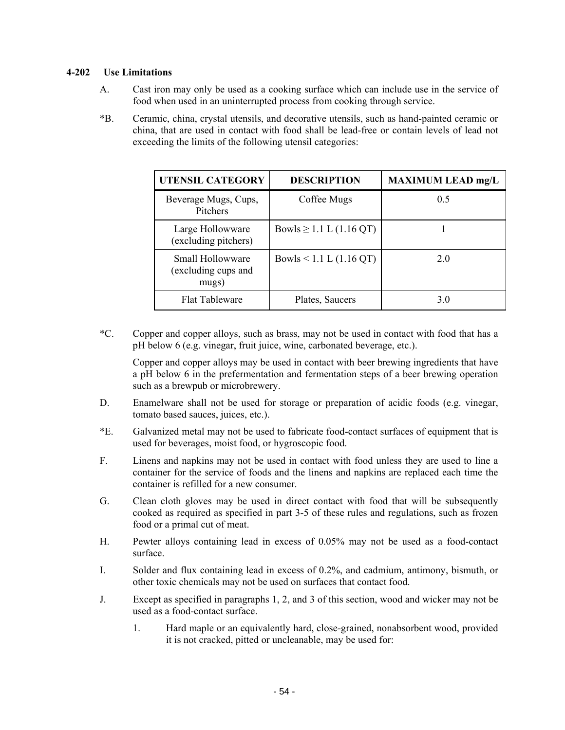#### **4-202 Use Limitations**

- A. Cast iron may only be used as a cooking surface which can include use in the service of food when used in an uninterrupted process from cooking through service.
- \*B. Ceramic, china, crystal utensils, and decorative utensils, such as hand-painted ceramic or china, that are used in contact with food shall be lead-free or contain levels of lead not exceeding the limits of the following utensil categories:

| <b>UTENSIL CATEGORY</b>                          | <b>DESCRIPTION</b>                | <b>MAXIMUM LEAD mg/L</b> |
|--------------------------------------------------|-----------------------------------|--------------------------|
| Beverage Mugs, Cups,<br>Pitchers                 | Coffee Mugs                       | 0.5                      |
| Large Hollowware<br>(excluding pitchers)         | Bowls $\geq 1.1$ L (1.16 QT)      |                          |
| Small Hollowware<br>(excluding cups and<br>mugs) | Bowls < 1.1 L $(1.16 \text{ QT})$ | 2 0                      |
| <b>Flat Tableware</b>                            | Plates, Saucers                   | 30                       |

\*C. Copper and copper alloys, such as brass, may not be used in contact with food that has a pH below 6 (e.g. vinegar, fruit juice, wine, carbonated beverage, etc.).

 Copper and copper alloys may be used in contact with beer brewing ingredients that have a pH below 6 in the prefermentation and fermentation steps of a beer brewing operation such as a brewpub or microbrewery.

- D. Enamelware shall not be used for storage or preparation of acidic foods (e.g. vinegar, tomato based sauces, juices, etc.).
- \*E. Galvanized metal may not be used to fabricate food-contact surfaces of equipment that is used for beverages, moist food, or hygroscopic food.
- F. Linens and napkins may not be used in contact with food unless they are used to line a container for the service of foods and the linens and napkins are replaced each time the container is refilled for a new consumer.
- G. Clean cloth gloves may be used in direct contact with food that will be subsequently cooked as required as specified in part 3-5 of these rules and regulations, such as frozen food or a primal cut of meat.
- H. Pewter alloys containing lead in excess of 0.05% may not be used as a food-contact surface.
- I. Solder and flux containing lead in excess of 0.2%, and cadmium, antimony, bismuth, or other toxic chemicals may not be used on surfaces that contact food.
- J. Except as specified in paragraphs 1, 2, and 3 of this section, wood and wicker may not be used as a food-contact surface.
	- 1. Hard maple or an equivalently hard, close-grained, nonabsorbent wood, provided it is not cracked, pitted or uncleanable, may be used for: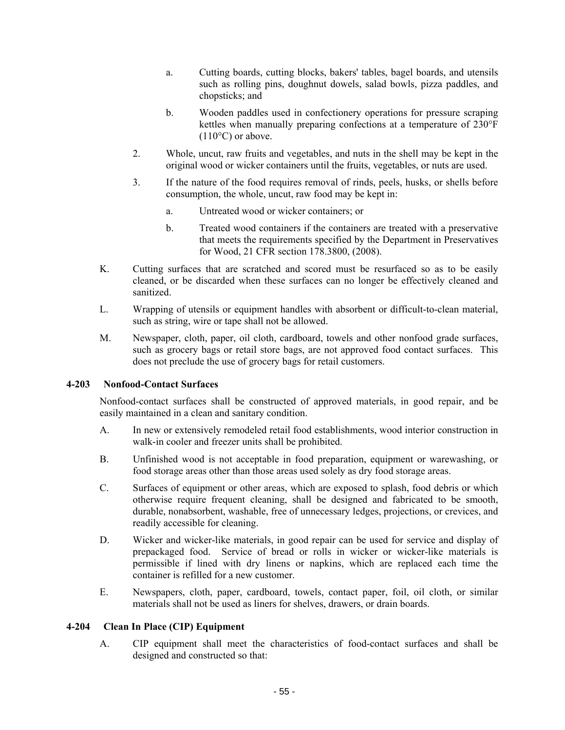- a. Cutting boards, cutting blocks, bakers' tables, bagel boards, and utensils such as rolling pins, doughnut dowels, salad bowls, pizza paddles, and chopsticks; and
- b. Wooden paddles used in confectionery operations for pressure scraping kettles when manually preparing confections at a temperature of 230°F  $(110^{\circ}C)$  or above.
- 2. Whole, uncut, raw fruits and vegetables, and nuts in the shell may be kept in the original wood or wicker containers until the fruits, vegetables, or nuts are used.
- 3. If the nature of the food requires removal of rinds, peels, husks, or shells before consumption, the whole, uncut, raw food may be kept in:
	- a. Untreated wood or wicker containers; or
	- b. Treated wood containers if the containers are treated with a preservative that meets the requirements specified by the Department in Preservatives for Wood, 21 CFR section 178.3800, (2008).
- K. Cutting surfaces that are scratched and scored must be resurfaced so as to be easily cleaned, or be discarded when these surfaces can no longer be effectively cleaned and sanitized.
- L. Wrapping of utensils or equipment handles with absorbent or difficult-to-clean material, such as string, wire or tape shall not be allowed.
- M. Newspaper, cloth, paper, oil cloth, cardboard, towels and other nonfood grade surfaces, such as grocery bags or retail store bags, are not approved food contact surfaces. This does not preclude the use of grocery bags for retail customers.

#### **4-203 Nonfood-Contact Surfaces**

Nonfood-contact surfaces shall be constructed of approved materials, in good repair, and be easily maintained in a clean and sanitary condition.

- A. In new or extensively remodeled retail food establishments, wood interior construction in walk-in cooler and freezer units shall be prohibited.
- B. Unfinished wood is not acceptable in food preparation, equipment or warewashing, or food storage areas other than those areas used solely as dry food storage areas.
- C. Surfaces of equipment or other areas, which are exposed to splash, food debris or which otherwise require frequent cleaning, shall be designed and fabricated to be smooth, durable, nonabsorbent, washable, free of unnecessary ledges, projections, or crevices, and readily accessible for cleaning.
- D. Wicker and wicker-like materials, in good repair can be used for service and display of prepackaged food. Service of bread or rolls in wicker or wicker-like materials is permissible if lined with dry linens or napkins, which are replaced each time the container is refilled for a new customer.
- E. Newspapers, cloth, paper, cardboard, towels, contact paper, foil, oil cloth, or similar materials shall not be used as liners for shelves, drawers, or drain boards.

### **4-204 Clean In Place (CIP) Equipment**

A. CIP equipment shall meet the characteristics of food-contact surfaces and shall be designed and constructed so that: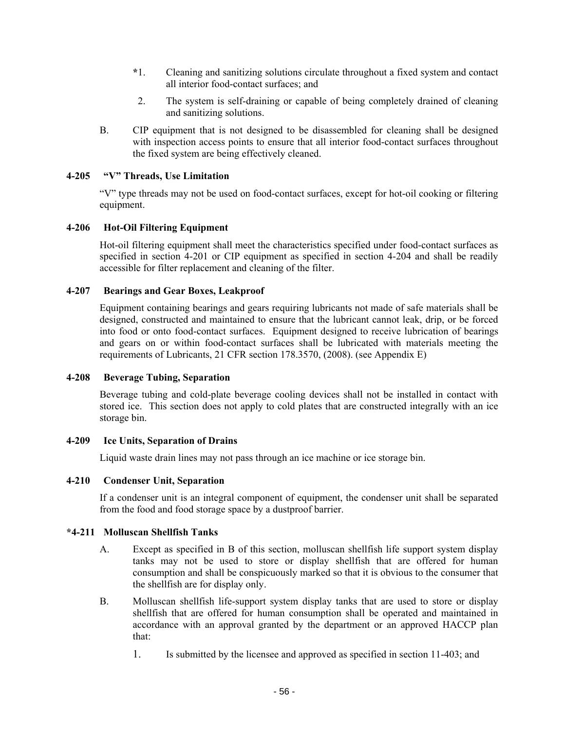- **\***1. Cleaning and sanitizing solutions circulate throughout a fixed system and contact all interior food-contact surfaces; and
- 2. The system is self-draining or capable of being completely drained of cleaning and sanitizing solutions.
- B. CIP equipment that is not designed to be disassembled for cleaning shall be designed with inspection access points to ensure that all interior food-contact surfaces throughout the fixed system are being effectively cleaned.

#### **4-205 "V" Threads, Use Limitation**

"V" type threads may not be used on food-contact surfaces, except for hot-oil cooking or filtering equipment.

#### **4-206 Hot-Oil Filtering Equipment**

Hot-oil filtering equipment shall meet the characteristics specified under food-contact surfaces as specified in section 4-201 or CIP equipment as specified in section 4-204 and shall be readily accessible for filter replacement and cleaning of the filter.

#### **4-207 Bearings and Gear Boxes, Leakproof**

Equipment containing bearings and gears requiring lubricants not made of safe materials shall be designed, constructed and maintained to ensure that the lubricant cannot leak, drip, or be forced into food or onto food-contact surfaces. Equipment designed to receive lubrication of bearings and gears on or within food-contact surfaces shall be lubricated with materials meeting the requirements of Lubricants, 21 CFR section 178.3570, (2008). (see Appendix E)

#### **4-208 Beverage Tubing, Separation**

Beverage tubing and cold-plate beverage cooling devices shall not be installed in contact with stored ice. This section does not apply to cold plates that are constructed integrally with an ice storage bin.

#### **4-209 Ice Units, Separation of Drains**

Liquid waste drain lines may not pass through an ice machine or ice storage bin.

#### **4-210 Condenser Unit, Separation**

If a condenser unit is an integral component of equipment, the condenser unit shall be separated from the food and food storage space by a dustproof barrier.

## **\*4-211 Molluscan Shellfish Tanks**

- A. Except as specified in B of this section, molluscan shellfish life support system display tanks may not be used to store or display shellfish that are offered for human consumption and shall be conspicuously marked so that it is obvious to the consumer that the shellfish are for display only.
- B. Molluscan shellfish life-support system display tanks that are used to store or display shellfish that are offered for human consumption shall be operated and maintained in accordance with an approval granted by the department or an approved HACCP plan that:
	- 1. Is submitted by the licensee and approved as specified in section 11-403; and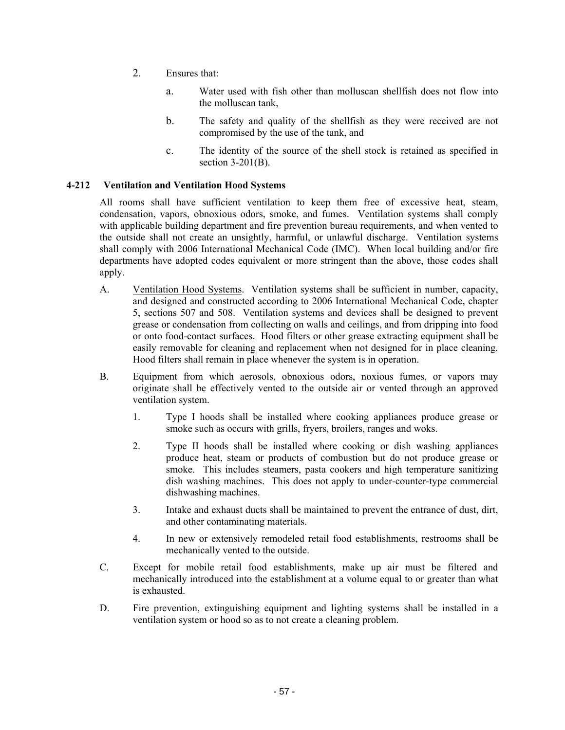- 2. Ensures that:
	- a. Water used with fish other than molluscan shellfish does not flow into the molluscan tank,
	- b. The safety and quality of the shellfish as they were received are not compromised by the use of the tank, and
	- c. The identity of the source of the shell stock is retained as specified in section  $3-201(B)$ .

# **4-212 Ventilation and Ventilation Hood Systems**

All rooms shall have sufficient ventilation to keep them free of excessive heat, steam, condensation, vapors, obnoxious odors, smoke, and fumes. Ventilation systems shall comply with applicable building department and fire prevention bureau requirements, and when vented to the outside shall not create an unsightly, harmful, or unlawful discharge. Ventilation systems shall comply with 2006 International Mechanical Code (IMC). When local building and/or fire departments have adopted codes equivalent or more stringent than the above, those codes shall apply.

- A. Ventilation Hood Systems. Ventilation systems shall be sufficient in number, capacity, and designed and constructed according to 2006 International Mechanical Code, chapter 5, sections 507 and 508. Ventilation systems and devices shall be designed to prevent grease or condensation from collecting on walls and ceilings, and from dripping into food or onto food-contact surfaces. Hood filters or other grease extracting equipment shall be easily removable for cleaning and replacement when not designed for in place cleaning. Hood filters shall remain in place whenever the system is in operation.
- B. Equipment from which aerosols, obnoxious odors, noxious fumes, or vapors may originate shall be effectively vented to the outside air or vented through an approved ventilation system.
	- 1. Type I hoods shall be installed where cooking appliances produce grease or smoke such as occurs with grills, fryers, broilers, ranges and woks.
	- 2. Type II hoods shall be installed where cooking or dish washing appliances produce heat, steam or products of combustion but do not produce grease or smoke. This includes steamers, pasta cookers and high temperature sanitizing dish washing machines. This does not apply to under-counter-type commercial dishwashing machines.
	- 3. Intake and exhaust ducts shall be maintained to prevent the entrance of dust, dirt, and other contaminating materials.
	- 4. In new or extensively remodeled retail food establishments, restrooms shall be mechanically vented to the outside.
- C. Except for mobile retail food establishments, make up air must be filtered and mechanically introduced into the establishment at a volume equal to or greater than what is exhausted.
- D. Fire prevention, extinguishing equipment and lighting systems shall be installed in a ventilation system or hood so as to not create a cleaning problem.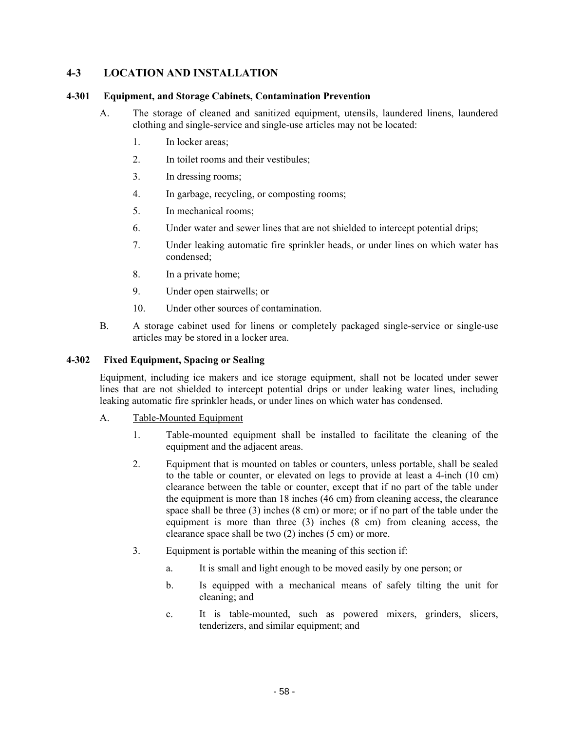# **4-3 LOCATION AND INSTALLATION**

# **4-301 Equipment, and Storage Cabinets, Contamination Prevention**

- A. The storage of cleaned and sanitized equipment, utensils, laundered linens, laundered clothing and single-service and single-use articles may not be located:
	- 1. In locker areas;
	- 2. In toilet rooms and their vestibules;
	- 3. In dressing rooms;
	- 4. In garbage, recycling, or composting rooms;
	- 5. In mechanical rooms;
	- 6. Under water and sewer lines that are not shielded to intercept potential drips;
	- 7. Under leaking automatic fire sprinkler heads, or under lines on which water has condensed;
	- 8. In a private home;
	- 9. Under open stairwells; or
	- 10. Under other sources of contamination.
- B. A storage cabinet used for linens or completely packaged single-service or single-use articles may be stored in a locker area.

# **4-302 Fixed Equipment, Spacing or Sealing**

Equipment, including ice makers and ice storage equipment, shall not be located under sewer lines that are not shielded to intercept potential drips or under leaking water lines, including leaking automatic fire sprinkler heads, or under lines on which water has condensed.

- A. Table-Mounted Equipment
	- 1. Table-mounted equipment shall be installed to facilitate the cleaning of the equipment and the adjacent areas.
	- 2. Equipment that is mounted on tables or counters, unless portable, shall be sealed to the table or counter, or elevated on legs to provide at least a 4-inch (10 cm) clearance between the table or counter, except that if no part of the table under the equipment is more than 18 inches (46 cm) from cleaning access, the clearance space shall be three (3) inches (8 cm) or more; or if no part of the table under the equipment is more than three (3) inches (8 cm) from cleaning access, the clearance space shall be two (2) inches (5 cm) or more.
	- 3. Equipment is portable within the meaning of this section if:
		- a. It is small and light enough to be moved easily by one person; or
		- b. Is equipped with a mechanical means of safely tilting the unit for cleaning; and
		- c. It is table-mounted, such as powered mixers, grinders, slicers, tenderizers, and similar equipment; and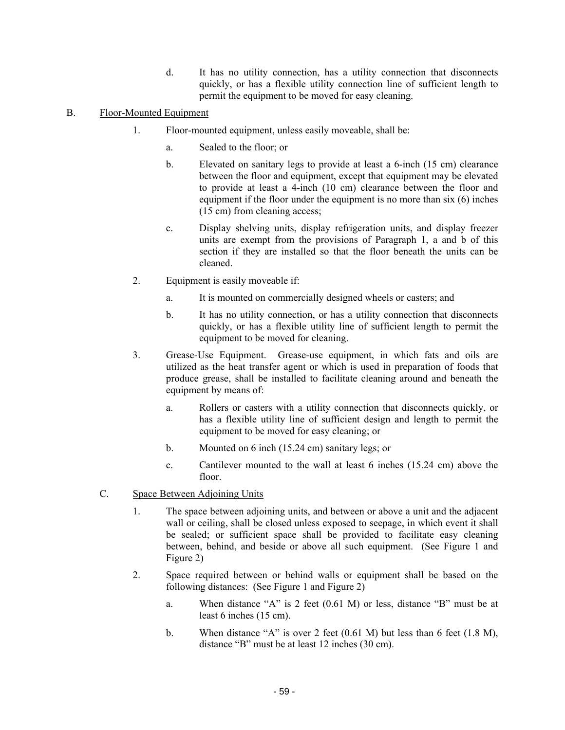d. It has no utility connection, has a utility connection that disconnects quickly, or has a flexible utility connection line of sufficient length to permit the equipment to be moved for easy cleaning.

# B. Floor-Mounted Equipment

- 1. Floor-mounted equipment, unless easily moveable, shall be:
	- a. Sealed to the floor; or
	- b. Elevated on sanitary legs to provide at least a 6-inch (15 cm) clearance between the floor and equipment, except that equipment may be elevated to provide at least a 4-inch (10 cm) clearance between the floor and equipment if the floor under the equipment is no more than six (6) inches (15 cm) from cleaning access;
	- c. Display shelving units, display refrigeration units, and display freezer units are exempt from the provisions of Paragraph 1, a and b of this section if they are installed so that the floor beneath the units can be cleaned.
- 2. Equipment is easily moveable if:
	- a. It is mounted on commercially designed wheels or casters; and
	- b. It has no utility connection, or has a utility connection that disconnects quickly, or has a flexible utility line of sufficient length to permit the equipment to be moved for cleaning.
- 3. Grease-Use Equipment. Grease-use equipment, in which fats and oils are utilized as the heat transfer agent or which is used in preparation of foods that produce grease, shall be installed to facilitate cleaning around and beneath the equipment by means of:
	- a. Rollers or casters with a utility connection that disconnects quickly, or has a flexible utility line of sufficient design and length to permit the equipment to be moved for easy cleaning; or
	- b. Mounted on 6 inch (15.24 cm) sanitary legs; or
	- c. Cantilever mounted to the wall at least 6 inches (15.24 cm) above the floor.
- C. Space Between Adjoining Units
	- 1. The space between adjoining units, and between or above a unit and the adjacent wall or ceiling, shall be closed unless exposed to seepage, in which event it shall be sealed; or sufficient space shall be provided to facilitate easy cleaning between, behind, and beside or above all such equipment. (See Figure 1 and Figure 2)
	- 2. Space required between or behind walls or equipment shall be based on the following distances: (See Figure 1 and Figure 2)
		- a. When distance "A" is 2 feet (0.61 M) or less, distance "B" must be at least 6 inches (15 cm).
		- b. When distance "A" is over 2 feet (0.61 M) but less than 6 feet (1.8 M), distance "B" must be at least 12 inches (30 cm).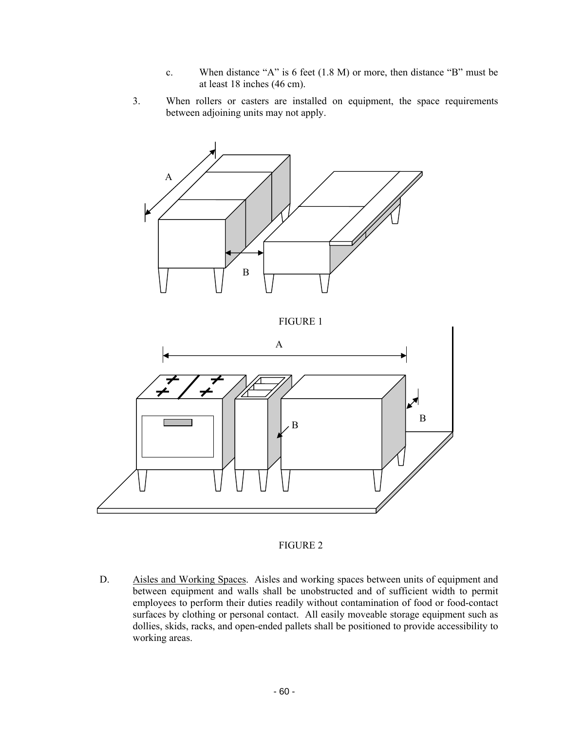- c. When distance "A" is 6 feet (1.8 M) or more, then distance "B" must be at least 18 inches (46 cm).
- 3. When rollers or casters are installed on equipment, the space requirements between adjoining units may not apply.



FIGURE 1



#### FIGURE 2

D. Aisles and Working Spaces. Aisles and working spaces between units of equipment and between equipment and walls shall be unobstructed and of sufficient width to permit employees to perform their duties readily without contamination of food or food-contact surfaces by clothing or personal contact. All easily moveable storage equipment such as dollies, skids, racks, and open-ended pallets shall be positioned to provide accessibility to working areas.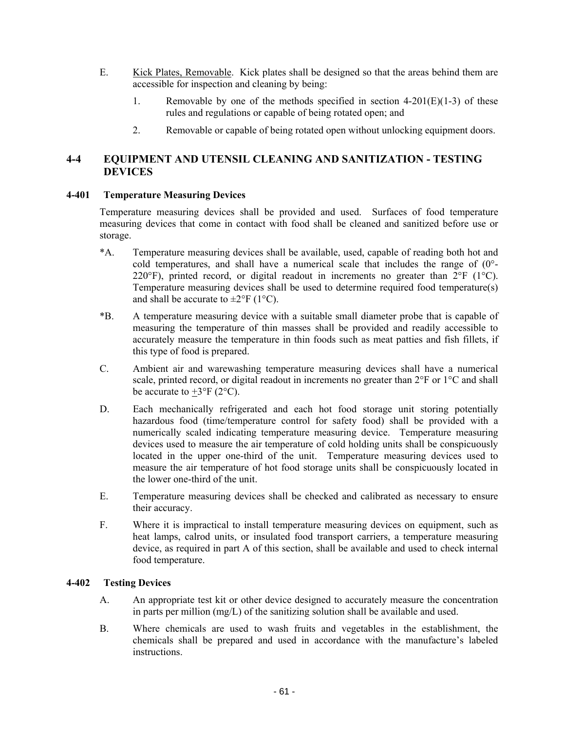- E. Kick Plates, Removable. Kick plates shall be designed so that the areas behind them are accessible for inspection and cleaning by being:
	- 1. Removable by one of the methods specified in section  $4-201(E)(1-3)$  of these rules and regulations or capable of being rotated open; and
	- 2. Removable or capable of being rotated open without unlocking equipment doors.

# **4-4 EQUIPMENT AND UTENSIL CLEANING AND SANITIZATION - TESTING DEVICES**

## **4-401 Temperature Measuring Devices**

Temperature measuring devices shall be provided and used. Surfaces of food temperature measuring devices that come in contact with food shall be cleaned and sanitized before use or storage.

- \*A. Temperature measuring devices shall be available, used, capable of reading both hot and cold temperatures, and shall have a numerical scale that includes the range of (0°- 220 $^{\circ}$ F), printed record, or digital readout in increments no greater than  $2^{\circ}$ F (1 $^{\circ}$ C). Temperature measuring devices shall be used to determine required food temperature(s) and shall be accurate to  $\pm 2^{\circ}$ F (1°C).
- \*B. A temperature measuring device with a suitable small diameter probe that is capable of measuring the temperature of thin masses shall be provided and readily accessible to accurately measure the temperature in thin foods such as meat patties and fish fillets, if this type of food is prepared.
- C. Ambient air and warewashing temperature measuring devices shall have a numerical scale, printed record, or digital readout in increments no greater than  $2^{\circ}$ F or  $1^{\circ}$ C and shall be accurate to  $+3^{\circ}F(2^{\circ}C)$ .
- D. Each mechanically refrigerated and each hot food storage unit storing potentially hazardous food (time/temperature control for safety food) shall be provided with a numerically scaled indicating temperature measuring device. Temperature measuring devices used to measure the air temperature of cold holding units shall be conspicuously located in the upper one-third of the unit. Temperature measuring devices used to measure the air temperature of hot food storage units shall be conspicuously located in the lower one-third of the unit.
- E. Temperature measuring devices shall be checked and calibrated as necessary to ensure their accuracy.
- F. Where it is impractical to install temperature measuring devices on equipment, such as heat lamps, calrod units, or insulated food transport carriers, a temperature measuring device, as required in part A of this section, shall be available and used to check internal food temperature.

# **4-402 Testing Devices**

- A. An appropriate test kit or other device designed to accurately measure the concentration in parts per million (mg/L) of the sanitizing solution shall be available and used.
- B. Where chemicals are used to wash fruits and vegetables in the establishment, the chemicals shall be prepared and used in accordance with the manufacture's labeled **instructions**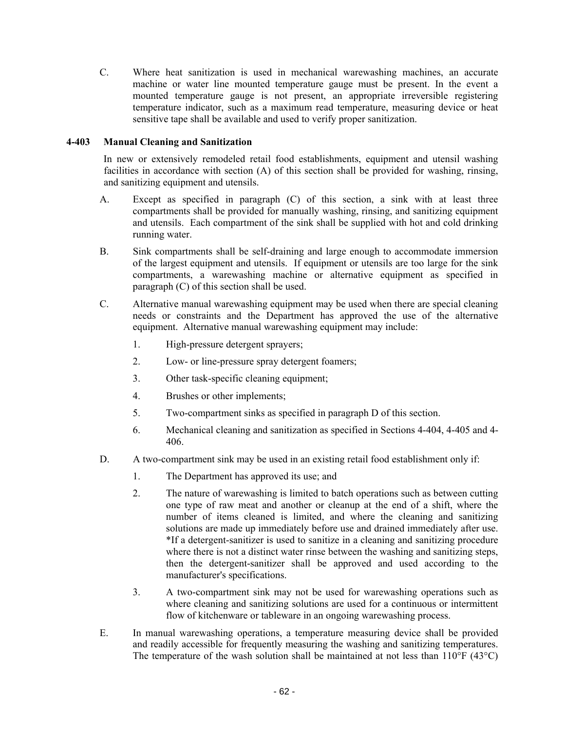C. Where heat sanitization is used in mechanical warewashing machines, an accurate machine or water line mounted temperature gauge must be present. In the event a mounted temperature gauge is not present, an appropriate irreversible registering temperature indicator, such as a maximum read temperature, measuring device or heat sensitive tape shall be available and used to verify proper sanitization.

## **4-403 Manual Cleaning and Sanitization**

In new or extensively remodeled retail food establishments, equipment and utensil washing facilities in accordance with section (A) of this section shall be provided for washing, rinsing, and sanitizing equipment and utensils.

- A. Except as specified in paragraph (C) of this section, a sink with at least three compartments shall be provided for manually washing, rinsing, and sanitizing equipment and utensils. Each compartment of the sink shall be supplied with hot and cold drinking running water.
- B. Sink compartments shall be self-draining and large enough to accommodate immersion of the largest equipment and utensils. If equipment or utensils are too large for the sink compartments, a warewashing machine or alternative equipment as specified in paragraph (C) of this section shall be used.
- C. Alternative manual warewashing equipment may be used when there are special cleaning needs or constraints and the Department has approved the use of the alternative equipment. Alternative manual warewashing equipment may include:
	- 1. High-pressure detergent sprayers;
	- 2. Low- or line-pressure spray detergent foamers;
	- 3. Other task-specific cleaning equipment;
	- 4. Brushes or other implements;
	- 5. Two-compartment sinks as specified in paragraph D of this section.
	- 6. Mechanical cleaning and sanitization as specified in Sections 4-404, 4-405 and 4- 406.
- D. A two-compartment sink may be used in an existing retail food establishment only if:
	- 1. The Department has approved its use; and
	- 2. The nature of warewashing is limited to batch operations such as between cutting one type of raw meat and another or cleanup at the end of a shift, where the number of items cleaned is limited, and where the cleaning and sanitizing solutions are made up immediately before use and drained immediately after use. \*If a detergent-sanitizer is used to sanitize in a cleaning and sanitizing procedure where there is not a distinct water rinse between the washing and sanitizing steps, then the detergent-sanitizer shall be approved and used according to the manufacturer's specifications.
	- 3. A two-compartment sink may not be used for warewashing operations such as where cleaning and sanitizing solutions are used for a continuous or intermittent flow of kitchenware or tableware in an ongoing warewashing process.
- E. In manual warewashing operations, a temperature measuring device shall be provided and readily accessible for frequently measuring the washing and sanitizing temperatures. The temperature of the wash solution shall be maintained at not less than  $110^{\circ}F(43^{\circ}C)$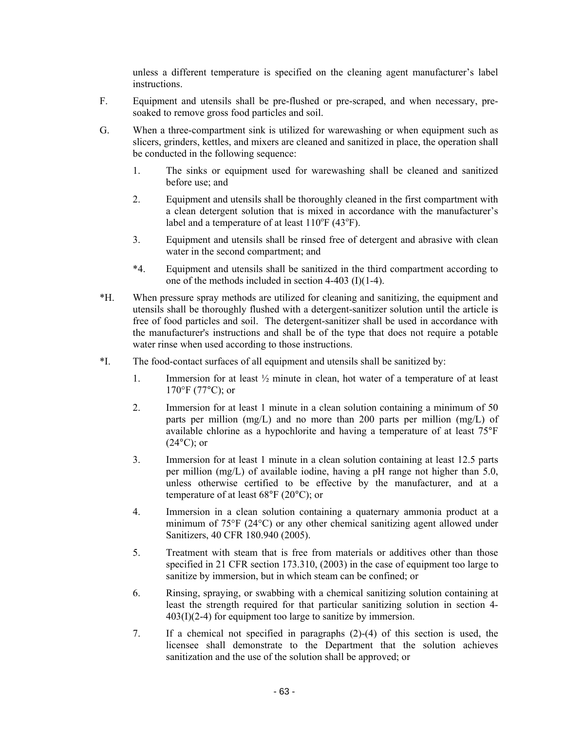unless a different temperature is specified on the cleaning agent manufacturer's label instructions.

- F. Equipment and utensils shall be pre-flushed or pre-scraped, and when necessary, presoaked to remove gross food particles and soil.
- G. When a three-compartment sink is utilized for warewashing or when equipment such as slicers, grinders, kettles, and mixers are cleaned and sanitized in place, the operation shall be conducted in the following sequence:
	- 1. The sinks or equipment used for warewashing shall be cleaned and sanitized before use; and
	- 2. Equipment and utensils shall be thoroughly cleaned in the first compartment with a clean detergent solution that is mixed in accordance with the manufacturer's label and a temperature of at least  $110^{\circ}$ F (43 $^{\circ}$ F).
	- 3. Equipment and utensils shall be rinsed free of detergent and abrasive with clean water in the second compartment; and
	- \*4. Equipment and utensils shall be sanitized in the third compartment according to one of the methods included in section 4-403 (I)(1-4).
- \*H. When pressure spray methods are utilized for cleaning and sanitizing, the equipment and utensils shall be thoroughly flushed with a detergent-sanitizer solution until the article is free of food particles and soil. The detergent-sanitizer shall be used in accordance with the manufacturer's instructions and shall be of the type that does not require a potable water rinse when used according to those instructions.
- \*I. The food-contact surfaces of all equipment and utensils shall be sanitized by:
	- 1. Immersion for at least  $\frac{1}{2}$  minute in clean, hot water of a temperature of at least  $170^{\circ}$ F (77 $^{\circ}$ C); or
	- 2. Immersion for at least 1 minute in a clean solution containing a minimum of 50 parts per million (mg/L) and no more than 200 parts per million (mg/L) of available chlorine as a hypochlorite and having a temperature of at least 75°F  $(24\text{°C})$ ; or
	- 3. Immersion for at least 1 minute in a clean solution containing at least 12.5 parts per million (mg/L) of available iodine, having a pH range not higher than 5.0, unless otherwise certified to be effective by the manufacturer, and at a temperature of at least 68°F (20°C); or
	- 4. Immersion in a clean solution containing a quaternary ammonia product at a minimum of 75°F (24°C) or any other chemical sanitizing agent allowed under Sanitizers, 40 CFR 180.940 (2005).
	- 5. Treatment with steam that is free from materials or additives other than those specified in 21 CFR section 173.310, (2003) in the case of equipment too large to sanitize by immersion, but in which steam can be confined; or
	- 6. Rinsing, spraying, or swabbing with a chemical sanitizing solution containing at least the strength required for that particular sanitizing solution in section 4- 403(I)(2-4) for equipment too large to sanitize by immersion.
	- 7. If a chemical not specified in paragraphs (2)-(4) of this section is used, the licensee shall demonstrate to the Department that the solution achieves sanitization and the use of the solution shall be approved; or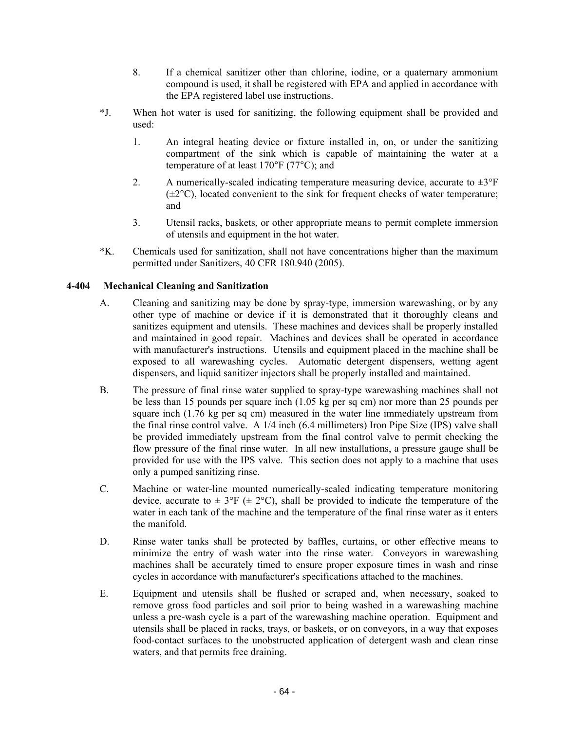- 8. If a chemical sanitizer other than chlorine, iodine, or a quaternary ammonium compound is used, it shall be registered with EPA and applied in accordance with the EPA registered label use instructions.
- \*J. When hot water is used for sanitizing, the following equipment shall be provided and used:
	- 1. An integral heating device or fixture installed in, on, or under the sanitizing compartment of the sink which is capable of maintaining the water at a temperature of at least 170°F (77°C); and
	- 2. A numerically-scaled indicating temperature measuring device, accurate to  $\pm 3^{\circ}F$  $(\pm 2^{\circ}C)$ , located convenient to the sink for frequent checks of water temperature; and
	- 3. Utensil racks, baskets, or other appropriate means to permit complete immersion of utensils and equipment in the hot water.
- \*K. Chemicals used for sanitization, shall not have concentrations higher than the maximum permitted under Sanitizers, 40 CFR 180.940 (2005).

# **4-404 Mechanical Cleaning and Sanitization**

- A. Cleaning and sanitizing may be done by spray-type, immersion warewashing, or by any other type of machine or device if it is demonstrated that it thoroughly cleans and sanitizes equipment and utensils. These machines and devices shall be properly installed and maintained in good repair. Machines and devices shall be operated in accordance with manufacturer's instructions. Utensils and equipment placed in the machine shall be exposed to all warewashing cycles. Automatic detergent dispensers, wetting agent dispensers, and liquid sanitizer injectors shall be properly installed and maintained.
- B. The pressure of final rinse water supplied to spray-type warewashing machines shall not be less than 15 pounds per square inch (1.05 kg per sq cm) nor more than 25 pounds per square inch (1.76 kg per sq cm) measured in the water line immediately upstream from the final rinse control valve. A 1/4 inch (6.4 millimeters) Iron Pipe Size (IPS) valve shall be provided immediately upstream from the final control valve to permit checking the flow pressure of the final rinse water. In all new installations, a pressure gauge shall be provided for use with the IPS valve. This section does not apply to a machine that uses only a pumped sanitizing rinse.
- C. Machine or water-line mounted numerically-scaled indicating temperature monitoring device, accurate to  $\pm 3^{\circ}F \ (\pm 2^{\circ}C)$ , shall be provided to indicate the temperature of the water in each tank of the machine and the temperature of the final rinse water as it enters the manifold.
- D. Rinse water tanks shall be protected by baffles, curtains, or other effective means to minimize the entry of wash water into the rinse water. Conveyors in warewashing machines shall be accurately timed to ensure proper exposure times in wash and rinse cycles in accordance with manufacturer's specifications attached to the machines.
- E. Equipment and utensils shall be flushed or scraped and, when necessary, soaked to remove gross food particles and soil prior to being washed in a warewashing machine unless a pre-wash cycle is a part of the warewashing machine operation. Equipment and utensils shall be placed in racks, trays, or baskets, or on conveyors, in a way that exposes food-contact surfaces to the unobstructed application of detergent wash and clean rinse waters, and that permits free draining.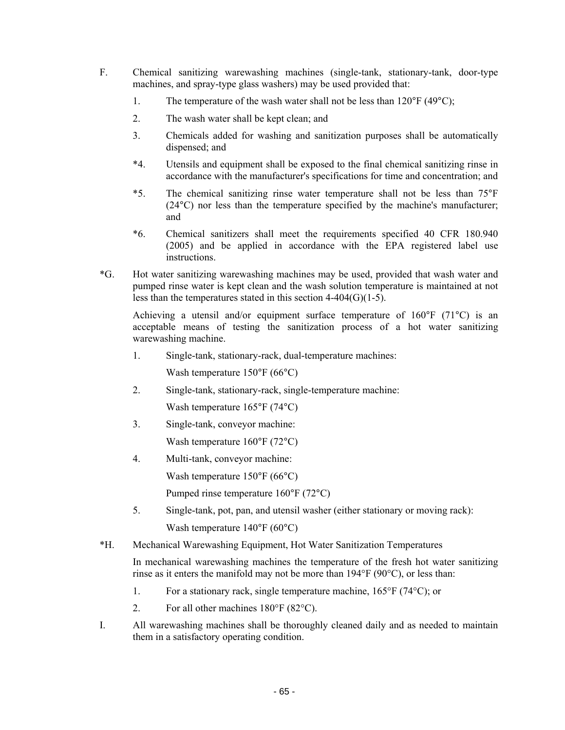- F. Chemical sanitizing warewashing machines (single-tank, stationary-tank, door-type machines, and spray-type glass washers) may be used provided that:
	- 1. The temperature of the wash water shall not be less than 120°F (49°C);
	- 2. The wash water shall be kept clean; and
	- 3. Chemicals added for washing and sanitization purposes shall be automatically dispensed; and
	- \*4. Utensils and equipment shall be exposed to the final chemical sanitizing rinse in accordance with the manufacturer's specifications for time and concentration; and
	- \*5. The chemical sanitizing rinse water temperature shall not be less than 75°F (24°C) nor less than the temperature specified by the machine's manufacturer; and
	- \*6. Chemical sanitizers shall meet the requirements specified 40 CFR 180.940 (2005) and be applied in accordance with the EPA registered label use instructions.
- \*G. Hot water sanitizing warewashing machines may be used, provided that wash water and pumped rinse water is kept clean and the wash solution temperature is maintained at not less than the temperatures stated in this section 4-404(G)(1-5).

Achieving a utensil and/or equipment surface temperature of 160°F (71°C) is an acceptable means of testing the sanitization process of a hot water sanitizing warewashing machine.

1. Single-tank, stationary-rack, dual-temperature machines:

Wash temperature 150°F (66°C)

2. Single-tank, stationary-rack, single-temperature machine:

Wash temperature 165°F (74°C)

3. Single-tank, conveyor machine:

Wash temperature 160°F (72°C)

4. Multi-tank, conveyor machine:

Wash temperature 150°F (66°C)

Pumped rinse temperature 160°F (72°C)

- 5. Single-tank, pot, pan, and utensil washer (either stationary or moving rack): Wash temperature 140°F (60°C)
- \*H. Mechanical Warewashing Equipment, Hot Water Sanitization Temperatures

In mechanical warewashing machines the temperature of the fresh hot water sanitizing rinse as it enters the manifold may not be more than 194°F (90°C), or less than:

- 1. For a stationary rack, single temperature machine, 165°F (74°C); or
- 2. For all other machines 180°F (82°C).
- I. All warewashing machines shall be thoroughly cleaned daily and as needed to maintain them in a satisfactory operating condition.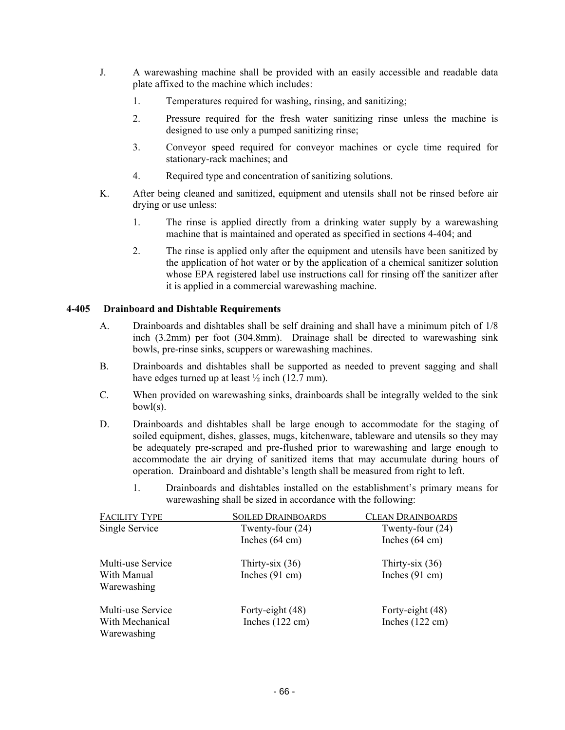- J. A warewashing machine shall be provided with an easily accessible and readable data plate affixed to the machine which includes:
	- 1. Temperatures required for washing, rinsing, and sanitizing;
	- 2. Pressure required for the fresh water sanitizing rinse unless the machine is designed to use only a pumped sanitizing rinse;
	- 3. Conveyor speed required for conveyor machines or cycle time required for stationary-rack machines; and
	- 4. Required type and concentration of sanitizing solutions.
- K. After being cleaned and sanitized, equipment and utensils shall not be rinsed before air drying or use unless:
	- 1. The rinse is applied directly from a drinking water supply by a warewashing machine that is maintained and operated as specified in sections 4-404; and
	- 2. The rinse is applied only after the equipment and utensils have been sanitized by the application of hot water or by the application of a chemical sanitizer solution whose EPA registered label use instructions call for rinsing off the sanitizer after it is applied in a commercial warewashing machine.

### **4-405 Drainboard and Dishtable Requirements**

- A. Drainboards and dishtables shall be self draining and shall have a minimum pitch of 1/8 inch (3.2mm) per foot (304.8mm). Drainage shall be directed to warewashing sink bowls, pre-rinse sinks, scuppers or warewashing machines.
- B. Drainboards and dishtables shall be supported as needed to prevent sagging and shall have edges turned up at least  $\frac{1}{2}$  inch (12.7 mm).
- C. When provided on warewashing sinks, drainboards shall be integrally welded to the sink bowl(s).
- D. Drainboards and dishtables shall be large enough to accommodate for the staging of soiled equipment, dishes, glasses, mugs, kitchenware, tableware and utensils so they may be adequately pre-scraped and pre-flushed prior to warewashing and large enough to accommodate the air drying of sanitized items that may accumulate during hours of operation. Drainboard and dishtable's length shall be measured from right to left.
	- 1. Drainboards and dishtables installed on the establishment's primary means for warewashing shall be sized in accordance with the following:

| <b>FACILITY TYPE</b> | <b>SOILED DRAINBOARDS</b> | <b>CLEAN DRAINBOARDS</b>  |
|----------------------|---------------------------|---------------------------|
| Single Service       | Twenty-four (24)          | Twenty-four $(24)$        |
|                      | Inches $(64 \text{ cm})$  | Inches $(64 \text{ cm})$  |
| Multi-use Service    | Thirty-six $(36)$         | Thirty-six $(36)$         |
| With Manual          | Inches $(91 \text{ cm})$  | Inches $(91 \text{ cm})$  |
| Warewashing          |                           |                           |
| Multi-use Service    | Forty-eight (48)          | Forty-eight (48)          |
| With Mechanical      | Inches $(122 \text{ cm})$ | Inches $(122 \text{ cm})$ |
| Warewashing          |                           |                           |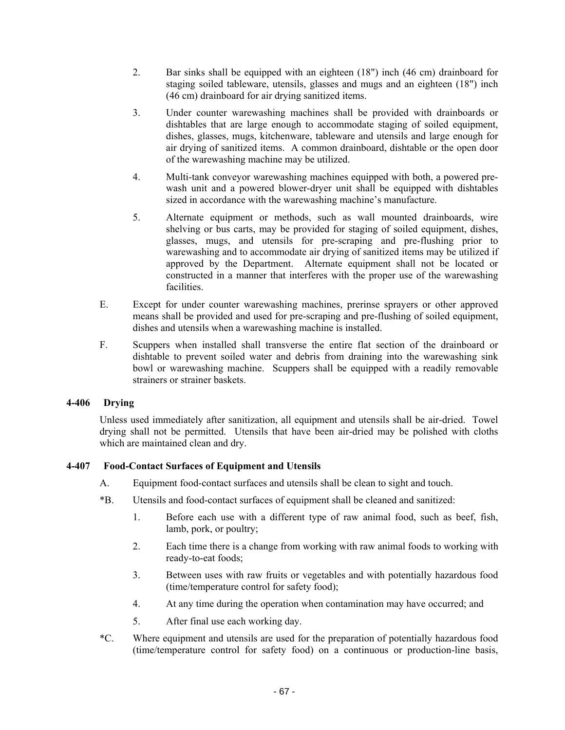- 2. Bar sinks shall be equipped with an eighteen (18") inch (46 cm) drainboard for staging soiled tableware, utensils, glasses and mugs and an eighteen (18") inch (46 cm) drainboard for air drying sanitized items.
- 3. Under counter warewashing machines shall be provided with drainboards or dishtables that are large enough to accommodate staging of soiled equipment, dishes, glasses, mugs, kitchenware, tableware and utensils and large enough for air drying of sanitized items. A common drainboard, dishtable or the open door of the warewashing machine may be utilized.
- 4. Multi-tank conveyor warewashing machines equipped with both, a powered prewash unit and a powered blower-dryer unit shall be equipped with dishtables sized in accordance with the warewashing machine's manufacture.
- 5. Alternate equipment or methods, such as wall mounted drainboards, wire shelving or bus carts, may be provided for staging of soiled equipment, dishes, glasses, mugs, and utensils for pre-scraping and pre-flushing prior to warewashing and to accommodate air drying of sanitized items may be utilized if approved by the Department. Alternate equipment shall not be located or constructed in a manner that interferes with the proper use of the warewashing facilities.
- E. Except for under counter warewashing machines, prerinse sprayers or other approved means shall be provided and used for pre-scraping and pre-flushing of soiled equipment, dishes and utensils when a warewashing machine is installed.
- F. Scuppers when installed shall transverse the entire flat section of the drainboard or dishtable to prevent soiled water and debris from draining into the warewashing sink bowl or warewashing machine. Scuppers shall be equipped with a readily removable strainers or strainer baskets.

### **4-406 Drying**

Unless used immediately after sanitization, all equipment and utensils shall be air-dried. Towel drying shall not be permitted. Utensils that have been air-dried may be polished with cloths which are maintained clean and dry.

# **4-407 Food-Contact Surfaces of Equipment and Utensils**

- A. Equipment food-contact surfaces and utensils shall be clean to sight and touch.
- \*B. Utensils and food-contact surfaces of equipment shall be cleaned and sanitized:
	- 1. Before each use with a different type of raw animal food, such as beef, fish, lamb, pork, or poultry;
	- 2. Each time there is a change from working with raw animal foods to working with ready-to-eat foods;
	- 3. Between uses with raw fruits or vegetables and with potentially hazardous food (time/temperature control for safety food);
	- 4. At any time during the operation when contamination may have occurred; and
	- 5. After final use each working day.
- \*C. Where equipment and utensils are used for the preparation of potentially hazardous food (time/temperature control for safety food) on a continuous or production-line basis,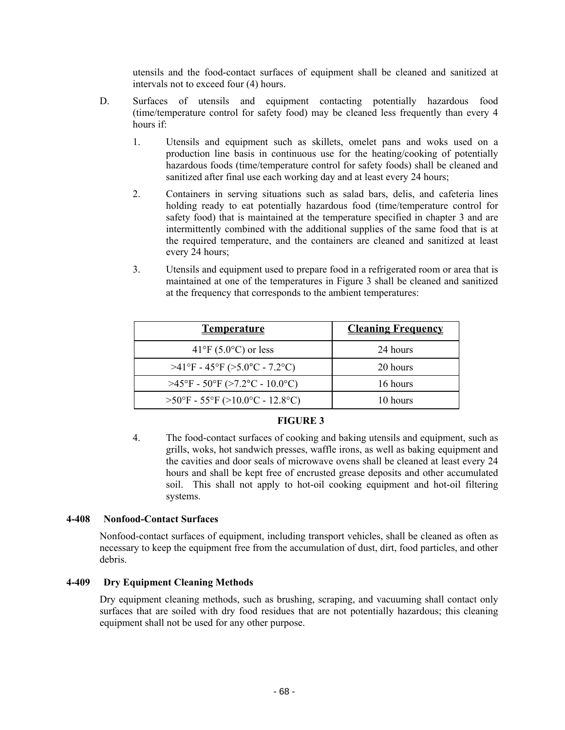utensils and the food-contact surfaces of equipment shall be cleaned and sanitized at intervals not to exceed four (4) hours.

- D. Surfaces of utensils and equipment contacting potentially hazardous food (time/temperature control for safety food) may be cleaned less frequently than every 4 hours if:
	- 1. Utensils and equipment such as skillets, omelet pans and woks used on a production line basis in continuous use for the heating/cooking of potentially hazardous foods (time/temperature control for safety foods) shall be cleaned and sanitized after final use each working day and at least every 24 hours;
	- 2. Containers in serving situations such as salad bars, delis, and cafeteria lines holding ready to eat potentially hazardous food (time/temperature control for safety food) that is maintained at the temperature specified in chapter 3 and are intermittently combined with the additional supplies of the same food that is at the required temperature, and the containers are cleaned and sanitized at least every 24 hours;
	- 3. Utensils and equipment used to prepare food in a refrigerated room or area that is maintained at one of the temperatures in Figure 3 shall be cleaned and sanitized at the frequency that corresponds to the ambient temperatures:

| <b>Temperature</b>                                   | <b>Cleaning Frequency</b> |
|------------------------------------------------------|---------------------------|
| $41^{\circ}$ F (5.0°C) or less                       | 24 hours                  |
| $>41^{\circ}$ F - 45°F ( $>5.0^{\circ}$ C - 7.2°C)   | 20 hours                  |
| $>45^{\circ}$ F - 50°F ( $>7.2^{\circ}$ C - 10.0°C)  | 16 hours                  |
| $>50^{\circ}$ F - 55°F ( $>10.0^{\circ}$ C - 12.8°C) | 10 hours                  |

# **FIGURE 3**

4. The food-contact surfaces of cooking and baking utensils and equipment, such as grills, woks, hot sandwich presses, waffle irons, as well as baking equipment and the cavities and door seals of microwave ovens shall be cleaned at least every 24 hours and shall be kept free of encrusted grease deposits and other accumulated soil. This shall not apply to hot-oil cooking equipment and hot-oil filtering systems.

### **4-408 Nonfood-Contact Surfaces**

Nonfood-contact surfaces of equipment, including transport vehicles, shall be cleaned as often as necessary to keep the equipment free from the accumulation of dust, dirt, food particles, and other debris.

### **4-409 Dry Equipment Cleaning Methods**

Dry equipment cleaning methods, such as brushing, scraping, and vacuuming shall contact only surfaces that are soiled with dry food residues that are not potentially hazardous; this cleaning equipment shall not be used for any other purpose.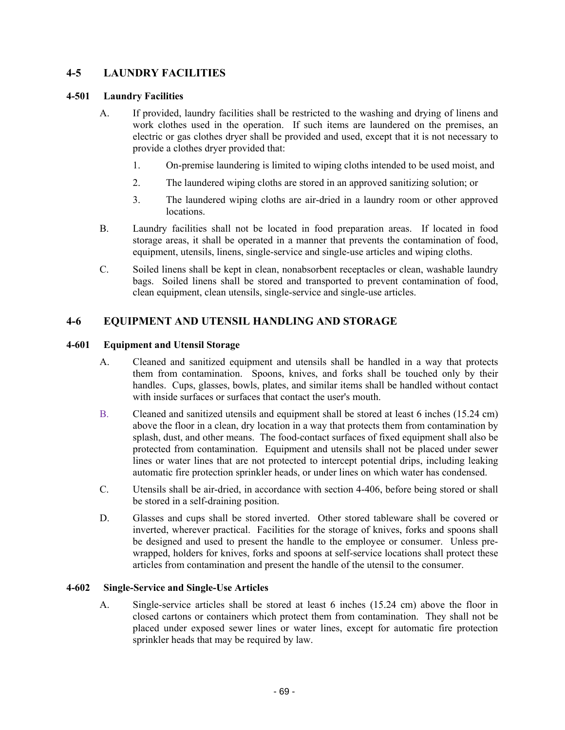# **4-5 LAUNDRY FACILITIES**

## **4-501 Laundry Facilities**

- A. If provided, laundry facilities shall be restricted to the washing and drying of linens and work clothes used in the operation. If such items are laundered on the premises, an electric or gas clothes dryer shall be provided and used, except that it is not necessary to provide a clothes dryer provided that:
	- 1. On-premise laundering is limited to wiping cloths intended to be used moist, and
	- 2. The laundered wiping cloths are stored in an approved sanitizing solution; or
	- 3. The laundered wiping cloths are air-dried in a laundry room or other approved locations.
- B. Laundry facilities shall not be located in food preparation areas. If located in food storage areas, it shall be operated in a manner that prevents the contamination of food, equipment, utensils, linens, single-service and single-use articles and wiping cloths.
- C. Soiled linens shall be kept in clean, nonabsorbent receptacles or clean, washable laundry bags. Soiled linens shall be stored and transported to prevent contamination of food, clean equipment, clean utensils, single-service and single-use articles.

# **4-6 EQUIPMENT AND UTENSIL HANDLING AND STORAGE**

### **4-601 Equipment and Utensil Storage**

- A. Cleaned and sanitized equipment and utensils shall be handled in a way that protects them from contamination. Spoons, knives, and forks shall be touched only by their handles. Cups, glasses, bowls, plates, and similar items shall be handled without contact with inside surfaces or surfaces that contact the user's mouth.
- B. Cleaned and sanitized utensils and equipment shall be stored at least 6 inches (15.24 cm) above the floor in a clean, dry location in a way that protects them from contamination by splash, dust, and other means. The food-contact surfaces of fixed equipment shall also be protected from contamination. Equipment and utensils shall not be placed under sewer lines or water lines that are not protected to intercept potential drips, including leaking automatic fire protection sprinkler heads, or under lines on which water has condensed.
- C. Utensils shall be air-dried, in accordance with section 4-406, before being stored or shall be stored in a self-draining position.
- D. Glasses and cups shall be stored inverted. Other stored tableware shall be covered or inverted, wherever practical. Facilities for the storage of knives, forks and spoons shall be designed and used to present the handle to the employee or consumer. Unless prewrapped, holders for knives, forks and spoons at self-service locations shall protect these articles from contamination and present the handle of the utensil to the consumer.

### **4-602 Single-Service and Single-Use Articles**

A. Single-service articles shall be stored at least 6 inches (15.24 cm) above the floor in closed cartons or containers which protect them from contamination. They shall not be placed under exposed sewer lines or water lines, except for automatic fire protection sprinkler heads that may be required by law.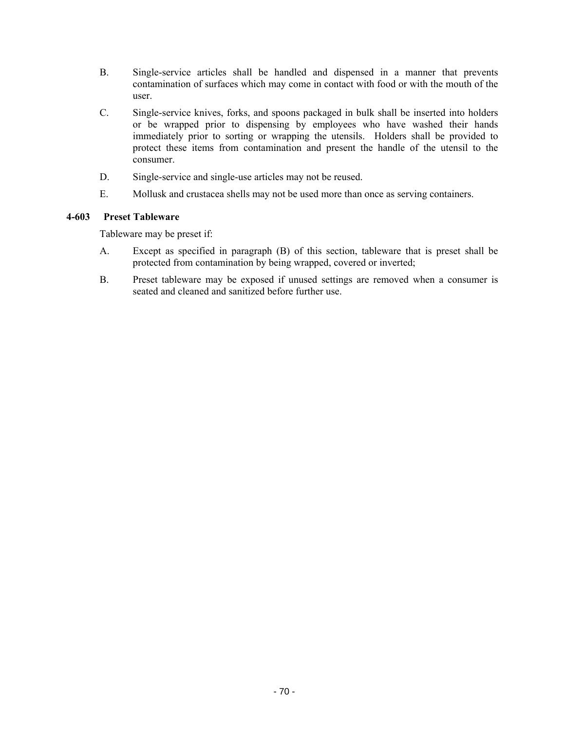- B. Single-service articles shall be handled and dispensed in a manner that prevents contamination of surfaces which may come in contact with food or with the mouth of the user.
- C. Single-service knives, forks, and spoons packaged in bulk shall be inserted into holders or be wrapped prior to dispensing by employees who have washed their hands immediately prior to sorting or wrapping the utensils. Holders shall be provided to protect these items from contamination and present the handle of the utensil to the consumer.
- D. Single-service and single-use articles may not be reused.
- E. Mollusk and crustacea shells may not be used more than once as serving containers.

### **4-603 Preset Tableware**

Tableware may be preset if:

- A. Except as specified in paragraph (B) of this section, tableware that is preset shall be protected from contamination by being wrapped, covered or inverted;
- B. Preset tableware may be exposed if unused settings are removed when a consumer is seated and cleaned and sanitized before further use.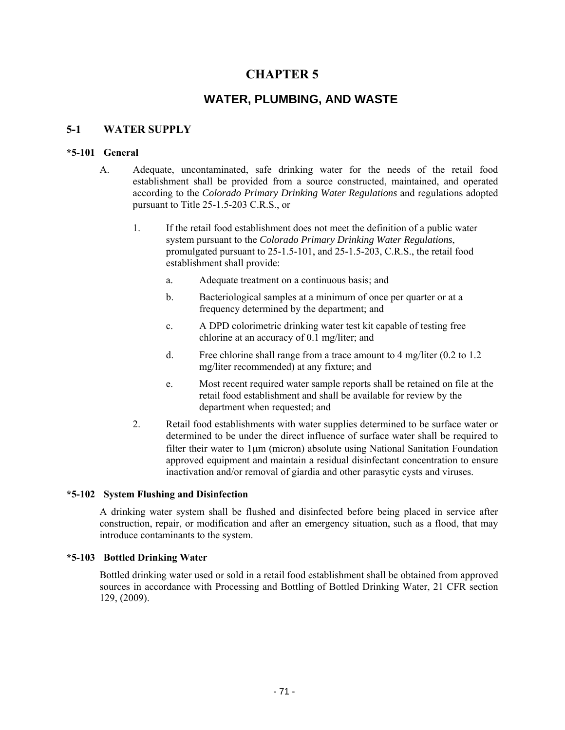# **CHAPTER 5**

# **WATER, PLUMBING, AND WASTE**

# **5-1 WATER SUPPLY**

## **\*5-101 General**

- A. Adequate, uncontaminated, safe drinking water for the needs of the retail food establishment shall be provided from a source constructed, maintained, and operated according to the *Colorado Primary Drinking Water Regulations* and regulations adopted pursuant to Title 25-1.5-203 C.R.S., or
	- 1. If the retail food establishment does not meet the definition of a public water system pursuant to the *Colorado Primary Drinking Water Regulations*, promulgated pursuant to 25-1.5-101, and 25-1.5-203, C.R.S., the retail food establishment shall provide:
		- a. Adequate treatment on a continuous basis; and
		- b. Bacteriological samples at a minimum of once per quarter or at a frequency determined by the department; and
		- c. A DPD colorimetric drinking water test kit capable of testing free chlorine at an accuracy of 0.1 mg/liter; and
		- d. Free chlorine shall range from a trace amount to 4 mg/liter (0.2 to 1.2 mg/liter recommended) at any fixture; and
		- e. Most recent required water sample reports shall be retained on file at the retail food establishment and shall be available for review by the department when requested; and
	- 2. Retail food establishments with water supplies determined to be surface water or determined to be under the direct influence of surface water shall be required to filter their water to 1μm (micron) absolute using National Sanitation Foundation approved equipment and maintain a residual disinfectant concentration to ensure inactivation and/or removal of giardia and other parasytic cysts and viruses.

### **\*5-102 System Flushing and Disinfection**

A drinking water system shall be flushed and disinfected before being placed in service after construction, repair, or modification and after an emergency situation, such as a flood, that may introduce contaminants to the system.

### **\*5-103 Bottled Drinking Water**

Bottled drinking water used or sold in a retail food establishment shall be obtained from approved sources in accordance with Processing and Bottling of Bottled Drinking Water, 21 CFR section 129, (2009).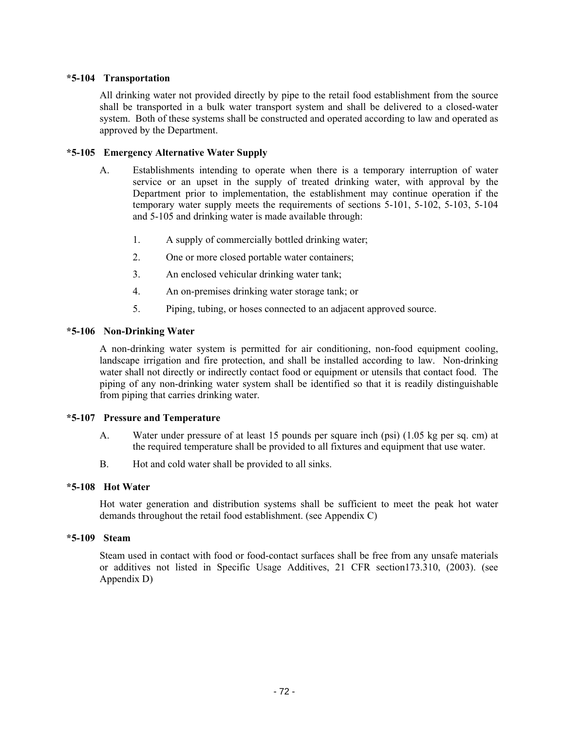## **\*5-104 Transportation**

All drinking water not provided directly by pipe to the retail food establishment from the source shall be transported in a bulk water transport system and shall be delivered to a closed-water system. Both of these systems shall be constructed and operated according to law and operated as approved by the Department.

## **\*5-105 Emergency Alternative Water Supply**

- A. Establishments intending to operate when there is a temporary interruption of water service or an upset in the supply of treated drinking water, with approval by the Department prior to implementation, the establishment may continue operation if the temporary water supply meets the requirements of sections 5-101, 5-102, 5-103, 5-104 and 5-105 and drinking water is made available through:
	- 1. A supply of commercially bottled drinking water;
	- 2. One or more closed portable water containers;
	- 3. An enclosed vehicular drinking water tank;
	- 4. An on-premises drinking water storage tank; or
	- 5. Piping, tubing, or hoses connected to an adjacent approved source.

## **\*5-106 Non-Drinking Water**

A non-drinking water system is permitted for air conditioning, non-food equipment cooling, landscape irrigation and fire protection, and shall be installed according to law. Non-drinking water shall not directly or indirectly contact food or equipment or utensils that contact food. The piping of any non-drinking water system shall be identified so that it is readily distinguishable from piping that carries drinking water.

### **\*5-107 Pressure and Temperature**

- A. Water under pressure of at least 15 pounds per square inch (psi) (1.05 kg per sq. cm) at the required temperature shall be provided to all fixtures and equipment that use water.
- B. Hot and cold water shall be provided to all sinks.

### **\*5-108 Hot Water**

Hot water generation and distribution systems shall be sufficient to meet the peak hot water demands throughout the retail food establishment. (see Appendix C)

### **\*5-109 Steam**

Steam used in contact with food or food-contact surfaces shall be free from any unsafe materials or additives not listed in Specific Usage Additives, 21 CFR section173.310, (2003). (see Appendix D)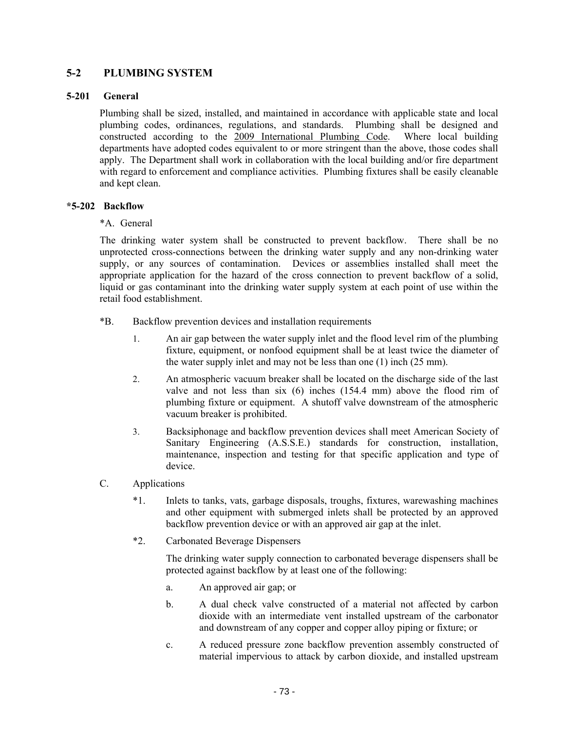# **5-2 PLUMBING SYSTEM**

### **5-201 General**

Plumbing shall be sized, installed, and maintained in accordance with applicable state and local plumbing codes, ordinances, regulations, and standards. Plumbing shall be designed and constructed according to the 2009 International Plumbing Code. Where local building departments have adopted codes equivalent to or more stringent than the above, those codes shall apply. The Department shall work in collaboration with the local building and/or fire department with regard to enforcement and compliance activities. Plumbing fixtures shall be easily cleanable and kept clean.

#### **\*5-202 Backflow**

#### \*A. General

The drinking water system shall be constructed to prevent backflow. There shall be no unprotected cross-connections between the drinking water supply and any non-drinking water supply, or any sources of contamination. Devices or assemblies installed shall meet the appropriate application for the hazard of the cross connection to prevent backflow of a solid, liquid or gas contaminant into the drinking water supply system at each point of use within the retail food establishment.

- \*B. Backflow prevention devices and installation requirements
	- 1. An air gap between the water supply inlet and the flood level rim of the plumbing fixture, equipment, or nonfood equipment shall be at least twice the diameter of the water supply inlet and may not be less than one (1) inch (25 mm).
	- 2. An atmospheric vacuum breaker shall be located on the discharge side of the last valve and not less than six (6) inches (154.4 mm) above the flood rim of plumbing fixture or equipment. A shutoff valve downstream of the atmospheric vacuum breaker is prohibited.
	- 3. Backsiphonage and backflow prevention devices shall meet American Society of Sanitary Engineering (A.S.S.E.) standards for construction, installation, maintenance, inspection and testing for that specific application and type of device.
- C. Applications
	- \*1. Inlets to tanks, vats, garbage disposals, troughs, fixtures, warewashing machines and other equipment with submerged inlets shall be protected by an approved backflow prevention device or with an approved air gap at the inlet.
	- \*2. Carbonated Beverage Dispensers

 The drinking water supply connection to carbonated beverage dispensers shall be protected against backflow by at least one of the following:

- a. An approved air gap; or
- b. A dual check valve constructed of a material not affected by carbon dioxide with an intermediate vent installed upstream of the carbonator and downstream of any copper and copper alloy piping or fixture; or
- c. A reduced pressure zone backflow prevention assembly constructed of material impervious to attack by carbon dioxide, and installed upstream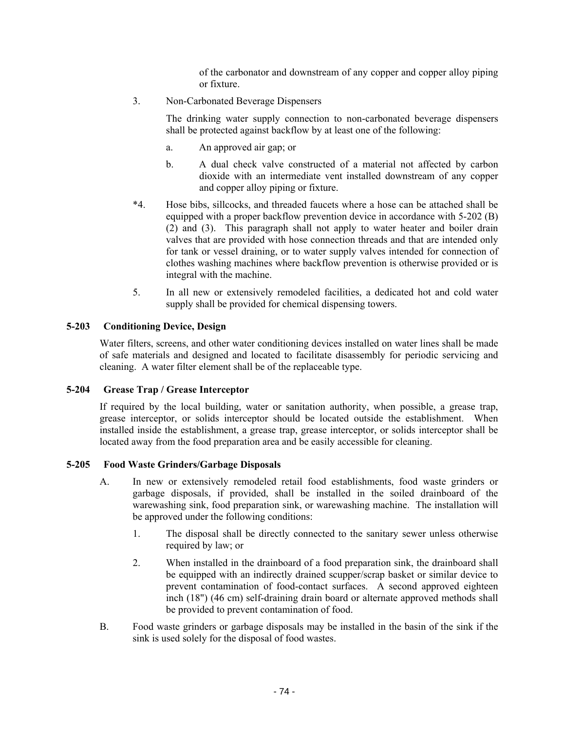of the carbonator and downstream of any copper and copper alloy piping or fixture.

3. Non-Carbonated Beverage Dispensers

The drinking water supply connection to non-carbonated beverage dispensers shall be protected against backflow by at least one of the following:

- a. An approved air gap; or
- b. A dual check valve constructed of a material not affected by carbon dioxide with an intermediate vent installed downstream of any copper and copper alloy piping or fixture.
- \*4. Hose bibs, sillcocks, and threaded faucets where a hose can be attached shall be equipped with a proper backflow prevention device in accordance with 5-202 (B) (2) and (3). This paragraph shall not apply to water heater and boiler drain valves that are provided with hose connection threads and that are intended only for tank or vessel draining, or to water supply valves intended for connection of clothes washing machines where backflow prevention is otherwise provided or is integral with the machine.
- 5. In all new or extensively remodeled facilities, a dedicated hot and cold water supply shall be provided for chemical dispensing towers.

## **5-203 Conditioning Device, Design**

Water filters, screens, and other water conditioning devices installed on water lines shall be made of safe materials and designed and located to facilitate disassembly for periodic servicing and cleaning. A water filter element shall be of the replaceable type.

### **5-204 Grease Trap / Grease Interceptor**

If required by the local building, water or sanitation authority, when possible, a grease trap, grease interceptor, or solids interceptor should be located outside the establishment. When installed inside the establishment, a grease trap, grease interceptor, or solids interceptor shall be located away from the food preparation area and be easily accessible for cleaning.

### **5-205 Food Waste Grinders/Garbage Disposals**

- A. In new or extensively remodeled retail food establishments, food waste grinders or garbage disposals, if provided, shall be installed in the soiled drainboard of the warewashing sink, food preparation sink, or warewashing machine. The installation will be approved under the following conditions:
	- 1. The disposal shall be directly connected to the sanitary sewer unless otherwise required by law; or
	- 2. When installed in the drainboard of a food preparation sink, the drainboard shall be equipped with an indirectly drained scupper/scrap basket or similar device to prevent contamination of food-contact surfaces. A second approved eighteen inch (18") (46 cm) self-draining drain board or alternate approved methods shall be provided to prevent contamination of food.
- B. Food waste grinders or garbage disposals may be installed in the basin of the sink if the sink is used solely for the disposal of food wastes.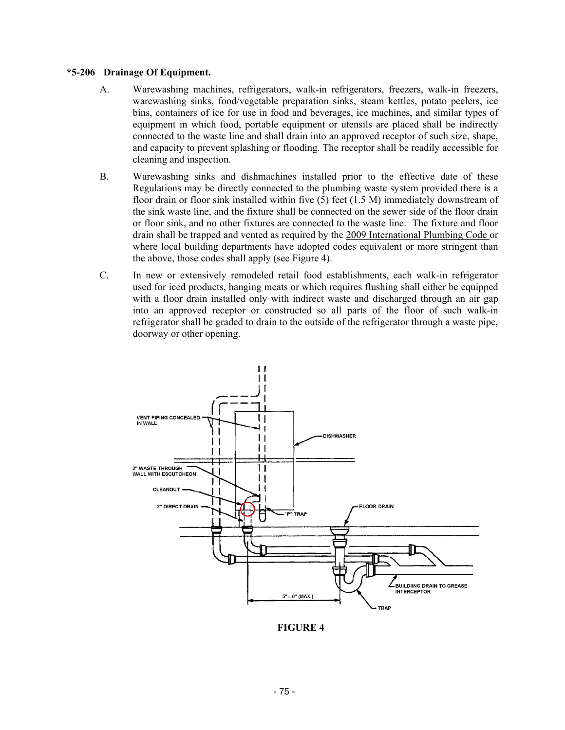#### **\*5-206 Drainage Of Equipment.**

- A. Warewashing machines, refrigerators, walk-in refrigerators, freezers, walk-in freezers, warewashing sinks, food/vegetable preparation sinks, steam kettles, potato peelers, ice bins, containers of ice for use in food and beverages, ice machines, and similar types of equipment in which food, portable equipment or utensils are placed shall be indirectly connected to the waste line and shall drain into an approved receptor of such size, shape, and capacity to prevent splashing or flooding. The receptor shall be readily accessible for cleaning and inspection.
- B. Warewashing sinks and dishmachines installed prior to the effective date of these Regulations may be directly connected to the plumbing waste system provided there is a floor drain or floor sink installed within five (5) feet (1.5 M) immediately downstream of the sink waste line, and the fixture shall be connected on the sewer side of the floor drain or floor sink, and no other fixtures are connected to the waste line. The fixture and floor drain shall be trapped and vented as required by the 2009 International Plumbing Code or where local building departments have adopted codes equivalent or more stringent than the above, those codes shall apply (see Figure 4).
- C. In new or extensively remodeled retail food establishments, each walk-in refrigerator used for iced products, hanging meats or which requires flushing shall either be equipped with a floor drain installed only with indirect waste and discharged through an air gap into an approved receptor or constructed so all parts of the floor of such walk-in refrigerator shall be graded to drain to the outside of the refrigerator through a waste pipe, doorway or other opening.



**FIGURE 4**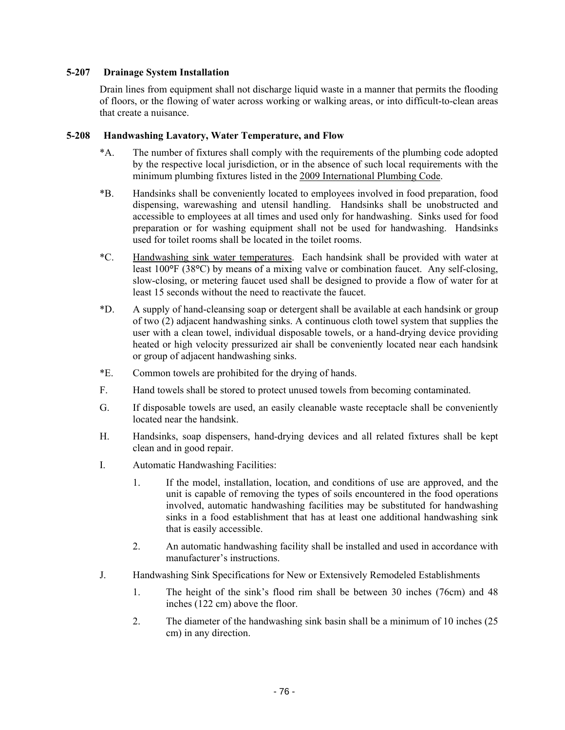## **5-207 Drainage System Installation**

Drain lines from equipment shall not discharge liquid waste in a manner that permits the flooding of floors, or the flowing of water across working or walking areas, or into difficult-to-clean areas that create a nuisance.

## **5-208 Handwashing Lavatory, Water Temperature, and Flow**

- \*A. The number of fixtures shall comply with the requirements of the plumbing code adopted by the respective local jurisdiction, or in the absence of such local requirements with the minimum plumbing fixtures listed in the 2009 International Plumbing Code.
- \*B. Handsinks shall be conveniently located to employees involved in food preparation, food dispensing, warewashing and utensil handling. Handsinks shall be unobstructed and accessible to employees at all times and used only for handwashing. Sinks used for food preparation or for washing equipment shall not be used for handwashing. Handsinks used for toilet rooms shall be located in the toilet rooms.
- \*C. Handwashing sink water temperatures. Each handsink shall be provided with water at least 100**°**F (38**°**C) by means of a mixing valve or combination faucet. Any self-closing, slow-closing, or metering faucet used shall be designed to provide a flow of water for at least 15 seconds without the need to reactivate the faucet.
- \*D. A supply of hand-cleansing soap or detergent shall be available at each handsink or group of two (2) adjacent handwashing sinks. A continuous cloth towel system that supplies the user with a clean towel, individual disposable towels, or a hand-drying device providing heated or high velocity pressurized air shall be conveniently located near each handsink or group of adjacent handwashing sinks.
- \*E. Common towels are prohibited for the drying of hands.
- F. Hand towels shall be stored to protect unused towels from becoming contaminated.
- G. If disposable towels are used, an easily cleanable waste receptacle shall be conveniently located near the handsink.
- H. Handsinks, soap dispensers, hand-drying devices and all related fixtures shall be kept clean and in good repair.
- I. Automatic Handwashing Facilities:
	- 1. If the model, installation, location, and conditions of use are approved, and the unit is capable of removing the types of soils encountered in the food operations involved, automatic handwashing facilities may be substituted for handwashing sinks in a food establishment that has at least one additional handwashing sink that is easily accessible.
	- 2. An automatic handwashing facility shall be installed and used in accordance with manufacturer's instructions.
- J. Handwashing Sink Specifications for New or Extensively Remodeled Establishments
	- 1. The height of the sink's flood rim shall be between 30 inches (76cm) and 48 inches (122 cm) above the floor.
	- 2. The diameter of the handwashing sink basin shall be a minimum of 10 inches (25 cm) in any direction.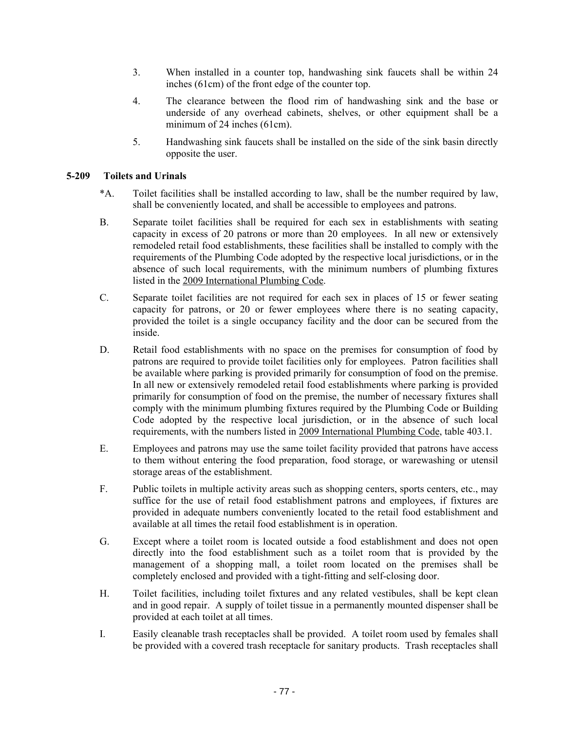- 3. When installed in a counter top, handwashing sink faucets shall be within 24 inches (61cm) of the front edge of the counter top.
- 4. The clearance between the flood rim of handwashing sink and the base or underside of any overhead cabinets, shelves, or other equipment shall be a minimum of 24 inches (61cm).
- 5. Handwashing sink faucets shall be installed on the side of the sink basin directly opposite the user.

## **5-209 Toilets and Urinals**

- \*A. Toilet facilities shall be installed according to law, shall be the number required by law, shall be conveniently located, and shall be accessible to employees and patrons.
- B. Separate toilet facilities shall be required for each sex in establishments with seating capacity in excess of 20 patrons or more than 20 employees. In all new or extensively remodeled retail food establishments, these facilities shall be installed to comply with the requirements of the Plumbing Code adopted by the respective local jurisdictions, or in the absence of such local requirements, with the minimum numbers of plumbing fixtures listed in the 2009 International Plumbing Code.
- C. Separate toilet facilities are not required for each sex in places of 15 or fewer seating capacity for patrons, or 20 or fewer employees where there is no seating capacity, provided the toilet is a single occupancy facility and the door can be secured from the inside.
- D. Retail food establishments with no space on the premises for consumption of food by patrons are required to provide toilet facilities only for employees. Patron facilities shall be available where parking is provided primarily for consumption of food on the premise. In all new or extensively remodeled retail food establishments where parking is provided primarily for consumption of food on the premise, the number of necessary fixtures shall comply with the minimum plumbing fixtures required by the Plumbing Code or Building Code adopted by the respective local jurisdiction, or in the absence of such local requirements, with the numbers listed in 2009 International Plumbing Code, table 403.1.
- E. Employees and patrons may use the same toilet facility provided that patrons have access to them without entering the food preparation, food storage, or warewashing or utensil storage areas of the establishment.
- F. Public toilets in multiple activity areas such as shopping centers, sports centers, etc., may suffice for the use of retail food establishment patrons and employees, if fixtures are provided in adequate numbers conveniently located to the retail food establishment and available at all times the retail food establishment is in operation.
- G. Except where a toilet room is located outside a food establishment and does not open directly into the food establishment such as a toilet room that is provided by the management of a shopping mall, a toilet room located on the premises shall be completely enclosed and provided with a tight-fitting and self-closing door.
- H. Toilet facilities, including toilet fixtures and any related vestibules, shall be kept clean and in good repair. A supply of toilet tissue in a permanently mounted dispenser shall be provided at each toilet at all times.
- I. Easily cleanable trash receptacles shall be provided. A toilet room used by females shall be provided with a covered trash receptacle for sanitary products. Trash receptacles shall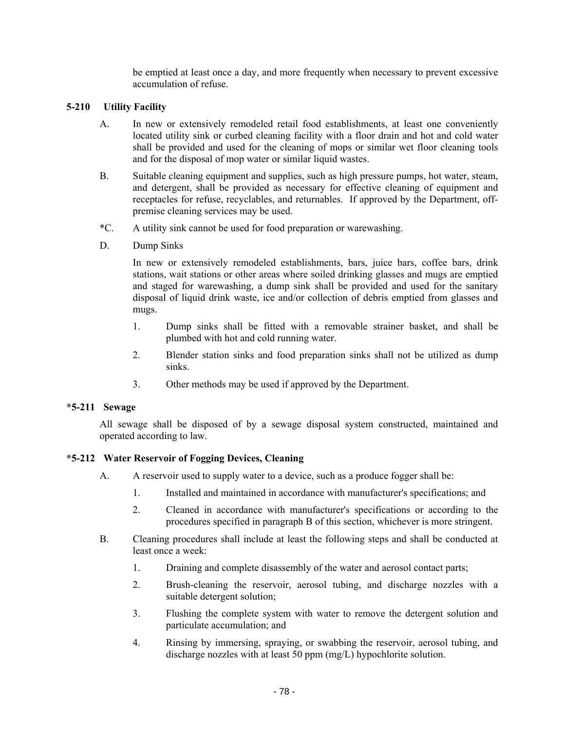be emptied at least once a day, and more frequently when necessary to prevent excessive accumulation of refuse.

## **5-210 Utility Facility**

- A. In new or extensively remodeled retail food establishments, at least one conveniently located utility sink or curbed cleaning facility with a floor drain and hot and cold water shall be provided and used for the cleaning of mops or similar wet floor cleaning tools and for the disposal of mop water or similar liquid wastes.
- B. Suitable cleaning equipment and supplies, such as high pressure pumps, hot water, steam, and detergent, shall be provided as necessary for effective cleaning of equipment and receptacles for refuse, recyclables, and returnables. If approved by the Department, offpremise cleaning services may be used.
- \*C. A utility sink cannot be used for food preparation or warewashing.
- D. Dump Sinks

 In new or extensively remodeled establishments, bars, juice bars, coffee bars, drink stations, wait stations or other areas where soiled drinking glasses and mugs are emptied and staged for warewashing, a dump sink shall be provided and used for the sanitary disposal of liquid drink waste, ice and/or collection of debris emptied from glasses and mugs.

- 1. Dump sinks shall be fitted with a removable strainer basket, and shall be plumbed with hot and cold running water.
- 2. Blender station sinks and food preparation sinks shall not be utilized as dump sinks.
- 3. Other methods may be used if approved by the Department.

### **\*5-211 Sewage**

All sewage shall be disposed of by a sewage disposal system constructed, maintained and operated according to law.

### **\*5-212 Water Reservoir of Fogging Devices, Cleaning**

- A. A reservoir used to supply water to a device, such as a produce fogger shall be:
	- 1. Installed and maintained in accordance with manufacturer's specifications; and
	- 2. Cleaned in accordance with manufacturer's specifications or according to the procedures specified in paragraph B of this section, whichever is more stringent.
- B. Cleaning procedures shall include at least the following steps and shall be conducted at least once a week:
	- 1. Draining and complete disassembly of the water and aerosol contact parts;
	- 2. Brush-cleaning the reservoir, aerosol tubing, and discharge nozzles with a suitable detergent solution;
	- 3. Flushing the complete system with water to remove the detergent solution and particulate accumulation; and
	- 4. Rinsing by immersing, spraying, or swabbing the reservoir, aerosol tubing, and discharge nozzles with at least 50 ppm (mg/L) hypochlorite solution.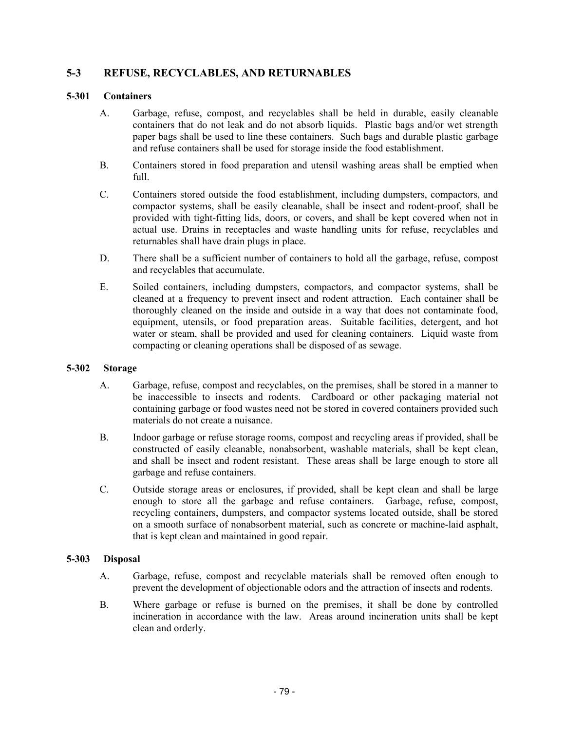# **5-3 REFUSE, RECYCLABLES, AND RETURNABLES**

### **5-301 Containers**

- A. Garbage, refuse, compost, and recyclables shall be held in durable, easily cleanable containers that do not leak and do not absorb liquids. Plastic bags and/or wet strength paper bags shall be used to line these containers. Such bags and durable plastic garbage and refuse containers shall be used for storage inside the food establishment.
- B. Containers stored in food preparation and utensil washing areas shall be emptied when full.
- C. Containers stored outside the food establishment, including dumpsters, compactors, and compactor systems, shall be easily cleanable, shall be insect and rodent-proof, shall be provided with tight-fitting lids, doors, or covers, and shall be kept covered when not in actual use. Drains in receptacles and waste handling units for refuse, recyclables and returnables shall have drain plugs in place.
- D. There shall be a sufficient number of containers to hold all the garbage, refuse, compost and recyclables that accumulate.
- E. Soiled containers, including dumpsters, compactors, and compactor systems, shall be cleaned at a frequency to prevent insect and rodent attraction. Each container shall be thoroughly cleaned on the inside and outside in a way that does not contaminate food, equipment, utensils, or food preparation areas. Suitable facilities, detergent, and hot water or steam, shall be provided and used for cleaning containers. Liquid waste from compacting or cleaning operations shall be disposed of as sewage.

### **5-302 Storage**

- A. Garbage, refuse, compost and recyclables, on the premises, shall be stored in a manner to be inaccessible to insects and rodents. Cardboard or other packaging material not containing garbage or food wastes need not be stored in covered containers provided such materials do not create a nuisance.
- B. Indoor garbage or refuse storage rooms, compost and recycling areas if provided, shall be constructed of easily cleanable, nonabsorbent, washable materials, shall be kept clean, and shall be insect and rodent resistant. These areas shall be large enough to store all garbage and refuse containers.
- C. Outside storage areas or enclosures, if provided, shall be kept clean and shall be large enough to store all the garbage and refuse containers. Garbage, refuse, compost, recycling containers, dumpsters, and compactor systems located outside, shall be stored on a smooth surface of nonabsorbent material, such as concrete or machine-laid asphalt, that is kept clean and maintained in good repair.

## **5-303 Disposal**

- A. Garbage, refuse, compost and recyclable materials shall be removed often enough to prevent the development of objectionable odors and the attraction of insects and rodents.
- B. Where garbage or refuse is burned on the premises, it shall be done by controlled incineration in accordance with the law. Areas around incineration units shall be kept clean and orderly.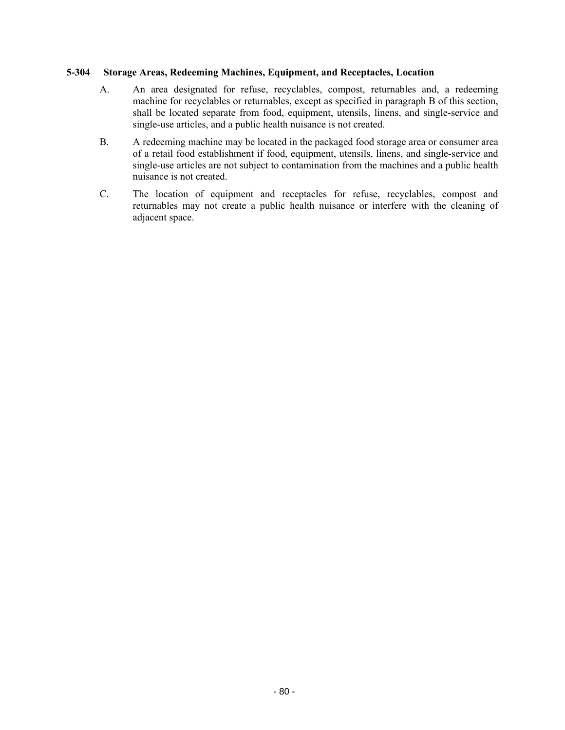#### **5-304 Storage Areas, Redeeming Machines, Equipment, and Receptacles, Location**

- A. An area designated for refuse, recyclables, compost, returnables and, a redeeming machine for recyclables or returnables, except as specified in paragraph B of this section, shall be located separate from food, equipment, utensils, linens, and single-service and single-use articles, and a public health nuisance is not created.
- B. A redeeming machine may be located in the packaged food storage area or consumer area of a retail food establishment if food, equipment, utensils, linens, and single-service and single-use articles are not subject to contamination from the machines and a public health nuisance is not created.
- C. The location of equipment and receptacles for refuse, recyclables, compost and returnables may not create a public health nuisance or interfere with the cleaning of adjacent space.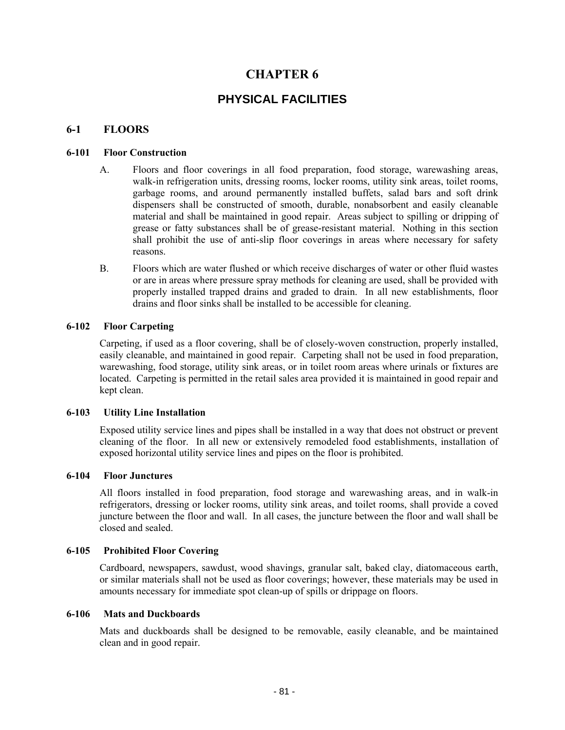# **CHAPTER 6**

# **PHYSICAL FACILITIES**

## **6-1 FLOORS**

#### **6-101 Floor Construction**

- A. Floors and floor coverings in all food preparation, food storage, warewashing areas, walk-in refrigeration units, dressing rooms, locker rooms, utility sink areas, toilet rooms, garbage rooms, and around permanently installed buffets, salad bars and soft drink dispensers shall be constructed of smooth, durable, nonabsorbent and easily cleanable material and shall be maintained in good repair. Areas subject to spilling or dripping of grease or fatty substances shall be of grease-resistant material. Nothing in this section shall prohibit the use of anti-slip floor coverings in areas where necessary for safety reasons.
- B. Floors which are water flushed or which receive discharges of water or other fluid wastes or are in areas where pressure spray methods for cleaning are used, shall be provided with properly installed trapped drains and graded to drain. In all new establishments, floor drains and floor sinks shall be installed to be accessible for cleaning.

#### **6-102 Floor Carpeting**

Carpeting, if used as a floor covering, shall be of closely-woven construction, properly installed, easily cleanable, and maintained in good repair. Carpeting shall not be used in food preparation, warewashing, food storage, utility sink areas, or in toilet room areas where urinals or fixtures are located. Carpeting is permitted in the retail sales area provided it is maintained in good repair and kept clean.

#### **6-103 Utility Line Installation**

Exposed utility service lines and pipes shall be installed in a way that does not obstruct or prevent cleaning of the floor. In all new or extensively remodeled food establishments, installation of exposed horizontal utility service lines and pipes on the floor is prohibited.

#### **6-104 Floor Junctures**

All floors installed in food preparation, food storage and warewashing areas, and in walk-in refrigerators, dressing or locker rooms, utility sink areas, and toilet rooms, shall provide a coved juncture between the floor and wall. In all cases, the juncture between the floor and wall shall be closed and sealed.

#### **6-105 Prohibited Floor Covering**

Cardboard, newspapers, sawdust, wood shavings, granular salt, baked clay, diatomaceous earth, or similar materials shall not be used as floor coverings; however, these materials may be used in amounts necessary for immediate spot clean-up of spills or drippage on floors.

#### **6-106 Mats and Duckboards**

Mats and duckboards shall be designed to be removable, easily cleanable, and be maintained clean and in good repair.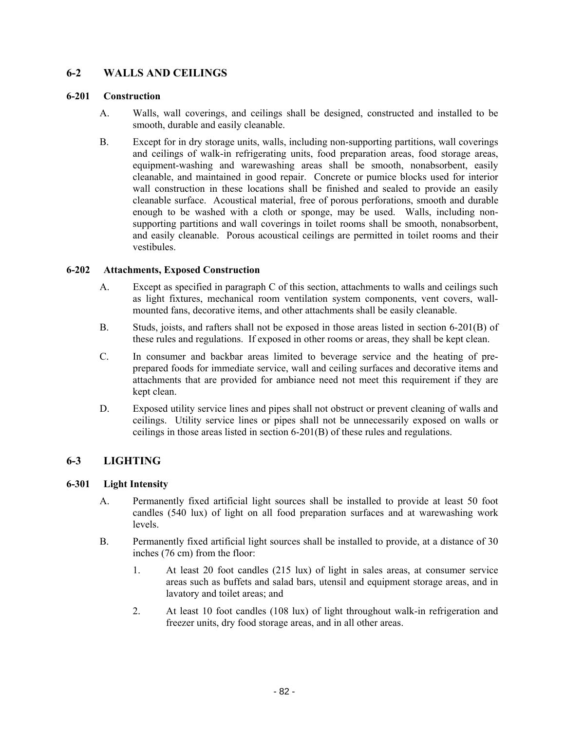# **6-2 WALLS AND CEILINGS**

## **6-201 Construction**

- A. Walls, wall coverings, and ceilings shall be designed, constructed and installed to be smooth, durable and easily cleanable.
- B. Except for in dry storage units, walls, including non-supporting partitions, wall coverings and ceilings of walk-in refrigerating units, food preparation areas, food storage areas, equipment-washing and warewashing areas shall be smooth, nonabsorbent, easily cleanable, and maintained in good repair. Concrete or pumice blocks used for interior wall construction in these locations shall be finished and sealed to provide an easily cleanable surface. Acoustical material, free of porous perforations, smooth and durable enough to be washed with a cloth or sponge, may be used. Walls, including nonsupporting partitions and wall coverings in toilet rooms shall be smooth, nonabsorbent, and easily cleanable. Porous acoustical ceilings are permitted in toilet rooms and their vestibules.

## **6-202 Attachments, Exposed Construction**

- A. Except as specified in paragraph C of this section, attachments to walls and ceilings such as light fixtures, mechanical room ventilation system components, vent covers, wallmounted fans, decorative items, and other attachments shall be easily cleanable.
- B. Studs, joists, and rafters shall not be exposed in those areas listed in section 6-201(B) of these rules and regulations. If exposed in other rooms or areas, they shall be kept clean.
- C. In consumer and backbar areas limited to beverage service and the heating of preprepared foods for immediate service, wall and ceiling surfaces and decorative items and attachments that are provided for ambiance need not meet this requirement if they are kept clean.
- D. Exposed utility service lines and pipes shall not obstruct or prevent cleaning of walls and ceilings. Utility service lines or pipes shall not be unnecessarily exposed on walls or ceilings in those areas listed in section 6-201(B) of these rules and regulations.

# **6-3 LIGHTING**

# **6-301 Light Intensity**

- A. Permanently fixed artificial light sources shall be installed to provide at least 50 foot candles (540 lux) of light on all food preparation surfaces and at warewashing work levels.
- B. Permanently fixed artificial light sources shall be installed to provide, at a distance of 30 inches (76 cm) from the floor:
	- 1. At least 20 foot candles (215 lux) of light in sales areas, at consumer service areas such as buffets and salad bars, utensil and equipment storage areas, and in lavatory and toilet areas; and
	- 2. At least 10 foot candles (108 lux) of light throughout walk-in refrigeration and freezer units, dry food storage areas, and in all other areas.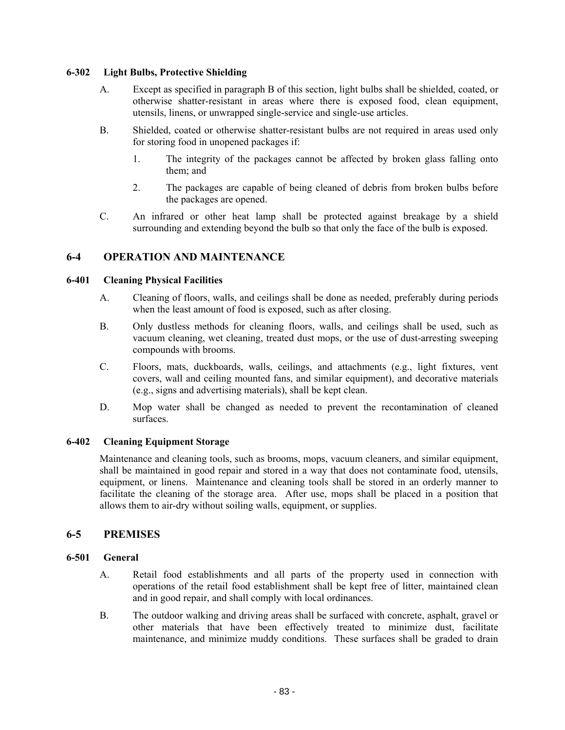## **6-302 Light Bulbs, Protective Shielding**

- A. Except as specified in paragraph B of this section, light bulbs shall be shielded, coated, or otherwise shatter-resistant in areas where there is exposed food, clean equipment, utensils, linens, or unwrapped single-service and single-use articles.
- B. Shielded, coated or otherwise shatter-resistant bulbs are not required in areas used only for storing food in unopened packages if:
	- 1. The integrity of the packages cannot be affected by broken glass falling onto them; and
	- 2. The packages are capable of being cleaned of debris from broken bulbs before the packages are opened.
- C. An infrared or other heat lamp shall be protected against breakage by a shield surrounding and extending beyond the bulb so that only the face of the bulb is exposed.

# **6-4 OPERATION AND MAINTENANCE**

## **6-401 Cleaning Physical Facilities**

- A. Cleaning of floors, walls, and ceilings shall be done as needed, preferably during periods when the least amount of food is exposed, such as after closing.
- B. Only dustless methods for cleaning floors, walls, and ceilings shall be used, such as vacuum cleaning, wet cleaning, treated dust mops, or the use of dust-arresting sweeping compounds with brooms.
- C. Floors, mats, duckboards, walls, ceilings, and attachments (e.g., light fixtures, vent covers, wall and ceiling mounted fans, and similar equipment), and decorative materials (e.g., signs and advertising materials), shall be kept clean.
- D. Mop water shall be changed as needed to prevent the recontamination of cleaned surfaces.

### **6-402 Cleaning Equipment Storage**

Maintenance and cleaning tools, such as brooms, mops, vacuum cleaners, and similar equipment, shall be maintained in good repair and stored in a way that does not contaminate food, utensils, equipment, or linens. Maintenance and cleaning tools shall be stored in an orderly manner to facilitate the cleaning of the storage area. After use, mops shall be placed in a position that allows them to air-dry without soiling walls, equipment, or supplies.

# **6-5 PREMISES**

### **6-501 General**

- A. Retail food establishments and all parts of the property used in connection with operations of the retail food establishment shall be kept free of litter, maintained clean and in good repair, and shall comply with local ordinances.
- B. The outdoor walking and driving areas shall be surfaced with concrete, asphalt, gravel or other materials that have been effectively treated to minimize dust, facilitate maintenance, and minimize muddy conditions. These surfaces shall be graded to drain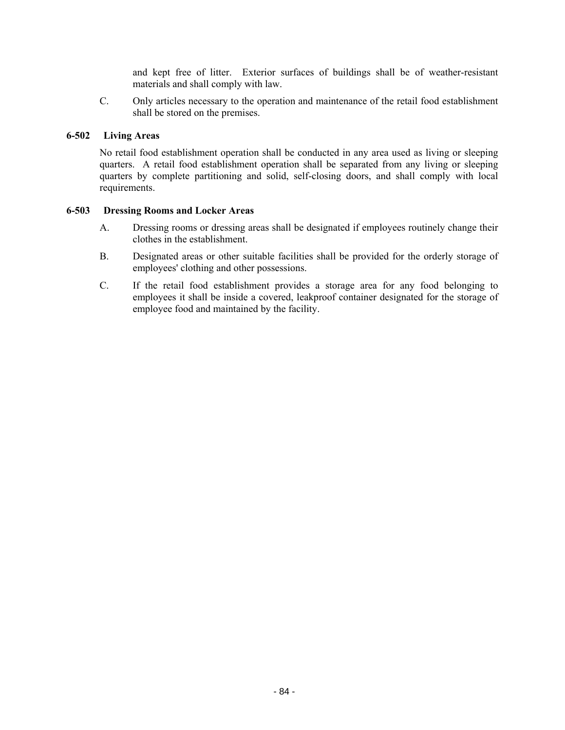and kept free of litter. Exterior surfaces of buildings shall be of weather-resistant materials and shall comply with law.

C. Only articles necessary to the operation and maintenance of the retail food establishment shall be stored on the premises.

## **6-502 Living Areas**

No retail food establishment operation shall be conducted in any area used as living or sleeping quarters. A retail food establishment operation shall be separated from any living or sleeping quarters by complete partitioning and solid, self-closing doors, and shall comply with local requirements.

### **6-503 Dressing Rooms and Locker Areas**

- A. Dressing rooms or dressing areas shall be designated if employees routinely change their clothes in the establishment.
- B. Designated areas or other suitable facilities shall be provided for the orderly storage of employees' clothing and other possessions.
- C. If the retail food establishment provides a storage area for any food belonging to employees it shall be inside a covered, leakproof container designated for the storage of employee food and maintained by the facility.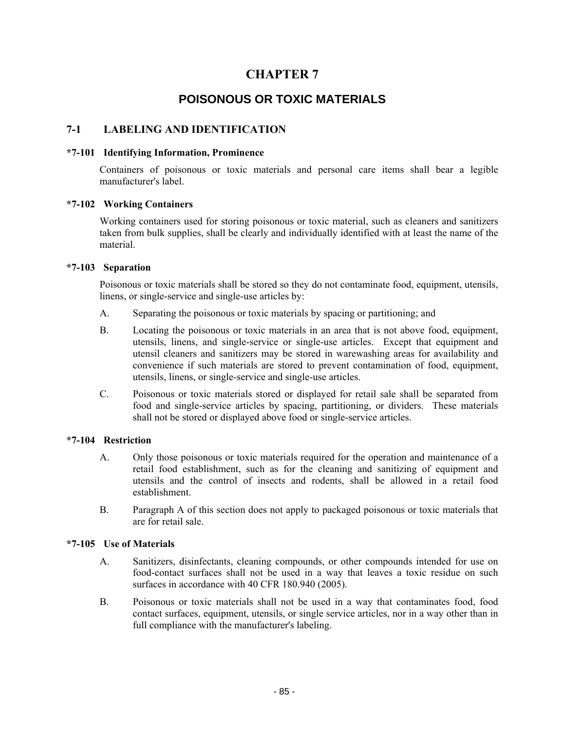# **CHAPTER 7**

# **POISONOUS OR TOXIC MATERIALS**

## **7-1 LABELING AND IDENTIFICATION**

#### **\*7-101 Identifying Information, Prominence**

Containers of poisonous or toxic materials and personal care items shall bear a legible manufacturer's label.

#### **\*7-102 Working Containers**

Working containers used for storing poisonous or toxic material, such as cleaners and sanitizers taken from bulk supplies, shall be clearly and individually identified with at least the name of the material.

#### **\*7-103 Separation**

Poisonous or toxic materials shall be stored so they do not contaminate food, equipment, utensils, linens, or single-service and single-use articles by:

- A. Separating the poisonous or toxic materials by spacing or partitioning; and
- B. Locating the poisonous or toxic materials in an area that is not above food, equipment, utensils, linens, and single-service or single-use articles. Except that equipment and utensil cleaners and sanitizers may be stored in warewashing areas for availability and convenience if such materials are stored to prevent contamination of food, equipment, utensils, linens, or single-service and single-use articles.
- C. Poisonous or toxic materials stored or displayed for retail sale shall be separated from food and single-service articles by spacing, partitioning, or dividers. These materials shall not be stored or displayed above food or single-service articles.

### **\*7-104 Restriction**

- A. Only those poisonous or toxic materials required for the operation and maintenance of a retail food establishment, such as for the cleaning and sanitizing of equipment and utensils and the control of insects and rodents, shall be allowed in a retail food establishment.
- B. Paragraph A of this section does not apply to packaged poisonous or toxic materials that are for retail sale.

### **\*7-105 Use of Materials**

- A. Sanitizers, disinfectants, cleaning compounds, or other compounds intended for use on food-contact surfaces shall not be used in a way that leaves a toxic residue on such surfaces in accordance with 40 CFR 180.940 (2005).
- B. Poisonous or toxic materials shall not be used in a way that contaminates food, food contact surfaces, equipment, utensils, or single service articles, nor in a way other than in full compliance with the manufacturer's labeling.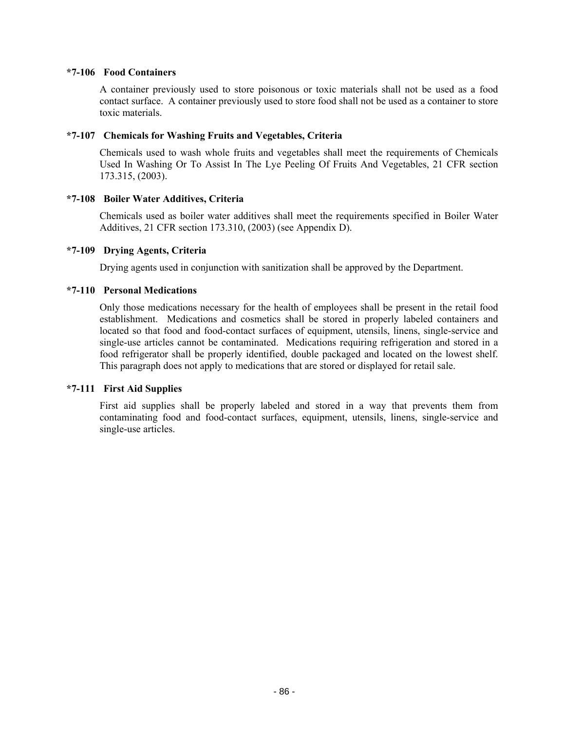#### **\*7-106 Food Containers**

A container previously used to store poisonous or toxic materials shall not be used as a food contact surface. A container previously used to store food shall not be used as a container to store toxic materials.

#### **\*7-107 Chemicals for Washing Fruits and Vegetables, Criteria**

Chemicals used to wash whole fruits and vegetables shall meet the requirements of Chemicals Used In Washing Or To Assist In The Lye Peeling Of Fruits And Vegetables, 21 CFR section 173.315, (2003).

#### **\*7-108 Boiler Water Additives, Criteria**

Chemicals used as boiler water additives shall meet the requirements specified in Boiler Water Additives, 21 CFR section 173.310, (2003) (see Appendix D).

#### **\*7-109 Drying Agents, Criteria**

Drying agents used in conjunction with sanitization shall be approved by the Department.

#### **\*7-110 Personal Medications**

Only those medications necessary for the health of employees shall be present in the retail food establishment. Medications and cosmetics shall be stored in properly labeled containers and located so that food and food-contact surfaces of equipment, utensils, linens, single-service and single-use articles cannot be contaminated. Medications requiring refrigeration and stored in a food refrigerator shall be properly identified, double packaged and located on the lowest shelf. This paragraph does not apply to medications that are stored or displayed for retail sale.

### **\*7-111 First Aid Supplies**

First aid supplies shall be properly labeled and stored in a way that prevents them from contaminating food and food-contact surfaces, equipment, utensils, linens, single-service and single-use articles.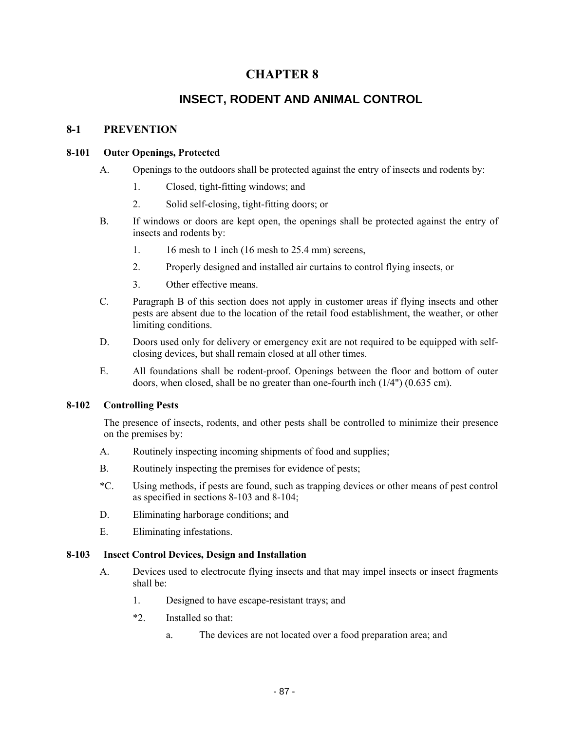# **CHAPTER 8**

# **INSECT, RODENT AND ANIMAL CONTROL**

# **8-1 PREVENTION**

## **8-101 Outer Openings, Protected**

- A. Openings to the outdoors shall be protected against the entry of insects and rodents by:
	- 1. Closed, tight-fitting windows; and
	- 2. Solid self-closing, tight-fitting doors; or
- B. If windows or doors are kept open, the openings shall be protected against the entry of insects and rodents by:
	- 1. 16 mesh to 1 inch (16 mesh to 25.4 mm) screens,
	- 2. Properly designed and installed air curtains to control flying insects, or
	- 3. Other effective means.
- C. Paragraph B of this section does not apply in customer areas if flying insects and other pests are absent due to the location of the retail food establishment, the weather, or other limiting conditions.
- D. Doors used only for delivery or emergency exit are not required to be equipped with selfclosing devices, but shall remain closed at all other times.
- E. All foundations shall be rodent-proof. Openings between the floor and bottom of outer doors, when closed, shall be no greater than one-fourth inch (1/4") (0.635 cm).

### **8-102 Controlling Pests**

The presence of insects, rodents, and other pests shall be controlled to minimize their presence on the premises by:

- A. Routinely inspecting incoming shipments of food and supplies;
- B. Routinely inspecting the premises for evidence of pests;
- \*C. Using methods, if pests are found, such as trapping devices or other means of pest control as specified in sections 8-103 and 8-104;
- D. Eliminating harborage conditions; and
- E. Eliminating infestations.

### **8-103 Insect Control Devices, Design and Installation**

- A. Devices used to electrocute flying insects and that may impel insects or insect fragments shall be:
	- 1. Designed to have escape-resistant trays; and
	- \*2. Installed so that:
		- a. The devices are not located over a food preparation area; and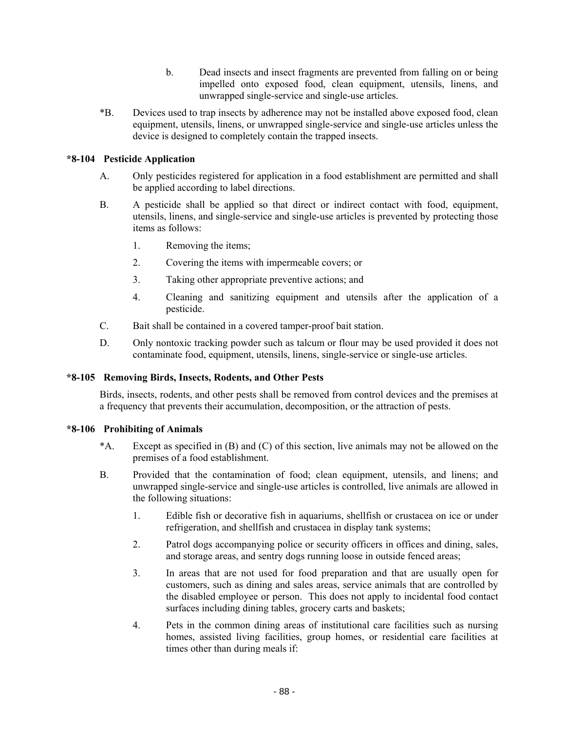- b. Dead insects and insect fragments are prevented from falling on or being impelled onto exposed food, clean equipment, utensils, linens, and unwrapped single-service and single-use articles.
- \*B. Devices used to trap insects by adherence may not be installed above exposed food, clean equipment, utensils, linens, or unwrapped single-service and single-use articles unless the device is designed to completely contain the trapped insects.

## **\*8-104 Pesticide Application**

- A. Only pesticides registered for application in a food establishment are permitted and shall be applied according to label directions.
- B. A pesticide shall be applied so that direct or indirect contact with food, equipment, utensils, linens, and single-service and single-use articles is prevented by protecting those items as follows:
	- 1. Removing the items;
	- 2. Covering the items with impermeable covers; or
	- 3. Taking other appropriate preventive actions; and
	- 4. Cleaning and sanitizing equipment and utensils after the application of a pesticide.
- C. Bait shall be contained in a covered tamper-proof bait station.
- D. Only nontoxic tracking powder such as talcum or flour may be used provided it does not contaminate food, equipment, utensils, linens, single-service or single-use articles.

### **\*8-105 Removing Birds, Insects, Rodents, and Other Pests**

Birds, insects, rodents, and other pests shall be removed from control devices and the premises at a frequency that prevents their accumulation, decomposition, or the attraction of pests.

### **\*8-106 Prohibiting of Animals**

- \*A. Except as specified in (B) and (C) of this section, live animals may not be allowed on the premises of a food establishment.
- B. Provided that the contamination of food; clean equipment, utensils, and linens; and unwrapped single-service and single-use articles is controlled, live animals are allowed in the following situations:
	- 1. Edible fish or decorative fish in aquariums, shellfish or crustacea on ice or under refrigeration, and shellfish and crustacea in display tank systems;
	- 2. Patrol dogs accompanying police or security officers in offices and dining, sales, and storage areas, and sentry dogs running loose in outside fenced areas;
	- 3. In areas that are not used for food preparation and that are usually open for customers, such as dining and sales areas, service animals that are controlled by the disabled employee or person. This does not apply to incidental food contact surfaces including dining tables, grocery carts and baskets;
	- 4. Pets in the common dining areas of institutional care facilities such as nursing homes, assisted living facilities, group homes, or residential care facilities at times other than during meals if: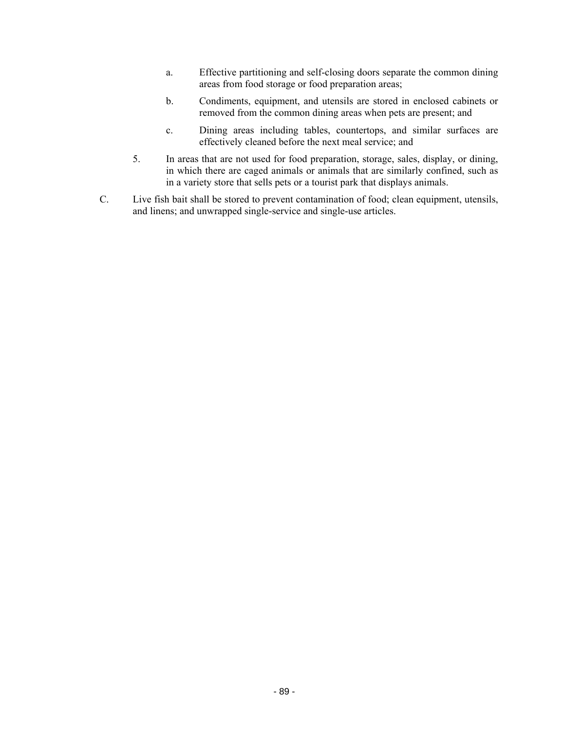- a. Effective partitioning and self-closing doors separate the common dining areas from food storage or food preparation areas;
- b. Condiments, equipment, and utensils are stored in enclosed cabinets or removed from the common dining areas when pets are present; and
- c. Dining areas including tables, countertops, and similar surfaces are effectively cleaned before the next meal service; and
- 5. In areas that are not used for food preparation, storage, sales, display, or dining, in which there are caged animals or animals that are similarly confined, such as in a variety store that sells pets or a tourist park that displays animals.
- C. Live fish bait shall be stored to prevent contamination of food; clean equipment, utensils, and linens; and unwrapped single-service and single-use articles.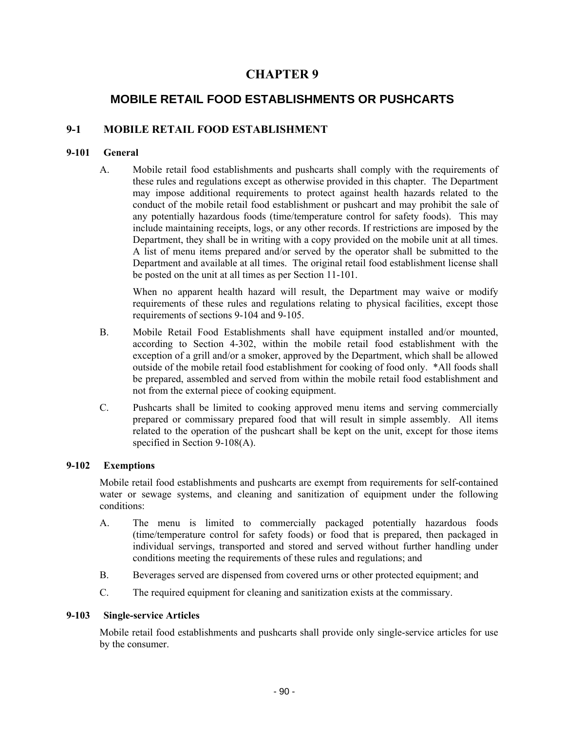# **CHAPTER 9**

# **MOBILE RETAIL FOOD ESTABLISHMENTS OR PUSHCARTS**

# **9-1 MOBILE RETAIL FOOD ESTABLISHMENT**

## **9-101 General**

A. Mobile retail food establishments and pushcarts shall comply with the requirements of these rules and regulations except as otherwise provided in this chapter. The Department may impose additional requirements to protect against health hazards related to the conduct of the mobile retail food establishment or pushcart and may prohibit the sale of any potentially hazardous foods (time/temperature control for safety foods). This may include maintaining receipts, logs, or any other records. If restrictions are imposed by the Department, they shall be in writing with a copy provided on the mobile unit at all times. A list of menu items prepared and/or served by the operator shall be submitted to the Department and available at all times. The original retail food establishment license shall be posted on the unit at all times as per Section 11-101.

 When no apparent health hazard will result, the Department may waive or modify requirements of these rules and regulations relating to physical facilities, except those requirements of sections 9-104 and 9-105.

- B. Mobile Retail Food Establishments shall have equipment installed and/or mounted, according to Section 4-302, within the mobile retail food establishment with the exception of a grill and/or a smoker, approved by the Department, which shall be allowed outside of the mobile retail food establishment for cooking of food only. \*All foods shall be prepared, assembled and served from within the mobile retail food establishment and not from the external piece of cooking equipment.
- C. Pushcarts shall be limited to cooking approved menu items and serving commercially prepared or commissary prepared food that will result in simple assembly. All items related to the operation of the pushcart shall be kept on the unit, except for those items specified in Section 9-108(A).

### **9-102 Exemptions**

Mobile retail food establishments and pushcarts are exempt from requirements for self-contained water or sewage systems, and cleaning and sanitization of equipment under the following conditions:

- A. The menu is limited to commercially packaged potentially hazardous foods (time/temperature control for safety foods) or food that is prepared, then packaged in individual servings, transported and stored and served without further handling under conditions meeting the requirements of these rules and regulations; and
- B. Beverages served are dispensed from covered urns or other protected equipment; and
- C. The required equipment for cleaning and sanitization exists at the commissary.

## **9-103 Single-service Articles**

Mobile retail food establishments and pushcarts shall provide only single-service articles for use by the consumer.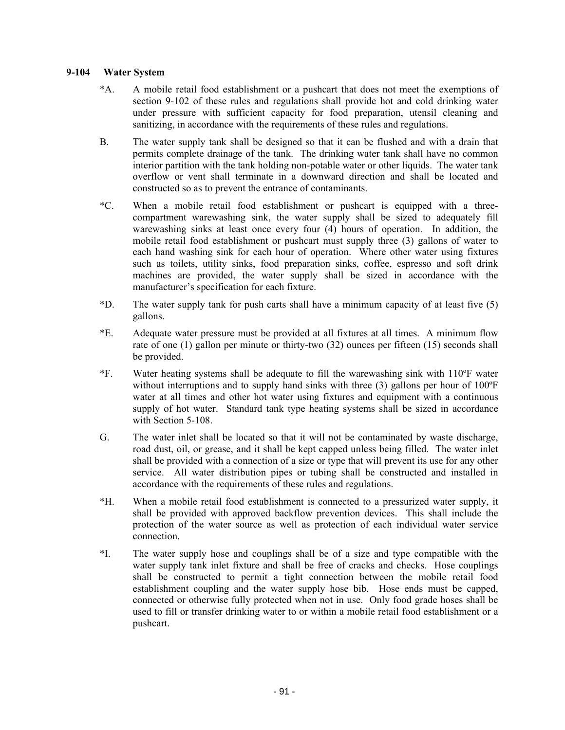#### **9-104 Water System**

- \*A. A mobile retail food establishment or a pushcart that does not meet the exemptions of section 9-102 of these rules and regulations shall provide hot and cold drinking water under pressure with sufficient capacity for food preparation, utensil cleaning and sanitizing, in accordance with the requirements of these rules and regulations.
- B. The water supply tank shall be designed so that it can be flushed and with a drain that permits complete drainage of the tank. The drinking water tank shall have no common interior partition with the tank holding non-potable water or other liquids. The water tank overflow or vent shall terminate in a downward direction and shall be located and constructed so as to prevent the entrance of contaminants.
- \*C. When a mobile retail food establishment or pushcart is equipped with a threecompartment warewashing sink, the water supply shall be sized to adequately fill warewashing sinks at least once every four (4) hours of operation. In addition, the mobile retail food establishment or pushcart must supply three (3) gallons of water to each hand washing sink for each hour of operation. Where other water using fixtures such as toilets, utility sinks, food preparation sinks, coffee, espresso and soft drink machines are provided, the water supply shall be sized in accordance with the manufacturer's specification for each fixture.
- \*D. The water supply tank for push carts shall have a minimum capacity of at least five (5) gallons.
- \*E. Adequate water pressure must be provided at all fixtures at all times. A minimum flow rate of one (1) gallon per minute or thirty-two (32) ounces per fifteen (15) seconds shall be provided.
- \*F. Water heating systems shall be adequate to fill the warewashing sink with 110ºF water without interruptions and to supply hand sinks with three (3) gallons per hour of 100°F water at all times and other hot water using fixtures and equipment with a continuous supply of hot water. Standard tank type heating systems shall be sized in accordance with Section 5-108.
- G. The water inlet shall be located so that it will not be contaminated by waste discharge, road dust, oil, or grease, and it shall be kept capped unless being filled. The water inlet shall be provided with a connection of a size or type that will prevent its use for any other service. All water distribution pipes or tubing shall be constructed and installed in accordance with the requirements of these rules and regulations.
- \*H. When a mobile retail food establishment is connected to a pressurized water supply, it shall be provided with approved backflow prevention devices. This shall include the protection of the water source as well as protection of each individual water service connection.
- \*I. The water supply hose and couplings shall be of a size and type compatible with the water supply tank inlet fixture and shall be free of cracks and checks. Hose couplings shall be constructed to permit a tight connection between the mobile retail food establishment coupling and the water supply hose bib. Hose ends must be capped, connected or otherwise fully protected when not in use. Only food grade hoses shall be used to fill or transfer drinking water to or within a mobile retail food establishment or a pushcart.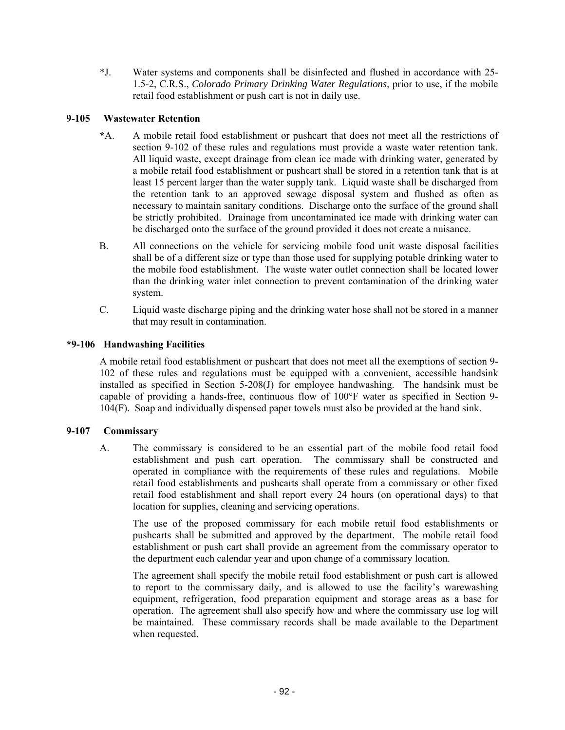\*J. Water systems and components shall be disinfected and flushed in accordance with 25- 1.5-2, C.R.S., *Colorado Primary Drinking Water Regulations*, prior to use, if the mobile retail food establishment or push cart is not in daily use.

## **9-105 Wastewater Retention**

- **\***A. A mobile retail food establishment or pushcart that does not meet all the restrictions of section 9-102 of these rules and regulations must provide a waste water retention tank. All liquid waste, except drainage from clean ice made with drinking water, generated by a mobile retail food establishment or pushcart shall be stored in a retention tank that is at least 15 percent larger than the water supply tank. Liquid waste shall be discharged from the retention tank to an approved sewage disposal system and flushed as often as necessary to maintain sanitary conditions. Discharge onto the surface of the ground shall be strictly prohibited. Drainage from uncontaminated ice made with drinking water can be discharged onto the surface of the ground provided it does not create a nuisance.
- B. All connections on the vehicle for servicing mobile food unit waste disposal facilities shall be of a different size or type than those used for supplying potable drinking water to the mobile food establishment. The waste water outlet connection shall be located lower than the drinking water inlet connection to prevent contamination of the drinking water system.
- C. Liquid waste discharge piping and the drinking water hose shall not be stored in a manner that may result in contamination.

## **\*9-106 Handwashing Facilities**

A mobile retail food establishment or pushcart that does not meet all the exemptions of section 9- 102 of these rules and regulations must be equipped with a convenient, accessible handsink installed as specified in Section 5-208(J) for employee handwashing. The handsink must be capable of providing a hands-free, continuous flow of 100°F water as specified in Section 9- 104(F). Soap and individually dispensed paper towels must also be provided at the hand sink.

### **9-107 Commissary**

A. The commissary is considered to be an essential part of the mobile food retail food establishment and push cart operation. The commissary shall be constructed and operated in compliance with the requirements of these rules and regulations. Mobile retail food establishments and pushcarts shall operate from a commissary or other fixed retail food establishment and shall report every 24 hours (on operational days) to that location for supplies, cleaning and servicing operations.

 The use of the proposed commissary for each mobile retail food establishments or pushcarts shall be submitted and approved by the department. The mobile retail food establishment or push cart shall provide an agreement from the commissary operator to the department each calendar year and upon change of a commissary location.

 The agreement shall specify the mobile retail food establishment or push cart is allowed to report to the commissary daily, and is allowed to use the facility's warewashing equipment, refrigeration, food preparation equipment and storage areas as a base for operation. The agreement shall also specify how and where the commissary use log will be maintained. These commissary records shall be made available to the Department when requested.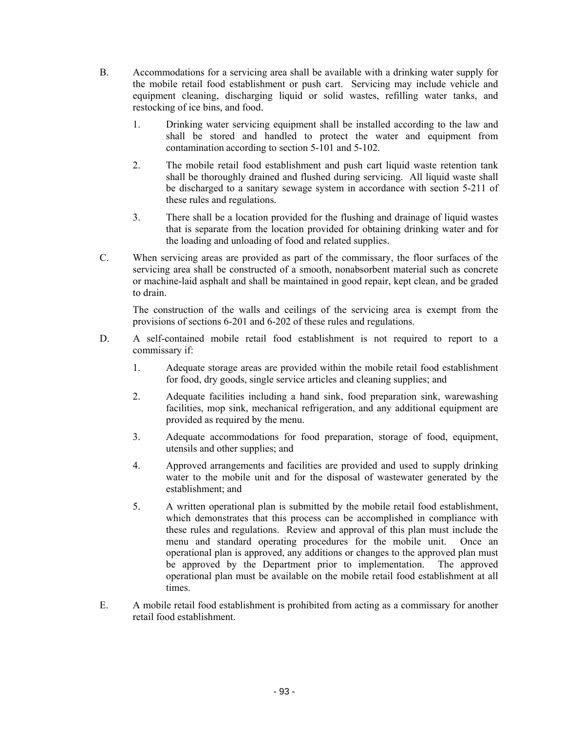- B. Accommodations for a servicing area shall be available with a drinking water supply for the mobile retail food establishment or push cart. Servicing may include vehicle and equipment cleaning, discharging liquid or solid wastes, refilling water tanks, and restocking of ice bins, and food.
	- 1. Drinking water servicing equipment shall be installed according to the law and shall be stored and handled to protect the water and equipment from contamination according to section 5-101 and 5-102.
	- 2. The mobile retail food establishment and push cart liquid waste retention tank shall be thoroughly drained and flushed during servicing. All liquid waste shall be discharged to a sanitary sewage system in accordance with section 5-211 of these rules and regulations.
	- 3. There shall be a location provided for the flushing and drainage of liquid wastes that is separate from the location provided for obtaining drinking water and for the loading and unloading of food and related supplies.
- C. When servicing areas are provided as part of the commissary, the floor surfaces of the servicing area shall be constructed of a smooth, nonabsorbent material such as concrete or machine-laid asphalt and shall be maintained in good repair, kept clean, and be graded to drain.

 The construction of the walls and ceilings of the servicing area is exempt from the provisions of sections 6-201 and 6-202 of these rules and regulations.

- D. A self-contained mobile retail food establishment is not required to report to a commissary if:
	- 1. Adequate storage areas are provided within the mobile retail food establishment for food, dry goods, single service articles and cleaning supplies; and
	- 2. Adequate facilities including a hand sink, food preparation sink, warewashing facilities, mop sink, mechanical refrigeration, and any additional equipment are provided as required by the menu.
	- 3. Adequate accommodations for food preparation, storage of food, equipment, utensils and other supplies; and
	- 4. Approved arrangements and facilities are provided and used to supply drinking water to the mobile unit and for the disposal of wastewater generated by the establishment; and
	- 5. A written operational plan is submitted by the mobile retail food establishment, which demonstrates that this process can be accomplished in compliance with these rules and regulations. Review and approval of this plan must include the menu and standard operating procedures for the mobile unit. Once an operational plan is approved, any additions or changes to the approved plan must be approved by the Department prior to implementation. The approved operational plan must be available on the mobile retail food establishment at all times.
- E. A mobile retail food establishment is prohibited from acting as a commissary for another retail food establishment.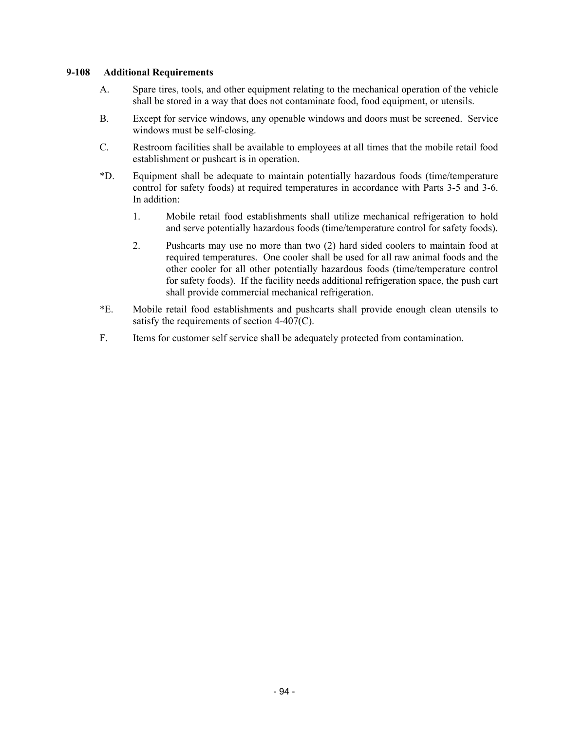#### **9-108 Additional Requirements**

- A. Spare tires, tools, and other equipment relating to the mechanical operation of the vehicle shall be stored in a way that does not contaminate food, food equipment, or utensils.
- B. Except for service windows, any openable windows and doors must be screened. Service windows must be self-closing.
- C. Restroom facilities shall be available to employees at all times that the mobile retail food establishment or pushcart is in operation.
- \*D. Equipment shall be adequate to maintain potentially hazardous foods (time/temperature control for safety foods) at required temperatures in accordance with Parts 3-5 and 3-6. In addition:
	- 1. Mobile retail food establishments shall utilize mechanical refrigeration to hold and serve potentially hazardous foods (time/temperature control for safety foods).
	- 2. Pushcarts may use no more than two (2) hard sided coolers to maintain food at required temperatures. One cooler shall be used for all raw animal foods and the other cooler for all other potentially hazardous foods (time/temperature control for safety foods). If the facility needs additional refrigeration space, the push cart shall provide commercial mechanical refrigeration.
- \*E. Mobile retail food establishments and pushcarts shall provide enough clean utensils to satisfy the requirements of section 4-407(C).
- F. Items for customer self service shall be adequately protected from contamination.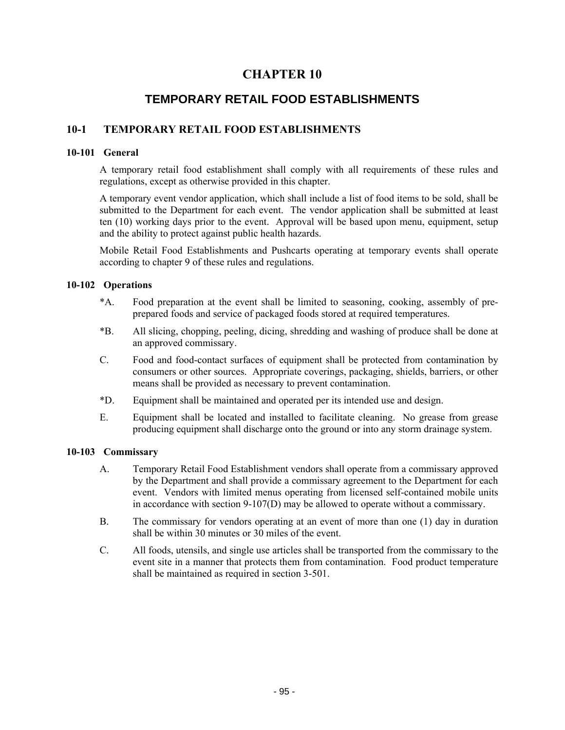# **CHAPTER 10**

# **TEMPORARY RETAIL FOOD ESTABLISHMENTS**

# **10-1 TEMPORARY RETAIL FOOD ESTABLISHMENTS**

## **10-101 General**

A temporary retail food establishment shall comply with all requirements of these rules and regulations, except as otherwise provided in this chapter.

A temporary event vendor application, which shall include a list of food items to be sold, shall be submitted to the Department for each event. The vendor application shall be submitted at least ten (10) working days prior to the event. Approval will be based upon menu, equipment, setup and the ability to protect against public health hazards.

Mobile Retail Food Establishments and Pushcarts operating at temporary events shall operate according to chapter 9 of these rules and regulations.

### **10-102 Operations**

- \*A. Food preparation at the event shall be limited to seasoning, cooking, assembly of preprepared foods and service of packaged foods stored at required temperatures.
- \*B. All slicing, chopping, peeling, dicing, shredding and washing of produce shall be done at an approved commissary.
- C. Food and food-contact surfaces of equipment shall be protected from contamination by consumers or other sources. Appropriate coverings, packaging, shields, barriers, or other means shall be provided as necessary to prevent contamination.
- \*D. Equipment shall be maintained and operated per its intended use and design.
- E. Equipment shall be located and installed to facilitate cleaning. No grease from grease producing equipment shall discharge onto the ground or into any storm drainage system.

# **10-103 Commissary**

- A. Temporary Retail Food Establishment vendors shall operate from a commissary approved by the Department and shall provide a commissary agreement to the Department for each event. Vendors with limited menus operating from licensed self-contained mobile units in accordance with section 9-107(D) may be allowed to operate without a commissary.
- B. The commissary for vendors operating at an event of more than one (1) day in duration shall be within 30 minutes or 30 miles of the event.
- C. All foods, utensils, and single use articles shall be transported from the commissary to the event site in a manner that protects them from contamination. Food product temperature shall be maintained as required in section 3-501.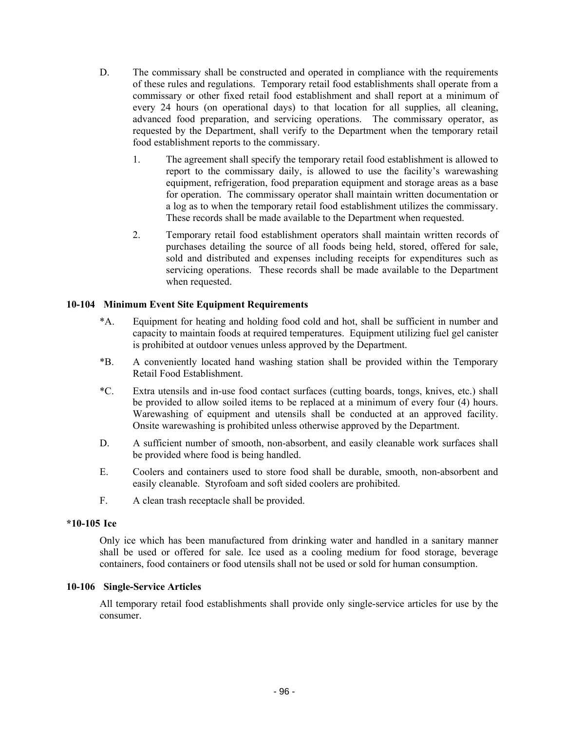- D. The commissary shall be constructed and operated in compliance with the requirements of these rules and regulations. Temporary retail food establishments shall operate from a commissary or other fixed retail food establishment and shall report at a minimum of every 24 hours (on operational days) to that location for all supplies, all cleaning, advanced food preparation, and servicing operations. The commissary operator, as requested by the Department, shall verify to the Department when the temporary retail food establishment reports to the commissary.
	- 1. The agreement shall specify the temporary retail food establishment is allowed to report to the commissary daily, is allowed to use the facility's warewashing equipment, refrigeration, food preparation equipment and storage areas as a base for operation. The commissary operator shall maintain written documentation or a log as to when the temporary retail food establishment utilizes the commissary. These records shall be made available to the Department when requested.
	- 2. Temporary retail food establishment operators shall maintain written records of purchases detailing the source of all foods being held, stored, offered for sale, sold and distributed and expenses including receipts for expenditures such as servicing operations. These records shall be made available to the Department when requested.

## **10-104 Minimum Event Site Equipment Requirements**

- \*A. Equipment for heating and holding food cold and hot, shall be sufficient in number and capacity to maintain foods at required temperatures. Equipment utilizing fuel gel canister is prohibited at outdoor venues unless approved by the Department.
- \*B. A conveniently located hand washing station shall be provided within the Temporary Retail Food Establishment.
- \*C. Extra utensils and in-use food contact surfaces (cutting boards, tongs, knives, etc.) shall be provided to allow soiled items to be replaced at a minimum of every four (4) hours. Warewashing of equipment and utensils shall be conducted at an approved facility. Onsite warewashing is prohibited unless otherwise approved by the Department.
- D. A sufficient number of smooth, non-absorbent, and easily cleanable work surfaces shall be provided where food is being handled.
- E. Coolers and containers used to store food shall be durable, smooth, non-absorbent and easily cleanable. Styrofoam and soft sided coolers are prohibited.
- F. A clean trash receptacle shall be provided.

#### **\*10-105 Ice**

Only ice which has been manufactured from drinking water and handled in a sanitary manner shall be used or offered for sale. Ice used as a cooling medium for food storage, beverage containers, food containers or food utensils shall not be used or sold for human consumption.

#### **10-106 Single-Service Articles**

All temporary retail food establishments shall provide only single-service articles for use by the consumer.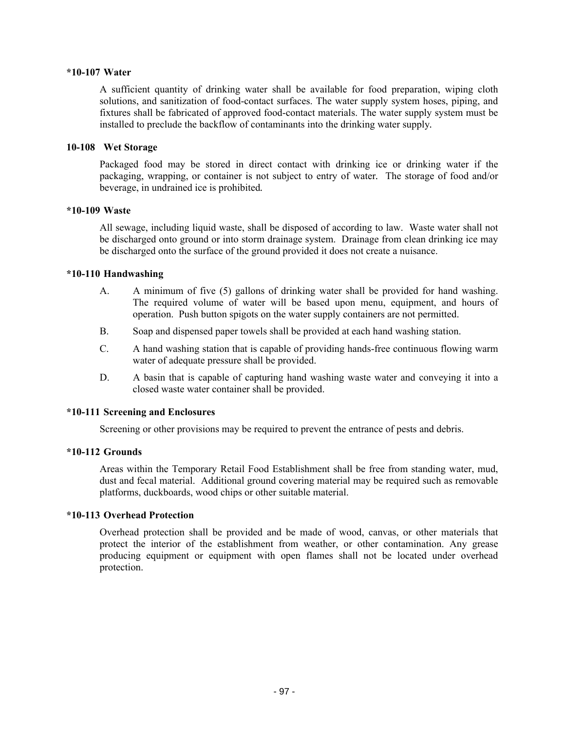#### **\*10-107 Water**

A sufficient quantity of drinking water shall be available for food preparation, wiping cloth solutions, and sanitization of food-contact surfaces. The water supply system hoses, piping, and fixtures shall be fabricated of approved food-contact materials. The water supply system must be installed to preclude the backflow of contaminants into the drinking water supply*.*

#### **10-108 Wet Storage**

Packaged food may be stored in direct contact with drinking ice or drinking water if the packaging, wrapping, or container is not subject to entry of water*.* The storage of food and/or beverage, in undrained ice is prohibited*.* 

#### **\*10-109 Waste**

All sewage, including liquid waste, shall be disposed of according to law. Waste water shall not be discharged onto ground or into storm drainage system. Drainage from clean drinking ice may be discharged onto the surface of the ground provided it does not create a nuisance.

### **\*10-110 Handwashing**

- A. A minimum of five (5) gallons of drinking water shall be provided for hand washing. The required volume of water will be based upon menu, equipment, and hours of operation. Push button spigots on the water supply containers are not permitted.
- B. Soap and dispensed paper towels shall be provided at each hand washing station.
- C. A hand washing station that is capable of providing hands-free continuous flowing warm water of adequate pressure shall be provided.
- D. A basin that is capable of capturing hand washing waste water and conveying it into a closed waste water container shall be provided.

#### **\*10-111 Screening and Enclosures**

Screening or other provisions may be required to prevent the entrance of pests and debris.

### **\*10-112 Grounds**

Areas within the Temporary Retail Food Establishment shall be free from standing water, mud, dust and fecal material. Additional ground covering material may be required such as removable platforms, duckboards, wood chips or other suitable material.

## **\*10-113 Overhead Protection**

Overhead protection shall be provided and be made of wood, canvas, or other materials that protect the interior of the establishment from weather, or other contamination. Any grease producing equipment or equipment with open flames shall not be located under overhead protection.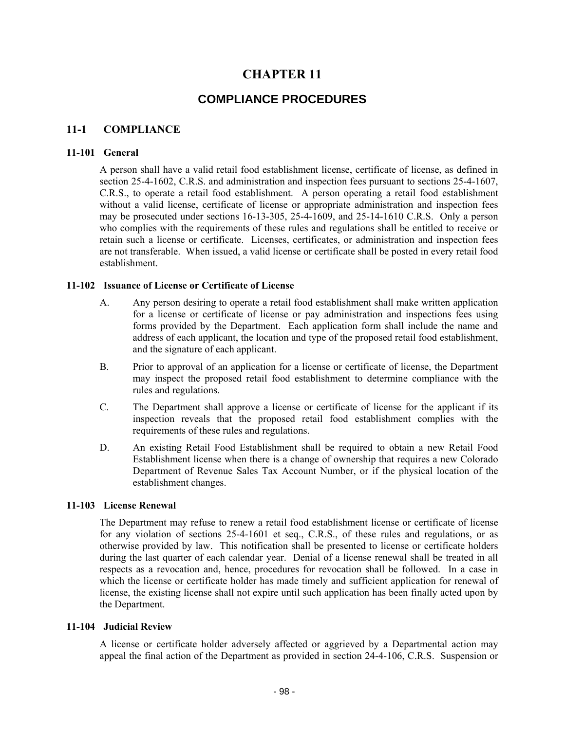# **CHAPTER 11**

## **COMPLIANCE PROCEDURES**

## **11-1 COMPLIANCE**

### **11-101 General**

A person shall have a valid retail food establishment license, certificate of license, as defined in section 25-4-1602, C.R.S. and administration and inspection fees pursuant to sections 25-4-1607, C.R.S., to operate a retail food establishment. A person operating a retail food establishment without a valid license, certificate of license or appropriate administration and inspection fees may be prosecuted under sections 16-13-305, 25-4-1609, and 25-14-1610 C.R.S. Only a person who complies with the requirements of these rules and regulations shall be entitled to receive or retain such a license or certificate. Licenses, certificates, or administration and inspection fees are not transferable. When issued, a valid license or certificate shall be posted in every retail food establishment.

#### **11-102 Issuance of License or Certificate of License**

- A. Any person desiring to operate a retail food establishment shall make written application for a license or certificate of license or pay administration and inspections fees using forms provided by the Department. Each application form shall include the name and address of each applicant, the location and type of the proposed retail food establishment, and the signature of each applicant.
- B. Prior to approval of an application for a license or certificate of license, the Department may inspect the proposed retail food establishment to determine compliance with the rules and regulations.
- C. The Department shall approve a license or certificate of license for the applicant if its inspection reveals that the proposed retail food establishment complies with the requirements of these rules and regulations.
- D. An existing Retail Food Establishment shall be required to obtain a new Retail Food Establishment license when there is a change of ownership that requires a new Colorado Department of Revenue Sales Tax Account Number, or if the physical location of the establishment changes.

#### **11-103 License Renewal**

The Department may refuse to renew a retail food establishment license or certificate of license for any violation of sections 25-4-1601 et seq., C.R.S., of these rules and regulations, or as otherwise provided by law. This notification shall be presented to license or certificate holders during the last quarter of each calendar year. Denial of a license renewal shall be treated in all respects as a revocation and, hence, procedures for revocation shall be followed. In a case in which the license or certificate holder has made timely and sufficient application for renewal of license, the existing license shall not expire until such application has been finally acted upon by the Department.

#### **11-104 Judicial Review**

A license or certificate holder adversely affected or aggrieved by a Departmental action may appeal the final action of the Department as provided in section 24-4-106, C.R.S. Suspension or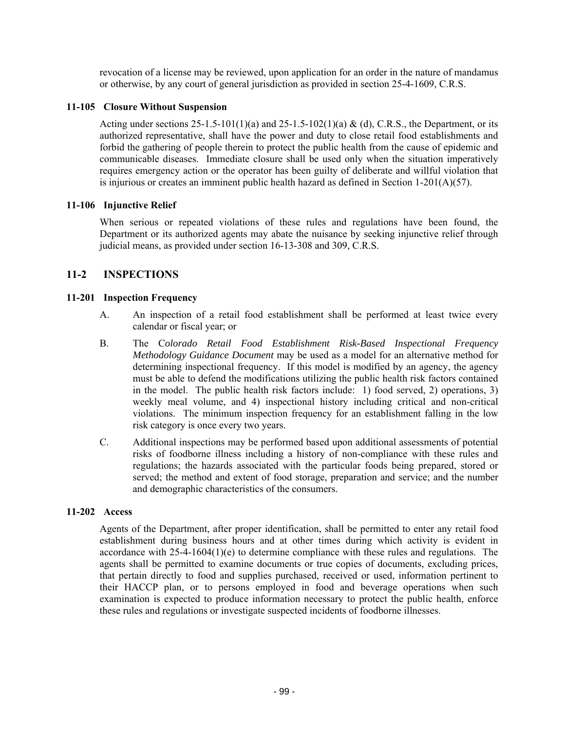revocation of a license may be reviewed, upon application for an order in the nature of mandamus or otherwise, by any court of general jurisdiction as provided in section 25-4-1609, C.R.S.

## **11-105 Closure Without Suspension**

Acting under sections  $25-1.5-101(1)(a)$  and  $25-1.5-102(1)(a)$  & (d), C.R.S., the Department, or its authorized representative, shall have the power and duty to close retail food establishments and forbid the gathering of people therein to protect the public health from the cause of epidemic and communicable diseases. Immediate closure shall be used only when the situation imperatively requires emergency action or the operator has been guilty of deliberate and willful violation that is injurious or creates an imminent public health hazard as defined in Section  $1-201(A)(57)$ .

### **11-106 Injunctive Relief**

When serious or repeated violations of these rules and regulations have been found, the Department or its authorized agents may abate the nuisance by seeking injunctive relief through judicial means, as provided under section 16-13-308 and 309, C.R.S.

## **11-2 INSPECTIONS**

### **11-201 Inspection Frequency**

- A. An inspection of a retail food establishment shall be performed at least twice every calendar or fiscal year; or
- B. The C*olorado Retail Food Establishment Risk-Based Inspectional Frequency Methodology Guidance Document* may be used as a model for an alternative method for determining inspectional frequency. If this model is modified by an agency, the agency must be able to defend the modifications utilizing the public health risk factors contained in the model. The public health risk factors include: 1) food served, 2) operations, 3) weekly meal volume, and 4) inspectional history including critical and non-critical violations. The minimum inspection frequency for an establishment falling in the low risk category is once every two years.
- C. Additional inspections may be performed based upon additional assessments of potential risks of foodborne illness including a history of non-compliance with these rules and regulations; the hazards associated with the particular foods being prepared, stored or served; the method and extent of food storage, preparation and service; and the number and demographic characteristics of the consumers.

### **11-202 Access**

Agents of the Department, after proper identification, shall be permitted to enter any retail food establishment during business hours and at other times during which activity is evident in accordance with  $25-4-1604(1)(e)$  to determine compliance with these rules and regulations. The agents shall be permitted to examine documents or true copies of documents, excluding prices, that pertain directly to food and supplies purchased, received or used, information pertinent to their HACCP plan, or to persons employed in food and beverage operations when such examination is expected to produce information necessary to protect the public health, enforce these rules and regulations or investigate suspected incidents of foodborne illnesses.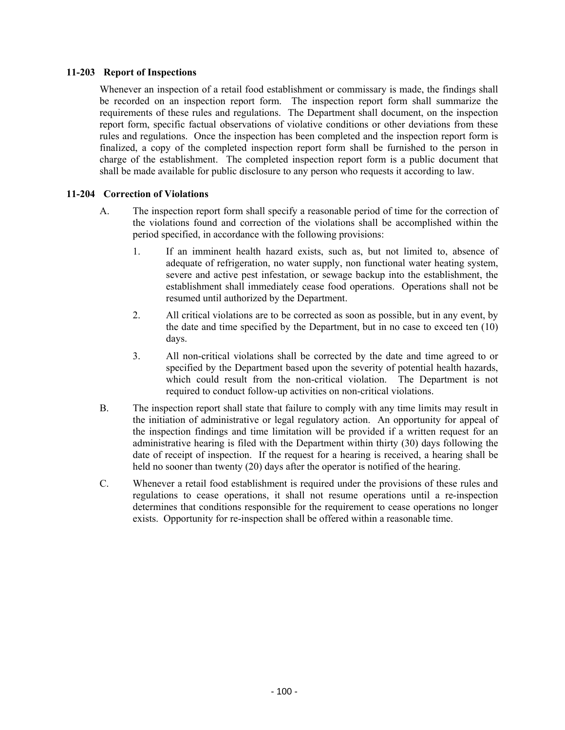#### **11-203 Report of Inspections**

Whenever an inspection of a retail food establishment or commissary is made, the findings shall be recorded on an inspection report form. The inspection report form shall summarize the requirements of these rules and regulations. The Department shall document, on the inspection report form, specific factual observations of violative conditions or other deviations from these rules and regulations. Once the inspection has been completed and the inspection report form is finalized, a copy of the completed inspection report form shall be furnished to the person in charge of the establishment. The completed inspection report form is a public document that shall be made available for public disclosure to any person who requests it according to law.

### **11-204 Correction of Violations**

- A. The inspection report form shall specify a reasonable period of time for the correction of the violations found and correction of the violations shall be accomplished within the period specified, in accordance with the following provisions:
	- 1. If an imminent health hazard exists, such as, but not limited to, absence of adequate of refrigeration, no water supply, non functional water heating system, severe and active pest infestation, or sewage backup into the establishment, the establishment shall immediately cease food operations. Operations shall not be resumed until authorized by the Department.
	- 2. All critical violations are to be corrected as soon as possible, but in any event, by the date and time specified by the Department, but in no case to exceed ten (10) days.
	- 3. All non-critical violations shall be corrected by the date and time agreed to or specified by the Department based upon the severity of potential health hazards, which could result from the non-critical violation. The Department is not required to conduct follow-up activities on non-critical violations.
- B. The inspection report shall state that failure to comply with any time limits may result in the initiation of administrative or legal regulatory action. An opportunity for appeal of the inspection findings and time limitation will be provided if a written request for an administrative hearing is filed with the Department within thirty (30) days following the date of receipt of inspection. If the request for a hearing is received, a hearing shall be held no sooner than twenty (20) days after the operator is notified of the hearing.
- C. Whenever a retail food establishment is required under the provisions of these rules and regulations to cease operations, it shall not resume operations until a re-inspection determines that conditions responsible for the requirement to cease operations no longer exists. Opportunity for re-inspection shall be offered within a reasonable time.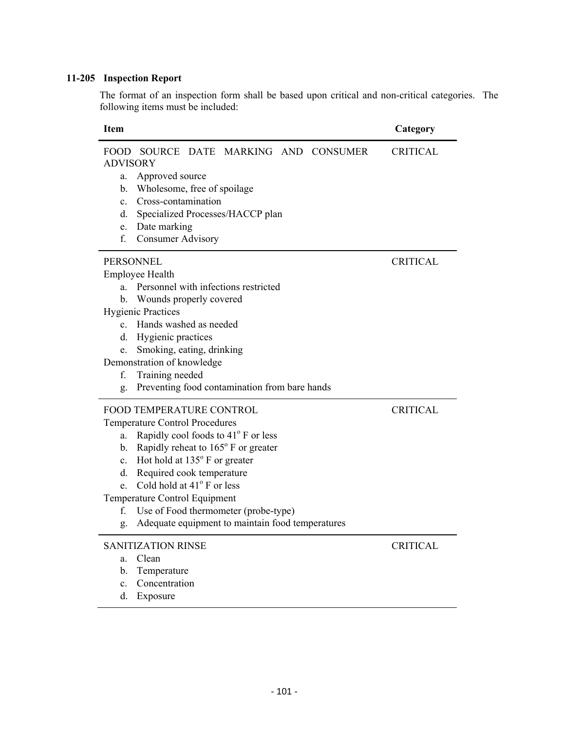# **11-205 Inspection Report**

The format of an inspection form shall be based upon critical and non-critical categories. The following items must be included:

| <b>Item</b>                                                                                                                                           | Category        |
|-------------------------------------------------------------------------------------------------------------------------------------------------------|-----------------|
| SOURCE DATE MARKING AND<br><b>FOOD</b><br><b>CONSUMER</b><br><b>ADVISORY</b><br>Approved source<br>a.<br>Wholesome, free of spoilage<br>$\mathbf b$ . | <b>CRITICAL</b> |
| Cross-contamination<br>$\mathbf{c}$ .                                                                                                                 |                 |
| Specialized Processes/HACCP plan<br>d.                                                                                                                |                 |
| Date marking<br>e.                                                                                                                                    |                 |
| f.<br><b>Consumer Advisory</b>                                                                                                                        |                 |
| <b>PERSONNEL</b>                                                                                                                                      | <b>CRITICAL</b> |
| <b>Employee Health</b>                                                                                                                                |                 |
| Personnel with infections restricted<br>a.                                                                                                            |                 |
| Wounds properly covered<br>$\mathbf{b}$ .                                                                                                             |                 |
| <b>Hygienic Practices</b>                                                                                                                             |                 |
| Hands washed as needed<br>$c_{-}$                                                                                                                     |                 |
| Hygienic practices<br>d.                                                                                                                              |                 |
| Smoking, eating, drinking<br>e.                                                                                                                       |                 |
| Demonstration of knowledge                                                                                                                            |                 |
| Training needed<br>f.                                                                                                                                 |                 |
| Preventing food contamination from bare hands<br>g.                                                                                                   |                 |
| FOOD TEMPERATURE CONTROL                                                                                                                              | <b>CRITICAL</b> |
| <b>Temperature Control Procedures</b>                                                                                                                 |                 |
| Rapidly cool foods to 41° F or less<br>a.                                                                                                             |                 |
| Rapidly reheat to 165° F or greater<br>$\mathbf{b}$ .                                                                                                 |                 |
| Hot hold at 135° F or greater<br>$c_{-}$                                                                                                              |                 |
| Required cook temperature<br>d.                                                                                                                       |                 |
| Cold hold at 41° F or less<br>e.                                                                                                                      |                 |
| Temperature Control Equipment                                                                                                                         |                 |
| Use of Food thermometer (probe-type)<br>f.                                                                                                            |                 |
| Adequate equipment to maintain food temperatures<br>g.                                                                                                |                 |
| <b>SANITIZATION RINSE</b>                                                                                                                             | <b>CRITICAL</b> |
| Clean<br>a.                                                                                                                                           |                 |
| b.<br>Temperature                                                                                                                                     |                 |
| Concentration<br>$\mathbf{c}$ .                                                                                                                       |                 |
| d.<br>Exposure                                                                                                                                        |                 |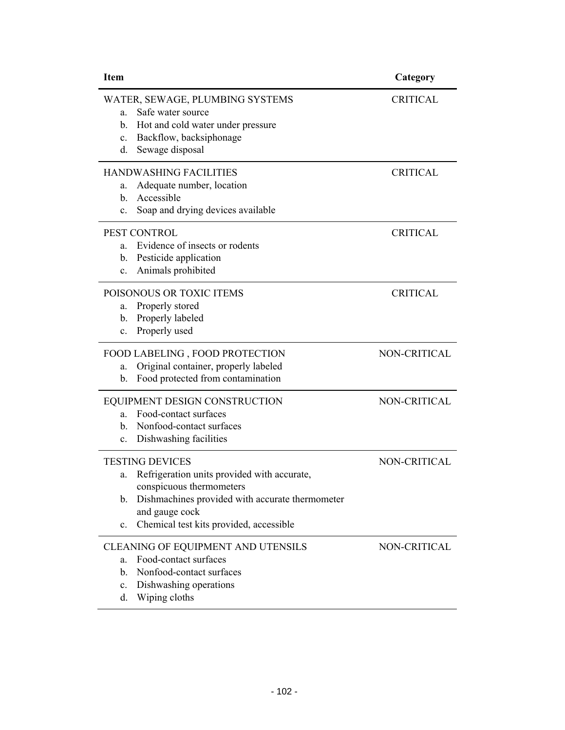| Category                                        |
|-------------------------------------------------|
| <b>CRITICAL</b>                                 |
|                                                 |
|                                                 |
|                                                 |
|                                                 |
| <b>CRITICAL</b>                                 |
|                                                 |
|                                                 |
|                                                 |
| <b>CRITICAL</b>                                 |
|                                                 |
|                                                 |
|                                                 |
| <b>CRITICAL</b>                                 |
|                                                 |
|                                                 |
|                                                 |
| <b>NON-CRITICAL</b>                             |
|                                                 |
|                                                 |
| NON-CRITICAL                                    |
|                                                 |
|                                                 |
|                                                 |
| NON-CRITICAL                                    |
|                                                 |
|                                                 |
| Dishmachines provided with accurate thermometer |
|                                                 |
|                                                 |
| NON-CRITICAL                                    |
|                                                 |
|                                                 |
|                                                 |
|                                                 |
|                                                 |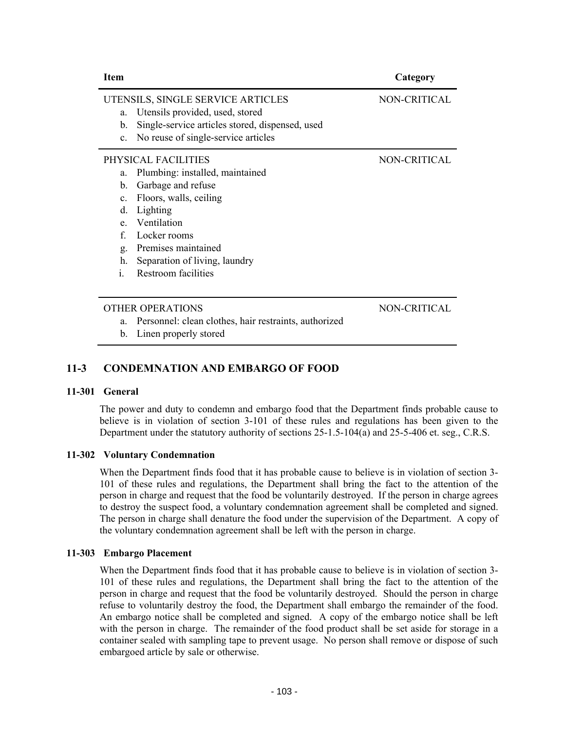- a. Utensils provided, used, stored
- b. Single-service articles stored, dispensed, used
- c. No reuse of single-service articles

#### PHYSICAL FACILITIES

- a. Plumbing: installed, maintained
- b. Garbage and refuse
- c. Floors, walls, ceiling
- d. Lighting
- e. Ventilation
- f. Locker rooms
- g. Premises maintained
- h. Separation of living, laundry
- i. Restroom facilities

#### OTHER OPERATIONS

NON-CRITICAL

NON-CRITICAL

NON-CRITICAL

- a. Personnel: clean clothes, hair restraints, authorized
- b. Linen properly stored

## **11-3 CONDEMNATION AND EMBARGO OF FOOD**

#### **11-301 General**

The power and duty to condemn and embargo food that the Department finds probable cause to believe is in violation of section 3-101 of these rules and regulations has been given to the Department under the statutory authority of sections 25-1.5-104(a) and 25-5-406 et. seg., C.R.S.

#### **11-302 Voluntary Condemnation**

When the Department finds food that it has probable cause to believe is in violation of section 3- 101 of these rules and regulations, the Department shall bring the fact to the attention of the person in charge and request that the food be voluntarily destroyed. If the person in charge agrees to destroy the suspect food, a voluntary condemnation agreement shall be completed and signed. The person in charge shall denature the food under the supervision of the Department. A copy of the voluntary condemnation agreement shall be left with the person in charge.

#### **11-303 Embargo Placement**

When the Department finds food that it has probable cause to believe is in violation of section 3- 101 of these rules and regulations, the Department shall bring the fact to the attention of the person in charge and request that the food be voluntarily destroyed. Should the person in charge refuse to voluntarily destroy the food, the Department shall embargo the remainder of the food. An embargo notice shall be completed and signed. A copy of the embargo notice shall be left with the person in charge. The remainder of the food product shall be set aside for storage in a container sealed with sampling tape to prevent usage. No person shall remove or dispose of such embargoed article by sale or otherwise.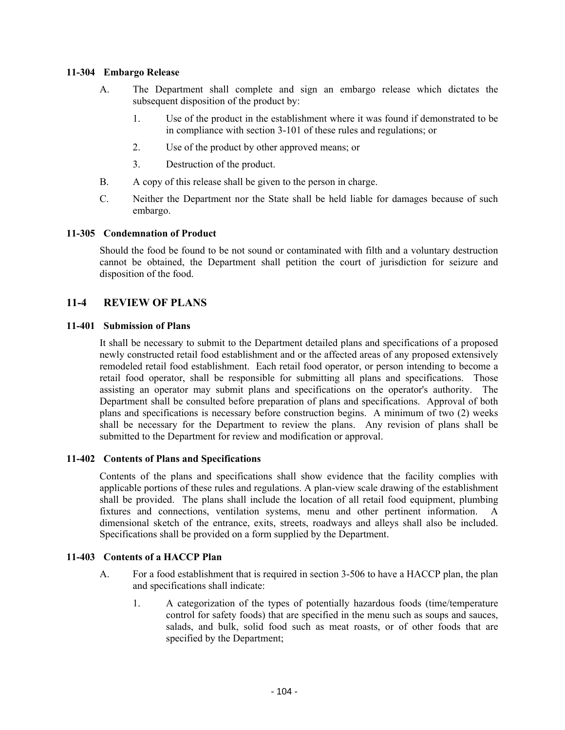#### **11-304 Embargo Release**

- A. The Department shall complete and sign an embargo release which dictates the subsequent disposition of the product by:
	- 1. Use of the product in the establishment where it was found if demonstrated to be in compliance with section 3-101 of these rules and regulations; or
	- 2. Use of the product by other approved means; or
	- 3. Destruction of the product.
- B. A copy of this release shall be given to the person in charge.
- C. Neither the Department nor the State shall be held liable for damages because of such embargo.

#### **11-305 Condemnation of Product**

Should the food be found to be not sound or contaminated with filth and a voluntary destruction cannot be obtained, the Department shall petition the court of jurisdiction for seizure and disposition of the food.

### **11-4 REVIEW OF PLANS**

#### **11-401 Submission of Plans**

It shall be necessary to submit to the Department detailed plans and specifications of a proposed newly constructed retail food establishment and or the affected areas of any proposed extensively remodeled retail food establishment. Each retail food operator, or person intending to become a retail food operator, shall be responsible for submitting all plans and specifications. Those assisting an operator may submit plans and specifications on the operator's authority. The Department shall be consulted before preparation of plans and specifications. Approval of both plans and specifications is necessary before construction begins. A minimum of two (2) weeks shall be necessary for the Department to review the plans. Any revision of plans shall be submitted to the Department for review and modification or approval.

#### **11-402 Contents of Plans and Specifications**

Contents of the plans and specifications shall show evidence that the facility complies with applicable portions of these rules and regulations. A plan-view scale drawing of the establishment shall be provided. The plans shall include the location of all retail food equipment, plumbing fixtures and connections, ventilation systems, menu and other pertinent information. A dimensional sketch of the entrance, exits, streets, roadways and alleys shall also be included. Specifications shall be provided on a form supplied by the Department.

### **11-403 Contents of a HACCP Plan**

- A. For a food establishment that is required in section 3-506 to have a HACCP plan, the plan and specifications shall indicate:
	- 1. A categorization of the types of potentially hazardous foods (time/temperature control for safety foods) that are specified in the menu such as soups and sauces, salads, and bulk, solid food such as meat roasts, or of other foods that are specified by the Department;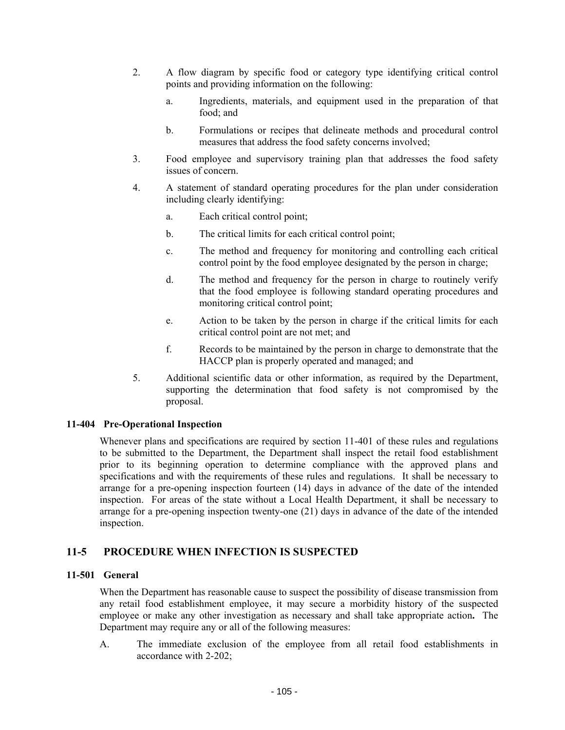- 2. A flow diagram by specific food or category type identifying critical control points and providing information on the following:
	- a. Ingredients, materials, and equipment used in the preparation of that food; and
	- b. Formulations or recipes that delineate methods and procedural control measures that address the food safety concerns involved;
- 3. Food employee and supervisory training plan that addresses the food safety issues of concern.
- 4. A statement of standard operating procedures for the plan under consideration including clearly identifying:
	- a. Each critical control point;
	- b. The critical limits for each critical control point;
	- c. The method and frequency for monitoring and controlling each critical control point by the food employee designated by the person in charge;
	- d. The method and frequency for the person in charge to routinely verify that the food employee is following standard operating procedures and monitoring critical control point;
	- e. Action to be taken by the person in charge if the critical limits for each critical control point are not met; and
	- f. Records to be maintained by the person in charge to demonstrate that the HACCP plan is properly operated and managed; and
- 5. Additional scientific data or other information, as required by the Department, supporting the determination that food safety is not compromised by the proposal.

#### **11-404 Pre-Operational Inspection**

Whenever plans and specifications are required by section 11-401 of these rules and regulations to be submitted to the Department, the Department shall inspect the retail food establishment prior to its beginning operation to determine compliance with the approved plans and specifications and with the requirements of these rules and regulations. It shall be necessary to arrange for a pre-opening inspection fourteen (14) days in advance of the date of the intended inspection. For areas of the state without a Local Health Department, it shall be necessary to arrange for a pre-opening inspection twenty-one (21) days in advance of the date of the intended inspection.

#### **11-5 PROCEDURE WHEN INFECTION IS SUSPECTED**

#### **11-501 General**

When the Department has reasonable cause to suspect the possibility of disease transmission from any retail food establishment employee, it may secure a morbidity history of the suspected employee or make any other investigation as necessary and shall take appropriate action**.** The Department may require any or all of the following measures:

A. The immediate exclusion of the employee from all retail food establishments in accordance with 2-202;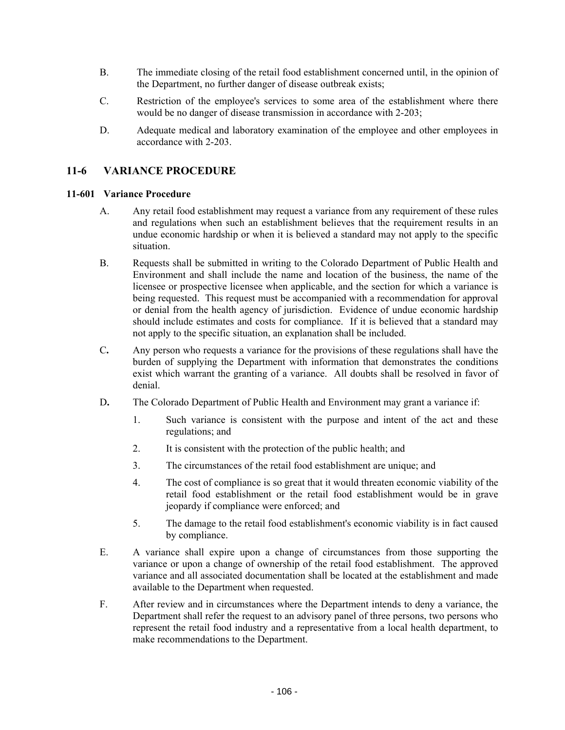- B. The immediate closing of the retail food establishment concerned until, in the opinion of the Department, no further danger of disease outbreak exists;
- C. Restriction of the employee's services to some area of the establishment where there would be no danger of disease transmission in accordance with 2-203;
- D. Adequate medical and laboratory examination of the employee and other employees in accordance with 2-203.

## **11-6 VARIANCE PROCEDURE**

#### **11-601 Variance Procedure**

- A. Any retail food establishment may request a variance from any requirement of these rules and regulations when such an establishment believes that the requirement results in an undue economic hardship or when it is believed a standard may not apply to the specific situation.
- B. Requests shall be submitted in writing to the Colorado Department of Public Health and Environment and shall include the name and location of the business, the name of the licensee or prospective licensee when applicable, and the section for which a variance is being requested. This request must be accompanied with a recommendation for approval or denial from the health agency of jurisdiction. Evidence of undue economic hardship should include estimates and costs for compliance. If it is believed that a standard may not apply to the specific situation, an explanation shall be included.
- C**.** Any person who requests a variance for the provisions of these regulations shall have the burden of supplying the Department with information that demonstrates the conditions exist which warrant the granting of a variance. All doubts shall be resolved in favor of denial.
- D**.** The Colorado Department of Public Health and Environment may grant a variance if:
	- 1. Such variance is consistent with the purpose and intent of the act and these regulations; and
	- 2. It is consistent with the protection of the public health; and
	- 3. The circumstances of the retail food establishment are unique; and
	- 4. The cost of compliance is so great that it would threaten economic viability of the retail food establishment or the retail food establishment would be in grave jeopardy if compliance were enforced; and
	- 5. The damage to the retail food establishment's economic viability is in fact caused by compliance.
- E. A variance shall expire upon a change of circumstances from those supporting the variance or upon a change of ownership of the retail food establishment. The approved variance and all associated documentation shall be located at the establishment and made available to the Department when requested.
- F. After review and in circumstances where the Department intends to deny a variance, the Department shall refer the request to an advisory panel of three persons, two persons who represent the retail food industry and a representative from a local health department, to make recommendations to the Department.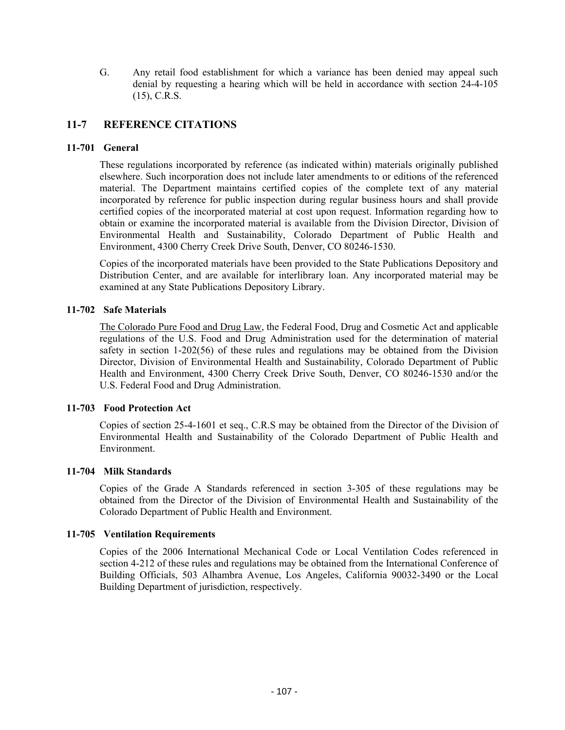G. Any retail food establishment for which a variance has been denied may appeal such denial by requesting a hearing which will be held in accordance with section 24-4-105 (15), C.R.S.

## **11-7 REFERENCE CITATIONS**

### **11-701 General**

These regulations incorporated by reference (as indicated within) materials originally published elsewhere. Such incorporation does not include later amendments to or editions of the referenced material. The Department maintains certified copies of the complete text of any material incorporated by reference for public inspection during regular business hours and shall provide certified copies of the incorporated material at cost upon request. Information regarding how to obtain or examine the incorporated material is available from the Division Director, Division of Environmental Health and Sustainability, Colorado Department of Public Health and Environment, 4300 Cherry Creek Drive South, Denver, CO 80246-1530.

Copies of the incorporated materials have been provided to the State Publications Depository and Distribution Center, and are available for interlibrary loan. Any incorporated material may be examined at any State Publications Depository Library.

## **11-702 Safe Materials**

The Colorado Pure Food and Drug Law, the Federal Food, Drug and Cosmetic Act and applicable regulations of the U.S. Food and Drug Administration used for the determination of material safety in section 1-202(56) of these rules and regulations may be obtained from the Division Director, Division of Environmental Health and Sustainability, Colorado Department of Public Health and Environment, 4300 Cherry Creek Drive South, Denver, CO 80246-1530 and/or the U.S. Federal Food and Drug Administration.

## **11-703 Food Protection Act**

Copies of section 25-4-1601 et seq., C.R.S may be obtained from the Director of the Division of Environmental Health and Sustainability of the Colorado Department of Public Health and Environment.

#### **11-704 Milk Standards**

Copies of the Grade A Standards referenced in section 3-305 of these regulations may be obtained from the Director of the Division of Environmental Health and Sustainability of the Colorado Department of Public Health and Environment.

#### **11-705 Ventilation Requirements**

Copies of the 2006 International Mechanical Code or Local Ventilation Codes referenced in section 4-212 of these rules and regulations may be obtained from the International Conference of Building Officials, 503 Alhambra Avenue, Los Angeles, California 90032-3490 or the Local Building Department of jurisdiction, respectively.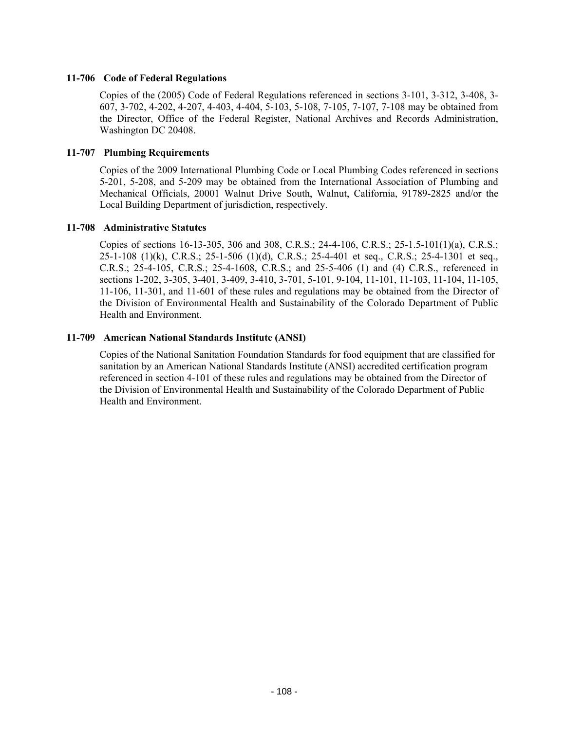### **11-706 Code of Federal Regulations**

Copies of the (2005) Code of Federal Regulations referenced in sections 3-101, 3-312, 3-408, 3- 607, 3-702, 4-202, 4-207, 4-403, 4-404, 5-103, 5-108, 7-105, 7-107, 7-108 may be obtained from the Director, Office of the Federal Register, National Archives and Records Administration, Washington DC 20408.

### **11-707 Plumbing Requirements**

Copies of the 2009 International Plumbing Code or Local Plumbing Codes referenced in sections 5-201, 5-208, and 5-209 may be obtained from the International Association of Plumbing and Mechanical Officials, 20001 Walnut Drive South, Walnut, California, 91789-2825 and/or the Local Building Department of jurisdiction, respectively.

#### **11-708 Administrative Statutes**

Copies of sections 16-13-305, 306 and 308, C.R.S.; 24-4-106, C.R.S.; 25-1.5-101(1)(a), C.R.S.; 25-1-108 (1)(k), C.R.S.; 25-1-506 (1)(d), C.R.S.; 25-4-401 et seq., C.R.S.; 25-4-1301 et seq., C.R.S.; 25-4-105, C.R.S.; 25-4-1608, C.R.S.; and 25-5-406 (1) and (4) C.R.S., referenced in sections 1-202, 3-305, 3-401, 3-409, 3-410, 3-701, 5-101, 9-104, 11-101, 11-103, 11-104, 11-105, 11-106, 11-301, and 11-601 of these rules and regulations may be obtained from the Director of the Division of Environmental Health and Sustainability of the Colorado Department of Public Health and Environment.

### **11-709 American National Standards Institute (ANSI)**

Copies of the National Sanitation Foundation Standards for food equipment that are classified for sanitation by an American National Standards Institute (ANSI) accredited certification program referenced in section 4-101 of these rules and regulations may be obtained from the Director of the Division of Environmental Health and Sustainability of the Colorado Department of Public Health and Environment.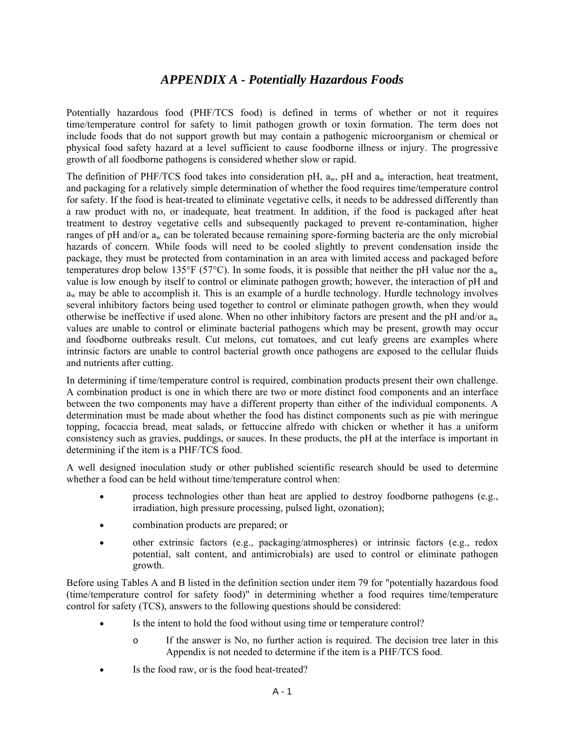# *APPENDIX A - Potentially Hazardous Foods*

Potentially hazardous food (PHF/TCS food) is defined in terms of whether or not it requires time/temperature control for safety to limit pathogen growth or toxin formation. The term does not include foods that do not support growth but may contain a pathogenic microorganism or chemical or physical food safety hazard at a level sufficient to cause foodborne illness or injury. The progressive growth of all foodborne pathogens is considered whether slow or rapid.

The definition of PHF/TCS food takes into consideration pH,  $a_w$ , pH and  $a_w$  interaction, heat treatment, and packaging for a relatively simple determination of whether the food requires time/temperature control for safety. If the food is heat-treated to eliminate vegetative cells, it needs to be addressed differently than a raw product with no, or inadequate, heat treatment. In addition, if the food is packaged after heat treatment to destroy vegetative cells and subsequently packaged to prevent re-contamination, higher ranges of pH and/or a<sub>w</sub> can be tolerated because remaining spore-forming bacteria are the only microbial hazards of concern. While foods will need to be cooled slightly to prevent condensation inside the package, they must be protected from contamination in an area with limited access and packaged before temperatures drop below 135°F (57°C). In some foods, it is possible that neither the pH value nor the  $a_w$ value is low enough by itself to control or eliminate pathogen growth; however, the interaction of pH and  $a_w$  may be able to accomplish it. This is an example of a hurdle technology. Hurdle technology involves several inhibitory factors being used together to control or eliminate pathogen growth, when they would otherwise be ineffective if used alone. When no other inhibitory factors are present and the pH and/or  $a_w$ values are unable to control or eliminate bacterial pathogens which may be present, growth may occur and foodborne outbreaks result. Cut melons, cut tomatoes, and cut leafy greens are examples where intrinsic factors are unable to control bacterial growth once pathogens are exposed to the cellular fluids and nutrients after cutting.

In determining if time/temperature control is required, combination products present their own challenge. A combination product is one in which there are two or more distinct food components and an interface between the two components may have a different property than either of the individual components. A determination must be made about whether the food has distinct components such as pie with meringue topping, focaccia bread, meat salads, or fettuccine alfredo with chicken or whether it has a uniform consistency such as gravies, puddings, or sauces. In these products, the pH at the interface is important in determining if the item is a PHF/TCS food.

A well designed inoculation study or other published scientific research should be used to determine whether a food can be held without time/temperature control when:

- process technologies other than heat are applied to destroy foodborne pathogens (e.g., irradiation, high pressure processing, pulsed light, ozonation);
- combination products are prepared; or
- other extrinsic factors (e.g., packaging/atmospheres) or intrinsic factors (e.g., redox potential, salt content, and antimicrobials) are used to control or eliminate pathogen growth.

Before using Tables A and B listed in the definition section under item 79 for "potentially hazardous food (time/temperature control for safety food)" in determining whether a food requires time/temperature control for safety (TCS), answers to the following questions should be considered:

- Is the intent to hold the food without using time or temperature control?
	- o If the answer is No, no further action is required. The decision tree later in this Appendix is not needed to determine if the item is a PHF/TCS food.
- Is the food raw, or is the food heat-treated?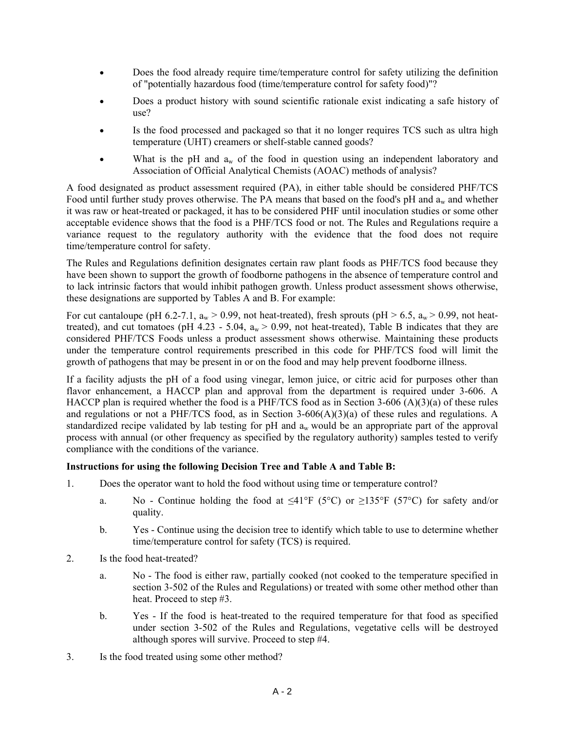- Does the food already require time/temperature control for safety utilizing the definition of "potentially hazardous food (time/temperature control for safety food)"?
- Does a product history with sound scientific rationale exist indicating a safe history of use?
- Is the food processed and packaged so that it no longer requires TCS such as ultra high temperature (UHT) creamers or shelf-stable canned goods?
- What is the pH and  $a_w$  of the food in question using an independent laboratory and Association of Official Analytical Chemists (AOAC) methods of analysis?

A food designated as product assessment required (PA), in either table should be considered PHF/TCS Food until further study proves otherwise. The PA means that based on the food's pH and  $a_w$  and whether it was raw or heat-treated or packaged, it has to be considered PHF until inoculation studies or some other acceptable evidence shows that the food is a PHF/TCS food or not. The Rules and Regulations require a variance request to the regulatory authority with the evidence that the food does not require time/temperature control for safety.

The Rules and Regulations definition designates certain raw plant foods as PHF/TCS food because they have been shown to support the growth of foodborne pathogens in the absence of temperature control and to lack intrinsic factors that would inhibit pathogen growth. Unless product assessment shows otherwise, these designations are supported by Tables A and B. For example:

For cut cantaloupe (pH 6.2-7.1,  $a_w > 0.99$ , not heat-treated), fresh sprouts (pH  $> 6.5$ ,  $a_w > 0.99$ , not heattreated), and cut tomatoes (pH 4.23 - 5.04,  $a_w > 0.99$ , not heat-treated), Table B indicates that they are considered PHF/TCS Foods unless a product assessment shows otherwise. Maintaining these products under the temperature control requirements prescribed in this code for PHF/TCS food will limit the growth of pathogens that may be present in or on the food and may help prevent foodborne illness.

If a facility adjusts the pH of a food using vinegar, lemon juice, or citric acid for purposes other than flavor enhancement, a HACCP plan and approval from the department is required under 3-606. A HACCP plan is required whether the food is a PHF/TCS food as in Section 3-606 (A)(3)(a) of these rules and regulations or not a PHF/TCS food, as in Section 3-606(A)(3)(a) of these rules and regulations. A standardized recipe validated by lab testing for  $pH$  and  $a_w$  would be an appropriate part of the approval process with annual (or other frequency as specified by the regulatory authority) samples tested to verify compliance with the conditions of the variance.

## **Instructions for using the following Decision Tree and Table A and Table B:**

- 1. Does the operator want to hold the food without using time or temperature control?
	- a. No Continue holding the food at  $\leq 41^{\circ}F$  (5°C) or  $\geq 135^{\circ}F$  (57°C) for safety and/or quality.
	- b. Yes Continue using the decision tree to identify which table to use to determine whether time/temperature control for safety (TCS) is required.
- 2. Is the food heat-treated?
	- a. No The food is either raw, partially cooked (not cooked to the temperature specified in section 3-502 of the Rules and Regulations) or treated with some other method other than heat. Proceed to step #3.
	- b. Yes If the food is heat-treated to the required temperature for that food as specified under section 3-502 of the Rules and Regulations, vegetative cells will be destroyed although spores will survive. Proceed to step #4.
- 3. Is the food treated using some other method?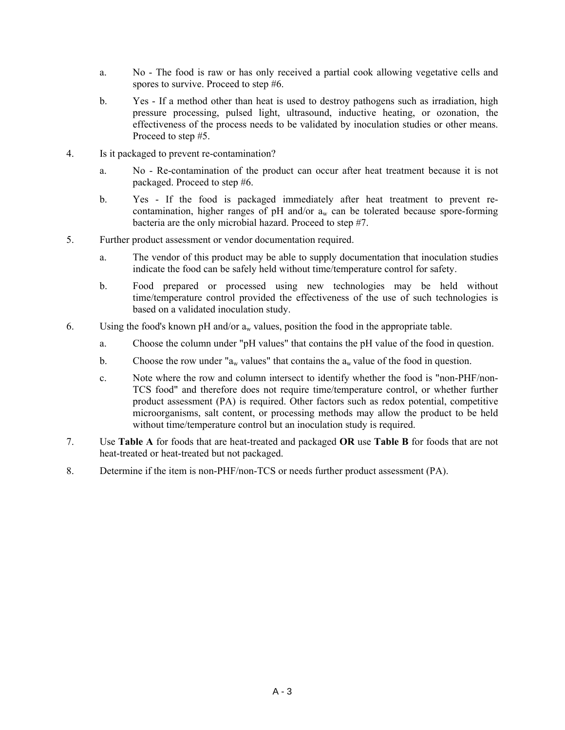- a. No The food is raw or has only received a partial cook allowing vegetative cells and spores to survive. Proceed to step #6.
- b. Yes If a method other than heat is used to destroy pathogens such as irradiation, high pressure processing, pulsed light, ultrasound, inductive heating, or ozonation, the effectiveness of the process needs to be validated by inoculation studies or other means. Proceed to step #5.
- 4. Is it packaged to prevent re-contamination?
	- a. No Re-contamination of the product can occur after heat treatment because it is not packaged. Proceed to step #6.
	- b. Yes If the food is packaged immediately after heat treatment to prevent recontamination, higher ranges of pH and/or  $a_w$  can be tolerated because spore-forming bacteria are the only microbial hazard. Proceed to step #7.
- 5. Further product assessment or vendor documentation required.
	- a. The vendor of this product may be able to supply documentation that inoculation studies indicate the food can be safely held without time/temperature control for safety.
	- b. Food prepared or processed using new technologies may be held without time/temperature control provided the effectiveness of the use of such technologies is based on a validated inoculation study.
- 6. Using the food's known pH and/or  $a_w$  values, position the food in the appropriate table.
	- a. Choose the column under "pH values" that contains the pH value of the food in question.
	- b. Choose the row under " $a_w$  values" that contains the  $a_w$  value of the food in question.
	- c. Note where the row and column intersect to identify whether the food is "non-PHF/non-TCS food" and therefore does not require time/temperature control, or whether further product assessment (PA) is required. Other factors such as redox potential, competitive microorganisms, salt content, or processing methods may allow the product to be held without time/temperature control but an inoculation study is required.
- 7. Use **Table A** for foods that are heat-treated and packaged **OR** use **Table B** for foods that are not heat-treated or heat-treated but not packaged.
- 8. Determine if the item is non-PHF/non-TCS or needs further product assessment (PA).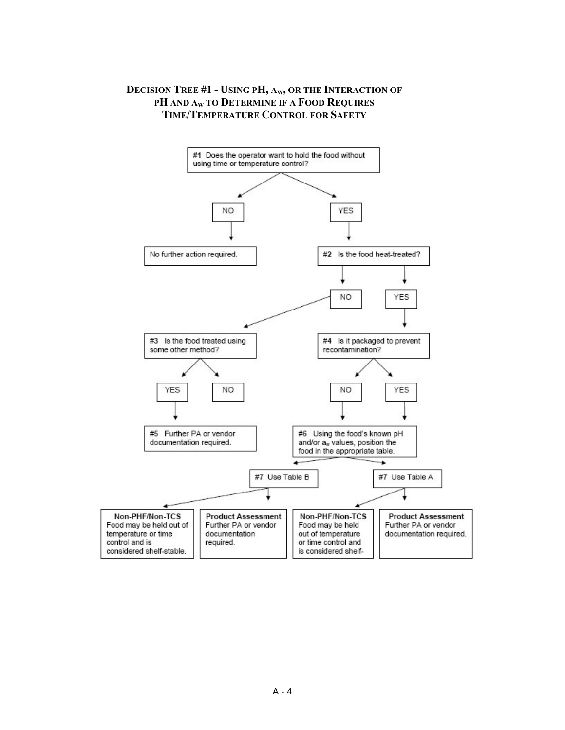## **DECISION TREE #1 - USING PH, AW, OR THE INTERACTION OF PH AND AW TO DETERMINE IF A FOOD REQUIRES TIME/TEMPERATURE CONTROL FOR SAFETY**

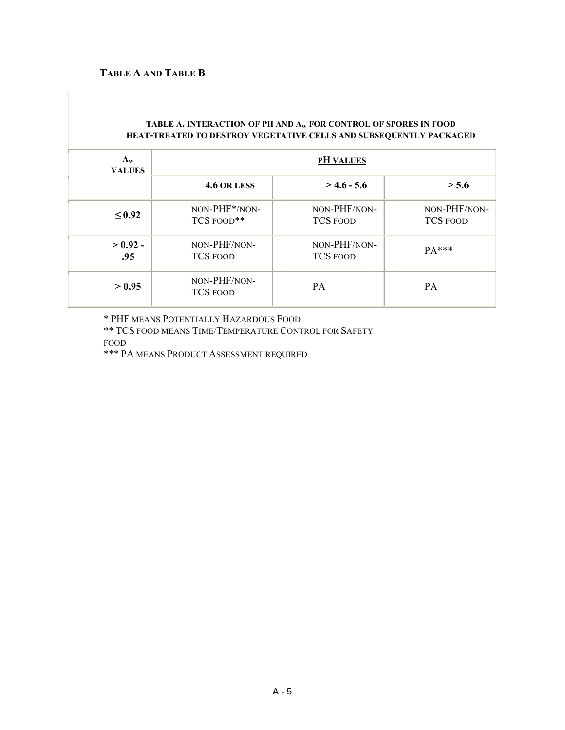# **TABLE A AND TABLE B**

| TABLE A. INTERACTION OF PH AND A <sub>W</sub> FOR CONTROL OF SPORES IN FOOD<br>HEAT-TREATED TO DESTROY VEGETATIVE CELLS AND SUBSEQUENTLY PACKAGED |                                 |                                 |                                 |  |  |  |
|---------------------------------------------------------------------------------------------------------------------------------------------------|---------------------------------|---------------------------------|---------------------------------|--|--|--|
| $A_{W}$<br><b>VALUES</b>                                                                                                                          |                                 | <b>PH VALUES</b>                |                                 |  |  |  |
|                                                                                                                                                   | 4.6 OR LESS                     | $>4.6 - 5.6$                    | > 5.6                           |  |  |  |
| < 0.92                                                                                                                                            | $NON-PHF^*/NON-$<br>TCS FOOD**  | NON-PHF/NON-<br><b>TCS FOOD</b> | NON-PHF/NON-<br><b>TCS FOOD</b> |  |  |  |
| $> 0.92 -$<br>.95                                                                                                                                 | NON-PHF/NON-<br><b>TCS FOOD</b> | NON-PHF/NON-<br><b>TCS FOOD</b> | $PA***$                         |  |  |  |
| > 0.95                                                                                                                                            | NON-PHF/NON-<br><b>TCS FOOD</b> | <b>PA</b>                       | <b>PA</b>                       |  |  |  |

\* PHF MEANS POTENTIALLY HAZARDOUS FOOD

\*\* TCS FOOD MEANS TIME/TEMPERATURE CONTROL FOR SAFETY

FOOD

\*\*\* PA MEANS PRODUCT ASSESSMENT REQUIRED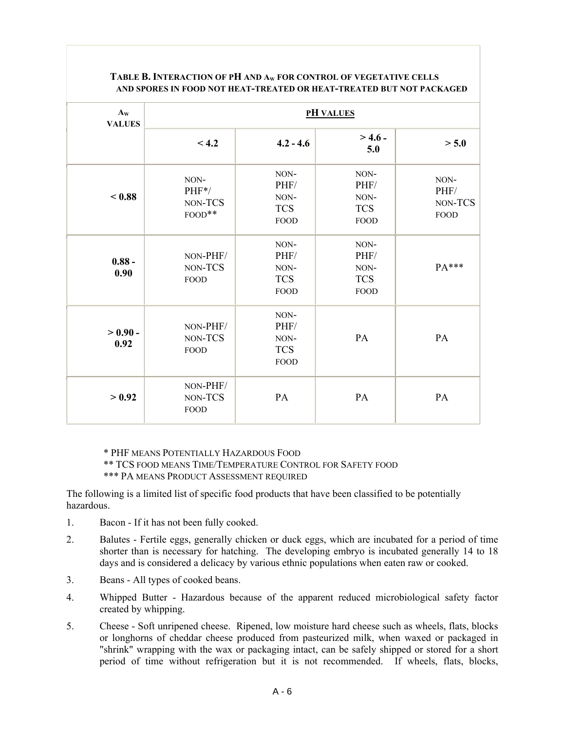| $A_W$<br><b>VALUES</b> | <b>PH VALUES</b>                     |                                                   |                                                   |                                        |
|------------------------|--------------------------------------|---------------------------------------------------|---------------------------------------------------|----------------------------------------|
|                        | < 4.2                                | $4.2 - 4.6$                                       | $> 4.6 -$<br>5.0                                  | > 5.0                                  |
| < 0.88                 | NON-<br>PHF*/<br>NON-TCS<br>$FOOD**$ | NON-<br>PHF/<br>NON-<br><b>TCS</b><br><b>FOOD</b> | NON-<br>PHF/<br>NON-<br><b>TCS</b><br><b>FOOD</b> | NON-<br>PHF/<br>NON-TCS<br><b>FOOD</b> |
| $0.88 -$<br>0.90       | NON-PHF/<br>NON-TCS<br><b>FOOD</b>   | NON-<br>PHF/<br>NON-<br><b>TCS</b><br><b>FOOD</b> | NON-<br>PHF/<br>NON-<br><b>TCS</b><br><b>FOOD</b> | PA***                                  |
| $> 0.90 -$<br>0.92     | NON-PHF/<br>NON-TCS<br><b>FOOD</b>   | NON-<br>PHF/<br>NON-<br><b>TCS</b><br><b>FOOD</b> | PA                                                | PA                                     |
| > 0.92                 | NON-PHF/<br>NON-TCS<br><b>FOOD</b>   | PA                                                | PA                                                | PA                                     |

#### **TABLE B. INTERACTION OF PH AND AW FOR CONTROL OF VEGETATIVE CELLS AND SPORES IN FOOD NOT HEAT-TREATED OR HEAT-TREATED BUT NOT PACKAGED**

### \* PHF MEANS POTENTIALLY HAZARDOUS FOOD \*\* TCS FOOD MEANS TIME/TEMPERATURE CONTROL FOR SAFETY FOOD \*\*\* PA MEANS PRODUCT ASSESSMENT REQUIRED

The following is a limited list of specific food products that have been classified to be potentially hazardous.

- 1. Bacon If it has not been fully cooked.
- 2. Balutes Fertile eggs, generally chicken or duck eggs, which are incubated for a period of time shorter than is necessary for hatching. The developing embryo is incubated generally 14 to 18 days and is considered a delicacy by various ethnic populations when eaten raw or cooked.
- 3. Beans All types of cooked beans.
- 4. Whipped Butter Hazardous because of the apparent reduced microbiological safety factor created by whipping.
- 5. Cheese Soft unripened cheese. Ripened, low moisture hard cheese such as wheels, flats, blocks or longhorns of cheddar cheese produced from pasteurized milk, when waxed or packaged in "shrink" wrapping with the wax or packaging intact, can be safely shipped or stored for a short period of time without refrigeration but it is not recommended. If wheels, flats, blocks,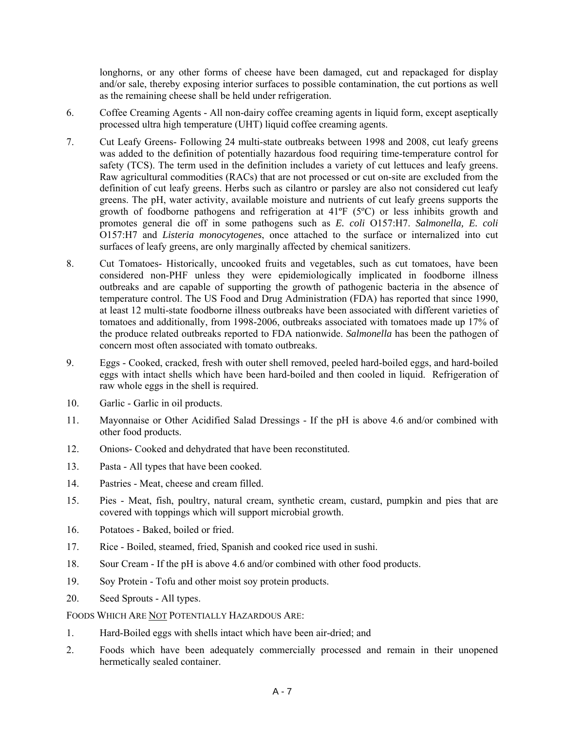longhorns, or any other forms of cheese have been damaged, cut and repackaged for display and/or sale, thereby exposing interior surfaces to possible contamination, the cut portions as well as the remaining cheese shall be held under refrigeration.

- 6. Coffee Creaming Agents All non-dairy coffee creaming agents in liquid form, except aseptically processed ultra high temperature (UHT) liquid coffee creaming agents.
- 7. Cut Leafy Greens- Following 24 multi-state outbreaks between 1998 and 2008, cut leafy greens was added to the definition of potentially hazardous food requiring time-temperature control for safety (TCS). The term used in the definition includes a variety of cut lettuces and leafy greens. Raw agricultural commodities (RACs) that are not processed or cut on-site are excluded from the definition of cut leafy greens. Herbs such as cilantro or parsley are also not considered cut leafy greens. The pH, water activity, available moisture and nutrients of cut leafy greens supports the growth of foodborne pathogens and refrigeration at  $41^{\circ}F$  (5<sup>o</sup>C) or less inhibits growth and promotes general die off in some pathogens such as *E. coli* O157:H7. *Salmonella, E. coli* O157:H7 and *Listeria monocytogenes*, once attached to the surface or internalized into cut surfaces of leafy greens, are only marginally affected by chemical sanitizers.
- 8. Cut Tomatoes- Historically, uncooked fruits and vegetables, such as cut tomatoes, have been considered non-PHF unless they were epidemiologically implicated in foodborne illness outbreaks and are capable of supporting the growth of pathogenic bacteria in the absence of temperature control. The US Food and Drug Administration (FDA) has reported that since 1990, at least 12 multi-state foodborne illness outbreaks have been associated with different varieties of tomatoes and additionally, from 1998-2006, outbreaks associated with tomatoes made up 17% of the produce related outbreaks reported to FDA nationwide. *Salmonella* has been the pathogen of concern most often associated with tomato outbreaks.
- 9. Eggs Cooked, cracked, fresh with outer shell removed, peeled hard-boiled eggs, and hard-boiled eggs with intact shells which have been hard-boiled and then cooled in liquid. Refrigeration of raw whole eggs in the shell is required.
- 10. Garlic Garlic in oil products.
- 11. Mayonnaise or Other Acidified Salad Dressings If the pH is above 4.6 and/or combined with other food products.
- 12. Onions- Cooked and dehydrated that have been reconstituted.
- 13. Pasta All types that have been cooked.
- 14. Pastries Meat, cheese and cream filled.
- 15. Pies Meat, fish, poultry, natural cream, synthetic cream, custard, pumpkin and pies that are covered with toppings which will support microbial growth.
- 16. Potatoes Baked, boiled or fried.
- 17. Rice Boiled, steamed, fried, Spanish and cooked rice used in sushi.
- 18. Sour Cream If the pH is above 4.6 and/or combined with other food products.
- 19. Soy Protein Tofu and other moist soy protein products.
- 20. Seed Sprouts All types.
- FOODS WHICH ARE NOT POTENTIALLY HAZARDOUS ARE:
- 1. Hard-Boiled eggs with shells intact which have been air-dried; and
- 2. Foods which have been adequately commercially processed and remain in their unopened hermetically sealed container.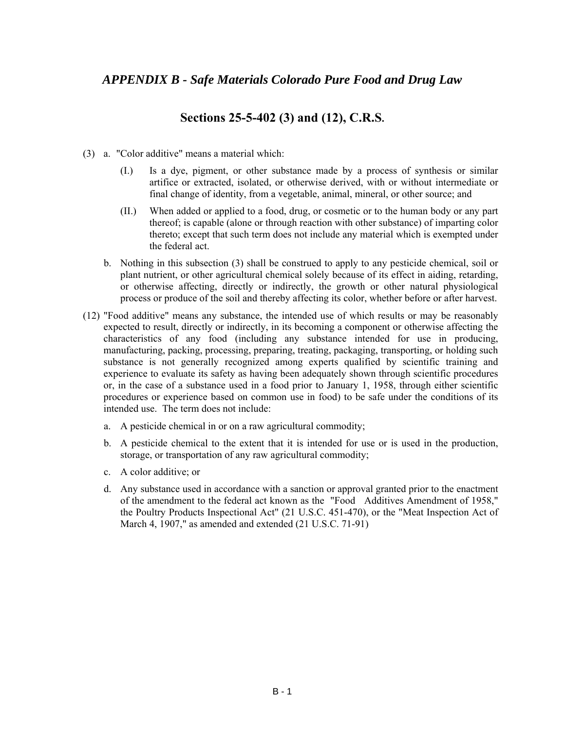# *APPENDIX B - Safe Materials Colorado Pure Food and Drug Law*

# **Sections 25-5-402 (3) and (12), C.R.S.**

- (3) a. "Color additive" means a material which:
	- (I.) Is a dye, pigment, or other substance made by a process of synthesis or similar artifice or extracted, isolated, or otherwise derived, with or without intermediate or final change of identity, from a vegetable, animal, mineral, or other source; and
	- (II.) When added or applied to a food, drug, or cosmetic or to the human body or any part thereof; is capable (alone or through reaction with other substance) of imparting color thereto; except that such term does not include any material which is exempted under the federal act.
	- b. Nothing in this subsection (3) shall be construed to apply to any pesticide chemical, soil or plant nutrient, or other agricultural chemical solely because of its effect in aiding, retarding, or otherwise affecting, directly or indirectly, the growth or other natural physiological process or produce of the soil and thereby affecting its color, whether before or after harvest.
- (12) "Food additive" means any substance, the intended use of which results or may be reasonably expected to result, directly or indirectly, in its becoming a component or otherwise affecting the characteristics of any food (including any substance intended for use in producing, manufacturing, packing, processing, preparing, treating, packaging, transporting, or holding such substance is not generally recognized among experts qualified by scientific training and experience to evaluate its safety as having been adequately shown through scientific procedures or, in the case of a substance used in a food prior to January 1, 1958, through either scientific procedures or experience based on common use in food) to be safe under the conditions of its intended use. The term does not include:
	- a. A pesticide chemical in or on a raw agricultural commodity;
	- b. A pesticide chemical to the extent that it is intended for use or is used in the production, storage, or transportation of any raw agricultural commodity;
	- c. A color additive; or
	- d. Any substance used in accordance with a sanction or approval granted prior to the enactment of the amendment to the federal act known as the "Food Additives Amendment of 1958," the Poultry Products Inspectional Act" (21 U.S.C. 451-470), or the "Meat Inspection Act of March 4, 1907," as amended and extended (21 U.S.C. 71-91)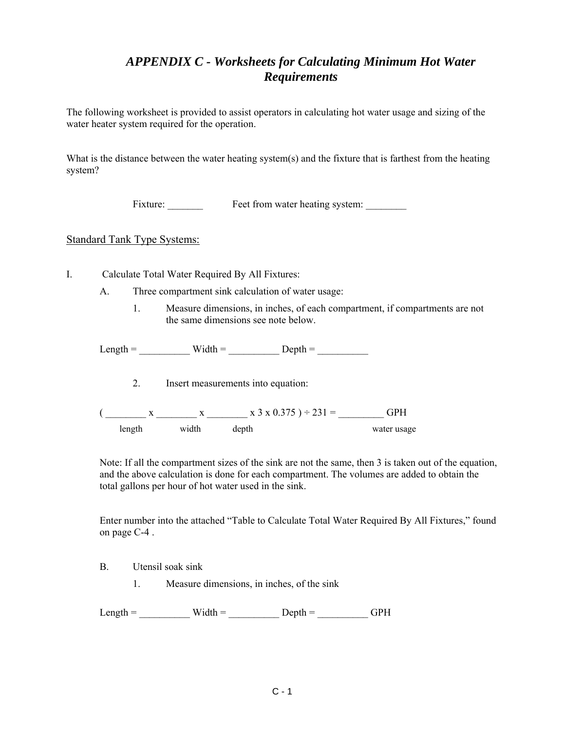# *APPENDIX C - Worksheets for Calculating Minimum Hot Water Requirements*

The following worksheet is provided to assist operators in calculating hot water usage and sizing of the water heater system required for the operation.

What is the distance between the water heating system(s) and the fixture that is farthest from the heating system?

Fixture: Feet from water heating system:

Standard Tank Type Systems:

I. Calculate Total Water Required By All Fixtures:

- A. Three compartment sink calculation of water usage:
	- 1. Measure dimensions, in inches, of each compartment, if compartments are not the same dimensions see note below.

Length =  $Width =$  Depth =

2. Insert measurements into equation:

(  $X \times X = X^3 \times 0.375$  ) ÷ 231 = GPH length width depth water usage

Note: If all the compartment sizes of the sink are not the same, then 3 is taken out of the equation, and the above calculation is done for each compartment. The volumes are added to obtain the total gallons per hour of hot water used in the sink.

Enter number into the attached "Table to Calculate Total Water Required By All Fixtures," found on page C-4 .

B. Utensil soak sink

1. Measure dimensions, in inches, of the sink

 $Length =$  Width =  $Depth =$  GPH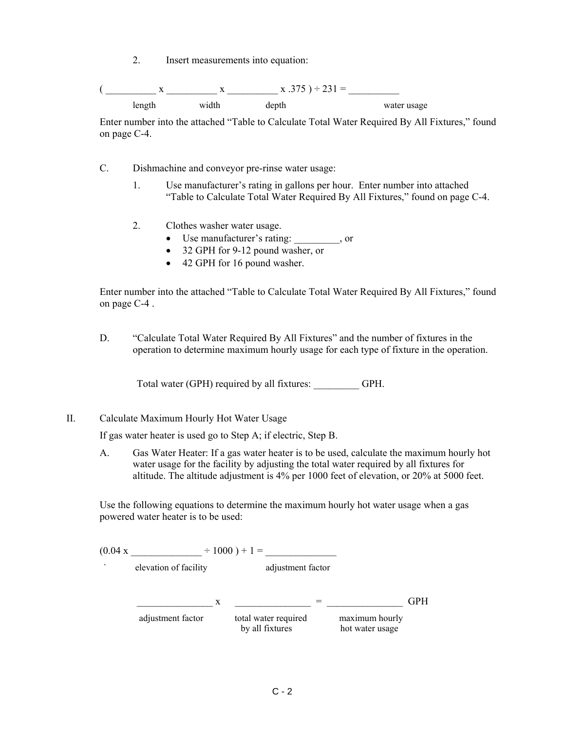2. Insert measurements into equation:

(  $X \times X = X.375$  ) ÷ 231 = length width depth water usage

Enter number into the attached "Table to Calculate Total Water Required By All Fixtures," found on page C-4.

- C. Dishmachine and conveyor pre-rinse water usage:
	- 1. Use manufacturer's rating in gallons per hour. Enter number into attached "Table to Calculate Total Water Required By All Fixtures," found on page C-4.
	- 2. Clothes washer water usage.
		- Use manufacturer's rating: \_\_\_\_\_\_\_\_\_, or
		- 32 GPH for 9-12 pound washer, or
		- 42 GPH for 16 pound washer.

Enter number into the attached "Table to Calculate Total Water Required By All Fixtures," found on page C-4 .

D. "Calculate Total Water Required By All Fixtures" and the number of fixtures in the operation to determine maximum hourly usage for each type of fixture in the operation.

Total water (GPH) required by all fixtures: GPH.

II. Calculate Maximum Hourly Hot Water Usage

If gas water heater is used go to Step A; if electric, Step B.

A. Gas Water Heater: If a gas water heater is to be used, calculate the maximum hourly hot water usage for the facility by adjusting the total water required by all fixtures for altitude. The altitude adjustment is 4% per 1000 feet of elevation, or 20% at 5000 feet.

Use the following equations to determine the maximum hourly hot water usage when a gas powered water heater is to be used:

| (0.04 x) |                       |   | $\div 1000$ ) + 1 =                     |                                   |     |
|----------|-----------------------|---|-----------------------------------------|-----------------------------------|-----|
|          | elevation of facility |   | adjustment factor                       |                                   |     |
|          |                       | X |                                         |                                   | GPH |
|          | adjustment factor     |   | total water required<br>by all fixtures | maximum hourly<br>hot water usage |     |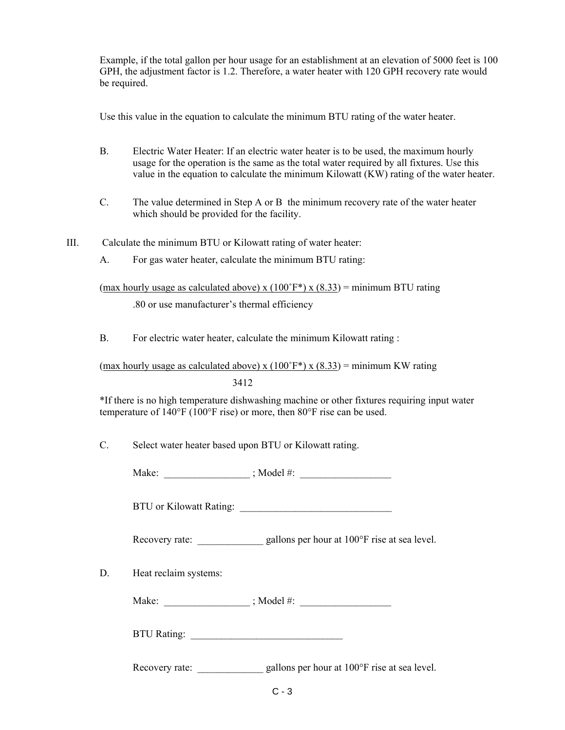Example, if the total gallon per hour usage for an establishment at an elevation of 5000 feet is 100 GPH, the adjustment factor is 1.2. Therefore, a water heater with 120 GPH recovery rate would be required.

Use this value in the equation to calculate the minimum BTU rating of the water heater.

- B. Electric Water Heater: If an electric water heater is to be used, the maximum hourly usage for the operation is the same as the total water required by all fixtures. Use this value in the equation to calculate the minimum Kilowatt (KW) rating of the water heater.
- C. The value determined in Step A or B the minimum recovery rate of the water heater which should be provided for the facility.
- III. Calculate the minimum BTU or Kilowatt rating of water heater:
	- A. For gas water heater, calculate the minimum BTU rating:

(max hourly usage as calculated above) x  $(100°F*)$  x  $(8.33)$  = minimum BTU rating

.80 or use manufacturer's thermal efficiency

B. For electric water heater, calculate the minimum Kilowatt rating :

(max hourly usage as calculated above) x  $(100°F*)$  x  $(8.33)$  = minimum KW rating

3412

\*If there is no high temperature dishwashing machine or other fixtures requiring input water temperature of 140°F (100°F rise) or more, then 80°F rise can be used.

C. Select water heater based upon BTU or Kilowatt rating.

Make:  $\Box$  ; Model #:

BTU or Kilowatt Rating: \_\_\_\_\_\_\_\_\_\_\_\_\_\_\_\_\_\_\_\_\_\_\_\_\_\_\_\_\_\_

Recovery rate: gallons per hour at 100°F rise at sea level.

D. Heat reclaim systems:

Make: \_\_\_\_\_\_\_\_\_\_\_\_\_\_\_\_\_ ; Model #: \_\_\_\_\_\_\_\_\_\_\_\_\_\_\_\_\_\_

BTU Rating:

Recovery rate: gallons per hour at 100°F rise at sea level.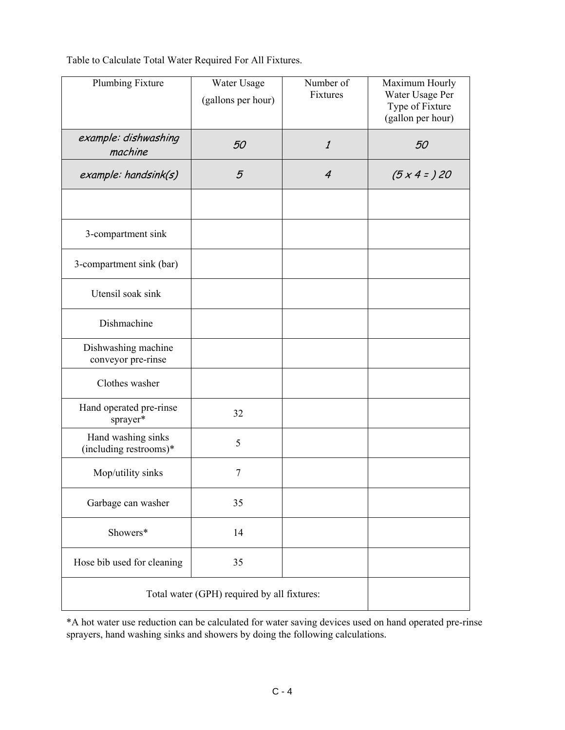| <b>Plumbing Fixture</b>                      | Water Usage<br>(gallons per hour)           | Number of<br>Fixtures     | Maximum Hourly<br>Water Usage Per<br>Type of Fixture<br>(gallon per hour) |
|----------------------------------------------|---------------------------------------------|---------------------------|---------------------------------------------------------------------------|
| example: dishwashing<br>machine              | 50                                          | $\boldsymbol{\varLambda}$ | 50                                                                        |
| example: handsink(s)                         | 5                                           | $\overline{4}$            | $(5x4=)20$                                                                |
|                                              |                                             |                           |                                                                           |
| 3-compartment sink                           |                                             |                           |                                                                           |
| 3-compartment sink (bar)                     |                                             |                           |                                                                           |
| Utensil soak sink                            |                                             |                           |                                                                           |
| Dishmachine                                  |                                             |                           |                                                                           |
| Dishwashing machine<br>conveyor pre-rinse    |                                             |                           |                                                                           |
| Clothes washer                               |                                             |                           |                                                                           |
| Hand operated pre-rinse<br>sprayer*          | 32                                          |                           |                                                                           |
| Hand washing sinks<br>(including restrooms)* | 5                                           |                           |                                                                           |
| Mop/utility sinks                            | $\tau$                                      |                           |                                                                           |
| Garbage can washer                           | 35                                          |                           |                                                                           |
| Showers*                                     | 14                                          |                           |                                                                           |
| Hose bib used for cleaning                   | 35                                          |                           |                                                                           |
|                                              | Total water (GPH) required by all fixtures: |                           |                                                                           |

Table to Calculate Total Water Required For All Fixtures.

\*A hot water use reduction can be calculated for water saving devices used on hand operated pre-rinse sprayers, hand washing sinks and showers by doing the following calculations.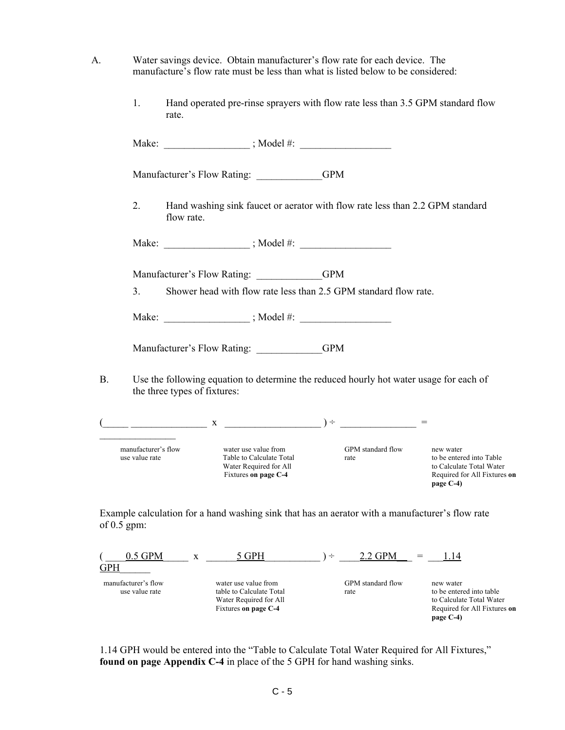| А. | Water savings device. Obtain manufacturer's flow rate for each device. The       |
|----|----------------------------------------------------------------------------------|
|    | manufacture's flow rate must be less than what is listed below to be considered: |

1. Hand operated pre-rinse sprayers with flow rate less than 3.5 GPM standard flow rate.

Make: \_\_\_\_\_\_\_\_\_\_\_\_\_\_\_\_\_ ; Model #: \_\_\_\_\_\_\_\_\_\_\_\_\_\_\_\_\_\_

Manufacturer's Flow Rating: \_\_\_\_\_\_\_\_\_\_\_\_GPM

2. Hand washing sink faucet or aerator with flow rate less than 2.2 GPM standard flow rate.

Make:  $\Box$  ; Model #:

| Manufacturer's Flow Rating: | <b>GPM</b> |
|-----------------------------|------------|
|-----------------------------|------------|

3. Shower head with flow rate less than 2.5 GPM standard flow rate.

Make: \_\_\_\_\_\_\_\_\_\_\_\_\_\_\_\_\_ ; Model #: \_\_\_\_\_\_\_\_\_\_\_\_\_\_\_\_\_\_

Manufacturer's Flow Rating: \_\_\_\_\_\_\_\_\_\_\_\_\_GPM

B. Use the following equation to determine the reduced hourly hot water usage for each of the three types of fixtures:

| manufacturer's flow<br>use value rate | water use value from<br>Table to Calculate Total<br>Water Required for All<br>Fixtures on page C-4 | GPM standard flow<br>rate | new water<br>to be entered into Table<br>to Calculate Total Water<br>Required for All Fixtures on<br>page $C-4$ ) |
|---------------------------------------|----------------------------------------------------------------------------------------------------|---------------------------|-------------------------------------------------------------------------------------------------------------------|

Example calculation for a hand washing sink that has an aerator with a manufacturer's flow rate of 0.5 gpm:

| $0.5$ GPM<br><b>GPH</b>               | x | 5 GPH                                                                                              | $\div$ | $2.2$ GPM                 | 1.14                                                                                                              |
|---------------------------------------|---|----------------------------------------------------------------------------------------------------|--------|---------------------------|-------------------------------------------------------------------------------------------------------------------|
| manufacturer's flow<br>use value rate |   | water use value from<br>table to Calculate Total<br>Water Required for All<br>Fixtures on page C-4 |        | GPM standard flow<br>rate | new water<br>to be entered into table<br>to Calculate Total Water<br>Required for All Fixtures on<br>page $C-4$ ) |

1.14 GPH would be entered into the "Table to Calculate Total Water Required for All Fixtures," **found on page Appendix C-4** in place of the 5 GPH for hand washing sinks.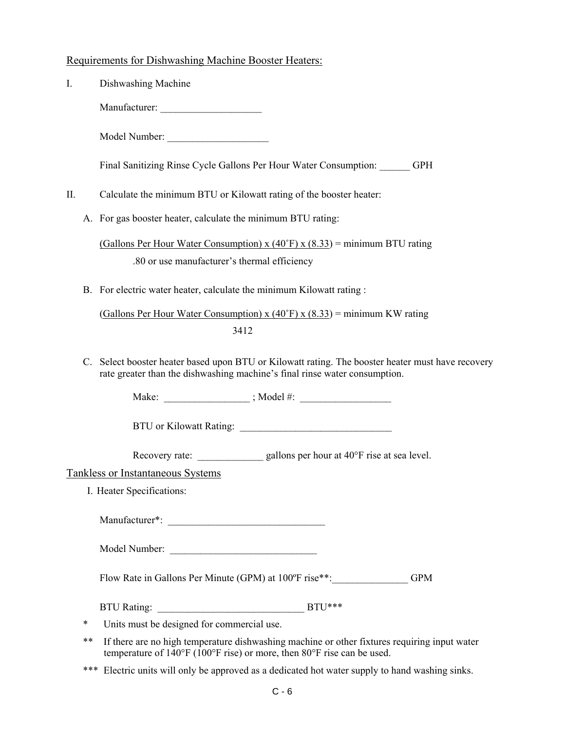## Requirements for Dishwashing Machine Booster Heaters:

| I. |    | Dishwashing Machine                                                                                                                                                          |  |
|----|----|------------------------------------------------------------------------------------------------------------------------------------------------------------------------------|--|
|    |    |                                                                                                                                                                              |  |
|    |    | Model Number:                                                                                                                                                                |  |
|    |    | Final Sanitizing Rinse Cycle Gallons Per Hour Water Consumption: GPH                                                                                                         |  |
| Η. |    | Calculate the minimum BTU or Kilowatt rating of the booster heater:                                                                                                          |  |
|    |    | A. For gas booster heater, calculate the minimum BTU rating:                                                                                                                 |  |
|    |    | (Gallons Per Hour Water Consumption) x (40°F) x (8.33) = minimum BTU rating<br>.80 or use manufacturer's thermal efficiency                                                  |  |
|    |    | B. For electric water heater, calculate the minimum Kilowatt rating:                                                                                                         |  |
|    |    | (Gallons Per Hour Water Consumption) x (40°F) x (8.33) = minimum KW rating                                                                                                   |  |
|    |    | 3412                                                                                                                                                                         |  |
|    | C. | Select booster heater based upon BTU or Kilowatt rating. The booster heater must have recovery<br>rate greater than the dishwashing machine's final rinse water consumption. |  |
|    |    |                                                                                                                                                                              |  |
|    |    |                                                                                                                                                                              |  |
|    |    |                                                                                                                                                                              |  |
|    |    | Tankless or Instantaneous Systems                                                                                                                                            |  |
|    |    | I. Heater Specifications:                                                                                                                                                    |  |
|    |    | Manufacturer*:                                                                                                                                                               |  |
|    |    | Model Number:                                                                                                                                                                |  |
|    |    | Flow Rate in Gallons Per Minute (GPM) at 100°F rise**:__________________________<br><b>GPM</b>                                                                               |  |

BTU Rating: \_\_\_\_\_\_\_\_\_\_\_\_\_\_\_\_\_\_\_\_\_\_\_\_\_\_\_\_\_ BTU\*\*\* \* Units must be designed for commercial use.

- \*\* If there are no high temperature dishwashing machine or other fixtures requiring input water temperature of 140°F (100°F rise) or more, then 80°F rise can be used.
- \*\*\* Electric units will only be approved as a dedicated hot water supply to hand washing sinks.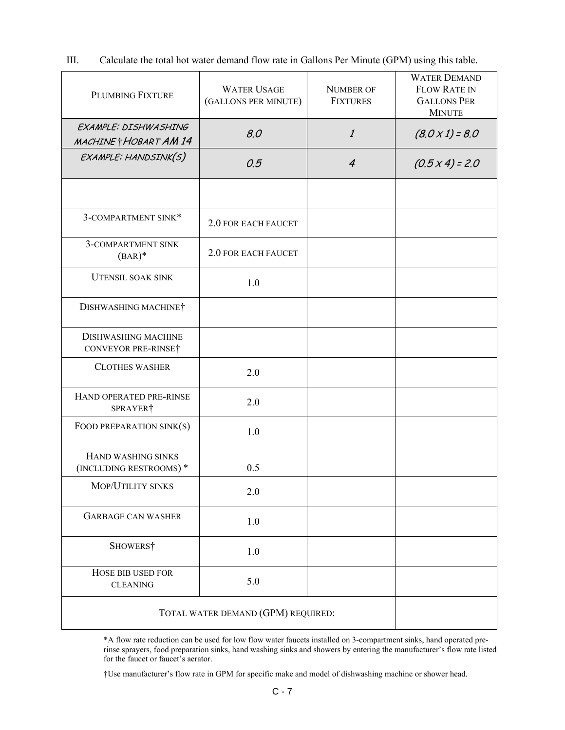| <b>PLUMBING FIXTURE</b>                                       | <b>WATER USAGE</b><br>(GALLONS PER MINUTE) | <b>NUMBER OF</b><br><b>FIXTURES</b> | <b>WATER DEMAND</b><br><b>FLOW RATE IN</b><br><b>GALLONS PER</b><br><b>MINUTE</b> |
|---------------------------------------------------------------|--------------------------------------------|-------------------------------------|-----------------------------------------------------------------------------------|
| EXAMPLE: DISHWASHING<br>MACHINE + HOBART AM 14                | 8.0                                        | $\mathcal{I}$                       | $(8.0 \times 1) = 8.0$                                                            |
| EXAMPLE: HANDSINK(S)                                          | 0.5                                        | $\boldsymbol{4}$                    | $(0.5 \times 4) = 2.0$                                                            |
|                                                               |                                            |                                     |                                                                                   |
| 3-COMPARTMENT SINK*                                           | 2.0 FOR EACH FAUCET                        |                                     |                                                                                   |
| 3-COMPARTMENT SINK<br>$(BAR)*$                                | 2.0 FOR EACH FAUCET                        |                                     |                                                                                   |
| <b>UTENSIL SOAK SINK</b>                                      | 1.0                                        |                                     |                                                                                   |
| DISHWASHING MACHINET                                          |                                            |                                     |                                                                                   |
| <b>DISHWASHING MACHINE</b><br>CONVEYOR PRE-RINSE <sup>†</sup> |                                            |                                     |                                                                                   |
| <b>CLOTHES WASHER</b>                                         | 2.0                                        |                                     |                                                                                   |
| HAND OPERATED PRE-RINSE<br>SPRAYER <sup>+</sup>               | 2.0                                        |                                     |                                                                                   |
| FOOD PREPARATION SINK(S)                                      | 1.0                                        |                                     |                                                                                   |
| HAND WASHING SINKS<br>(INCLUDING RESTROOMS)*                  | 0.5                                        |                                     |                                                                                   |
| MOP/UTILITY SINKS                                             | 2.0                                        |                                     |                                                                                   |
| <b>GARBAGE CAN WASHER</b>                                     | $1.0$                                      |                                     |                                                                                   |
| SHOWERS <sup>†</sup>                                          | 1.0                                        |                                     |                                                                                   |
| <b>HOSE BIB USED FOR</b><br><b>CLEANING</b>                   | 5.0                                        |                                     |                                                                                   |
|                                                               | TOTAL WATER DEMAND (GPM) REQUIRED:         |                                     |                                                                                   |

III. Calculate the total hot water demand flow rate in Gallons Per Minute (GPM) using this table.

\*A flow rate reduction can be used for low flow water faucets installed on 3-compartment sinks, hand operated prerinse sprayers, food preparation sinks, hand washing sinks and showers by entering the manufacturer's flow rate listed for the faucet or faucet's aerator.

†Use manufacturer's flow rate in GPM for specific make and model of dishwashing machine or shower head.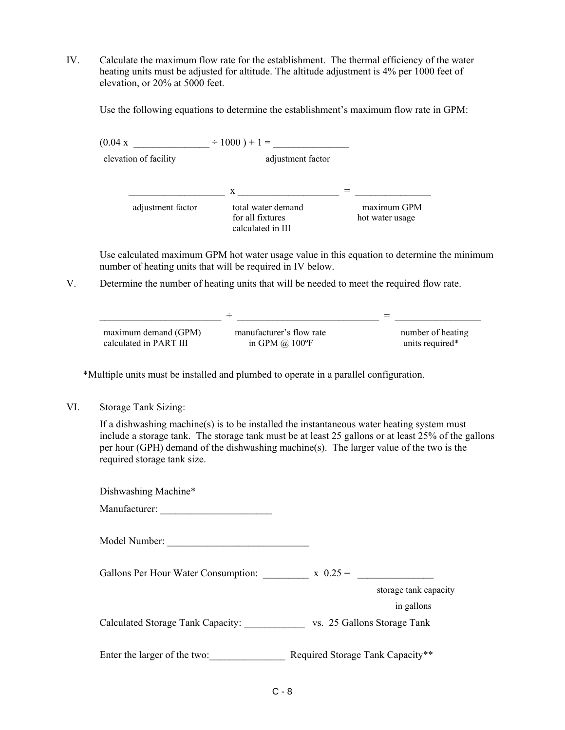IV. Calculate the maximum flow rate for the establishment. The thermal efficiency of the water heating units must be adjusted for altitude. The altitude adjustment is 4% per 1000 feet of elevation, or 20% at 5000 feet.

Use the following equations to determine the establishment's maximum flow rate in GPM:

| (0.04 x)              |                   | $\div 1000$ ) + 1 =                   |                 |
|-----------------------|-------------------|---------------------------------------|-----------------|
| elevation of facility |                   | adjustment factor                     |                 |
|                       | adjustment factor | X<br>total water demand               | maximum GPM     |
|                       |                   | for all fixtures<br>calculated in III | hot water usage |

Use calculated maximum GPM hot water usage value in this equation to determine the minimum number of heating units that will be required in IV below.

V. Determine the number of heating units that will be needed to meet the required flow rate.

| maximum demand (GPM)   | manufacturer's flow rate | number of heating |
|------------------------|--------------------------|-------------------|
| calculated in PART III | in GPM $\omega$ 100°F    | units required*   |

\*Multiple units must be installed and plumbed to operate in a parallel configuration.

VI. Storage Tank Sizing:

If a dishwashing machine(s) is to be installed the instantaneous water heating system must include a storage tank. The storage tank must be at least 25 gallons or at least 25% of the gallons per hour (GPH) demand of the dishwashing machine(s). The larger value of the two is the required storage tank size.

| Dishwashing Machine*<br>Manufacturer: <u>__________________________</u> |                                  |                       |
|-------------------------------------------------------------------------|----------------------------------|-----------------------|
| Model Number:                                                           |                                  |                       |
| Gallons Per Hour Water Consumption: $x \quad 0.25 =$                    |                                  | storage tank capacity |
| Calculated Storage Tank Capacity: vs. 25 Gallons Storage Tank           |                                  | in gallons            |
| Enter the larger of the two:                                            | Required Storage Tank Capacity** |                       |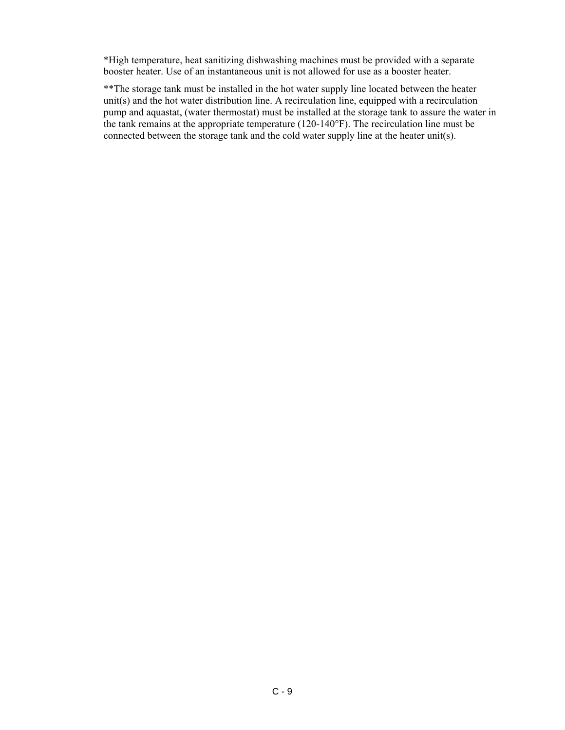\*High temperature, heat sanitizing dishwashing machines must be provided with a separate booster heater. Use of an instantaneous unit is not allowed for use as a booster heater.

\*\*The storage tank must be installed in the hot water supply line located between the heater unit(s) and the hot water distribution line. A recirculation line, equipped with a recirculation pump and aquastat, (water thermostat) must be installed at the storage tank to assure the water in the tank remains at the appropriate temperature (120-140°F). The recirculation line must be connected between the storage tank and the cold water supply line at the heater unit(s).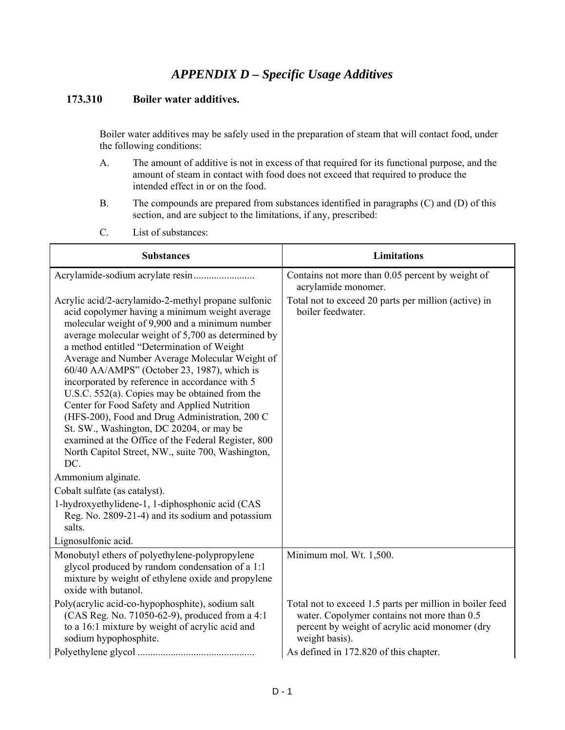# *APPENDIX D – Specific Usage Additives*

## **173.310 Boiler water additives.**

 Boiler water additives may be safely used in the preparation of steam that will contact food, under the following conditions:

- A. The amount of additive is not in excess of that required for its functional purpose, and the amount of steam in contact with food does not exceed that required to produce the intended effect in or on the food.
- B. The compounds are prepared from substances identified in paragraphs (C) and (D) of this section, and are subject to the limitations, if any, prescribed:
- C. List of substances:

| <b>Substances</b>                                                                                                                                                                                                                                                                                                                                                                                                                                                                                                                                                                                                                                                                                                                    | <b>Limitations</b>                                                                                                                                                                                                    |
|--------------------------------------------------------------------------------------------------------------------------------------------------------------------------------------------------------------------------------------------------------------------------------------------------------------------------------------------------------------------------------------------------------------------------------------------------------------------------------------------------------------------------------------------------------------------------------------------------------------------------------------------------------------------------------------------------------------------------------------|-----------------------------------------------------------------------------------------------------------------------------------------------------------------------------------------------------------------------|
|                                                                                                                                                                                                                                                                                                                                                                                                                                                                                                                                                                                                                                                                                                                                      | Contains not more than 0.05 percent by weight of<br>acrylamide monomer.                                                                                                                                               |
| Acrylic acid/2-acrylamido-2-methyl propane sulfonic<br>acid copolymer having a minimum weight average<br>molecular weight of 9,900 and a minimum number<br>average molecular weight of 5,700 as determined by<br>a method entitled "Determination of Weight<br>Average and Number Average Molecular Weight of<br>60/40 AA/AMPS" (October 23, 1987), which is<br>incorporated by reference in accordance with 5<br>U.S.C. $552(a)$ . Copies may be obtained from the<br>Center for Food Safety and Applied Nutrition<br>(HFS-200), Food and Drug Administration, 200 C<br>St. SW., Washington, DC 20204, or may be<br>examined at the Office of the Federal Register, 800<br>North Capitol Street, NW., suite 700, Washington,<br>DC. | Total not to exceed 20 parts per million (active) in<br>boiler feedwater.                                                                                                                                             |
| Ammonium alginate.                                                                                                                                                                                                                                                                                                                                                                                                                                                                                                                                                                                                                                                                                                                   |                                                                                                                                                                                                                       |
| Cobalt sulfate (as catalyst).                                                                                                                                                                                                                                                                                                                                                                                                                                                                                                                                                                                                                                                                                                        |                                                                                                                                                                                                                       |
| 1-hydroxyethylidene-1, 1-diphosphonic acid (CAS<br>Reg. No. 2809-21-4) and its sodium and potassium<br>salts.                                                                                                                                                                                                                                                                                                                                                                                                                                                                                                                                                                                                                        |                                                                                                                                                                                                                       |
| Lignosulfonic acid.                                                                                                                                                                                                                                                                                                                                                                                                                                                                                                                                                                                                                                                                                                                  |                                                                                                                                                                                                                       |
| Monobutyl ethers of polyethylene-polypropylene<br>glycol produced by random condensation of a 1:1<br>mixture by weight of ethylene oxide and propylene<br>oxide with butanol.                                                                                                                                                                                                                                                                                                                                                                                                                                                                                                                                                        | Minimum mol. Wt. 1,500.                                                                                                                                                                                               |
| Poly(acrylic acid-co-hypophosphite), sodium salt<br>(CAS Reg. No. 71050-62-9), produced from a 4:1<br>to a 16:1 mixture by weight of acrylic acid and<br>sodium hypophosphite.                                                                                                                                                                                                                                                                                                                                                                                                                                                                                                                                                       | Total not to exceed 1.5 parts per million in boiler feed<br>water. Copolymer contains not more than 0.5<br>percent by weight of acrylic acid monomer (dry<br>weight basis).<br>As defined in 172.820 of this chapter. |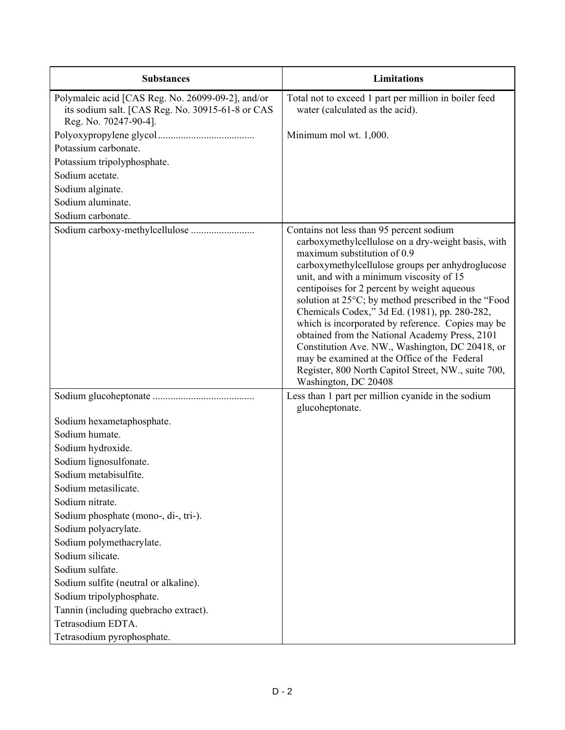| <b>Substances</b>                                                                                                              | <b>Limitations</b>                                                                                                                                                                                                                                                                                                                                                                                                                                                                                                                                                                                                                                                            |
|--------------------------------------------------------------------------------------------------------------------------------|-------------------------------------------------------------------------------------------------------------------------------------------------------------------------------------------------------------------------------------------------------------------------------------------------------------------------------------------------------------------------------------------------------------------------------------------------------------------------------------------------------------------------------------------------------------------------------------------------------------------------------------------------------------------------------|
| Polymaleic acid [CAS Reg. No. 26099-09-2], and/or<br>its sodium salt. [CAS Reg. No. 30915-61-8 or CAS<br>Reg. No. 70247-90-4]. | Total not to exceed 1 part per million in boiler feed<br>water (calculated as the acid).                                                                                                                                                                                                                                                                                                                                                                                                                                                                                                                                                                                      |
|                                                                                                                                | Minimum mol wt. 1,000.                                                                                                                                                                                                                                                                                                                                                                                                                                                                                                                                                                                                                                                        |
| Potassium carbonate.                                                                                                           |                                                                                                                                                                                                                                                                                                                                                                                                                                                                                                                                                                                                                                                                               |
| Potassium tripolyphosphate.                                                                                                    |                                                                                                                                                                                                                                                                                                                                                                                                                                                                                                                                                                                                                                                                               |
| Sodium acetate.                                                                                                                |                                                                                                                                                                                                                                                                                                                                                                                                                                                                                                                                                                                                                                                                               |
| Sodium alginate.                                                                                                               |                                                                                                                                                                                                                                                                                                                                                                                                                                                                                                                                                                                                                                                                               |
| Sodium aluminate.                                                                                                              |                                                                                                                                                                                                                                                                                                                                                                                                                                                                                                                                                                                                                                                                               |
| Sodium carbonate.                                                                                                              |                                                                                                                                                                                                                                                                                                                                                                                                                                                                                                                                                                                                                                                                               |
|                                                                                                                                | Contains not less than 95 percent sodium<br>carboxymethylcellulose on a dry-weight basis, with<br>maximum substitution of 0.9<br>carboxymethylcellulose groups per anhydroglucose<br>unit, and with a minimum viscosity of 15<br>centipoises for 2 percent by weight aqueous<br>solution at 25°C; by method prescribed in the "Food<br>Chemicals Codex," 3d Ed. (1981), pp. 280-282,<br>which is incorporated by reference. Copies may be<br>obtained from the National Academy Press, 2101<br>Constitution Ave. NW., Washington, DC 20418, or<br>may be examined at the Office of the Federal<br>Register, 800 North Capitol Street, NW., suite 700,<br>Washington, DC 20408 |
|                                                                                                                                | Less than 1 part per million cyanide in the sodium<br>glucoheptonate.                                                                                                                                                                                                                                                                                                                                                                                                                                                                                                                                                                                                         |
| Sodium hexametaphosphate.                                                                                                      |                                                                                                                                                                                                                                                                                                                                                                                                                                                                                                                                                                                                                                                                               |
| Sodium humate.                                                                                                                 |                                                                                                                                                                                                                                                                                                                                                                                                                                                                                                                                                                                                                                                                               |
| Sodium hydroxide.                                                                                                              |                                                                                                                                                                                                                                                                                                                                                                                                                                                                                                                                                                                                                                                                               |
| Sodium lignosulfonate.                                                                                                         |                                                                                                                                                                                                                                                                                                                                                                                                                                                                                                                                                                                                                                                                               |
| Sodium metabisulfite.                                                                                                          |                                                                                                                                                                                                                                                                                                                                                                                                                                                                                                                                                                                                                                                                               |
| Sodium metasilicate.                                                                                                           |                                                                                                                                                                                                                                                                                                                                                                                                                                                                                                                                                                                                                                                                               |
| Sodium nitrate.                                                                                                                |                                                                                                                                                                                                                                                                                                                                                                                                                                                                                                                                                                                                                                                                               |
| Sodium phosphate (mono-, di-, tri-).                                                                                           |                                                                                                                                                                                                                                                                                                                                                                                                                                                                                                                                                                                                                                                                               |
| Sodium polyacrylate.                                                                                                           |                                                                                                                                                                                                                                                                                                                                                                                                                                                                                                                                                                                                                                                                               |
| Sodium polymethacrylate.                                                                                                       |                                                                                                                                                                                                                                                                                                                                                                                                                                                                                                                                                                                                                                                                               |
| Sodium silicate.                                                                                                               |                                                                                                                                                                                                                                                                                                                                                                                                                                                                                                                                                                                                                                                                               |
| Sodium sulfate.                                                                                                                |                                                                                                                                                                                                                                                                                                                                                                                                                                                                                                                                                                                                                                                                               |
| Sodium sulfite (neutral or alkaline).                                                                                          |                                                                                                                                                                                                                                                                                                                                                                                                                                                                                                                                                                                                                                                                               |
| Sodium tripolyphosphate.                                                                                                       |                                                                                                                                                                                                                                                                                                                                                                                                                                                                                                                                                                                                                                                                               |
| Tannin (including quebracho extract).                                                                                          |                                                                                                                                                                                                                                                                                                                                                                                                                                                                                                                                                                                                                                                                               |
| Tetrasodium EDTA.                                                                                                              |                                                                                                                                                                                                                                                                                                                                                                                                                                                                                                                                                                                                                                                                               |
| Tetrasodium pyrophosphate.                                                                                                     |                                                                                                                                                                                                                                                                                                                                                                                                                                                                                                                                                                                                                                                                               |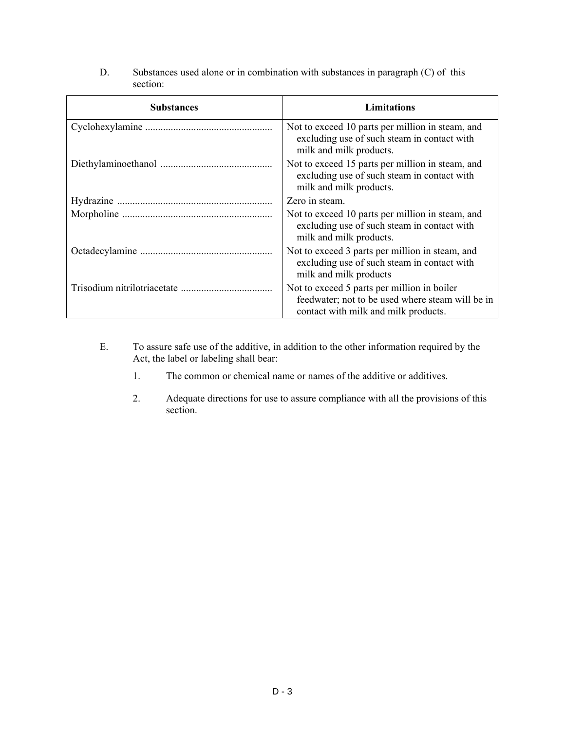D. Substances used alone or in combination with substances in paragraph (C) of this section:

| <b>Substances</b> | Limitations                                                                                                                             |
|-------------------|-----------------------------------------------------------------------------------------------------------------------------------------|
|                   | Not to exceed 10 parts per million in steam, and<br>excluding use of such steam in contact with<br>milk and milk products.              |
|                   | Not to exceed 15 parts per million in steam, and<br>excluding use of such steam in contact with<br>milk and milk products.              |
|                   | Zero in steam.                                                                                                                          |
|                   | Not to exceed 10 parts per million in steam, and<br>excluding use of such steam in contact with<br>milk and milk products.              |
|                   | Not to exceed 3 parts per million in steam, and<br>excluding use of such steam in contact with<br>milk and milk products                |
|                   | Not to exceed 5 parts per million in boiler<br>feedwater; not to be used where steam will be in<br>contact with milk and milk products. |

- E. To assure safe use of the additive, in addition to the other information required by the Act, the label or labeling shall bear:
	- 1. The common or chemical name or names of the additive or additives.
	- 2. Adequate directions for use to assure compliance with all the provisions of this section.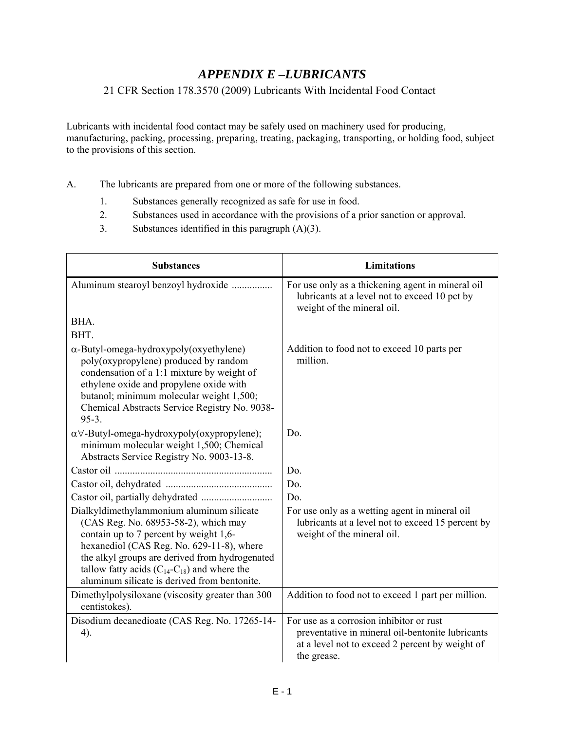# *APPENDIX E –LUBRICANTS*

## 21 CFR Section 178.3570 (2009) Lubricants With Incidental Food Contact

Lubricants with incidental food contact may be safely used on machinery used for producing, manufacturing, packing, processing, preparing, treating, packaging, transporting, or holding food, subject to the provisions of this section.

- A. The lubricants are prepared from one or more of the following substances.
	- 1. Substances generally recognized as safe for use in food.
	- 2. Substances used in accordance with the provisions of a prior sanction or approval.
	- 3. Substances identified in this paragraph (A)(3).

| <b>Substances</b>                                                                                                                                                                                                                                                                                                                    | <b>Limitations</b>                                                                                                                                             |
|--------------------------------------------------------------------------------------------------------------------------------------------------------------------------------------------------------------------------------------------------------------------------------------------------------------------------------------|----------------------------------------------------------------------------------------------------------------------------------------------------------------|
| Aluminum stearoyl benzoyl hydroxide                                                                                                                                                                                                                                                                                                  | For use only as a thickening agent in mineral oil<br>lubricants at a level not to exceed 10 pct by<br>weight of the mineral oil.                               |
| BHA.                                                                                                                                                                                                                                                                                                                                 |                                                                                                                                                                |
| BHT.                                                                                                                                                                                                                                                                                                                                 |                                                                                                                                                                |
| $\alpha$ -Butyl-omega-hydroxypoly(oxyethylene)<br>poly(oxypropylene) produced by random<br>condensation of a 1:1 mixture by weight of<br>ethylene oxide and propylene oxide with<br>butanol; minimum molecular weight 1,500;<br>Chemical Abstracts Service Registry No. 9038-<br>$95 - 3$ .                                          | Addition to food not to exceed 10 parts per<br>million.                                                                                                        |
| $\alpha \forall$ -Butyl-omega-hydroxypoly(oxypropylene);<br>minimum molecular weight 1,500; Chemical<br>Abstracts Service Registry No. 9003-13-8.                                                                                                                                                                                    | D <sub>0</sub>                                                                                                                                                 |
|                                                                                                                                                                                                                                                                                                                                      | D <sub>0</sub>                                                                                                                                                 |
|                                                                                                                                                                                                                                                                                                                                      | Do.                                                                                                                                                            |
|                                                                                                                                                                                                                                                                                                                                      | Do.                                                                                                                                                            |
| Dialkyldimethylammonium aluminum silicate<br>(CAS Reg. No. 68953-58-2), which may<br>contain up to 7 percent by weight 1,6-<br>hexanediol (CAS Reg. No. 629-11-8), where<br>the alkyl groups are derived from hydrogenated<br>tallow fatty acids $(C_{14}$ - $C_{18})$ and where the<br>aluminum silicate is derived from bentonite. | For use only as a wetting agent in mineral oil<br>lubricants at a level not to exceed 15 percent by<br>weight of the mineral oil.                              |
| Dimethylpolysiloxane (viscosity greater than 300)<br>centistokes).                                                                                                                                                                                                                                                                   | Addition to food not to exceed 1 part per million.                                                                                                             |
| Disodium decanedioate (CAS Reg. No. 17265-14-<br>4).                                                                                                                                                                                                                                                                                 | For use as a corrosion inhibitor or rust<br>preventative in mineral oil-bentonite lubricants<br>at a level not to exceed 2 percent by weight of<br>the grease. |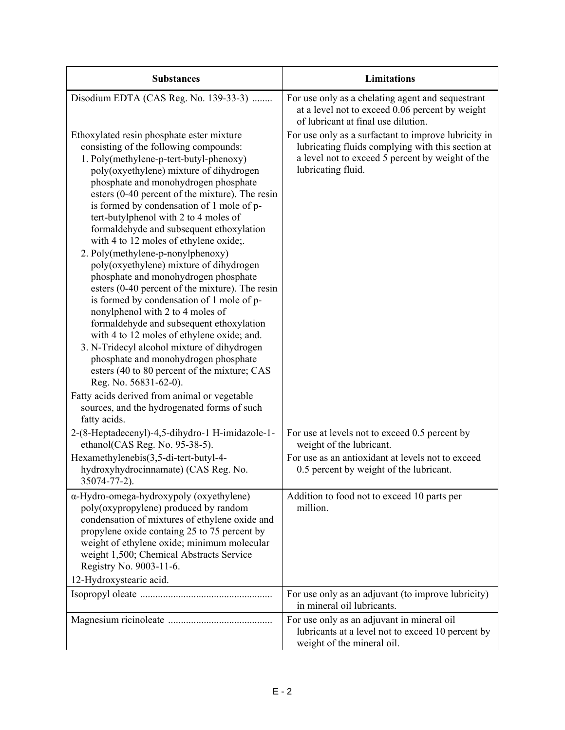| <b>Substances</b>                                                                                                                                                                                                                                                                                                                                                                                                                                                                                                                                                                                                                                                                                                                                                                                                                                                                                                                                                                                                                                                                    | <b>Limitations</b>                                                                                                                                                                  |
|--------------------------------------------------------------------------------------------------------------------------------------------------------------------------------------------------------------------------------------------------------------------------------------------------------------------------------------------------------------------------------------------------------------------------------------------------------------------------------------------------------------------------------------------------------------------------------------------------------------------------------------------------------------------------------------------------------------------------------------------------------------------------------------------------------------------------------------------------------------------------------------------------------------------------------------------------------------------------------------------------------------------------------------------------------------------------------------|-------------------------------------------------------------------------------------------------------------------------------------------------------------------------------------|
| Disodium EDTA (CAS Reg. No. 139-33-3)                                                                                                                                                                                                                                                                                                                                                                                                                                                                                                                                                                                                                                                                                                                                                                                                                                                                                                                                                                                                                                                | For use only as a chelating agent and sequestrant<br>at a level not to exceed 0.06 percent by weight<br>of lubricant at final use dilution.                                         |
| Ethoxylated resin phosphate ester mixture<br>consisting of the following compounds:<br>1. Poly(methylene-p-tert-butyl-phenoxy)<br>poly(oxyethylene) mixture of dihydrogen<br>phosphate and monohydrogen phosphate<br>esters (0-40 percent of the mixture). The resin<br>is formed by condensation of 1 mole of p-<br>tert-butylphenol with 2 to 4 moles of<br>formaldehyde and subsequent ethoxylation<br>with 4 to 12 moles of ethylene oxide;<br>2. Poly(methylene-p-nonylphenoxy)<br>poly(oxyethylene) mixture of dihydrogen<br>phosphate and monohydrogen phosphate<br>esters (0-40 percent of the mixture). The resin<br>is formed by condensation of 1 mole of p-<br>nonylphenol with 2 to 4 moles of<br>formaldehyde and subsequent ethoxylation<br>with 4 to 12 moles of ethylene oxide; and.<br>3. N-Tridecyl alcohol mixture of dihydrogen<br>phosphate and monohydrogen phosphate<br>esters (40 to 80 percent of the mixture; CAS<br>Reg. No. 56831-62-0).<br>Fatty acids derived from animal or vegetable<br>sources, and the hydrogenated forms of such<br>fatty acids. | For use only as a surfactant to improve lubricity in<br>lubricating fluids complying with this section at<br>a level not to exceed 5 percent by weight of the<br>lubricating fluid. |
| 2-(8-Heptadecenyl)-4,5-dihydro-1 H-imidazole-1-<br>ethanol(CAS Reg. No. 95-38-5).                                                                                                                                                                                                                                                                                                                                                                                                                                                                                                                                                                                                                                                                                                                                                                                                                                                                                                                                                                                                    | For use at levels not to exceed 0.5 percent by<br>weight of the lubricant.                                                                                                          |
| Hexamethylenebis(3,5-di-tert-butyl-4-<br>hydroxyhydrocinnamate) (CAS Reg. No.<br>35074-77-2).                                                                                                                                                                                                                                                                                                                                                                                                                                                                                                                                                                                                                                                                                                                                                                                                                                                                                                                                                                                        | For use as an antioxidant at levels not to exceed<br>0.5 percent by weight of the lubricant.                                                                                        |
| α-Hydro-omega-hydroxypoly (oxyethylene)<br>poly(oxypropylene) produced by random<br>condensation of mixtures of ethylene oxide and<br>propylene oxide containg 25 to 75 percent by<br>weight of ethylene oxide; minimum molecular<br>weight 1,500; Chemical Abstracts Service<br>Registry No. 9003-11-6.<br>12-Hydroxystearic acid.                                                                                                                                                                                                                                                                                                                                                                                                                                                                                                                                                                                                                                                                                                                                                  | Addition to food not to exceed 10 parts per<br>million.                                                                                                                             |
|                                                                                                                                                                                                                                                                                                                                                                                                                                                                                                                                                                                                                                                                                                                                                                                                                                                                                                                                                                                                                                                                                      | For use only as an adjuvant (to improve lubricity)<br>in mineral oil lubricants.                                                                                                    |
|                                                                                                                                                                                                                                                                                                                                                                                                                                                                                                                                                                                                                                                                                                                                                                                                                                                                                                                                                                                                                                                                                      | For use only as an adjuvant in mineral oil<br>lubricants at a level not to exceed 10 percent by<br>weight of the mineral oil.                                                       |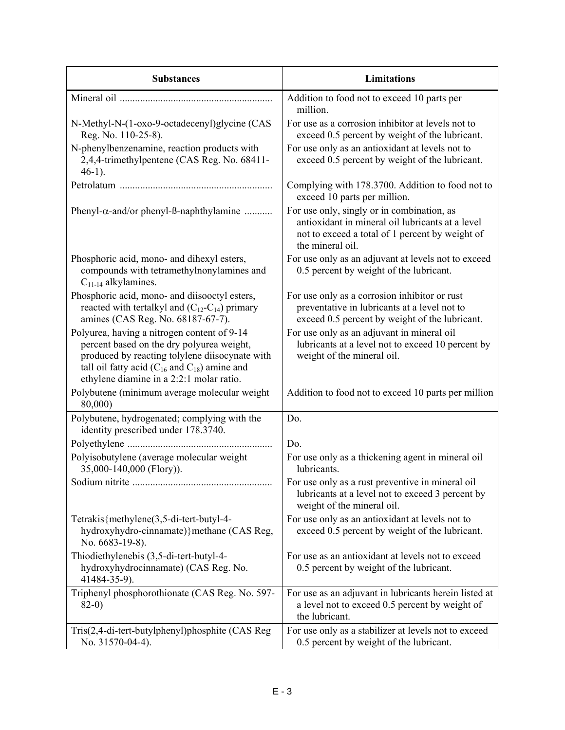| <b>Substances</b>                                                                                                                                                                                                                                 | <b>Limitations</b>                                                                                                                                                    |
|---------------------------------------------------------------------------------------------------------------------------------------------------------------------------------------------------------------------------------------------------|-----------------------------------------------------------------------------------------------------------------------------------------------------------------------|
|                                                                                                                                                                                                                                                   | Addition to food not to exceed 10 parts per<br>million.                                                                                                               |
| N-Methyl-N-(1-oxo-9-octadecenyl)glycine (CAS<br>Reg. No. 110-25-8).                                                                                                                                                                               | For use as a corrosion inhibitor at levels not to<br>exceed 0.5 percent by weight of the lubricant.                                                                   |
| N-phenylbenzenamine, reaction products with<br>2,4,4-trimethylpentene (CAS Reg. No. 68411-<br>$46-1$ ).                                                                                                                                           | For use only as an antioxidant at levels not to<br>exceed 0.5 percent by weight of the lubricant.                                                                     |
|                                                                                                                                                                                                                                                   | Complying with 178.3700. Addition to food not to<br>exceed 10 parts per million.                                                                                      |
| Phenyl- $\alpha$ -and/or phenyl- $\beta$ -naphthylamine                                                                                                                                                                                           | For use only, singly or in combination, as<br>antioxidant in mineral oil lubricants at a level<br>not to exceed a total of 1 percent by weight of<br>the mineral oil. |
| Phosphoric acid, mono- and dihexyl esters,<br>compounds with tetramethylnonylamines and<br>$C_{11-14}$ alkylamines.                                                                                                                               | For use only as an adjuvant at levels not to exceed<br>0.5 percent by weight of the lubricant.                                                                        |
| Phosphoric acid, mono- and diisooctyl esters,<br>reacted with tertalkyl and $(C_{12}-C_{14})$ primary<br>amines (CAS Reg. No. 68187-67-7).                                                                                                        | For use only as a corrosion inhibitor or rust<br>preventative in lubricants at a level not to<br>exceed 0.5 percent by weight of the lubricant.                       |
| Polyurea, having a nitrogen content of 9-14<br>percent based on the dry polyurea weight,<br>produced by reacting tolylene diisocynate with<br>tall oil fatty acid ( $C_{16}$ and $C_{18}$ ) amine and<br>ethylene diamine in a 2:2:1 molar ratio. | For use only as an adjuvant in mineral oil<br>lubricants at a level not to exceed 10 percent by<br>weight of the mineral oil.                                         |
| Polybutene (minimum average molecular weight<br>80,000)                                                                                                                                                                                           | Addition to food not to exceed 10 parts per million                                                                                                                   |
| Polybutene, hydrogenated; complying with the<br>identity prescribed under 178.3740.                                                                                                                                                               | Do.                                                                                                                                                                   |
|                                                                                                                                                                                                                                                   | Do.                                                                                                                                                                   |
| Polyisobutylene (average molecular weight<br>35,000-140,000 (Flory)).                                                                                                                                                                             | For use only as a thickening agent in mineral oil<br>lubricants.                                                                                                      |
|                                                                                                                                                                                                                                                   | For use only as a rust preventive in mineral oil<br>lubricants at a level not to exceed 3 percent by<br>weight of the mineral oil.                                    |
| Tetrakis {methylene(3,5-di-tert-butyl-4-<br>hydroxyhydro-cinnamate)} methane (CAS Reg,<br>No. 6683-19-8).                                                                                                                                         | For use only as an antioxidant at levels not to<br>exceed 0.5 percent by weight of the lubricant.                                                                     |
| Thiodiethylenebis (3,5-di-tert-butyl-4-<br>hydroxyhydrocinnamate) (CAS Reg. No.<br>41484-35-9).                                                                                                                                                   | For use as an antioxidant at levels not to exceed<br>0.5 percent by weight of the lubricant.                                                                          |
| Triphenyl phosphorothionate (CAS Reg. No. 597-<br>$82-0)$                                                                                                                                                                                         | For use as an adjuvant in lubricants herein listed at<br>a level not to exceed 0.5 percent by weight of<br>the lubricant.                                             |
| Tris(2,4-di-tert-butylphenyl)phosphite (CAS Reg<br>No. 31570-04-4).                                                                                                                                                                               | For use only as a stabilizer at levels not to exceed<br>0.5 percent by weight of the lubricant.                                                                       |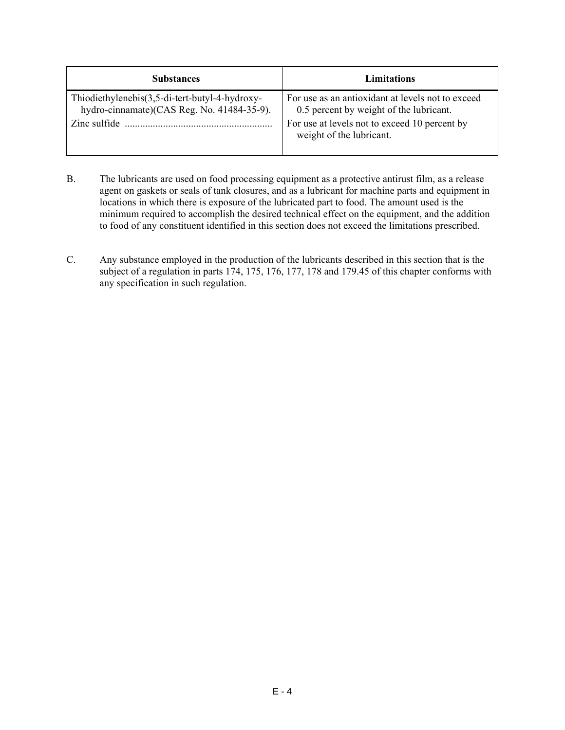| <b>Substances</b>                                                                                | Limitations                                                                                                                                                               |
|--------------------------------------------------------------------------------------------------|---------------------------------------------------------------------------------------------------------------------------------------------------------------------------|
| Thiodiethylenebis $(3,5$ -di-tert-butyl-4-hydroxy-<br>hydro-cinnamate)(CAS Reg. No. 41484-35-9). | For use as an antioxidant at levels not to exceed<br>0.5 percent by weight of the lubricant.<br>For use at levels not to exceed 10 percent by<br>weight of the lubricant. |
|                                                                                                  |                                                                                                                                                                           |

- B. The lubricants are used on food processing equipment as a protective antirust film, as a release agent on gaskets or seals of tank closures, and as a lubricant for machine parts and equipment in locations in which there is exposure of the lubricated part to food. The amount used is the minimum required to accomplish the desired technical effect on the equipment, and the addition to food of any constituent identified in this section does not exceed the limitations prescribed.
- C. Any substance employed in the production of the lubricants described in this section that is the subject of a regulation in parts 174, 175, 176, 177, 178 and 179.45 of this chapter conforms with any specification in such regulation.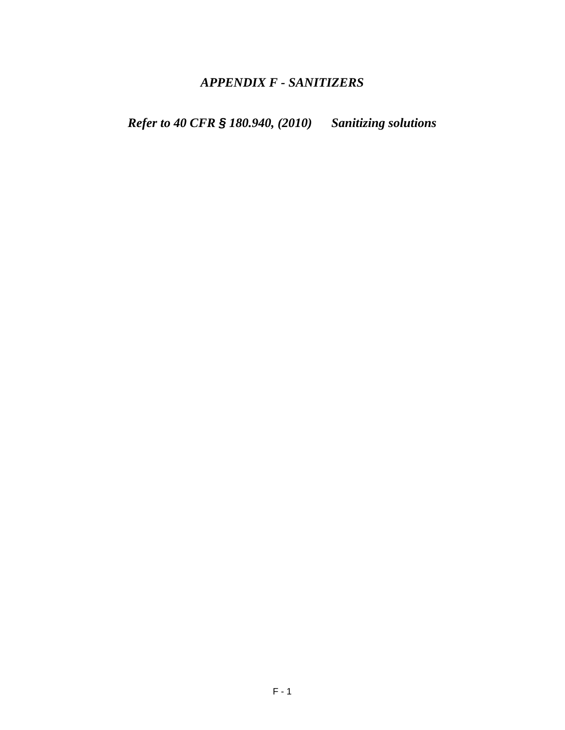# *APPENDIX F - SANITIZERS*

*Refer to 40 CFR § 180.940, (2010) Sanitizing solutions*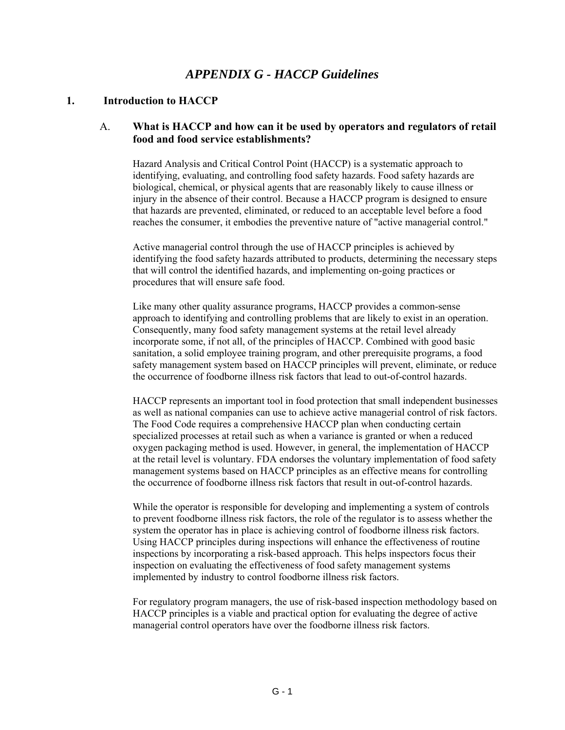## *APPENDIX G - HACCP Guidelines*

#### **1. Introduction to HACCP**

#### A. **What is HACCP and how can it be used by operators and regulators of retail food and food service establishments?**

Hazard Analysis and Critical Control Point (HACCP) is a systematic approach to identifying, evaluating, and controlling food safety hazards. Food safety hazards are biological, chemical, or physical agents that are reasonably likely to cause illness or injury in the absence of their control. Because a HACCP program is designed to ensure that hazards are prevented, eliminated, or reduced to an acceptable level before a food reaches the consumer, it embodies the preventive nature of "active managerial control."

Active managerial control through the use of HACCP principles is achieved by identifying the food safety hazards attributed to products, determining the necessary steps that will control the identified hazards, and implementing on-going practices or procedures that will ensure safe food.

Like many other quality assurance programs, HACCP provides a common-sense approach to identifying and controlling problems that are likely to exist in an operation. Consequently, many food safety management systems at the retail level already incorporate some, if not all, of the principles of HACCP. Combined with good basic sanitation, a solid employee training program, and other prerequisite programs, a food safety management system based on HACCP principles will prevent, eliminate, or reduce the occurrence of foodborne illness risk factors that lead to out-of-control hazards.

HACCP represents an important tool in food protection that small independent businesses as well as national companies can use to achieve active managerial control of risk factors. The Food Code requires a comprehensive HACCP plan when conducting certain specialized processes at retail such as when a variance is granted or when a reduced oxygen packaging method is used. However, in general, the implementation of HACCP at the retail level is voluntary. FDA endorses the voluntary implementation of food safety management systems based on HACCP principles as an effective means for controlling the occurrence of foodborne illness risk factors that result in out-of-control hazards.

While the operator is responsible for developing and implementing a system of controls to prevent foodborne illness risk factors, the role of the regulator is to assess whether the system the operator has in place is achieving control of foodborne illness risk factors. Using HACCP principles during inspections will enhance the effectiveness of routine inspections by incorporating a risk-based approach. This helps inspectors focus their inspection on evaluating the effectiveness of food safety management systems implemented by industry to control foodborne illness risk factors.

For regulatory program managers, the use of risk-based inspection methodology based on HACCP principles is a viable and practical option for evaluating the degree of active managerial control operators have over the foodborne illness risk factors.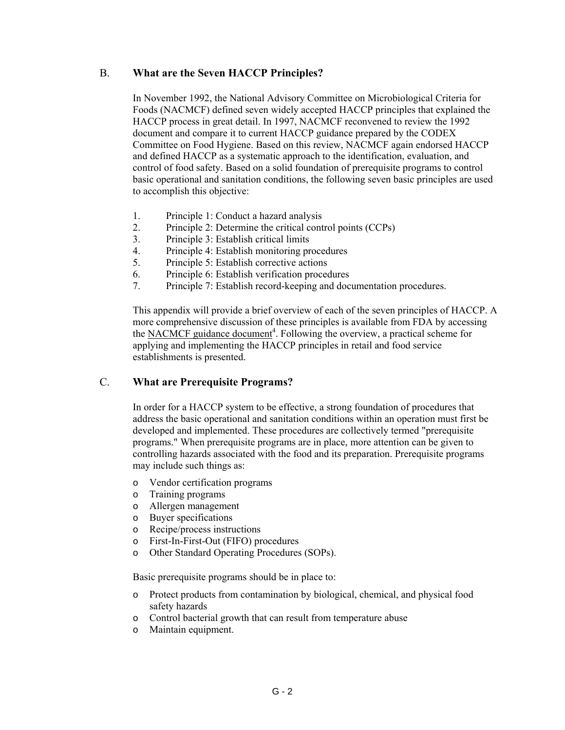## B. **What are the Seven HACCP Principles?**

In November 1992, the National Advisory Committee on Microbiological Criteria for Foods (NACMCF) defined seven widely accepted HACCP principles that explained the HACCP process in great detail. In 1997, NACMCF reconvened to review the 1992 document and compare it to current HACCP guidance prepared by the CODEX Committee on Food Hygiene. Based on this review, NACMCF again endorsed HACCP and defined HACCP as a systematic approach to the identification, evaluation, and control of food safety. Based on a solid foundation of prerequisite programs to control basic operational and sanitation conditions, the following seven basic principles are used to accomplish this objective:

- 1. Principle 1: Conduct a hazard analysis
- 2. Principle 2: Determine the critical control points (CCPs)
- 3. Principle 3: Establish critical limits
- 4. Principle 4: Establish monitoring procedures
- 5. Principle 5: Establish corrective actions
- 6. Principle 6: Establish verification procedures
- 7. Principle 7: Establish record-keeping and documentation procedures.

This appendix will provide a brief overview of each of the seven principles of HACCP. A more comprehensive discussion of these principles is available from FDA by accessing the NACMCF guidance document<sup>4</sup>. Following the overview, a practical scheme for applying and implementing the HACCP principles in retail and food service establishments is presented.

#### C. **What are Prerequisite Programs?**

In order for a HACCP system to be effective, a strong foundation of procedures that address the basic operational and sanitation conditions within an operation must first be developed and implemented. These procedures are collectively termed "prerequisite programs." When prerequisite programs are in place, more attention can be given to controlling hazards associated with the food and its preparation. Prerequisite programs may include such things as:

- o Vendor certification programs
- o Training programs
- o Allergen management
- o Buyer specifications
- o Recipe/process instructions
- o First-In-First-Out (FIFO) procedures
- o Other Standard Operating Procedures (SOPs).

Basic prerequisite programs should be in place to:

- o Protect products from contamination by biological, chemical, and physical food safety hazards
- o Control bacterial growth that can result from temperature abuse
- o Maintain equipment.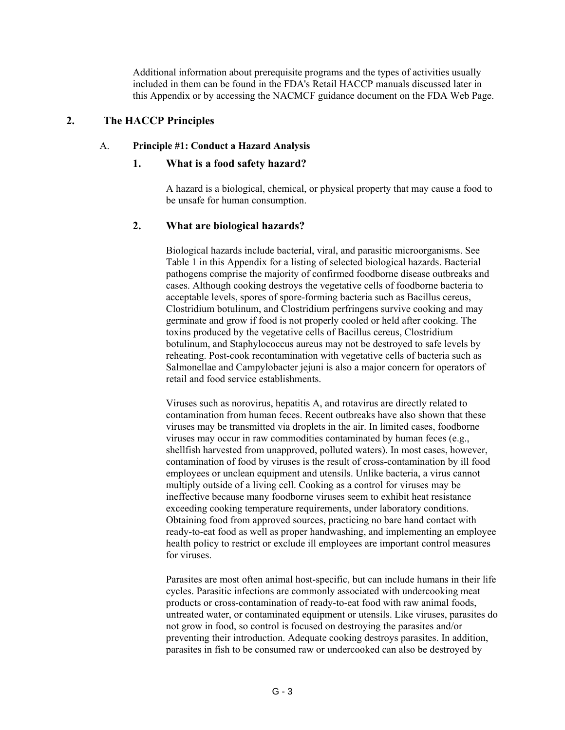Additional information about prerequisite programs and the types of activities usually included in them can be found in the FDA's Retail HACCP manuals discussed later in this Appendix or by accessing the NACMCF guidance document on the FDA Web Page.

#### **2. The HACCP Principles**

#### A. **Principle #1: Conduct a Hazard Analysis**

#### **1. What is a food safety hazard?**

A hazard is a biological, chemical, or physical property that may cause a food to be unsafe for human consumption.

#### **2. What are biological hazards?**

Biological hazards include bacterial, viral, and parasitic microorganisms. See Table 1 in this Appendix for a listing of selected biological hazards. Bacterial pathogens comprise the majority of confirmed foodborne disease outbreaks and cases. Although cooking destroys the vegetative cells of foodborne bacteria to acceptable levels, spores of spore-forming bacteria such as Bacillus cereus, Clostridium botulinum, and Clostridium perfringens survive cooking and may germinate and grow if food is not properly cooled or held after cooking. The toxins produced by the vegetative cells of Bacillus cereus, Clostridium botulinum, and Staphylococcus aureus may not be destroyed to safe levels by reheating. Post-cook recontamination with vegetative cells of bacteria such as Salmonellae and Campylobacter jejuni is also a major concern for operators of retail and food service establishments.

Viruses such as norovirus, hepatitis A, and rotavirus are directly related to contamination from human feces. Recent outbreaks have also shown that these viruses may be transmitted via droplets in the air. In limited cases, foodborne viruses may occur in raw commodities contaminated by human feces (e.g., shellfish harvested from unapproved, polluted waters). In most cases, however, contamination of food by viruses is the result of cross-contamination by ill food employees or unclean equipment and utensils. Unlike bacteria, a virus cannot multiply outside of a living cell. Cooking as a control for viruses may be ineffective because many foodborne viruses seem to exhibit heat resistance exceeding cooking temperature requirements, under laboratory conditions. Obtaining food from approved sources, practicing no bare hand contact with ready-to-eat food as well as proper handwashing, and implementing an employee health policy to restrict or exclude ill employees are important control measures for viruses.

Parasites are most often animal host-specific, but can include humans in their life cycles. Parasitic infections are commonly associated with undercooking meat products or cross-contamination of ready-to-eat food with raw animal foods, untreated water, or contaminated equipment or utensils. Like viruses, parasites do not grow in food, so control is focused on destroying the parasites and/or preventing their introduction. Adequate cooking destroys parasites. In addition, parasites in fish to be consumed raw or undercooked can also be destroyed by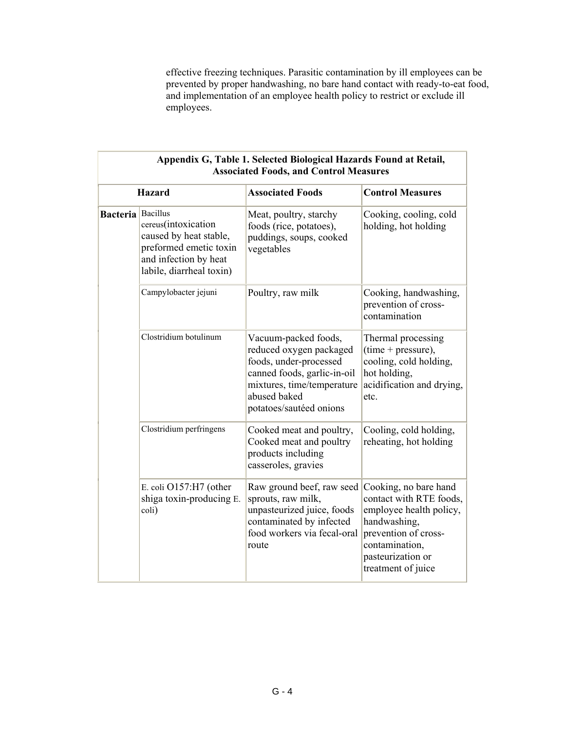effective freezing techniques. Parasitic contamination by ill employees can be prevented by proper handwashing, no bare hand contact with ready-to-eat food, and implementation of an employee health policy to restrict or exclude ill employees.

٦

|                 | <b>Hazard</b>                                                                                                                                   | <b>Associated Foods</b>                                                                                                                                                           | <b>Control Measures</b>                                                                                                                                                          |  |
|-----------------|-------------------------------------------------------------------------------------------------------------------------------------------------|-----------------------------------------------------------------------------------------------------------------------------------------------------------------------------------|----------------------------------------------------------------------------------------------------------------------------------------------------------------------------------|--|
| <b>Bacteria</b> | <b>Bacillus</b><br>cereus(intoxication<br>caused by heat stable,<br>preformed emetic toxin<br>and infection by heat<br>labile, diarrheal toxin) | Meat, poultry, starchy<br>foods (rice, potatoes),<br>puddings, soups, cooked<br>vegetables                                                                                        | Cooking, cooling, cold<br>holding, hot holding                                                                                                                                   |  |
|                 | Campylobacter jejuni                                                                                                                            | Poultry, raw milk                                                                                                                                                                 | Cooking, handwashing,<br>prevention of cross-<br>contamination                                                                                                                   |  |
|                 | Clostridium botulinum                                                                                                                           | Vacuum-packed foods,<br>reduced oxygen packaged<br>foods, under-processed<br>canned foods, garlic-in-oil<br>mixtures, time/temperature<br>abused baked<br>potatoes/sautéed onions | Thermal processing<br>(time + pressure),<br>cooling, cold holding,<br>hot holding,<br>acidification and drying,<br>etc.                                                          |  |
|                 | Clostridium perfringens                                                                                                                         | Cooked meat and poultry,<br>Cooked meat and poultry<br>products including<br>casseroles, gravies                                                                                  | Cooling, cold holding,<br>reheating, hot holding                                                                                                                                 |  |
|                 | E. coli O157:H7 (other<br>shiga toxin-producing E.<br>coli)                                                                                     | Raw ground beef, raw seed<br>sprouts, raw milk,<br>unpasteurized juice, foods<br>contaminated by infected<br>food workers via fecal-oral<br>route                                 | Cooking, no bare hand<br>contact with RTE foods,<br>employee health policy,<br>handwashing,<br>prevention of cross-<br>contamination,<br>pasteurization or<br>treatment of juice |  |

# **Appendix G, Table 1. Selected Biological Hazards Found at Retail,**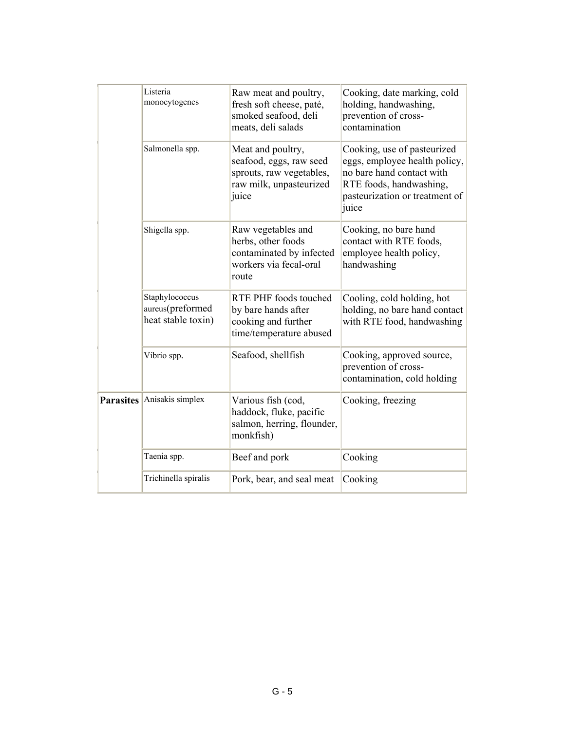|                  | Listeria<br>monocytogenes                                | Raw meat and poultry,<br>fresh soft cheese, paté,<br>smoked seafood, deli<br>meats, deli salads              | Cooking, date marking, cold<br>holding, handwashing,<br>prevention of cross-<br>contamination                                                                   |
|------------------|----------------------------------------------------------|--------------------------------------------------------------------------------------------------------------|-----------------------------------------------------------------------------------------------------------------------------------------------------------------|
|                  | Salmonella spp.                                          | Meat and poultry,<br>seafood, eggs, raw seed<br>sprouts, raw vegetables,<br>raw milk, unpasteurized<br>juice | Cooking, use of pasteurized<br>eggs, employee health policy,<br>no bare hand contact with<br>RTE foods, handwashing,<br>pasteurization or treatment of<br>juice |
|                  | Shigella spp.                                            | Raw vegetables and<br>herbs, other foods<br>contaminated by infected<br>workers via fecal-oral<br>route      | Cooking, no bare hand<br>contact with RTE foods,<br>employee health policy,<br>handwashing                                                                      |
|                  | Staphylococcus<br>aureus(preformed<br>heat stable toxin) | RTE PHF foods touched<br>by bare hands after<br>cooking and further<br>time/temperature abused               | Cooling, cold holding, hot<br>holding, no bare hand contact<br>with RTE food, handwashing                                                                       |
|                  | Vibrio spp.                                              | Seafood, shellfish                                                                                           | Cooking, approved source,<br>prevention of cross-<br>contamination, cold holding                                                                                |
| <b>Parasites</b> | Anisakis simplex                                         | Various fish (cod,<br>haddock, fluke, pacific<br>salmon, herring, flounder,<br>monkfish)                     | Cooking, freezing                                                                                                                                               |
|                  | Taenia spp.                                              | Beef and pork                                                                                                | Cooking                                                                                                                                                         |
|                  | Trichinella spiralis                                     | Pork, bear, and seal meat                                                                                    | Cooking                                                                                                                                                         |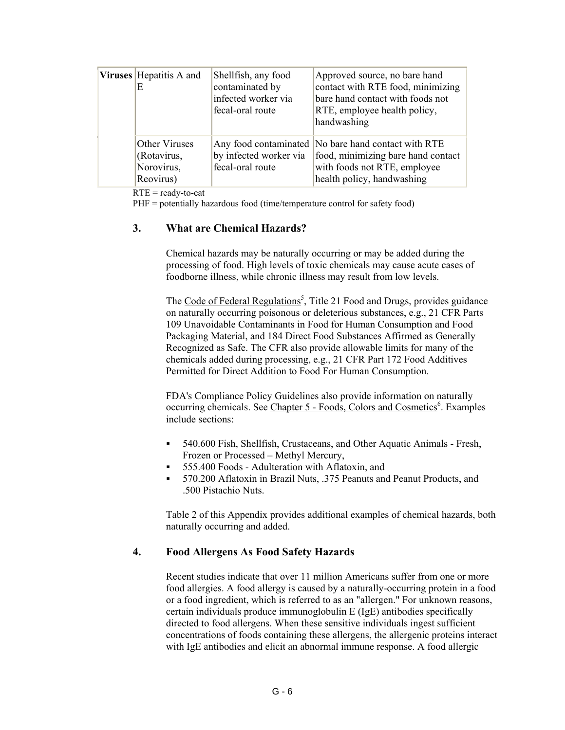|  | Viruses Hepatitis A and<br>Е                            | Shellfish, any food<br>contaminated by<br>infected worker via<br>fecal-oral route | Approved source, no bare hand<br>contact with RTE food, minimizing<br>bare hand contact with foods not<br>RTE, employee health policy,<br>handwashing    |
|--|---------------------------------------------------------|-----------------------------------------------------------------------------------|----------------------------------------------------------------------------------------------------------------------------------------------------------|
|  | Other Viruses<br>(Rotavirus,<br>Norovirus,<br>Reovirus) | by infected worker via<br>fecal-oral route                                        | Any food contaminated  No bare hand contact with RTE<br>food, minimizing bare hand contact<br>with foods not RTE, employee<br>health policy, handwashing |

 $RTE = ready-to-eat$ 

PHF = potentially hazardous food (time/temperature control for safety food)

#### **3. What are Chemical Hazards?**

Chemical hazards may be naturally occurring or may be added during the processing of food. High levels of toxic chemicals may cause acute cases of foodborne illness, while chronic illness may result from low levels.

The Code of Federal Regulations<sup>5</sup>, Title 21 Food and Drugs, provides guidance on naturally occurring poisonous or deleterious substances, e.g., 21 CFR Parts 109 Unavoidable Contaminants in Food for Human Consumption and Food Packaging Material, and 184 Direct Food Substances Affirmed as Generally Recognized as Safe. The CFR also provide allowable limits for many of the chemicals added during processing, e.g., 21 CFR Part 172 Food Additives Permitted for Direct Addition to Food For Human Consumption.

FDA's Compliance Policy Guidelines also provide information on naturally occurring chemicals. See Chapter 5 - Foods, Colors and Cosmetics<sup>6</sup>. Examples include sections:

- 540.600 Fish, Shellfish, Crustaceans, and Other Aquatic Animals Fresh, Frozen or Processed – Methyl Mercury,
- 555.400 Foods Adulteration with Aflatoxin, and
- 570.200 Aflatoxin in Brazil Nuts, .375 Peanuts and Peanut Products, and .500 Pistachio Nuts.

Table 2 of this Appendix provides additional examples of chemical hazards, both naturally occurring and added.

#### **4. Food Allergens As Food Safety Hazards**

Recent studies indicate that over 11 million Americans suffer from one or more food allergies. A food allergy is caused by a naturally-occurring protein in a food or a food ingredient, which is referred to as an "allergen." For unknown reasons, certain individuals produce immunoglobulin E (IgE) antibodies specifically directed to food allergens. When these sensitive individuals ingest sufficient concentrations of foods containing these allergens, the allergenic proteins interact with IgE antibodies and elicit an abnormal immune response. A food allergic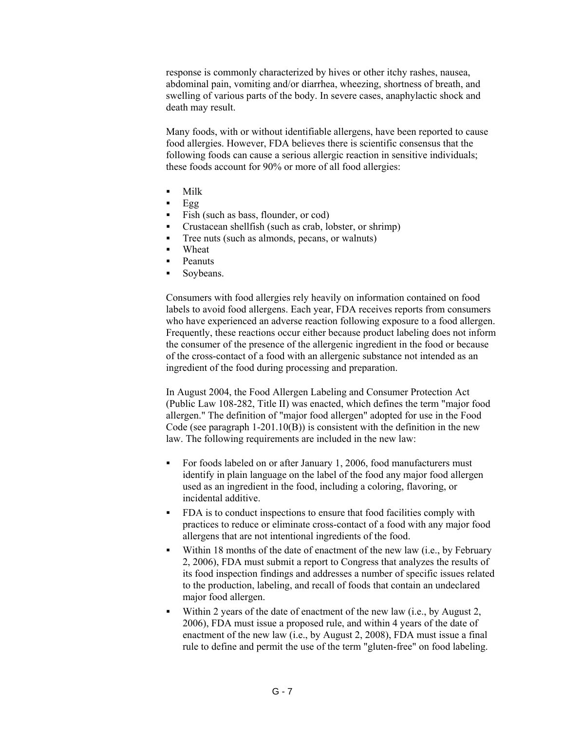response is commonly characterized by hives or other itchy rashes, nausea, abdominal pain, vomiting and/or diarrhea, wheezing, shortness of breath, and swelling of various parts of the body. In severe cases, anaphylactic shock and death may result.

Many foods, with or without identifiable allergens, have been reported to cause food allergies. However, FDA believes there is scientific consensus that the following foods can cause a serious allergic reaction in sensitive individuals; these foods account for 90% or more of all food allergies:

- Milk
- $Egg$
- Fish (such as bass, flounder, or cod)
- Crustacean shellfish (such as crab, lobster, or shrimp)
- Tree nuts (such as almonds, pecans, or walnuts)
- **•** Wheat
- **Peanuts**
- Soybeans.

Consumers with food allergies rely heavily on information contained on food labels to avoid food allergens. Each year, FDA receives reports from consumers who have experienced an adverse reaction following exposure to a food allergen. Frequently, these reactions occur either because product labeling does not inform the consumer of the presence of the allergenic ingredient in the food or because of the cross-contact of a food with an allergenic substance not intended as an ingredient of the food during processing and preparation.

In August 2004, the Food Allergen Labeling and Consumer Protection Act (Public Law 108-282, Title II) was enacted, which defines the term "major food allergen." The definition of "major food allergen" adopted for use in the Food Code (see paragraph 1-201.10(B)) is consistent with the definition in the new law. The following requirements are included in the new law:

- For foods labeled on or after January 1, 2006, food manufacturers must identify in plain language on the label of the food any major food allergen used as an ingredient in the food, including a coloring, flavoring, or incidental additive.
- FDA is to conduct inspections to ensure that food facilities comply with practices to reduce or eliminate cross-contact of a food with any major food allergens that are not intentional ingredients of the food.
- Within 18 months of the date of enactment of the new law (i.e., by February 2, 2006), FDA must submit a report to Congress that analyzes the results of its food inspection findings and addresses a number of specific issues related to the production, labeling, and recall of foods that contain an undeclared major food allergen.
- Within 2 years of the date of enactment of the new law (i.e., by August 2, 2006), FDA must issue a proposed rule, and within 4 years of the date of enactment of the new law (i.e., by August 2, 2008), FDA must issue a final rule to define and permit the use of the term "gluten-free" on food labeling.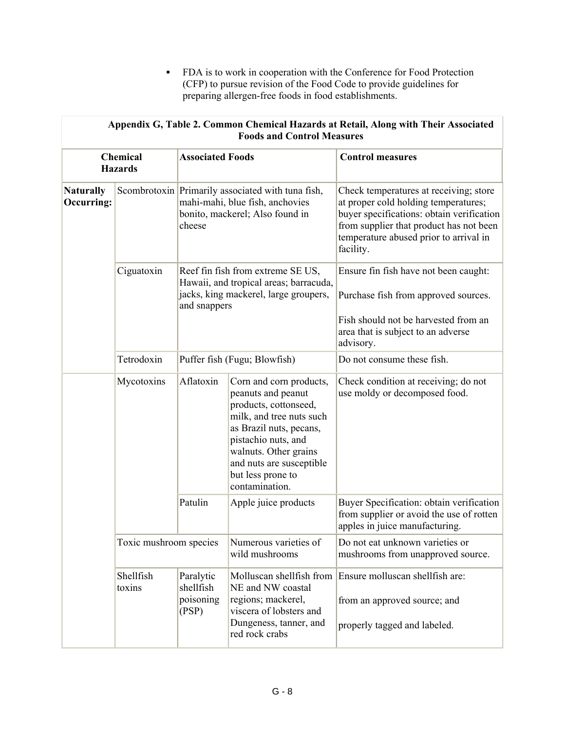**FDA** is to work in cooperation with the Conference for Food Protection (CFP) to pursue revision of the Food Code to provide guidelines for preparing allergen-free foods in food establishments.

|                                   | Appendix G, Table 2. Common Chemical Hazards at Retail, Along with Their Associated<br><b>Foods and Control Measures</b> |                                                                                                                                                                                                                                                                                                           |                                                                                                                                                                                                                                                  |                                                                                                                                                                                                                               |  |  |
|-----------------------------------|--------------------------------------------------------------------------------------------------------------------------|-----------------------------------------------------------------------------------------------------------------------------------------------------------------------------------------------------------------------------------------------------------------------------------------------------------|--------------------------------------------------------------------------------------------------------------------------------------------------------------------------------------------------------------------------------------------------|-------------------------------------------------------------------------------------------------------------------------------------------------------------------------------------------------------------------------------|--|--|
| <b>Chemical</b><br><b>Hazards</b> |                                                                                                                          | <b>Associated Foods</b>                                                                                                                                                                                                                                                                                   |                                                                                                                                                                                                                                                  | <b>Control measures</b>                                                                                                                                                                                                       |  |  |
| <b>Naturally</b><br>Occurring:    |                                                                                                                          | Scombrotoxin Primarily associated with tuna fish,<br>mahi-mahi, blue fish, anchovies<br>bonito, mackerel; Also found in<br>cheese<br>Reef fin fish from extreme SE US,<br>Hawaii, and tropical areas; barracuda,<br>jacks, king mackerel, large groupers,<br>and snappers<br>Puffer fish (Fugu; Blowfish) |                                                                                                                                                                                                                                                  | Check temperatures at receiving; store<br>at proper cold holding temperatures;<br>buyer specifications: obtain verification<br>from supplier that product has not been<br>temperature abused prior to arrival in<br>facility. |  |  |
|                                   | Ciguatoxin                                                                                                               |                                                                                                                                                                                                                                                                                                           |                                                                                                                                                                                                                                                  | Ensure fin fish have not been caught:<br>Purchase fish from approved sources.<br>Fish should not be harvested from an<br>area that is subject to an adverse<br>advisory.                                                      |  |  |
|                                   | Tetrodoxin                                                                                                               |                                                                                                                                                                                                                                                                                                           |                                                                                                                                                                                                                                                  | Do not consume these fish.                                                                                                                                                                                                    |  |  |
|                                   | Mycotoxins                                                                                                               | Aflatoxin                                                                                                                                                                                                                                                                                                 | Corn and corn products,<br>peanuts and peanut<br>products, cottonseed,<br>milk, and tree nuts such<br>as Brazil nuts, pecans,<br>pistachio nuts, and<br>walnuts. Other grains<br>and nuts are susceptible<br>but less prone to<br>contamination. | Check condition at receiving; do not<br>use moldy or decomposed food.                                                                                                                                                         |  |  |
|                                   |                                                                                                                          | Patulin                                                                                                                                                                                                                                                                                                   | Apple juice products                                                                                                                                                                                                                             | Buyer Specification: obtain verification<br>from supplier or avoid the use of rotten<br>apples in juice manufacturing                                                                                                         |  |  |
|                                   |                                                                                                                          | Toxic mushroom species<br>Numerous varieties of<br>wild mushrooms                                                                                                                                                                                                                                         |                                                                                                                                                                                                                                                  | Do not eat unknown varieties or<br>mushrooms from unapproved source.                                                                                                                                                          |  |  |
|                                   | Shellfish<br>toxins                                                                                                      | Paralytic<br>shellfish<br>poisoning<br>(PSP)                                                                                                                                                                                                                                                              | Molluscan shellfish from<br>NE and NW coastal<br>regions; mackerel,<br>viscera of lobsters and<br>Dungeness, tanner, and<br>red rock crabs                                                                                                       | Ensure molluscan shellfish are:<br>from an approved source; and<br>properly tagged and labeled.                                                                                                                               |  |  |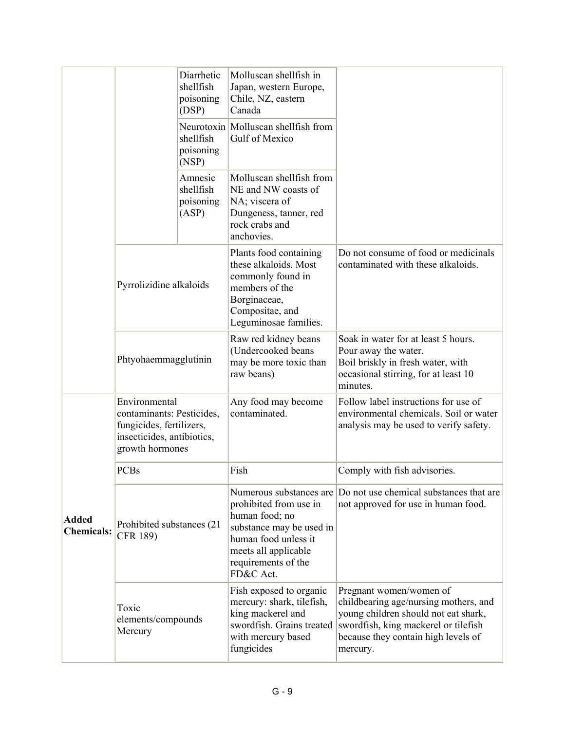|                                   |                                                                                                                         | Diarrhetic<br>shellfish<br>poisoning<br>(DSP) | Molluscan shellfish in<br>Japan, western Europe,<br>Chile, NZ, eastern<br>Canada                                                                         |                                                                                                                                                                                                     |
|-----------------------------------|-------------------------------------------------------------------------------------------------------------------------|-----------------------------------------------|----------------------------------------------------------------------------------------------------------------------------------------------------------|-----------------------------------------------------------------------------------------------------------------------------------------------------------------------------------------------------|
|                                   |                                                                                                                         | shellfish<br>poisoning<br>(NSP)               | Neurotoxin Molluscan shellfish from<br>Gulf of Mexico                                                                                                    |                                                                                                                                                                                                     |
|                                   |                                                                                                                         | Amnesic<br>shellfish<br>poisoning<br>(ASP)    | Molluscan shellfish from<br>NE and NW coasts of<br>NA; viscera of<br>Dungeness, tanner, red<br>rock crabs and<br>anchovies.                              |                                                                                                                                                                                                     |
|                                   | Pyrrolizidine alkaloids                                                                                                 |                                               | Plants food containing<br>these alkaloids. Most<br>commonly found in<br>members of the<br>Borginaceae,<br>Compositae, and<br>Leguminosae families.       | Do not consume of food or medicinals<br>contaminated with these alkaloids.                                                                                                                          |
|                                   | Phtyohaemmagglutinin                                                                                                    |                                               | Raw red kidney beans<br>(Undercooked beans<br>may be more toxic than<br>raw beans)                                                                       | Soak in water for at least 5 hours.<br>Pour away the water.<br>Boil briskly in fresh water, with<br>occasional stirring, for at least 10<br>minutes.                                                |
|                                   | Environmental<br>contaminants: Pesticides,<br>fungicides, fertilizers,<br>insecticides, antibiotics,<br>growth hormones |                                               | Any food may become<br>contaminated.                                                                                                                     | Follow label instructions for use of<br>environmental chemicals. Soil or water<br>analysis may be used to verify safety.                                                                            |
|                                   | <b>PCBs</b>                                                                                                             |                                               | Fish                                                                                                                                                     | Comply with fish advisories.                                                                                                                                                                        |
| <b>Added</b><br><b>Chemicals:</b> | Prohibited substances (21)<br><b>CFR 189)</b>                                                                           |                                               | prohibited from use in<br>human food; no<br>substance may be used in<br>human food unless it<br>meets all applicable<br>requirements of the<br>FD&C Act. | Numerous substances are Do not use chemical substances that are<br>not approved for use in human food.                                                                                              |
|                                   | Toxic<br>elements/compounds<br>Mercury                                                                                  |                                               | Fish exposed to organic<br>mercury: shark, tilefish,<br>king mackerel and<br>swordfish. Grains treated<br>with mercury based<br>fungicides               | Pregnant women/women of<br>childbearing age/nursing mothers, and<br>young children should not eat shark,<br>swordfish, king mackerel or tilefish<br>because they contain high levels of<br>mercury. |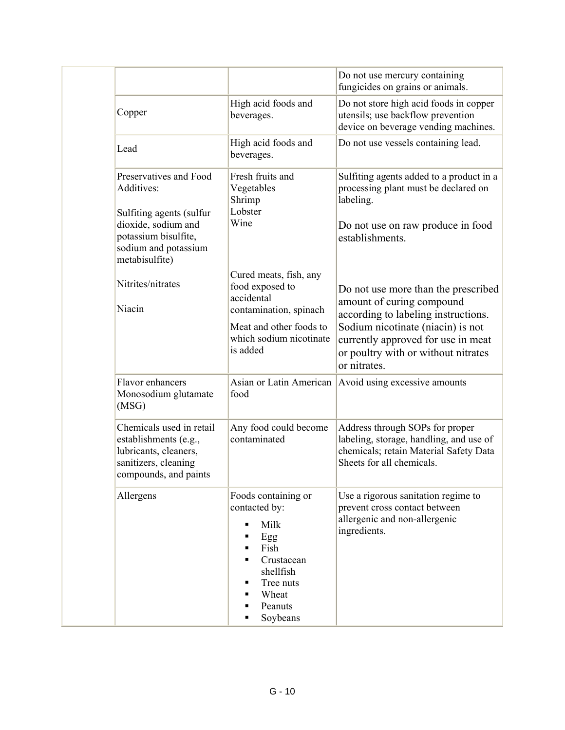|  |                                                                                                                                                           |                                                                                                                                                     | Do not use mercury containing<br>fungicides on grains or animals.                                                                                                                                                                         |
|--|-----------------------------------------------------------------------------------------------------------------------------------------------------------|-----------------------------------------------------------------------------------------------------------------------------------------------------|-------------------------------------------------------------------------------------------------------------------------------------------------------------------------------------------------------------------------------------------|
|  | Copper                                                                                                                                                    | High acid foods and<br>beverages.                                                                                                                   | Do not store high acid foods in copper<br>utensils; use backflow prevention<br>device on beverage vending machines.                                                                                                                       |
|  | Lead                                                                                                                                                      | High acid foods and<br>beverages.                                                                                                                   | Do not use vessels containing lead.                                                                                                                                                                                                       |
|  | Preservatives and Food<br>Additives:<br>Sulfiting agents (sulfur<br>dioxide, sodium and<br>potassium bisulfite,<br>sodium and potassium<br>metabisulfite) | Fresh fruits and<br>Vegetables<br>Shrimp<br>Lobster<br>Wine                                                                                         | Sulfiting agents added to a product in a<br>processing plant must be declared on<br>labeling.<br>Do not use on raw produce in food<br>establishments.                                                                                     |
|  | Nitrites/nitrates<br>Niacin                                                                                                                               | Cured meats, fish, any<br>food exposed to<br>accidental<br>contamination, spinach<br>Meat and other foods to<br>which sodium nicotinate<br>is added | Do not use more than the prescribed<br>amount of curing compound<br>according to labeling instructions.<br>Sodium nicotinate (niacin) is not<br>currently approved for use in meat<br>or poultry with or without nitrates<br>or nitrates. |
|  | Flavor enhancers<br>Monosodium glutamate<br>(MSG)                                                                                                         | Asian or Latin American<br>food                                                                                                                     | Avoid using excessive amounts                                                                                                                                                                                                             |
|  | Chemicals used in retail<br>establishments (e.g.,<br>lubricants, cleaners,<br>sanitizers, cleaning<br>compounds, and paints                               | Any food could become<br>contaminated                                                                                                               | Address through SOPs for proper<br>labeling, storage, handling, and use of<br>chemicals; retain Material Safety Data<br>Sheets for all chemicals.                                                                                         |
|  | Allergens                                                                                                                                                 | Foods containing or<br>contacted by:<br>Milk<br>п<br>Egg<br>Fish<br>Crustacean<br>shellfish<br>Tree nuts<br>Wheat<br>Peanuts<br>٠<br>Soybeans       | Use a rigorous sanitation regime to<br>prevent cross contact between<br>allergenic and non-allergenic<br>ingredients.                                                                                                                     |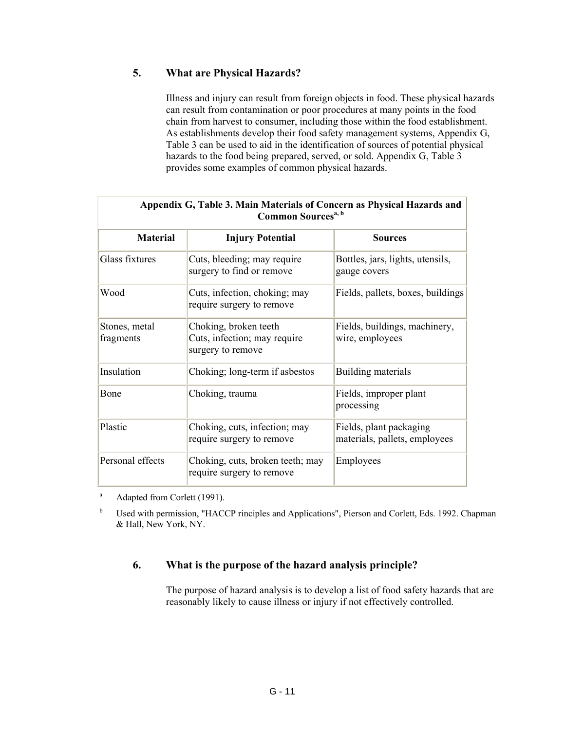## **5. What are Physical Hazards?**

Illness and injury can result from foreign objects in food. These physical hazards can result from contamination or poor procedures at many points in the food chain from harvest to consumer, including those within the food establishment. As establishments develop their food safety management systems, Appendix G, Table 3 can be used to aid in the identification of sources of potential physical hazards to the food being prepared, served, or sold. Appendix G, Table 3 provides some examples of common physical hazards.

| Appenuix G, Tabie J. Main Materiais of Concern as I hysical flazarus anu<br>Common Sources <sup>a, b</sup> |                                                                            |                                                          |  |  |
|------------------------------------------------------------------------------------------------------------|----------------------------------------------------------------------------|----------------------------------------------------------|--|--|
| <b>Material</b>                                                                                            | <b>Injury Potential</b>                                                    | <b>Sources</b>                                           |  |  |
| Glass fixtures                                                                                             | Cuts, bleeding; may require<br>surgery to find or remove                   | Bottles, jars, lights, utensils,<br>gauge covers         |  |  |
| Wood                                                                                                       | Cuts, infection, choking; may<br>require surgery to remove                 | Fields, pallets, boxes, buildings                        |  |  |
| Stones, metal<br>fragments                                                                                 | Choking, broken teeth<br>Cuts, infection; may require<br>surgery to remove | Fields, buildings, machinery,<br>wire, employees         |  |  |
| Insulation                                                                                                 | Choking; long-term if asbestos                                             | Building materials                                       |  |  |
| Bone                                                                                                       | Choking, trauma                                                            | Fields, improper plant<br>processing                     |  |  |
| Plastic                                                                                                    | Choking, cuts, infection; may<br>require surgery to remove                 | Fields, plant packaging<br>materials, pallets, employees |  |  |
| Personal effects                                                                                           | Choking, cuts, broken teeth; may<br>require surgery to remove              | Employees                                                |  |  |

**Appendix G, Table 3. Main Materials of Concern as Physical Hazards and** 

a Adapted from Corlett (1991).

b Used with permission, "HACCP rinciples and Applications", Pierson and Corlett, Eds. 1992. Chapman & Hall, New York, NY.

#### **6. What is the purpose of the hazard analysis principle?**

The purpose of hazard analysis is to develop a list of food safety hazards that are reasonably likely to cause illness or injury if not effectively controlled.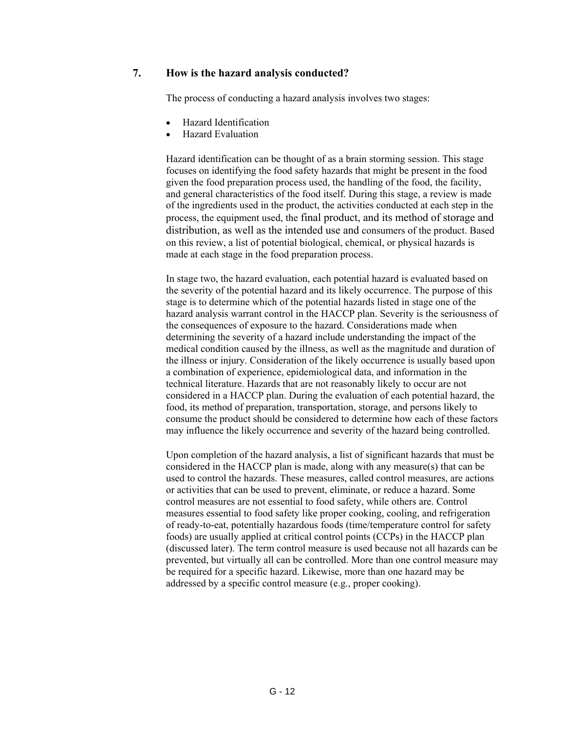#### **7. How is the hazard analysis conducted?**

The process of conducting a hazard analysis involves two stages:

- Hazard Identification
- Hazard Evaluation

Hazard identification can be thought of as a brain storming session. This stage focuses on identifying the food safety hazards that might be present in the food given the food preparation process used, the handling of the food, the facility, and general characteristics of the food itself. During this stage, a review is made of the ingredients used in the product, the activities conducted at each step in the process, the equipment used, the final product, and its method of storage and distribution, as well as the intended use and consumers of the product. Based on this review, a list of potential biological, chemical, or physical hazards is made at each stage in the food preparation process.

In stage two, the hazard evaluation, each potential hazard is evaluated based on the severity of the potential hazard and its likely occurrence. The purpose of this stage is to determine which of the potential hazards listed in stage one of the hazard analysis warrant control in the HACCP plan. Severity is the seriousness of the consequences of exposure to the hazard. Considerations made when determining the severity of a hazard include understanding the impact of the medical condition caused by the illness, as well as the magnitude and duration of the illness or injury. Consideration of the likely occurrence is usually based upon a combination of experience, epidemiological data, and information in the technical literature. Hazards that are not reasonably likely to occur are not considered in a HACCP plan. During the evaluation of each potential hazard, the food, its method of preparation, transportation, storage, and persons likely to consume the product should be considered to determine how each of these factors may influence the likely occurrence and severity of the hazard being controlled.

Upon completion of the hazard analysis, a list of significant hazards that must be considered in the HACCP plan is made, along with any measure(s) that can be used to control the hazards. These measures, called control measures, are actions or activities that can be used to prevent, eliminate, or reduce a hazard. Some control measures are not essential to food safety, while others are. Control measures essential to food safety like proper cooking, cooling, and refrigeration of ready-to-eat, potentially hazardous foods (time/temperature control for safety foods) are usually applied at critical control points (CCPs) in the HACCP plan (discussed later). The term control measure is used because not all hazards can be prevented, but virtually all can be controlled. More than one control measure may be required for a specific hazard. Likewise, more than one hazard may be addressed by a specific control measure (e.g., proper cooking).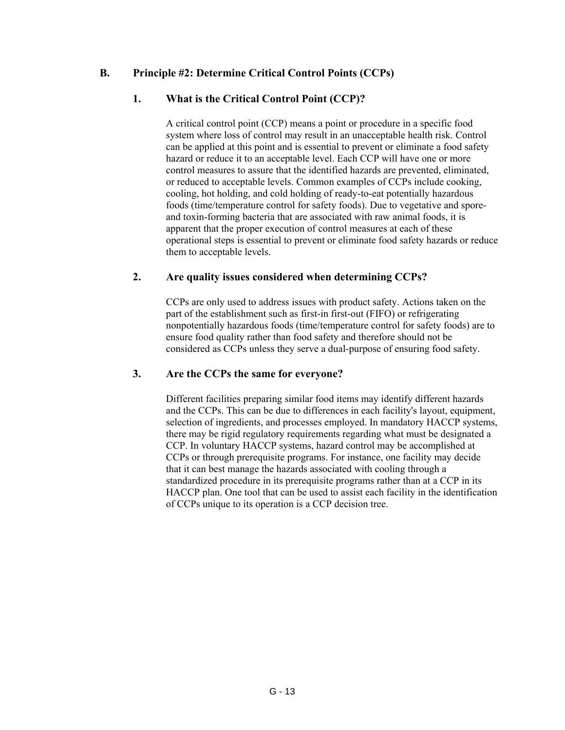## **B. Principle #2: Determine Critical Control Points (CCPs)**

## **1. What is the Critical Control Point (CCP)?**

A critical control point (CCP) means a point or procedure in a specific food system where loss of control may result in an unacceptable health risk. Control can be applied at this point and is essential to prevent or eliminate a food safety hazard or reduce it to an acceptable level. Each CCP will have one or more control measures to assure that the identified hazards are prevented, eliminated, or reduced to acceptable levels. Common examples of CCPs include cooking, cooling, hot holding, and cold holding of ready-to-eat potentially hazardous foods (time/temperature control for safety foods). Due to vegetative and sporeand toxin-forming bacteria that are associated with raw animal foods, it is apparent that the proper execution of control measures at each of these operational steps is essential to prevent or eliminate food safety hazards or reduce them to acceptable levels.

## **2. Are quality issues considered when determining CCPs?**

CCPs are only used to address issues with product safety. Actions taken on the part of the establishment such as first-in first-out (FIFO) or refrigerating nonpotentially hazardous foods (time/temperature control for safety foods) are to ensure food quality rather than food safety and therefore should not be considered as CCPs unless they serve a dual-purpose of ensuring food safety.

## **3. Are the CCPs the same for everyone?**

Different facilities preparing similar food items may identify different hazards and the CCPs. This can be due to differences in each facility's layout, equipment, selection of ingredients, and processes employed. In mandatory HACCP systems, there may be rigid regulatory requirements regarding what must be designated a CCP. In voluntary HACCP systems, hazard control may be accomplished at CCPs or through prerequisite programs. For instance, one facility may decide that it can best manage the hazards associated with cooling through a standardized procedure in its prerequisite programs rather than at a CCP in its HACCP plan. One tool that can be used to assist each facility in the identification of CCPs unique to its operation is a CCP decision tree.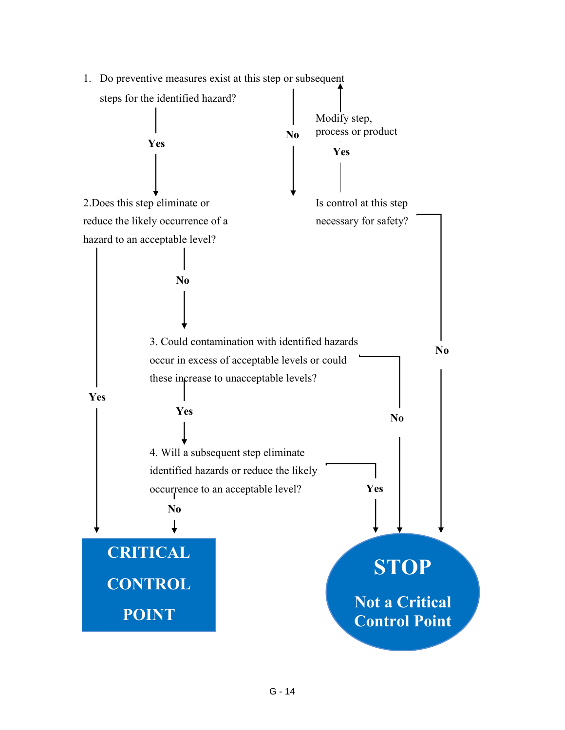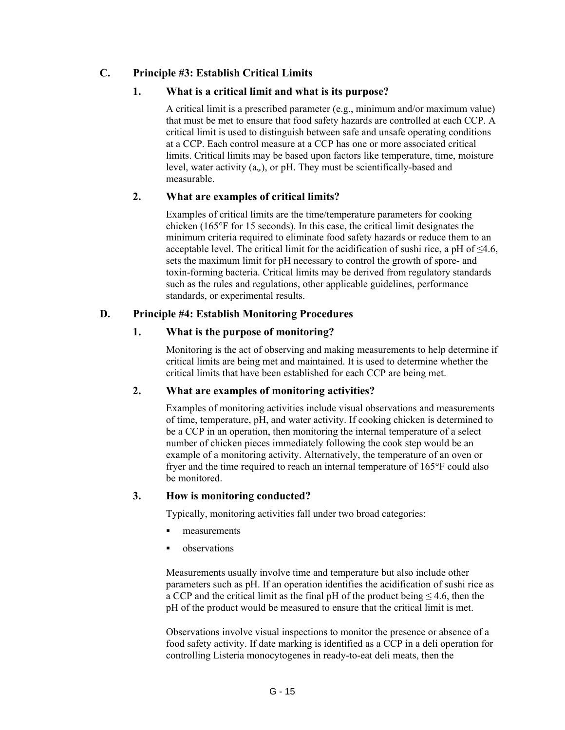## **C. Principle #3: Establish Critical Limits**

## **1. What is a critical limit and what is its purpose?**

A critical limit is a prescribed parameter (e.g., minimum and/or maximum value) that must be met to ensure that food safety hazards are controlled at each CCP. A critical limit is used to distinguish between safe and unsafe operating conditions at a CCP. Each control measure at a CCP has one or more associated critical limits. Critical limits may be based upon factors like temperature, time, moisture level, water activity  $(a_w)$ , or pH. They must be scientifically-based and measurable.

## **2. What are examples of critical limits?**

Examples of critical limits are the time/temperature parameters for cooking chicken (165°F for 15 seconds). In this case, the critical limit designates the minimum criteria required to eliminate food safety hazards or reduce them to an acceptable level. The critical limit for the acidification of sushi rice, a pH of  $\leq 4.6$ , sets the maximum limit for pH necessary to control the growth of spore- and toxin-forming bacteria. Critical limits may be derived from regulatory standards such as the rules and regulations, other applicable guidelines, performance standards, or experimental results.

## **D. Principle #4: Establish Monitoring Procedures**

## **1. What is the purpose of monitoring?**

Monitoring is the act of observing and making measurements to help determine if critical limits are being met and maintained. It is used to determine whether the critical limits that have been established for each CCP are being met.

## **2. What are examples of monitoring activities?**

Examples of monitoring activities include visual observations and measurements of time, temperature, pH, and water activity. If cooking chicken is determined to be a CCP in an operation, then monitoring the internal temperature of a select number of chicken pieces immediately following the cook step would be an example of a monitoring activity. Alternatively, the temperature of an oven or fryer and the time required to reach an internal temperature of 165°F could also be monitored.

#### **3. How is monitoring conducted?**

Typically, monitoring activities fall under two broad categories:

- measurements
- observations

Measurements usually involve time and temperature but also include other parameters such as pH. If an operation identifies the acidification of sushi rice as a CCP and the critical limit as the final pH of the product being  $\leq 4.6$ , then the pH of the product would be measured to ensure that the critical limit is met.

Observations involve visual inspections to monitor the presence or absence of a food safety activity. If date marking is identified as a CCP in a deli operation for controlling Listeria monocytogenes in ready-to-eat deli meats, then the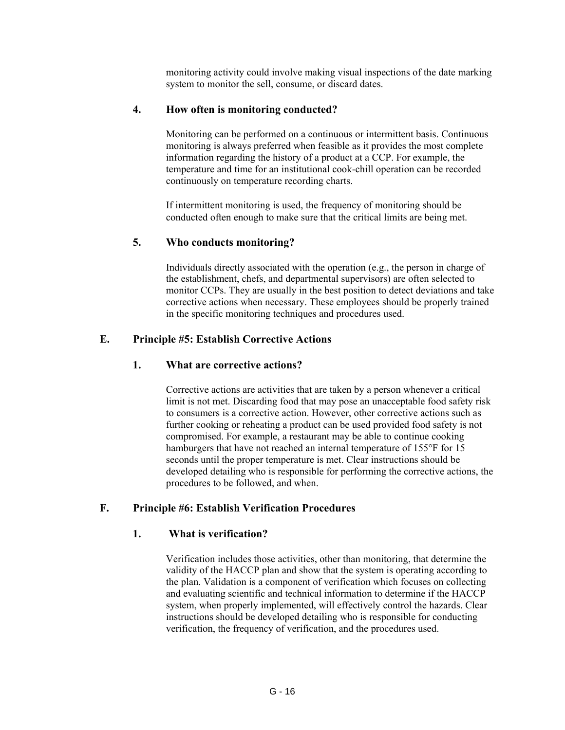monitoring activity could involve making visual inspections of the date marking system to monitor the sell, consume, or discard dates.

## **4. How often is monitoring conducted?**

Monitoring can be performed on a continuous or intermittent basis. Continuous monitoring is always preferred when feasible as it provides the most complete information regarding the history of a product at a CCP. For example, the temperature and time for an institutional cook-chill operation can be recorded continuously on temperature recording charts.

If intermittent monitoring is used, the frequency of monitoring should be conducted often enough to make sure that the critical limits are being met.

## **5. Who conducts monitoring?**

Individuals directly associated with the operation (e.g., the person in charge of the establishment, chefs, and departmental supervisors) are often selected to monitor CCPs. They are usually in the best position to detect deviations and take corrective actions when necessary. These employees should be properly trained in the specific monitoring techniques and procedures used.

## **E. Principle #5: Establish Corrective Actions**

## **1. What are corrective actions?**

Corrective actions are activities that are taken by a person whenever a critical limit is not met. Discarding food that may pose an unacceptable food safety risk to consumers is a corrective action. However, other corrective actions such as further cooking or reheating a product can be used provided food safety is not compromised. For example, a restaurant may be able to continue cooking hamburgers that have not reached an internal temperature of 155°F for 15 seconds until the proper temperature is met. Clear instructions should be developed detailing who is responsible for performing the corrective actions, the procedures to be followed, and when.

## **F. Principle #6: Establish Verification Procedures**

#### **1. What is verification?**

Verification includes those activities, other than monitoring, that determine the validity of the HACCP plan and show that the system is operating according to the plan. Validation is a component of verification which focuses on collecting and evaluating scientific and technical information to determine if the HACCP system, when properly implemented, will effectively control the hazards. Clear instructions should be developed detailing who is responsible for conducting verification, the frequency of verification, and the procedures used.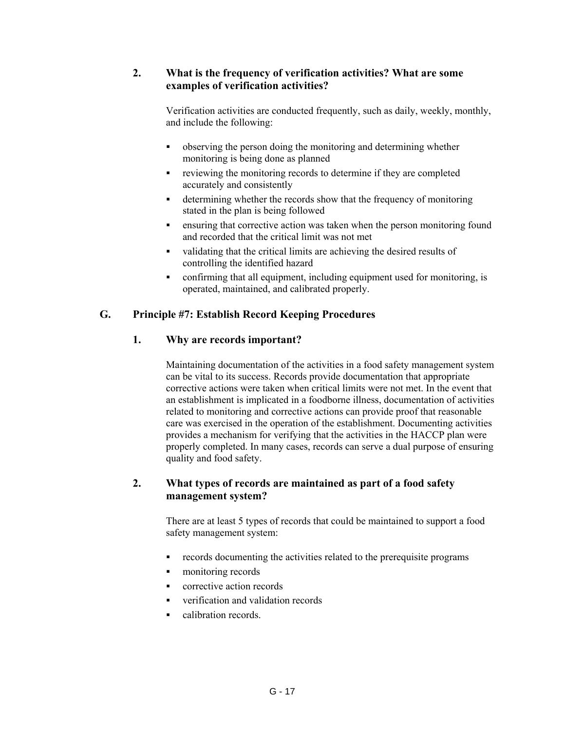## **2. What is the frequency of verification activities? What are some examples of verification activities?**

Verification activities are conducted frequently, such as daily, weekly, monthly, and include the following:

- observing the person doing the monitoring and determining whether monitoring is being done as planned
- reviewing the monitoring records to determine if they are completed accurately and consistently
- determining whether the records show that the frequency of monitoring stated in the plan is being followed
- ensuring that corrective action was taken when the person monitoring found and recorded that the critical limit was not met
- validating that the critical limits are achieving the desired results of controlling the identified hazard
- confirming that all equipment, including equipment used for monitoring, is operated, maintained, and calibrated properly.

## **G. Principle #7: Establish Record Keeping Procedures**

## **1. Why are records important?**

Maintaining documentation of the activities in a food safety management system can be vital to its success. Records provide documentation that appropriate corrective actions were taken when critical limits were not met. In the event that an establishment is implicated in a foodborne illness, documentation of activities related to monitoring and corrective actions can provide proof that reasonable care was exercised in the operation of the establishment. Documenting activities provides a mechanism for verifying that the activities in the HACCP plan were properly completed. In many cases, records can serve a dual purpose of ensuring quality and food safety.

## **2. What types of records are maintained as part of a food safety management system?**

There are at least 5 types of records that could be maintained to support a food safety management system:

- records documenting the activities related to the prerequisite programs
- **n**monitoring records
- corrective action records
- verification and validation records
- calibration records.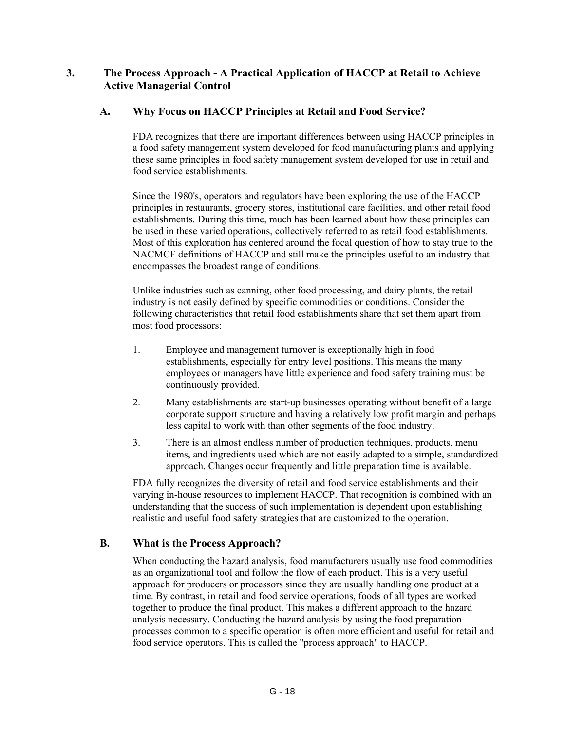## **3. The Process Approach - A Practical Application of HACCP at Retail to Achieve Active Managerial Control**

## **A. Why Focus on HACCP Principles at Retail and Food Service?**

FDA recognizes that there are important differences between using HACCP principles in a food safety management system developed for food manufacturing plants and applying these same principles in food safety management system developed for use in retail and food service establishments.

Since the 1980's, operators and regulators have been exploring the use of the HACCP principles in restaurants, grocery stores, institutional care facilities, and other retail food establishments. During this time, much has been learned about how these principles can be used in these varied operations, collectively referred to as retail food establishments. Most of this exploration has centered around the focal question of how to stay true to the NACMCF definitions of HACCP and still make the principles useful to an industry that encompasses the broadest range of conditions.

Unlike industries such as canning, other food processing, and dairy plants, the retail industry is not easily defined by specific commodities or conditions. Consider the following characteristics that retail food establishments share that set them apart from most food processors:

- 1. Employee and management turnover is exceptionally high in food establishments, especially for entry level positions. This means the many employees or managers have little experience and food safety training must be continuously provided.
- 2. Many establishments are start-up businesses operating without benefit of a large corporate support structure and having a relatively low profit margin and perhaps less capital to work with than other segments of the food industry.
- 3. There is an almost endless number of production techniques, products, menu items, and ingredients used which are not easily adapted to a simple, standardized approach. Changes occur frequently and little preparation time is available.

FDA fully recognizes the diversity of retail and food service establishments and their varying in-house resources to implement HACCP. That recognition is combined with an understanding that the success of such implementation is dependent upon establishing realistic and useful food safety strategies that are customized to the operation.

## **B. What is the Process Approach?**

When conducting the hazard analysis, food manufacturers usually use food commodities as an organizational tool and follow the flow of each product. This is a very useful approach for producers or processors since they are usually handling one product at a time. By contrast, in retail and food service operations, foods of all types are worked together to produce the final product. This makes a different approach to the hazard analysis necessary. Conducting the hazard analysis by using the food preparation processes common to a specific operation is often more efficient and useful for retail and food service operators. This is called the "process approach" to HACCP.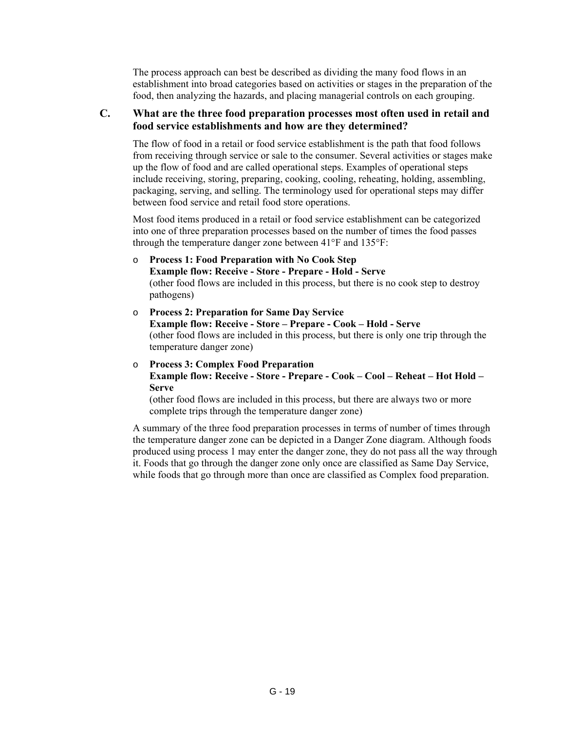The process approach can best be described as dividing the many food flows in an establishment into broad categories based on activities or stages in the preparation of the food, then analyzing the hazards, and placing managerial controls on each grouping.

#### **C. What are the three food preparation processes most often used in retail and food service establishments and how are they determined?**

The flow of food in a retail or food service establishment is the path that food follows from receiving through service or sale to the consumer. Several activities or stages make up the flow of food and are called operational steps. Examples of operational steps include receiving, storing, preparing, cooking, cooling, reheating, holding, assembling, packaging, serving, and selling. The terminology used for operational steps may differ between food service and retail food store operations.

Most food items produced in a retail or food service establishment can be categorized into one of three preparation processes based on the number of times the food passes through the temperature danger zone between 41°F and 135°F:

- o **Process 1: Food Preparation with No Cook Step Example flow: Receive - Store - Prepare - Hold - Serve** (other food flows are included in this process, but there is no cook step to destroy pathogens)
- o **Process 2: Preparation for Same Day Service Example flow: Receive - Store – Prepare - Cook – Hold - Serve** (other food flows are included in this process, but there is only one trip through the temperature danger zone)

## o **Process 3: Complex Food Preparation Example flow: Receive - Store - Prepare - Cook – Cool – Reheat – Hot Hold – Serve**

(other food flows are included in this process, but there are always two or more complete trips through the temperature danger zone)

A summary of the three food preparation processes in terms of number of times through the temperature danger zone can be depicted in a Danger Zone diagram. Although foods produced using process 1 may enter the danger zone, they do not pass all the way through it. Foods that go through the danger zone only once are classified as Same Day Service, while foods that go through more than once are classified as Complex food preparation.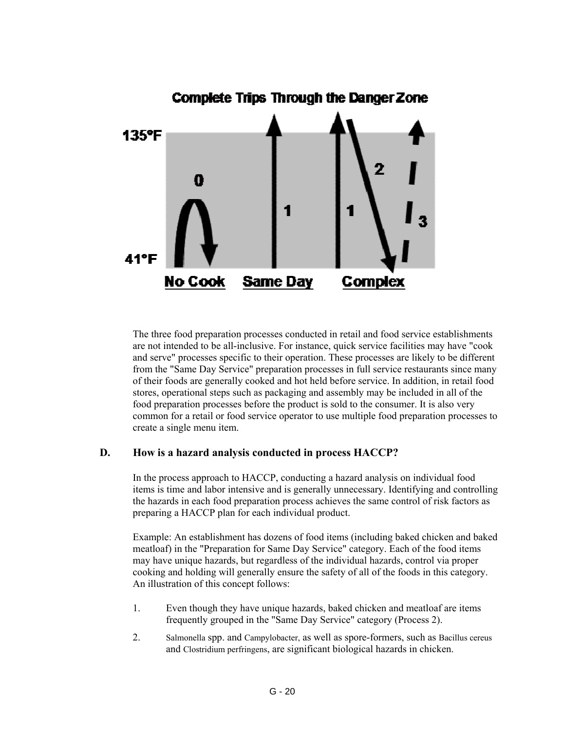

The three food preparation processes conducted in retail and food service establishments are not intended to be all-inclusive. For instance, quick service facilities may have "cook and serve" processes specific to their operation. These processes are likely to be different from the "Same Day Service" preparation processes in full service restaurants since many of their foods are generally cooked and hot held before service. In addition, in retail food stores, operational steps such as packaging and assembly may be included in all of the food preparation processes before the product is sold to the consumer. It is also very common for a retail or food service operator to use multiple food preparation processes to create a single menu item.

#### **D. How is a hazard analysis conducted in process HACCP?**

In the process approach to HACCP, conducting a hazard analysis on individual food items is time and labor intensive and is generally unnecessary. Identifying and controlling the hazards in each food preparation process achieves the same control of risk factors as preparing a HACCP plan for each individual product.

Example: An establishment has dozens of food items (including baked chicken and baked meatloaf) in the "Preparation for Same Day Service" category. Each of the food items may have unique hazards, but regardless of the individual hazards, control via proper cooking and holding will generally ensure the safety of all of the foods in this category. An illustration of this concept follows:

- 1. Even though they have unique hazards, baked chicken and meatloaf are items frequently grouped in the "Same Day Service" category (Process 2).
- 2. Salmonella spp. and Campylobacter, as well as spore-formers, such as Bacillus cereus and Clostridium perfringens, are significant biological hazards in chicken.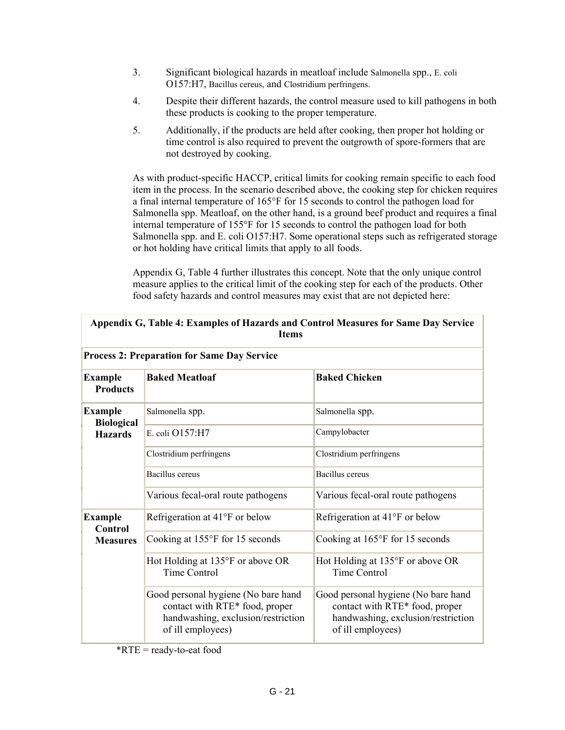- 3. Significant biological hazards in meatloaf include Salmonella spp., E. coli O157:H7, Bacillus cereus, and Clostridium perfringens.
- 4. Despite their different hazards, the control measure used to kill pathogens in both these products is cooking to the proper temperature.
- 5. Additionally, if the products are held after cooking, then proper hot holding or time control is also required to prevent the outgrowth of spore-formers that are not destroyed by cooking.

As with product-specific HACCP, critical limits for cooking remain specific to each food item in the process. In the scenario described above, the cooking step for chicken requires a final internal temperature of 165°F for 15 seconds to control the pathogen load for Salmonella spp. Meatloaf, on the other hand, is a ground beef product and requires a final internal temperature of 155°F for 15 seconds to control the pathogen load for both Salmonella spp. and E. coli O157:H7. Some operational steps such as refrigerated storage or hot holding have critical limits that apply to all foods.

Appendix G, Table 4 further illustrates this concept. Note that the only unique control measure applies to the critical limit of the cooking step for each of the products. Other food safety hazards and control measures may exist that are not depicted here:

| <b>Items</b>                                       |                                                                                                                                  |                                                                                                                                  |  |  |
|----------------------------------------------------|----------------------------------------------------------------------------------------------------------------------------------|----------------------------------------------------------------------------------------------------------------------------------|--|--|
| <b>Process 2: Preparation for Same Day Service</b> |                                                                                                                                  |                                                                                                                                  |  |  |
| <b>Example</b><br><b>Products</b>                  | <b>Baked Meatloaf</b>                                                                                                            | <b>Baked Chicken</b>                                                                                                             |  |  |
| <b>Example</b><br><b>Biological</b>                | Salmonella spp.                                                                                                                  | Salmonella spp.                                                                                                                  |  |  |
| <b>Hazards</b>                                     | E. coli O157:H7                                                                                                                  | Campylobacter                                                                                                                    |  |  |
|                                                    | Clostridium perfringens                                                                                                          | Clostridium perfringens                                                                                                          |  |  |
|                                                    | <b>Bacillus</b> cereus                                                                                                           | Bacillus cereus                                                                                                                  |  |  |
|                                                    | Various fecal-oral route pathogens                                                                                               | Various fecal-oral route pathogens                                                                                               |  |  |
| <b>Example</b><br>Control                          | Refrigeration at 41°F or below                                                                                                   | Refrigeration at 41°F or below                                                                                                   |  |  |
| <b>Measures</b>                                    | Cooking at 155°F for 15 seconds                                                                                                  | Cooking at $165^{\circ}$ F for 15 seconds                                                                                        |  |  |
|                                                    | Hot Holding at 135°F or above OR<br><b>Time Control</b>                                                                          | Hot Holding at 135°F or above OR<br>Time Control                                                                                 |  |  |
|                                                    | Good personal hygiene (No bare hand<br>contact with RTE* food, proper<br>handwashing, exclusion/restriction<br>of ill employees) | Good personal hygiene (No bare hand<br>contact with RTE* food, proper<br>handwashing, exclusion/restriction<br>of ill employees) |  |  |

## **Appendix G, Table 4: Examples of Hazards and Control Measures for Same Day Service Items**

\*RTE = ready-to-eat food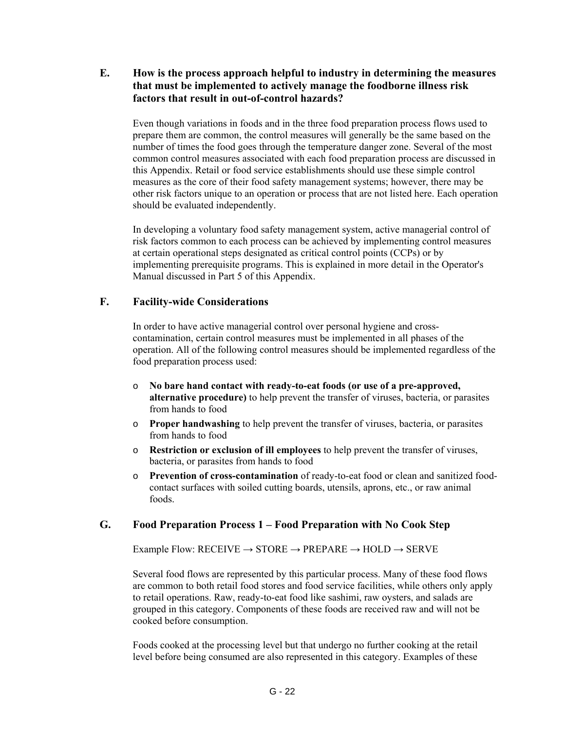## **E. How is the process approach helpful to industry in determining the measures that must be implemented to actively manage the foodborne illness risk factors that result in out-of-control hazards?**

Even though variations in foods and in the three food preparation process flows used to prepare them are common, the control measures will generally be the same based on the number of times the food goes through the temperature danger zone. Several of the most common control measures associated with each food preparation process are discussed in this Appendix. Retail or food service establishments should use these simple control measures as the core of their food safety management systems; however, there may be other risk factors unique to an operation or process that are not listed here. Each operation should be evaluated independently.

 In developing a voluntary food safety management system, active managerial control of risk factors common to each process can be achieved by implementing control measures at certain operational steps designated as critical control points (CCPs) or by implementing prerequisite programs. This is explained in more detail in the Operator's Manual discussed in Part 5 of this Appendix.

## **F. Facility-wide Considerations**

In order to have active managerial control over personal hygiene and crosscontamination, certain control measures must be implemented in all phases of the operation. All of the following control measures should be implemented regardless of the food preparation process used:

- o **No bare hand contact with ready-to-eat foods (or use of a pre-approved, alternative procedure)** to help prevent the transfer of viruses, bacteria, or parasites from hands to food
- o **Proper handwashing** to help prevent the transfer of viruses, bacteria, or parasites from hands to food
- o **Restriction or exclusion of ill employees** to help prevent the transfer of viruses, bacteria, or parasites from hands to food
- o **Prevention of cross-contamination** of ready-to-eat food or clean and sanitized foodcontact surfaces with soiled cutting boards, utensils, aprons, etc., or raw animal foods.

## **G. Food Preparation Process 1 – Food Preparation with No Cook Step**

Example Flow: RECEIVE  $\rightarrow$  STORE  $\rightarrow$  PREPARE  $\rightarrow$  HOLD  $\rightarrow$  SERVE

Several food flows are represented by this particular process. Many of these food flows are common to both retail food stores and food service facilities, while others only apply to retail operations. Raw, ready-to-eat food like sashimi, raw oysters, and salads are grouped in this category. Components of these foods are received raw and will not be cooked before consumption.

Foods cooked at the processing level but that undergo no further cooking at the retail level before being consumed are also represented in this category. Examples of these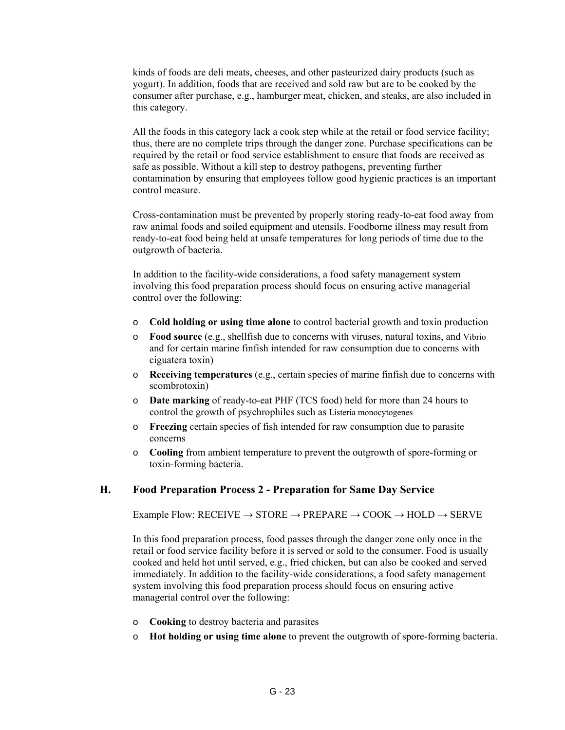kinds of foods are deli meats, cheeses, and other pasteurized dairy products (such as yogurt). In addition, foods that are received and sold raw but are to be cooked by the consumer after purchase, e.g., hamburger meat, chicken, and steaks, are also included in this category.

All the foods in this category lack a cook step while at the retail or food service facility; thus, there are no complete trips through the danger zone. Purchase specifications can be required by the retail or food service establishment to ensure that foods are received as safe as possible. Without a kill step to destroy pathogens, preventing further contamination by ensuring that employees follow good hygienic practices is an important control measure.

Cross-contamination must be prevented by properly storing ready-to-eat food away from raw animal foods and soiled equipment and utensils. Foodborne illness may result from ready-to-eat food being held at unsafe temperatures for long periods of time due to the outgrowth of bacteria.

In addition to the facility-wide considerations, a food safety management system involving this food preparation process should focus on ensuring active managerial control over the following:

- o **Cold holding or using time alone** to control bacterial growth and toxin production
- o **Food source** (e.g., shellfish due to concerns with viruses, natural toxins, and Vibrio and for certain marine finfish intended for raw consumption due to concerns with ciguatera toxin)
- o **Receiving temperatures** (e.g., certain species of marine finfish due to concerns with scombrotoxin)
- o **Date marking** of ready-to-eat PHF (TCS food) held for more than 24 hours to control the growth of psychrophiles such as Listeria monocytogenes
- o **Freezing** certain species of fish intended for raw consumption due to parasite concerns
- o **Cooling** from ambient temperature to prevent the outgrowth of spore-forming or toxin-forming bacteria.

#### **H. Food Preparation Process 2 - Preparation for Same Day Service**

Example Flow: RECEIVE  $\rightarrow$  STORE  $\rightarrow$  PREPARE  $\rightarrow$  COOK  $\rightarrow$  HOLD  $\rightarrow$  SERVE

In this food preparation process, food passes through the danger zone only once in the retail or food service facility before it is served or sold to the consumer. Food is usually cooked and held hot until served, e.g., fried chicken, but can also be cooked and served immediately. In addition to the facility-wide considerations, a food safety management system involving this food preparation process should focus on ensuring active managerial control over the following:

- o **Cooking** to destroy bacteria and parasites
- o **Hot holding or using time alone** to prevent the outgrowth of spore-forming bacteria.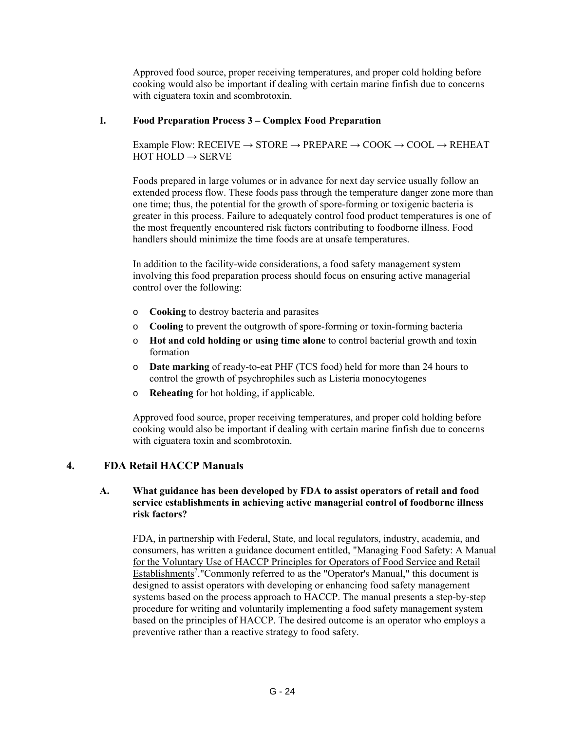Approved food source, proper receiving temperatures, and proper cold holding before cooking would also be important if dealing with certain marine finfish due to concerns with ciguatera toxin and scombrotoxin.

#### **I. Food Preparation Process 3 – Complex Food Preparation**

Example Flow: RECEIVE  $\rightarrow$  STORE  $\rightarrow$  PREPARE  $\rightarrow$  COOK  $\rightarrow$  COOL  $\rightarrow$  REHEAT  $HOT$  HOLD  $\rightarrow$  SERVE

Foods prepared in large volumes or in advance for next day service usually follow an extended process flow. These foods pass through the temperature danger zone more than one time; thus, the potential for the growth of spore-forming or toxigenic bacteria is greater in this process. Failure to adequately control food product temperatures is one of the most frequently encountered risk factors contributing to foodborne illness. Food handlers should minimize the time foods are at unsafe temperatures.

In addition to the facility-wide considerations, a food safety management system involving this food preparation process should focus on ensuring active managerial control over the following:

- o **Cooking** to destroy bacteria and parasites
- o **Cooling** to prevent the outgrowth of spore-forming or toxin-forming bacteria
- o **Hot and cold holding or using time alone** to control bacterial growth and toxin formation
- o **Date marking** of ready-to-eat PHF (TCS food) held for more than 24 hours to control the growth of psychrophiles such as Listeria monocytogenes
- o **Reheating** for hot holding, if applicable.

Approved food source, proper receiving temperatures, and proper cold holding before cooking would also be important if dealing with certain marine finfish due to concerns with ciguatera toxin and scombrotoxin.

#### **4. FDA Retail HACCP Manuals**

#### **A. What guidance has been developed by FDA to assist operators of retail and food service establishments in achieving active managerial control of foodborne illness risk factors?**

FDA, in partnership with Federal, State, and local regulators, industry, academia, and consumers, has written a guidance document entitled, "Managing Food Safety: A Manual for the Voluntary Use of HACCP Principles for Operators of Food Service and Retail Establishments<sup>7</sup>. "Commonly referred to as the "Operator's Manual," this document is designed to assist operators with developing or enhancing food safety management systems based on the process approach to HACCP. The manual presents a step-by-step procedure for writing and voluntarily implementing a food safety management system based on the principles of HACCP. The desired outcome is an operator who employs a preventive rather than a reactive strategy to food safety.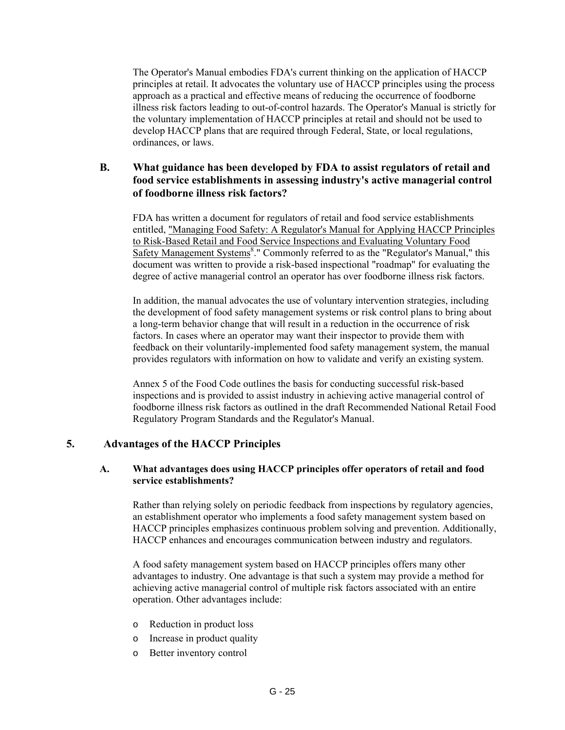The Operator's Manual embodies FDA's current thinking on the application of HACCP principles at retail. It advocates the voluntary use of HACCP principles using the process approach as a practical and effective means of reducing the occurrence of foodborne illness risk factors leading to out-of-control hazards. The Operator's Manual is strictly for the voluntary implementation of HACCP principles at retail and should not be used to develop HACCP plans that are required through Federal, State, or local regulations, ordinances, or laws.

#### **B. What guidance has been developed by FDA to assist regulators of retail and food service establishments in assessing industry's active managerial control of foodborne illness risk factors?**

FDA has written a document for regulators of retail and food service establishments entitled, "Managing Food Safety: A Regulator's Manual for Applying HACCP Principles to Risk-Based Retail and Food Service Inspections and Evaluating Voluntary Food Safety Management Systems<sup>8</sup>." Commonly referred to as the "Regulator's Manual," this document was written to provide a risk-based inspectional "roadmap" for evaluating the degree of active managerial control an operator has over foodborne illness risk factors.

In addition, the manual advocates the use of voluntary intervention strategies, including the development of food safety management systems or risk control plans to bring about a long-term behavior change that will result in a reduction in the occurrence of risk factors. In cases where an operator may want their inspector to provide them with feedback on their voluntarily-implemented food safety management system, the manual provides regulators with information on how to validate and verify an existing system.

Annex 5 of the Food Code outlines the basis for conducting successful risk-based inspections and is provided to assist industry in achieving active managerial control of foodborne illness risk factors as outlined in the draft Recommended National Retail Food Regulatory Program Standards and the Regulator's Manual.

#### **5. Advantages of the HACCP Principles**

#### **A. What advantages does using HACCP principles offer operators of retail and food service establishments?**

Rather than relying solely on periodic feedback from inspections by regulatory agencies, an establishment operator who implements a food safety management system based on HACCP principles emphasizes continuous problem solving and prevention. Additionally, HACCP enhances and encourages communication between industry and regulators.

A food safety management system based on HACCP principles offers many other advantages to industry. One advantage is that such a system may provide a method for achieving active managerial control of multiple risk factors associated with an entire operation. Other advantages include:

- o Reduction in product loss
- o Increase in product quality
- o Better inventory control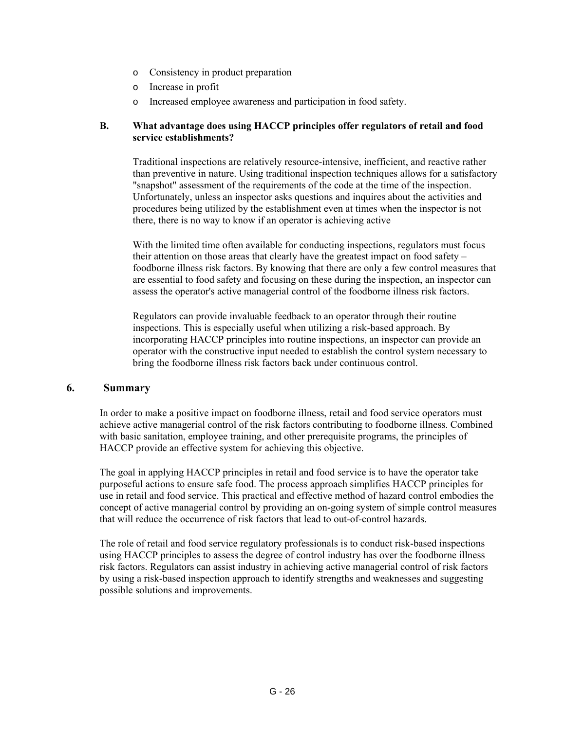- o Consistency in product preparation
- o Increase in profit
- o Increased employee awareness and participation in food safety.

#### **B. What advantage does using HACCP principles offer regulators of retail and food service establishments?**

Traditional inspections are relatively resource-intensive, inefficient, and reactive rather than preventive in nature. Using traditional inspection techniques allows for a satisfactory "snapshot" assessment of the requirements of the code at the time of the inspection. Unfortunately, unless an inspector asks questions and inquires about the activities and procedures being utilized by the establishment even at times when the inspector is not there, there is no way to know if an operator is achieving active

With the limited time often available for conducting inspections, regulators must focus their attention on those areas that clearly have the greatest impact on food safety – foodborne illness risk factors. By knowing that there are only a few control measures that are essential to food safety and focusing on these during the inspection, an inspector can assess the operator's active managerial control of the foodborne illness risk factors.

Regulators can provide invaluable feedback to an operator through their routine inspections. This is especially useful when utilizing a risk-based approach. By incorporating HACCP principles into routine inspections, an inspector can provide an operator with the constructive input needed to establish the control system necessary to bring the foodborne illness risk factors back under continuous control.

#### **6. Summary**

In order to make a positive impact on foodborne illness, retail and food service operators must achieve active managerial control of the risk factors contributing to foodborne illness. Combined with basic sanitation, employee training, and other prerequisite programs, the principles of HACCP provide an effective system for achieving this objective.

The goal in applying HACCP principles in retail and food service is to have the operator take purposeful actions to ensure safe food. The process approach simplifies HACCP principles for use in retail and food service. This practical and effective method of hazard control embodies the concept of active managerial control by providing an on-going system of simple control measures that will reduce the occurrence of risk factors that lead to out-of-control hazards.

The role of retail and food service regulatory professionals is to conduct risk-based inspections using HACCP principles to assess the degree of control industry has over the foodborne illness risk factors. Regulators can assist industry in achieving active managerial control of risk factors by using a risk-based inspection approach to identify strengths and weaknesses and suggesting possible solutions and improvements.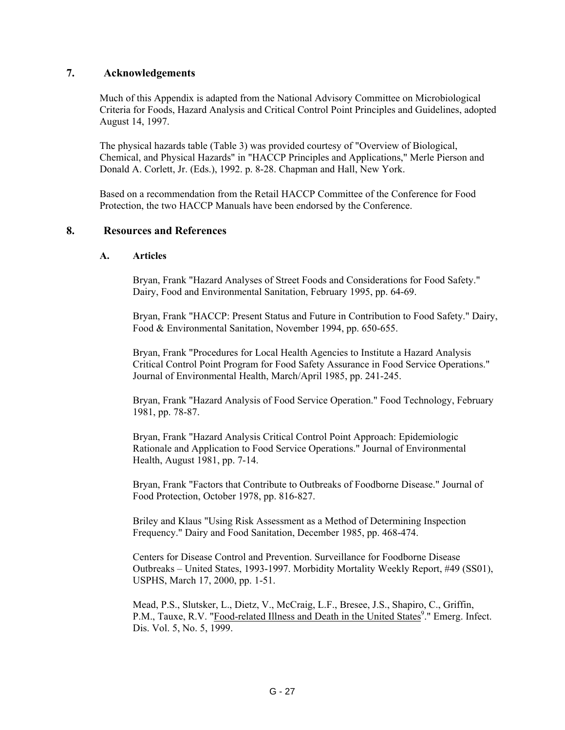#### **7. Acknowledgements**

Much of this Appendix is adapted from the National Advisory Committee on Microbiological Criteria for Foods, Hazard Analysis and Critical Control Point Principles and Guidelines, adopted August 14, 1997.

The physical hazards table (Table 3) was provided courtesy of "Overview of Biological, Chemical, and Physical Hazards" in "HACCP Principles and Applications," Merle Pierson and Donald A. Corlett, Jr. (Eds.), 1992. p. 8-28. Chapman and Hall, New York.

Based on a recommendation from the Retail HACCP Committee of the Conference for Food Protection, the two HACCP Manuals have been endorsed by the Conference.

#### **8. Resources and References**

#### **A. Articles**

Bryan, Frank "Hazard Analyses of Street Foods and Considerations for Food Safety." Dairy, Food and Environmental Sanitation, February 1995, pp. 64-69.

Bryan, Frank "HACCP: Present Status and Future in Contribution to Food Safety." Dairy, Food & Environmental Sanitation, November 1994, pp. 650-655.

Bryan, Frank "Procedures for Local Health Agencies to Institute a Hazard Analysis Critical Control Point Program for Food Safety Assurance in Food Service Operations." Journal of Environmental Health, March/April 1985, pp. 241-245.

Bryan, Frank "Hazard Analysis of Food Service Operation." Food Technology, February 1981, pp. 78-87.

Bryan, Frank "Hazard Analysis Critical Control Point Approach: Epidemiologic Rationale and Application to Food Service Operations." Journal of Environmental Health, August 1981, pp. 7-14.

Bryan, Frank "Factors that Contribute to Outbreaks of Foodborne Disease." Journal of Food Protection, October 1978, pp. 816-827.

Briley and Klaus "Using Risk Assessment as a Method of Determining Inspection Frequency." Dairy and Food Sanitation, December 1985, pp. 468-474.

Centers for Disease Control and Prevention. Surveillance for Foodborne Disease Outbreaks – United States, 1993-1997. Morbidity Mortality Weekly Report, #49 (SS01), USPHS, March 17, 2000, pp. 1-51.

Mead, P.S., Slutsker, L., Dietz, V., McCraig, L.F., Bresee, J.S., Shapiro, C., Griffin, P.M., Tauxe, R.V. "Food-related Illness and Death in the United States<sup>9</sup>." Emerg. Infect. Dis. Vol. 5, No. 5, 1999.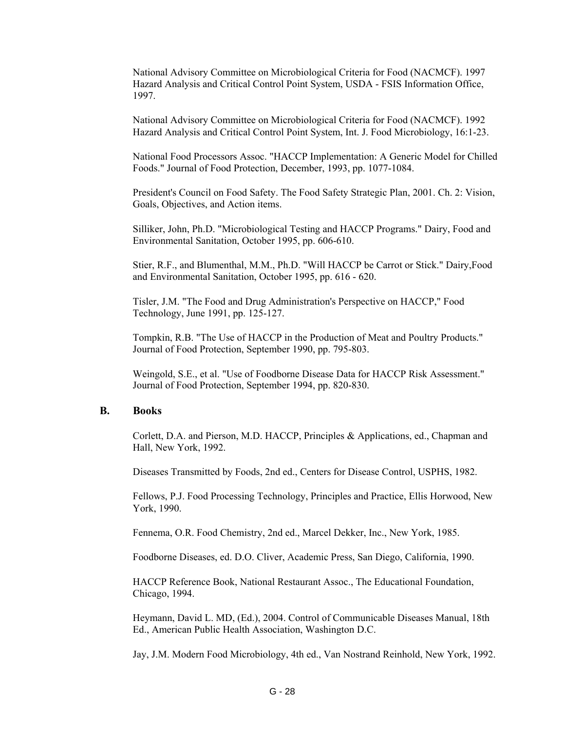National Advisory Committee on Microbiological Criteria for Food (NACMCF). 1997 Hazard Analysis and Critical Control Point System, USDA - FSIS Information Office, 1997.

National Advisory Committee on Microbiological Criteria for Food (NACMCF). 1992 Hazard Analysis and Critical Control Point System, Int. J. Food Microbiology, 16:1-23.

National Food Processors Assoc. "HACCP Implementation: A Generic Model for Chilled Foods." Journal of Food Protection, December, 1993, pp. 1077-1084.

President's Council on Food Safety. The Food Safety Strategic Plan, 2001. Ch. 2: Vision, Goals, Objectives, and Action items.

Silliker, John, Ph.D. "Microbiological Testing and HACCP Programs." Dairy, Food and Environmental Sanitation, October 1995, pp. 606-610.

Stier, R.F., and Blumenthal, M.M., Ph.D. "Will HACCP be Carrot or Stick." Dairy,Food and Environmental Sanitation, October 1995, pp. 616 - 620.

Tisler, J.M. "The Food and Drug Administration's Perspective on HACCP," Food Technology, June 1991, pp. 125-127.

Tompkin, R.B. "The Use of HACCP in the Production of Meat and Poultry Products." Journal of Food Protection, September 1990, pp. 795-803.

Weingold, S.E., et al. "Use of Foodborne Disease Data for HACCP Risk Assessment." Journal of Food Protection, September 1994, pp. 820-830.

#### **B. Books**

Corlett, D.A. and Pierson, M.D. HACCP, Principles & Applications, ed., Chapman and Hall, New York, 1992.

Diseases Transmitted by Foods, 2nd ed., Centers for Disease Control, USPHS, 1982.

Fellows, P.J. Food Processing Technology, Principles and Practice, Ellis Horwood, New York, 1990.

Fennema, O.R. Food Chemistry, 2nd ed., Marcel Dekker, Inc., New York, 1985.

Foodborne Diseases, ed. D.O. Cliver, Academic Press, San Diego, California, 1990.

HACCP Reference Book, National Restaurant Assoc., The Educational Foundation, Chicago, 1994.

Heymann, David L. MD, (Ed.), 2004. Control of Communicable Diseases Manual, 18th Ed., American Public Health Association, Washington D.C.

Jay, J.M. Modern Food Microbiology, 4th ed., Van Nostrand Reinhold, New York, 1992.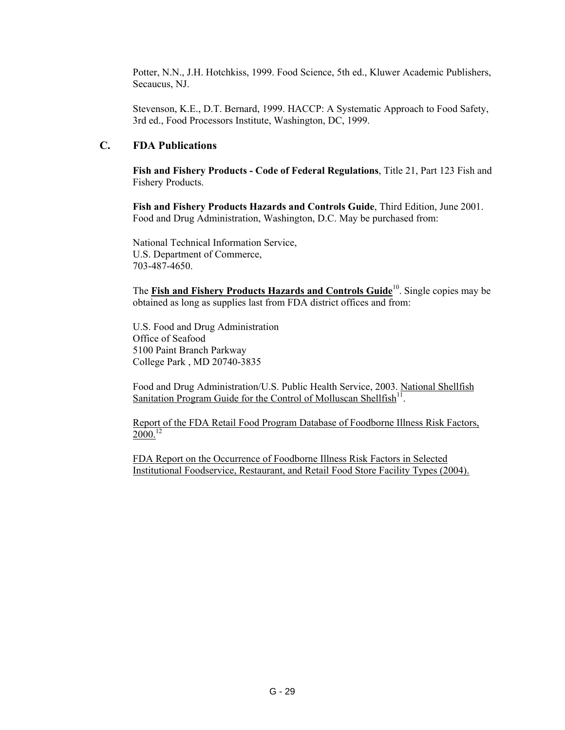Potter, N.N., J.H. Hotchkiss, 1999. Food Science, 5th ed., Kluwer Academic Publishers, Secaucus, NJ.

Stevenson, K.E., D.T. Bernard, 1999. HACCP: A Systematic Approach to Food Safety, 3rd ed., Food Processors Institute, Washington, DC, 1999.

#### **C. FDA Publications**

**Fish and Fishery Products - Code of Federal Regulations**, Title 21, Part 123 Fish and Fishery Products.

**Fish and Fishery Products Hazards and Controls Guide**, Third Edition, June 2001. Food and Drug Administration, Washington, D.C. May be purchased from:

National Technical Information Service, U.S. Department of Commerce, 703-487-4650.

The **Fish and Fishery Products Hazards and Controls Guide**10. Single copies may be obtained as long as supplies last from FDA district offices and from:

U.S. Food and Drug Administration Office of Seafood 5100 Paint Branch Parkway College Park , MD 20740-3835

Food and Drug Administration/U.S. Public Health Service, 2003. National Shellfish Sanitation Program Guide for the Control of Molluscan Shellfish<sup>11</sup>.

Report of the FDA Retail Food Program Database of Foodborne Illness Risk Factors,  $2000^{12}$ 

FDA Report on the Occurrence of Foodborne Illness Risk Factors in Selected Institutional Foodservice, Restaurant, and Retail Food Store Facility Types (2004).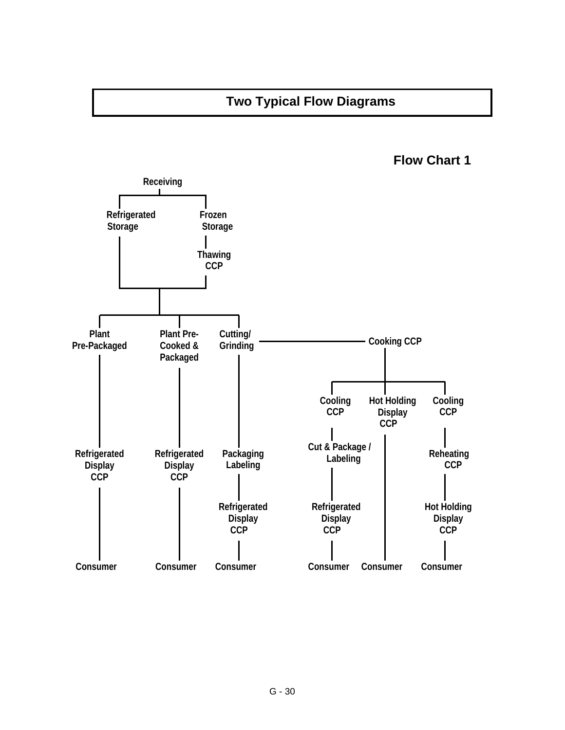**Flow Chart 1**

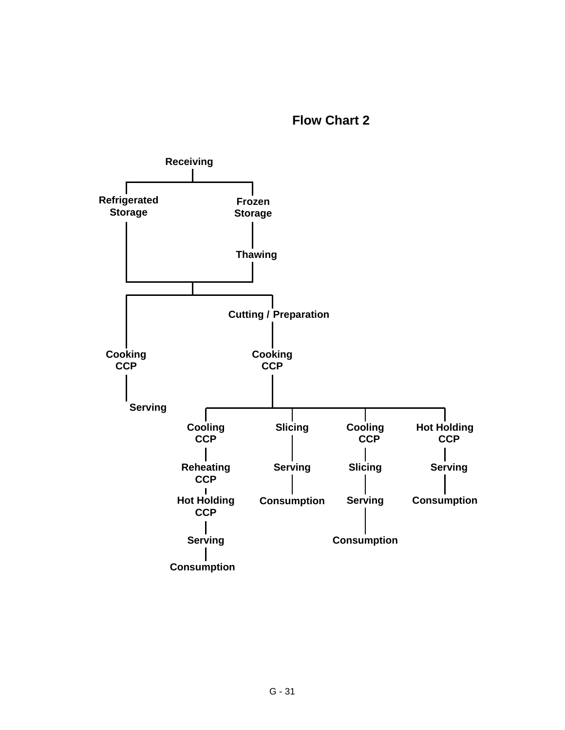

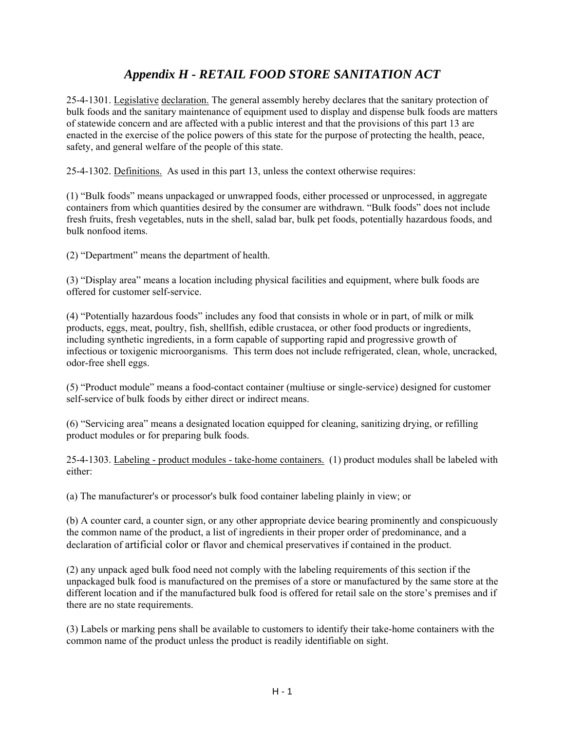# *Appendix H - RETAIL FOOD STORE SANITATION ACT*

25-4-1301. Legislative declaration. The general assembly hereby declares that the sanitary protection of bulk foods and the sanitary maintenance of equipment used to display and dispense bulk foods are matters of statewide concern and are affected with a public interest and that the provisions of this part 13 are enacted in the exercise of the police powers of this state for the purpose of protecting the health, peace, safety, and general welfare of the people of this state.

25-4-1302. Definitions. As used in this part 13, unless the context otherwise requires:

(1) "Bulk foods" means unpackaged or unwrapped foods, either processed or unprocessed, in aggregate containers from which quantities desired by the consumer are withdrawn. "Bulk foods" does not include fresh fruits, fresh vegetables, nuts in the shell, salad bar, bulk pet foods, potentially hazardous foods, and bulk nonfood items.

(2) "Department" means the department of health.

(3) "Display area" means a location including physical facilities and equipment, where bulk foods are offered for customer self-service.

(4) "Potentially hazardous foods" includes any food that consists in whole or in part, of milk or milk products, eggs, meat, poultry, fish, shellfish, edible crustacea, or other food products or ingredients, including synthetic ingredients, in a form capable of supporting rapid and progressive growth of infectious or toxigenic microorganisms. This term does not include refrigerated, clean, whole, uncracked, odor-free shell eggs.

(5) "Product module" means a food-contact container (multiuse or single-service) designed for customer self-service of bulk foods by either direct or indirect means.

(6) "Servicing area" means a designated location equipped for cleaning, sanitizing drying, or refilling product modules or for preparing bulk foods.

25-4-1303. Labeling - product modules - take-home containers. (1) product modules shall be labeled with either:

(a) The manufacturer's or processor's bulk food container labeling plainly in view; or

(b) A counter card, a counter sign, or any other appropriate device bearing prominently and conspicuously the common name of the product, a list of ingredients in their proper order of predominance, and a declaration of artificial color or flavor and chemical preservatives if contained in the product.

(2) any unpack aged bulk food need not comply with the labeling requirements of this section if the unpackaged bulk food is manufactured on the premises of a store or manufactured by the same store at the different location and if the manufactured bulk food is offered for retail sale on the store's premises and if there are no state requirements.

(3) Labels or marking pens shall be available to customers to identify their take-home containers with the common name of the product unless the product is readily identifiable on sight.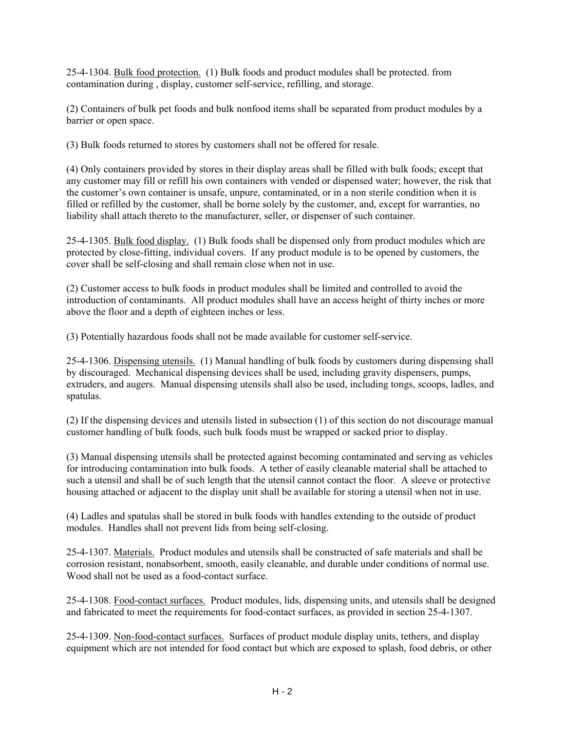25-4-1304. Bulk food protection. (1) Bulk foods and product modules shall be protected. from contamination during , display, customer self-service, refilling, and storage.

(2) Containers of bulk pet foods and bulk nonfood items shall be separated from product modules by a barrier or open space.

(3) Bulk foods returned to stores by customers shall not be offered for resale.

(4) Only containers provided by stores in their display areas shall be filled with bulk foods; except that any customer may fill or refill his own containers with vended or dispensed water; however, the risk that the customer's own container is unsafe, unpure, contaminated, or in a non sterile condition when it is filled or refilled by the customer, shall be borne solely by the customer, and, except for warranties, no liability shall attach thereto to the manufacturer, seller, or dispenser of such container.

25-4-1305. Bulk food display. (1) Bulk foods shall be dispensed only from product modules which are protected by close-fitting, individual covers. If any product module is to be opened by customers, the cover shall be self-closing and shall remain close when not in use.

(2) Customer access to bulk foods in product modules shall be limited and controlled to avoid the introduction of contaminants. All product modules shall have an access height of thirty inches or more above the floor and a depth of eighteen inches or less.

(3) Potentially hazardous foods shall not be made available for customer self-service.

25-4-1306. Dispensing utensils. (1) Manual handling of bulk foods by customers during dispensing shall by discouraged. Mechanical dispensing devices shall be used, including gravity dispensers, pumps, extruders, and augers. Manual dispensing utensils shall also be used, including tongs, scoops, ladles, and spatulas.

(2) If the dispensing devices and utensils listed in subsection (1) of this section do not discourage manual customer handling of bulk foods, such bulk foods must be wrapped or sacked prior to display.

(3) Manual dispensing utensils shall be protected against becoming contaminated and serving as vehicles for introducing contamination into bulk foods. A tether of easily cleanable material shall be attached to such a utensil and shall be of such length that the utensil cannot contact the floor. A sleeve or protective housing attached or adjacent to the display unit shall be available for storing a utensil when not in use.

(4) Ladles and spatulas shall be stored in bulk foods with handles extending to the outside of product modules. Handles shall not prevent lids from being self-closing.

25-4-1307. Materials. Product modules and utensils shall be constructed of safe materials and shall be corrosion resistant, nonabsorbent, smooth, easily cleanable, and durable under conditions of normal use. Wood shall not be used as a food-contact surface.

25-4-1308. Food-contact surfaces. Product modules, lids, dispensing units, and utensils shall be designed and fabricated to meet the requirements for food-contact surfaces, as provided in section 25-4-1307.

25-4-1309. Non-food-contact surfaces. Surfaces of product module display units, tethers, and display equipment which are not intended for food contact but which are exposed to splash, food debris, or other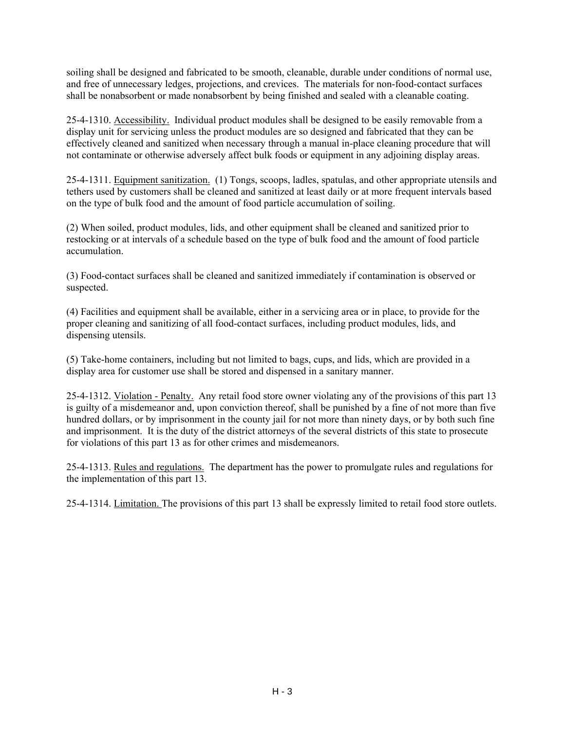soiling shall be designed and fabricated to be smooth, cleanable, durable under conditions of normal use, and free of unnecessary ledges, projections, and crevices. The materials for non-food-contact surfaces shall be nonabsorbent or made nonabsorbent by being finished and sealed with a cleanable coating.

25-4-1310. Accessibility. Individual product modules shall be designed to be easily removable from a display unit for servicing unless the product modules are so designed and fabricated that they can be effectively cleaned and sanitized when necessary through a manual in-place cleaning procedure that will not contaminate or otherwise adversely affect bulk foods or equipment in any adjoining display areas.

25-4-1311. Equipment sanitization. (1) Tongs, scoops, ladles, spatulas, and other appropriate utensils and tethers used by customers shall be cleaned and sanitized at least daily or at more frequent intervals based on the type of bulk food and the amount of food particle accumulation of soiling.

(2) When soiled, product modules, lids, and other equipment shall be cleaned and sanitized prior to restocking or at intervals of a schedule based on the type of bulk food and the amount of food particle accumulation.

(3) Food-contact surfaces shall be cleaned and sanitized immediately if contamination is observed or suspected.

(4) Facilities and equipment shall be available, either in a servicing area or in place, to provide for the proper cleaning and sanitizing of all food-contact surfaces, including product modules, lids, and dispensing utensils.

(5) Take-home containers, including but not limited to bags, cups, and lids, which are provided in a display area for customer use shall be stored and dispensed in a sanitary manner.

25-4-1312. Violation - Penalty. Any retail food store owner violating any of the provisions of this part 13 is guilty of a misdemeanor and, upon conviction thereof, shall be punished by a fine of not more than five hundred dollars, or by imprisonment in the county jail for not more than ninety days, or by both such fine and imprisonment. It is the duty of the district attorneys of the several districts of this state to prosecute for violations of this part 13 as for other crimes and misdemeanors.

25-4-1313. Rules and regulations. The department has the power to promulgate rules and regulations for the implementation of this part 13.

25-4-1314. Limitation. The provisions of this part 13 shall be expressly limited to retail food store outlets.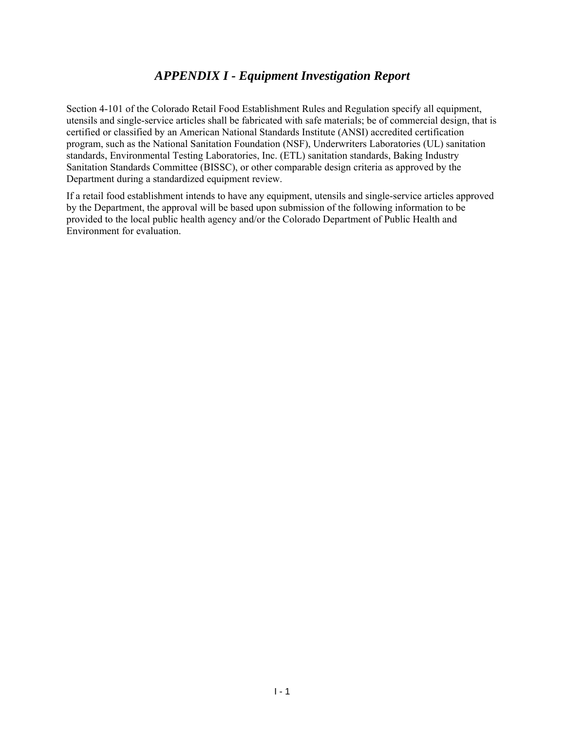# *APPENDIX I - Equipment Investigation Report*

Section 4-101 of the Colorado Retail Food Establishment Rules and Regulation specify all equipment, utensils and single-service articles shall be fabricated with safe materials; be of commercial design, that is certified or classified by an American National Standards Institute (ANSI) accredited certification program, such as the National Sanitation Foundation (NSF), Underwriters Laboratories (UL) sanitation standards, Environmental Testing Laboratories, Inc. (ETL) sanitation standards, Baking Industry Sanitation Standards Committee (BISSC), or other comparable design criteria as approved by the Department during a standardized equipment review.

If a retail food establishment intends to have any equipment, utensils and single-service articles approved by the Department, the approval will be based upon submission of the following information to be provided to the local public health agency and/or the Colorado Department of Public Health and Environment for evaluation.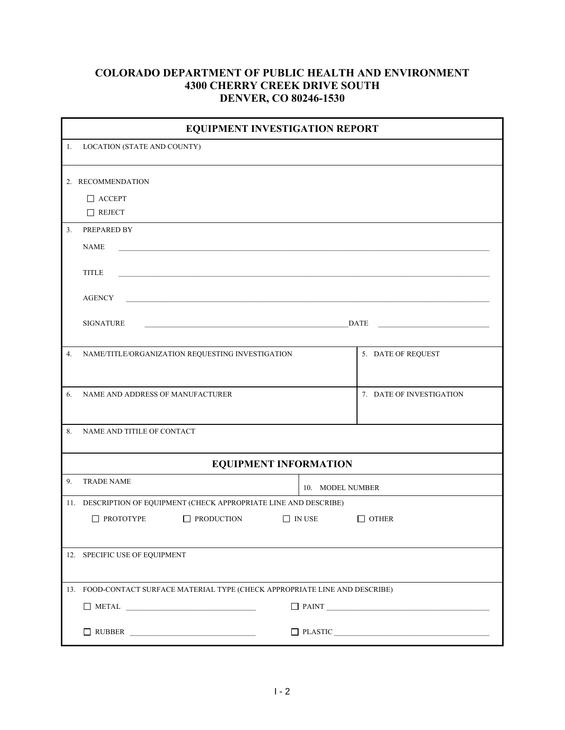## **COLORADO DEPARTMENT OF PUBLIC HEALTH AND ENVIRONMENT 4300 CHERRY CREEK DRIVE SOUTH DENVER, CO 80246-1530**

|     | EQUIPMENT INVESTIGATION REPORT                                                                                                                                                                                               |                          |                                                                                                                                      |  |  |  |  |
|-----|------------------------------------------------------------------------------------------------------------------------------------------------------------------------------------------------------------------------------|--------------------------|--------------------------------------------------------------------------------------------------------------------------------------|--|--|--|--|
| 1.  | LOCATION (STATE AND COUNTY)                                                                                                                                                                                                  |                          |                                                                                                                                      |  |  |  |  |
|     | 2. RECOMMENDATION                                                                                                                                                                                                            |                          |                                                                                                                                      |  |  |  |  |
|     | $\Box$ ACCEPT                                                                                                                                                                                                                |                          |                                                                                                                                      |  |  |  |  |
|     | $\Box$ REJECT                                                                                                                                                                                                                |                          |                                                                                                                                      |  |  |  |  |
| 3.  | PREPARED BY                                                                                                                                                                                                                  |                          |                                                                                                                                      |  |  |  |  |
|     | <b>NAME</b>                                                                                                                                                                                                                  |                          |                                                                                                                                      |  |  |  |  |
|     | <b>TITLE</b><br><u> 1989 - Johann Stoff, amerikansk politiker (d. 1989)</u>                                                                                                                                                  |                          |                                                                                                                                      |  |  |  |  |
|     | <u> 1989 - Johann John Stone, mars and de film and de film and de film and de film and de film and de film and d</u><br><b>AGENCY</b>                                                                                        |                          |                                                                                                                                      |  |  |  |  |
|     | <b>SIGNATURE</b><br><u> 1989 - Johann Barn, mars eta bainar eta bainar eta baina eta baina eta baina eta baina eta baina eta baina e</u>                                                                                     |                          | <b>DATE</b><br><u> 1989 - Johann Barbara, martin amerikan basal dan berasal dalam basal dalam basal dalam basal dalam basal dala</u> |  |  |  |  |
| 4.  | NAME/TITLE/ORGANIZATION REQUESTING INVESTIGATION                                                                                                                                                                             |                          | 5. DATE OF REQUEST                                                                                                                   |  |  |  |  |
| 6.  | NAME AND ADDRESS OF MANUFACTURER                                                                                                                                                                                             | 7. DATE OF INVESTIGATION |                                                                                                                                      |  |  |  |  |
| 8.  | NAME AND TITILE OF CONTACT                                                                                                                                                                                                   |                          |                                                                                                                                      |  |  |  |  |
|     | <b>EQUIPMENT INFORMATION</b>                                                                                                                                                                                                 |                          |                                                                                                                                      |  |  |  |  |
| 9.  | <b>TRADE NAME</b>                                                                                                                                                                                                            | 10. MODEL NUMBER         |                                                                                                                                      |  |  |  |  |
|     | 11. DESCRIPTION OF EQUIPMENT (CHECK APPROPRIATE LINE AND DESCRIBE)                                                                                                                                                           |                          |                                                                                                                                      |  |  |  |  |
|     | $\Box$ PROTOTYPE<br>$\Box$ PRODUCTION                                                                                                                                                                                        | $\Box$ IN USE            | $\Box$ OTHER                                                                                                                         |  |  |  |  |
| 12. | SPECIFIC USE OF EQUIPMENT                                                                                                                                                                                                    |                          |                                                                                                                                      |  |  |  |  |
|     | 13. FOOD-CONTACT SURFACE MATERIAL TYPE (CHECK APPROPRIATE LINE AND DESCRIBE)                                                                                                                                                 |                          |                                                                                                                                      |  |  |  |  |
|     |                                                                                                                                                                                                                              |                          |                                                                                                                                      |  |  |  |  |
|     | $\begin{tabular}{ c c c c } \hline \quad{} & \quad{} & \quad{} & \quad{} & \quad{} \\ \hline \quad{} & \quad{} & \quad{} & \quad{} & \quad{} \\ \hline \quad \quad {} & \quad{} & \quad{} & \quad{} \\ \hline \end{tabular}$ |                          |                                                                                                                                      |  |  |  |  |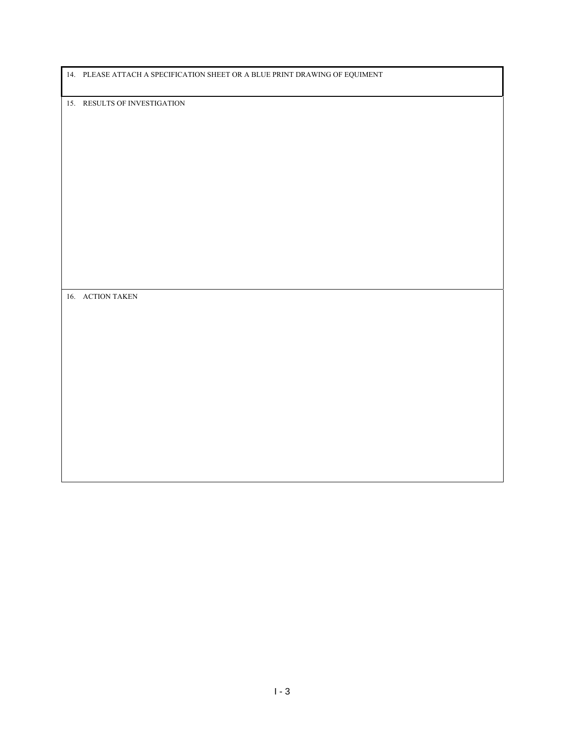14. PLEASE ATTACH A SPECIFICATION SHEET OR A BLUE PRINT DRAWING OF EQUIMENT

15. RESULTS OF INVESTIGATION

16. ACTION TAKEN